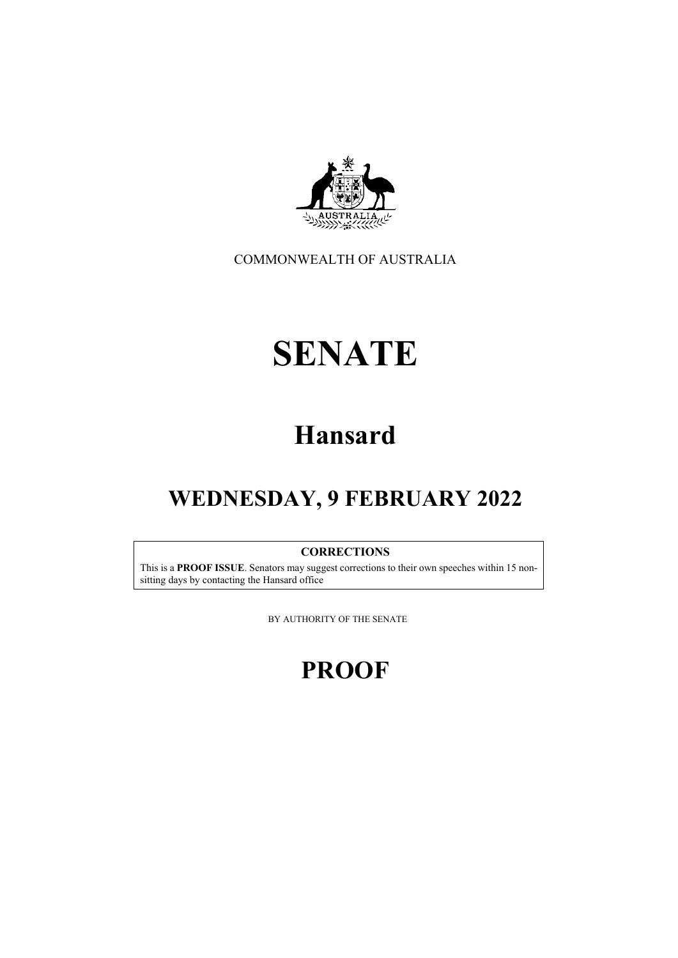

COMMONWEALTH OF AUSTRALIA

# **SENATE**

# **Hansard**

## **WEDNESDAY, 9 FEBRUARY 2022**

#### **CORRECTIONS**

This is a **PROOF ISSUE**. Senators may suggest corrections to their own speeches within 15 nonsitting days by contacting the Hansard office

BY AUTHORITY OF THE SENATE

## **PROOF**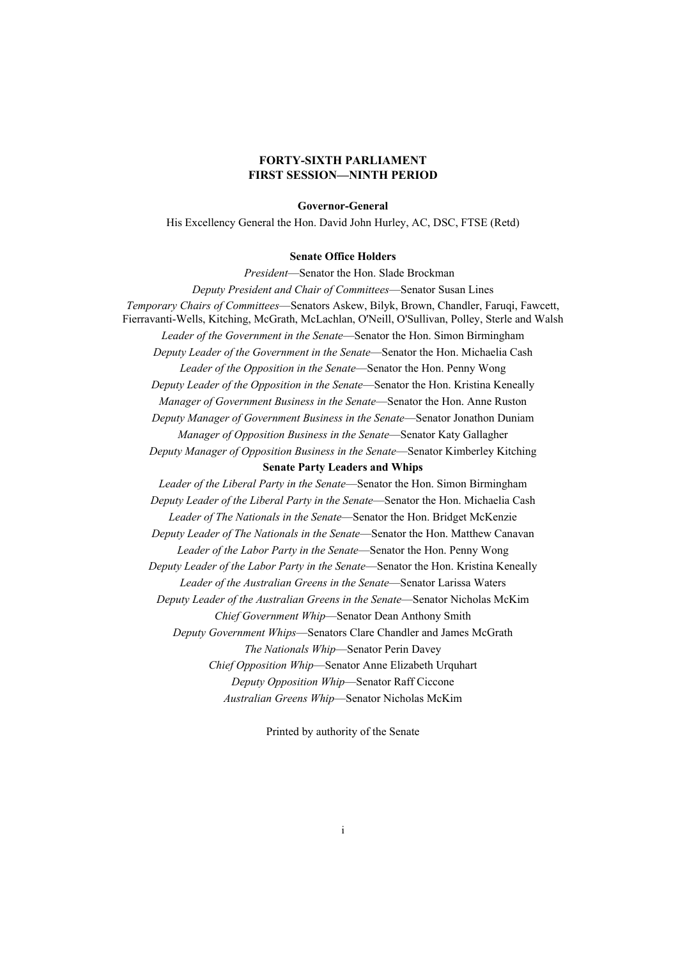#### **FORTY-SIXTH PARLIAMENT FIRST SESSION—NINTH PERIOD**

#### **Governor-General**

His Excellency General the Hon. David John Hurley, AC, DSC, FTSE (Retd)

#### **Senate Office Holders**

*President*—Senator the Hon. Slade Brockman

*Deputy President and Chair of Committees*—Senator Susan Lines *Temporary Chairs of Committees*—Senators Askew, Bilyk, Brown, Chandler, Faruqi, Fawcett, Fierravanti-Wells, Kitching, McGrath, McLachlan, O'Neill, O'Sullivan, Polley, Sterle and Walsh *Leader of the Government in the Senate*—Senator the Hon. Simon Birmingham *Deputy Leader of the Government in the Senate*—Senator the Hon. Michaelia Cash *Leader of the Opposition in the Senate*—Senator the Hon. Penny Wong *Deputy Leader of the Opposition in the Senate*—Senator the Hon. Kristina Keneally *Manager of Government Business in the Senate*—Senator the Hon. Anne Ruston *Deputy Manager of Government Business in the Senate*—Senator Jonathon Duniam *Manager of Opposition Business in the Senate*—Senator Katy Gallagher *Deputy Manager of Opposition Business in the Senate*—Senator Kimberley Kitching **Senate Party Leaders and Whips** *Leader of the Liberal Party in the Senate*—Senator the Hon. Simon Birmingham *Deputy Leader of the Liberal Party in the Senate*—Senator the Hon. Michaelia Cash *Leader of The Nationals in the Senate*—Senator the Hon. Bridget McKenzie *Deputy Leader of The Nationals in the Senate*—Senator the Hon. Matthew Canavan *Leader of the Labor Party in the Senate*—Senator the Hon. Penny Wong *Deputy Leader of the Labor Party in the Senate*—Senator the Hon. Kristina Keneally *Leader of the Australian Greens in the Senate*—Senator Larissa Waters *Deputy Leader of the Australian Greens in the Senate*—Senator Nicholas McKim *Chief Government Whip*—Senator Dean Anthony Smith *Deputy Government Whips*—Senators Clare Chandler and James McGrath *The Nationals Whip*—Senator Perin Davey *Chief Opposition Whip*—Senator Anne Elizabeth Urquhart *Deputy Opposition Whip*—Senator Raff Ciccone

*Australian Greens Whip*—Senator Nicholas McKim

Printed by authority of the Senate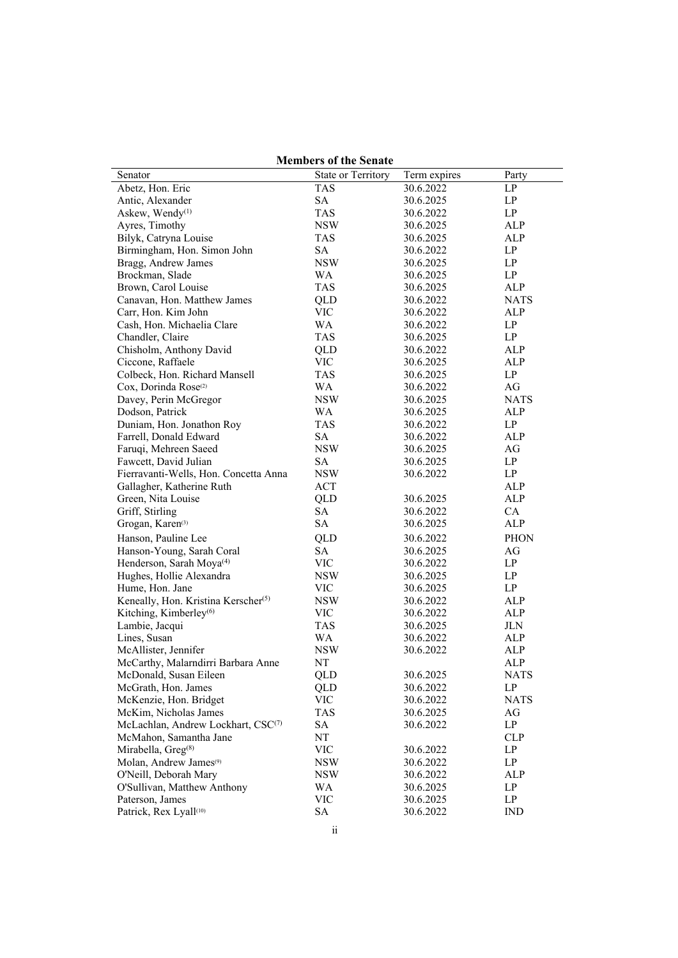| <b>Members of the Senate</b>                    |                    |              |             |
|-------------------------------------------------|--------------------|--------------|-------------|
| Senator                                         | State or Territory | Term expires | Party       |
| Abetz, Hon. Eric                                | <b>TAS</b>         | 30.6.2022    | LP          |
| Antic, Alexander                                | <b>SA</b>          | 30.6.2025    | LP          |
| Askew, Wendy <sup>(1)</sup>                     | <b>TAS</b>         | 30.6.2022    | LP          |
| Ayres, Timothy                                  | NSW                | 30.6.2025    | ALP         |
| Bilyk, Catryna Louise                           | <b>TAS</b>         | 30.6.2025    | ALP         |
| Birmingham, Hon. Simon John                     | <b>SA</b>          | 30.6.2022    | LP          |
| Bragg, Andrew James                             | <b>NSW</b>         | 30.6.2025    | LP          |
| Brockman, Slade                                 | WA                 | 30.6.2025    | LP          |
| Brown, Carol Louise                             | <b>TAS</b>         | 30.6.2025    | ALP         |
| Canavan, Hon. Matthew James                     | QLD                | 30.6.2022    | <b>NATS</b> |
| Carr, Hon. Kim John                             | <b>VIC</b>         | 30.6.2022    | ALP         |
| Cash, Hon. Michaelia Clare                      | WA                 | 30.6.2022    | LP          |
| Chandler, Claire                                | <b>TAS</b>         | 30.6.2025    | LP          |
| Chisholm, Anthony David                         | QLD                | 30.6.2022    | ALP         |
| Ciccone, Raffaele                               | <b>VIC</b>         | 30.6.2025    | ALP         |
| Colbeck, Hon. Richard Mansell                   | <b>TAS</b>         | 30.6.2025    | LP          |
| Cox, Dorinda Rose <sup>(2)</sup>                | <b>WA</b>          | 30.6.2022    | AG          |
| Davey, Perin McGregor                           | <b>NSW</b>         | 30.6.2025    | <b>NATS</b> |
| Dodson, Patrick                                 | WA                 | 30.6.2025    | ALP         |
| Duniam, Hon. Jonathon Roy                       | <b>TAS</b>         | 30.6.2022    | LP          |
| Farrell, Donald Edward                          | <b>SA</b>          | 30.6.2022    | ALP         |
| Faruqi, Mehreen Saeed                           | <b>NSW</b>         | 30.6.2025    | AG          |
| Fawcett, David Julian                           | <b>SA</b>          | 30.6.2025    | LP          |
| Fierravanti-Wells, Hon. Concetta Anna           | NSW                | 30.6.2022    | LP          |
| Gallagher, Katherine Ruth                       | ACT                |              | ALP         |
| Green, Nita Louise                              | QLD                | 30.6.2025    | ALP         |
| Griff, Stirling                                 | <b>SA</b>          | 30.6.2022    | CA          |
| Grogan, Karen <sup>(3)</sup>                    | <b>SA</b>          | 30.6.2025    | ALP         |
| Hanson, Pauline Lee                             | QLD                | 30.6.2022    | <b>PHON</b> |
| Hanson-Young, Sarah Coral                       | SA                 | 30.6.2025    | AG          |
| Henderson, Sarah Moya <sup>(4)</sup>            | <b>VIC</b>         | 30.6.2022    | LP          |
| Hughes, Hollie Alexandra                        | <b>NSW</b>         | 30.6.2025    | LP          |
| Hume, Hon. Jane                                 | <b>VIC</b>         | 30.6.2025    | LP          |
| Keneally, Hon. Kristina Kerscher <sup>(5)</sup> | <b>NSW</b>         | 30.6.2022    | ALP         |
| Kitching, Kimberley <sup>(6)</sup>              | <b>VIC</b>         | 30.6.2022    | ALP         |
| Lambie, Jacqui                                  | <b>TAS</b>         | 30.6.2025    | JLN         |
| Lines, Susan                                    | WA                 | 30.6.2022    | ALP         |
| McAllister, Jennifer                            | <b>NSW</b>         | 30.6.2022    | ALP         |
| McCarthy, Malarndirri Barbara Anne              | NT                 |              | ALP         |
| McDonald, Susan Eileen                          | <b>QLD</b>         | 30.6.2025    | NATS        |
| McGrath, Hon. James                             | QLD                | 30.6.2022    | LP          |
| McKenzie, Hon. Bridget                          | VIC                | 30.6.2022    | <b>NATS</b> |
| McKim, Nicholas James                           | <b>TAS</b>         | 30.6.2025    | AG          |
| McLachlan, Andrew Lockhart, CSC(7)              | SA                 | 30.6.2022    | LP          |
| McMahon, Samantha Jane                          | NT                 |              | <b>CLP</b>  |
| Mirabella, Greg <sup>(8)</sup>                  | VIC                | 30.6.2022    | LP          |
| Molan, Andrew James <sup>(9)</sup>              | <b>NSW</b>         | 30.6.2022    | LP          |
| O'Neill, Deborah Mary                           | NSW                | 30.6.2022    | ALP         |
| O'Sullivan, Matthew Anthony                     |                    | 30.6.2025    |             |
| Paterson, James                                 | WA<br><b>VIC</b>   | 30.6.2025    | LP<br>LP    |
|                                                 |                    |              |             |
| Patrick, Rex Lyall(10)                          | <b>SA</b>          | 30.6.2022    | <b>IND</b>  |

**Members of the Senate**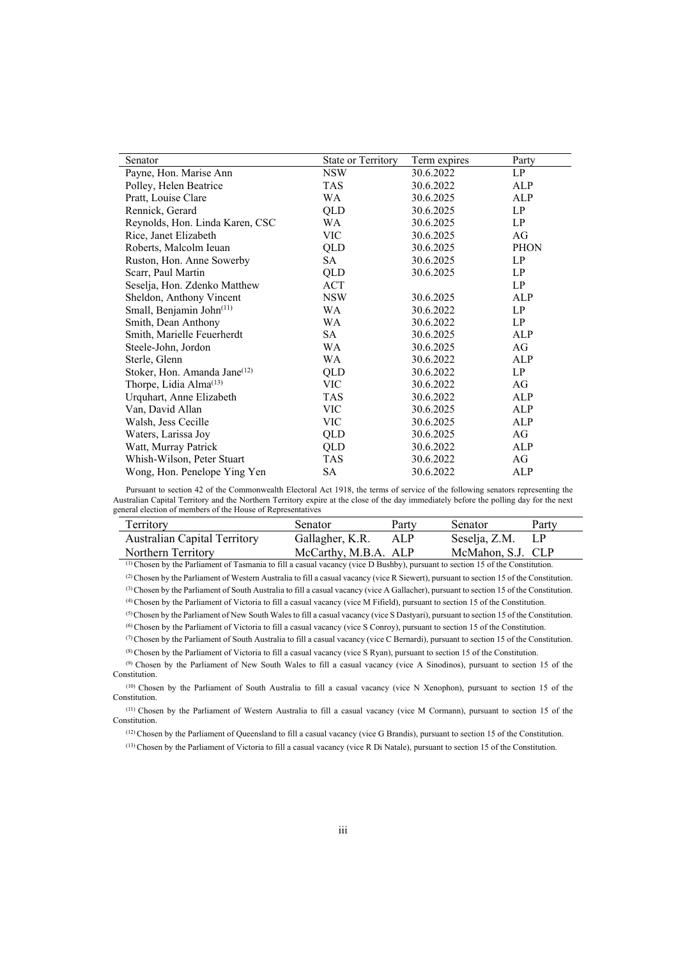| Senator                                  | State or Territory | Term expires | Party       |
|------------------------------------------|--------------------|--------------|-------------|
| Payne, Hon. Marise Ann                   | <b>NSW</b>         | 30.6.2022    | LP          |
| Polley, Helen Beatrice                   | TAS                | 30.6.2022    | ALP         |
| Pratt, Louise Clare                      | WA                 | 30.6.2025    | ALP         |
| Rennick, Gerard                          | QLD                | 30.6.2025    | LP          |
| Reynolds, Hon. Linda Karen, CSC          | WA                 | 30.6.2025    | LP          |
| Rice, Janet Elizabeth                    | <b>VIC</b>         | 30.6.2025    | AG          |
| Roberts, Malcolm Ieuan                   | QLD                | 30.6.2025    | <b>PHON</b> |
| Ruston, Hon. Anne Sowerby                | SA                 | 30.6.2025    | LP          |
| Scarr, Paul Martin                       | QLD                | 30.6.2025    | LP          |
| Seselja, Hon. Zdenko Matthew             | ACT                |              | LP          |
| Sheldon, Anthony Vincent                 | NSW                | 30.6.2025    | ALP         |
| Small, Benjamin John(11)                 | WA                 | 30.6.2022    | LP          |
| Smith, Dean Anthony                      | WA                 | 30.6.2022    | LP          |
| Smith, Marielle Feuerherdt               | SA                 | 30.6.2025    | ALP         |
| Steele-John, Jordon                      | WA                 | 30.6.2025    | AG          |
| Sterle, Glenn                            | WA                 | 30.6.2022    | ALP         |
| Stoker, Hon. Amanda Jane <sup>(12)</sup> | QLD                | 30.6.2022    | LP          |
| Thorpe, Lidia Alma <sup>(13)</sup>       | VIC                | 30.6.2022    | AG          |
| Urquhart, Anne Elizabeth                 | TAS                | 30.6.2022    | ALP         |
| Van, David Allan                         | VIC                | 30.6.2025    | ALP         |
| Walsh, Jess Cecille                      | <b>VIC</b>         | 30.6.2025    | ALP         |
| Waters, Larissa Joy                      | QLD                | 30.6.2025    | AG          |
| Watt, Murray Patrick                     | QLD                | 30.6.2022    | ALP         |
| Whish-Wilson, Peter Stuart               | TAS                | 30.6.2022    | AG          |
| Wong, Hon. Penelope Ying Yen             | SA                 | 30.6.2022    | ALP         |

Pursuant to section 42 of the Commonwealth Electoral Act 1918, the terms of service of the following senators representing the Australian Capital Territory and the Northern Territory expire at the close of the day immediately before the polling day for the next general election of members of the House of Representatives

| Territory                                                                                                                           | Senator              | Party | <b>Senator</b>    | Party    |
|-------------------------------------------------------------------------------------------------------------------------------------|----------------------|-------|-------------------|----------|
| <b>Australian Capital Territory</b>                                                                                                 | Gallagher, K.R.      | ALP   | Seselja, Z.M.     | $\Box P$ |
| Northern Territory                                                                                                                  | McCarthy, M.B.A. ALP |       | McMahon, S.J. CLP |          |
| $^{(1)}$ Chosen by the Parliament of Tasmania to fill a casual vacancy (vice D Bushby), pursuant to section 15 of the Constitution. |                      |       |                   |          |

(2) Chosen by the Parliament of Western Australia to fill a casual vacancy (vice R Siewert), pursuant to section 15 of the Constitution. (3) Chosen by the Parliament of South Australia to fill a casual vacancy (vice A Gallacher), pursuant to section 15 of the Constitution.

(4) Chosen by the Parliament of Victoria to fill a casual vacancy (vice M Fifield), pursuant to section 15 of the Constitution.

(5) Chosen by the Parliament of New South Wales to fill a casual vacancy (vice S Dastyari), pursuant to section 15 of the Constitution.

(6) Chosen by the Parliament of Victoria to fill a casual vacancy (vice S Conroy), pursuant to section 15 of the Constitution.

(7) Chosen by the Parliament of South Australia to fill a casual vacancy (vice C Bernardi), pursuant to section 15 of the Constitution. (8) Chosen by the Parliament of Victoria to fill a casual vacancy (vice S Ryan), pursuant to section 15 of the Constitution.

(9) Chosen by the Parliament of New South Wales to fill a casual vacancy (vice A Sinodinos), pursuant to section 15 of the Constitution.

(10) Chosen by the Parliament of South Australia to fill a casual vacancy (vice N Xenophon), pursuant to section 15 of the Constitution.

(11) Chosen by the Parliament of Western Australia to fill a casual vacancy (vice M Cormann), pursuant to section 15 of the Constitution.

(12) Chosen by the Parliament of Queensland to fill a casual vacancy (vice G Brandis), pursuant to section 15 of the Constitution.

(13) Chosen by the Parliament of Victoria to fill a casual vacancy (vice R Di Natale), pursuant to section 15 of the Constitution.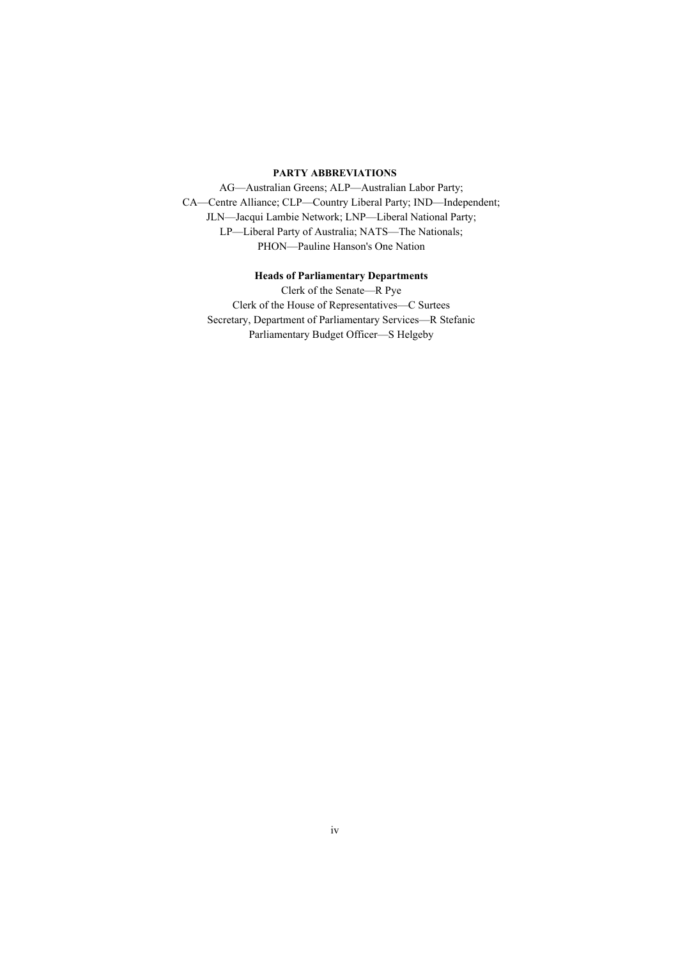#### **PARTY ABBREVIATIONS**

AG—Australian Greens; ALP—Australian Labor Party; CA—Centre Alliance; CLP—Country Liberal Party; IND—Independent; JLN—Jacqui Lambie Network; LNP—Liberal National Party; LP—Liberal Party of Australia; NATS—The Nationals; PHON—Pauline Hanson's One Nation

#### **Heads of Parliamentary Departments**

Clerk of the Senate—R Pye Clerk of the House of Representatives—C Surtees Secretary, Department of Parliamentary Services—R Stefanic Parliamentary Budget Officer—S Helgeby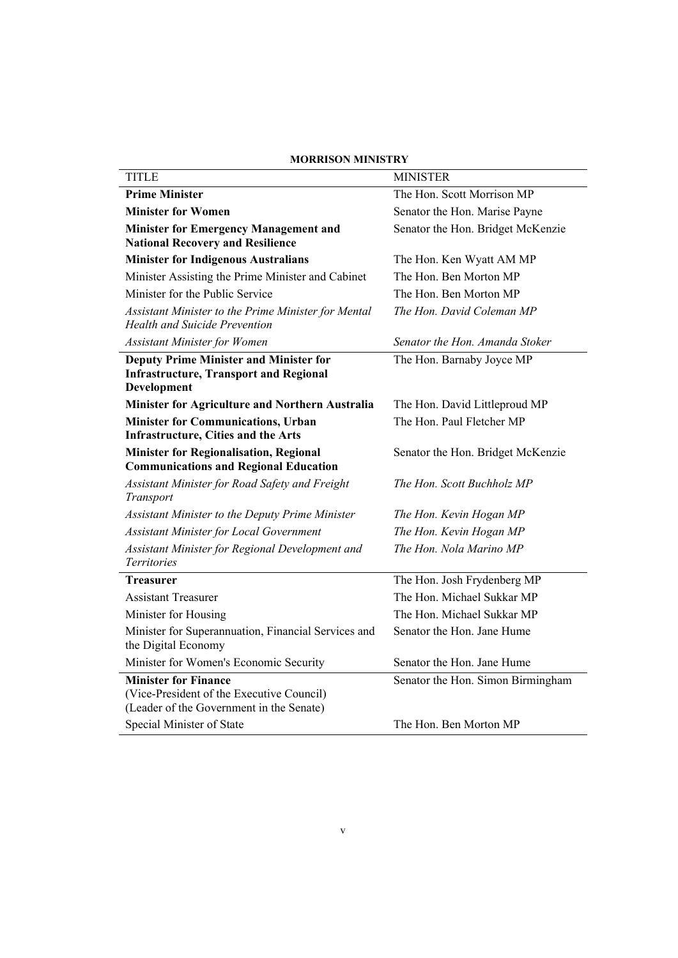| <b>MORRISON MINISTRY</b>                                                                                             |                                   |
|----------------------------------------------------------------------------------------------------------------------|-----------------------------------|
| <b>TITLE</b>                                                                                                         | <b>MINISTER</b>                   |
| <b>Prime Minister</b>                                                                                                | The Hon. Scott Morrison MP        |
| <b>Minister for Women</b>                                                                                            | Senator the Hon. Marise Payne     |
| <b>Minister for Emergency Management and</b><br><b>National Recovery and Resilience</b>                              | Senator the Hon. Bridget McKenzie |
| <b>Minister for Indigenous Australians</b>                                                                           | The Hon. Ken Wyatt AM MP          |
| Minister Assisting the Prime Minister and Cabinet                                                                    | The Hon. Ben Morton MP            |
| Minister for the Public Service                                                                                      | The Hon. Ben Morton MP            |
| Assistant Minister to the Prime Minister for Mental<br>Health and Suicide Prevention                                 | The Hon. David Coleman MP         |
| <b>Assistant Minister for Women</b>                                                                                  | Senator the Hon. Amanda Stoker    |
| <b>Deputy Prime Minister and Minister for</b><br><b>Infrastructure, Transport and Regional</b><br>Development        | The Hon. Barnaby Joyce MP         |
| Minister for Agriculture and Northern Australia                                                                      | The Hon. David Littleproud MP     |
| <b>Minister for Communications, Urban</b><br><b>Infrastructure, Cities and the Arts</b>                              | The Hon. Paul Fletcher MP         |
| <b>Minister for Regionalisation, Regional</b><br><b>Communications and Regional Education</b>                        | Senator the Hon. Bridget McKenzie |
| Assistant Minister for Road Safety and Freight<br>Transport                                                          | The Hon. Scott Buchholz MP        |
| Assistant Minister to the Deputy Prime Minister                                                                      | The Hon. Kevin Hogan MP           |
| <b>Assistant Minister for Local Government</b>                                                                       | The Hon. Kevin Hogan MP           |
| Assistant Minister for Regional Development and<br>Territories                                                       | The Hon. Nola Marino MP           |
| <b>Treasurer</b>                                                                                                     | The Hon. Josh Frydenberg MP       |
| <b>Assistant Treasurer</b>                                                                                           | The Hon. Michael Sukkar MP        |
| Minister for Housing                                                                                                 | The Hon. Michael Sukkar MP        |
| Minister for Superannuation, Financial Services and<br>the Digital Economy                                           | Senator the Hon. Jane Hume        |
| Minister for Women's Economic Security                                                                               | Senator the Hon. Jane Hume        |
| <b>Minister for Finance</b><br>(Vice-President of the Executive Council)<br>(Leader of the Government in the Senate) | Senator the Hon. Simon Birmingham |
| Special Minister of State                                                                                            | The Hon. Ben Morton MP            |

#### **MORRISON MINISTRY**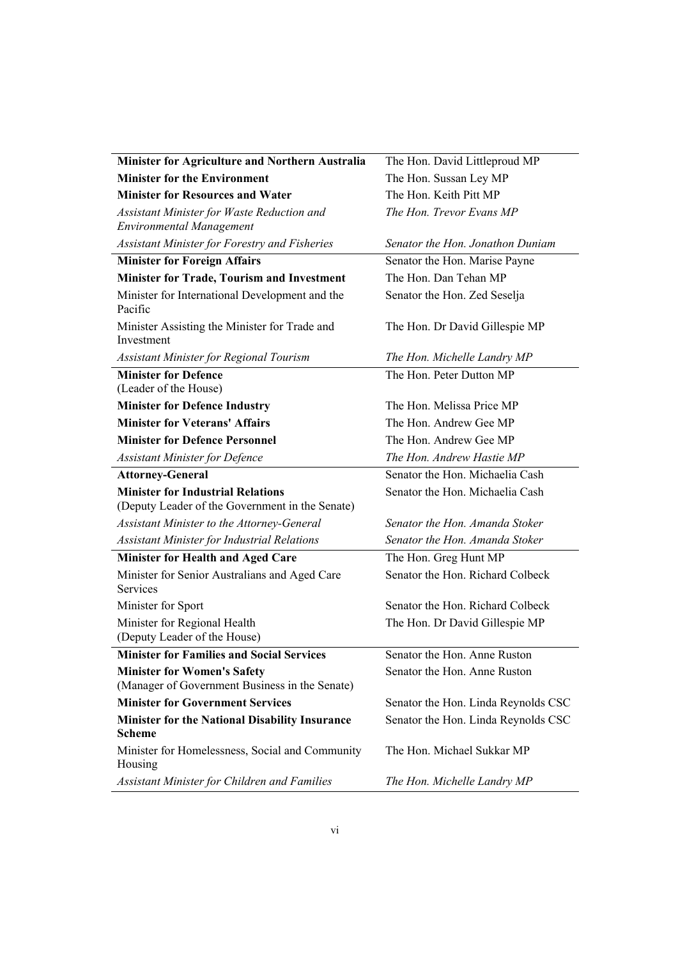| Minister for Agriculture and Northern Australia                                             | The Hon. David Littleproud MP       |
|---------------------------------------------------------------------------------------------|-------------------------------------|
| <b>Minister for the Environment</b>                                                         | The Hon. Sussan Ley MP              |
| <b>Minister for Resources and Water</b>                                                     | The Hon. Keith Pitt MP              |
| Assistant Minister for Waste Reduction and<br><b>Environmental Management</b>               | The Hon. Trevor Evans MP            |
| Assistant Minister for Forestry and Fisheries                                               | Senator the Hon. Jonathon Duniam    |
| <b>Minister for Foreign Affairs</b>                                                         | Senator the Hon. Marise Payne       |
| <b>Minister for Trade, Tourism and Investment</b>                                           | The Hon. Dan Tehan MP               |
| Minister for International Development and the<br>Pacific                                   | Senator the Hon. Zed Seselja        |
| Minister Assisting the Minister for Trade and<br>Investment                                 | The Hon. Dr David Gillespie MP      |
| Assistant Minister for Regional Tourism                                                     | The Hon. Michelle Landry MP         |
| <b>Minister for Defence</b><br>(Leader of the House)                                        | The Hon. Peter Dutton MP            |
| <b>Minister for Defence Industry</b>                                                        | The Hon. Melissa Price MP           |
| <b>Minister for Veterans' Affairs</b>                                                       | The Hon. Andrew Gee MP              |
| <b>Minister for Defence Personnel</b>                                                       | The Hon. Andrew Gee MP              |
| <b>Assistant Minister for Defence</b>                                                       | The Hon. Andrew Hastie MP           |
| <b>Attorney-General</b>                                                                     | Senator the Hon. Michaelia Cash     |
| <b>Minister for Industrial Relations</b><br>(Deputy Leader of the Government in the Senate) | Senator the Hon. Michaelia Cash     |
| Assistant Minister to the Attorney-General                                                  | Senator the Hon. Amanda Stoker      |
| <b>Assistant Minister for Industrial Relations</b>                                          | Senator the Hon. Amanda Stoker      |
| <b>Minister for Health and Aged Care</b>                                                    | The Hon. Greg Hunt MP               |
| Minister for Senior Australians and Aged Care<br>Services                                   | Senator the Hon. Richard Colbeck    |
| Minister for Sport                                                                          | Senator the Hon. Richard Colbeck    |
| Minister for Regional Health<br>(Deputy Leader of the House)                                | The Hon. Dr David Gillespie MP      |
| <b>Minister for Families and Social Services</b>                                            | Senator the Hon. Anne Ruston        |
| <b>Minister for Women's Safety</b><br>(Manager of Government Business in the Senate)        | Senator the Hon. Anne Ruston        |
| <b>Minister for Government Services</b>                                                     | Senator the Hon. Linda Reynolds CSC |
| <b>Minister for the National Disability Insurance</b><br>Scheme                             | Senator the Hon. Linda Reynolds CSC |
| Minister for Homelessness, Social and Community<br>Housing                                  | The Hon. Michael Sukkar MP          |
| Assistant Minister for Children and Families                                                | The Hon. Michelle Landry MP         |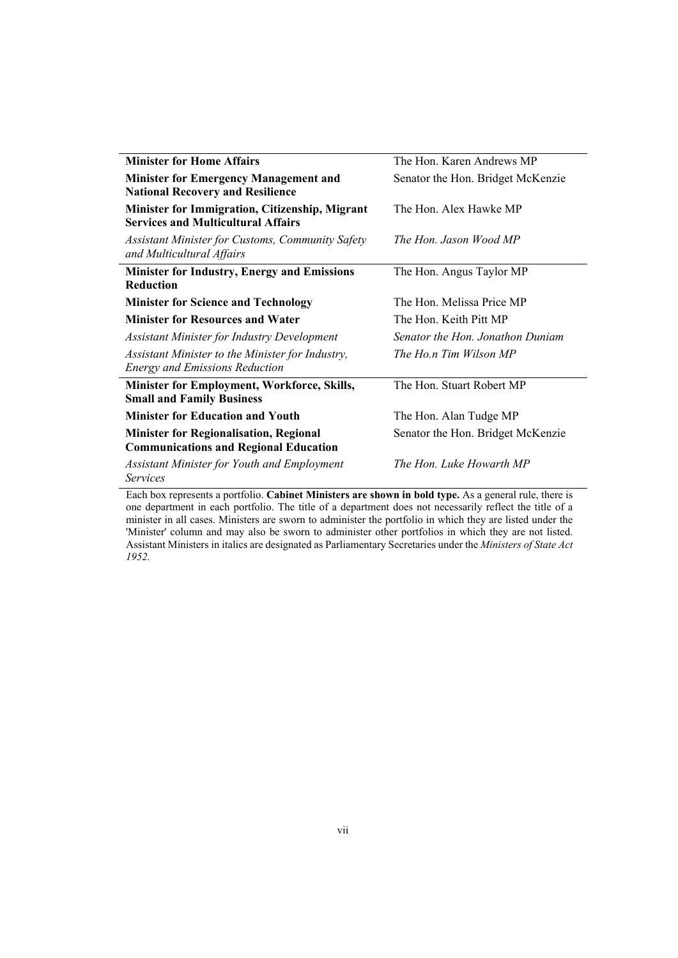| <b>Minister for Home Affairs</b>                                                                       | The Hon. Karen Andrews MP         |
|--------------------------------------------------------------------------------------------------------|-----------------------------------|
| <b>Minister for Emergency Management and</b><br><b>National Recovery and Resilience</b>                | Senator the Hon. Bridget McKenzie |
| Minister for Immigration, Citizenship, Migrant<br><b>Services and Multicultural Affairs</b>            | The Hon. Alex Hawke MP            |
| <b>Assistant Minister for Customs, Community Safety</b><br>and Multicultural Affairs                   | The Hon. Jason Wood MP            |
| <b>Minister for Industry, Energy and Emissions</b><br><b>Reduction</b>                                 | The Hon. Angus Taylor MP          |
| <b>Minister for Science and Technology</b>                                                             | The Hon. Melissa Price MP         |
| <b>Minister for Resources and Water</b>                                                                | The Hon. Keith Pitt MP            |
| <b>Assistant Minister for Industry Development</b>                                                     | Senator the Hon. Jonathon Duniam  |
| Assistant Minister to the Minister for Industry,<br><b>Energy and Emissions Reduction</b>              | The Ho.n Tim Wilson MP            |
| <b>Minister for Employment, Workforce, Skills,</b><br><b>Small and Family Business</b>                 | The Hon. Stuart Robert MP         |
| <b>Minister for Education and Youth</b>                                                                | The Hon. Alan Tudge MP            |
| <b>Minister for Regionalisation, Regional</b><br><b>Communications and Regional Education</b>          | Senator the Hon. Bridget McKenzie |
| <b>Assistant Minister for Youth and Employment</b><br><i>Services</i>                                  | The Hon. Luke Howarth MP          |
| Each how represents a partfolio, Cabinet Ministers are shown in hold type. As a coneral rule, there is |                                   |

Each box represents a portfolio. **Cabinet Ministers are shown in bold type.** As a general rule, there is one department in each portfolio. The title of a department does not necessarily reflect the title of a minister in all cases. Ministers are sworn to administer the portfolio in which they are listed under the 'Minister' column and may also be sworn to administer other portfolios in which they are not listed. Assistant Ministers in italics are designated as Parliamentary Secretaries under the *Ministers of State Act 1952.*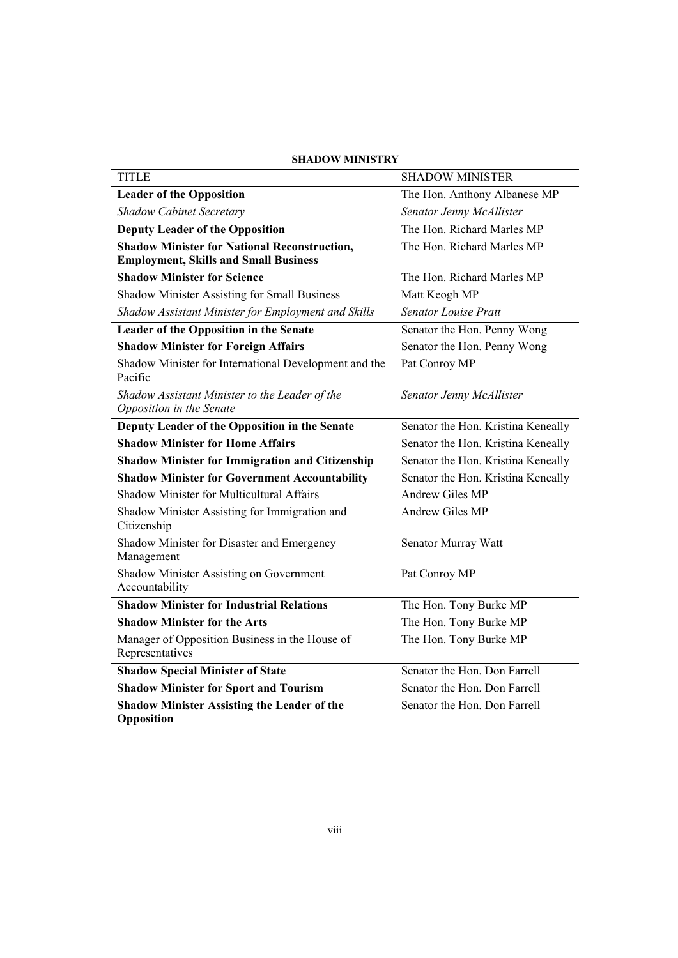| <b>TITLE</b>                                                               | <b>SHADOW MINISTER</b>             |
|----------------------------------------------------------------------------|------------------------------------|
| <b>Leader of the Opposition</b>                                            | The Hon. Anthony Albanese MP       |
| <b>Shadow Cabinet Secretary</b>                                            | Senator Jenny McAllister           |
| <b>Deputy Leader of the Opposition</b>                                     | The Hon. Richard Marles MP         |
| <b>Shadow Minister for National Reconstruction,</b>                        | The Hon. Richard Marles MP         |
| <b>Employment, Skills and Small Business</b>                               |                                    |
| <b>Shadow Minister for Science</b>                                         | The Hon. Richard Marles MP         |
| Shadow Minister Assisting for Small Business                               | Matt Keogh MP                      |
| Shadow Assistant Minister for Employment and Skills                        | <b>Senator Louise Pratt</b>        |
| Leader of the Opposition in the Senate                                     | Senator the Hon. Penny Wong        |
| <b>Shadow Minister for Foreign Affairs</b>                                 | Senator the Hon. Penny Wong        |
| Shadow Minister for International Development and the<br>Pacific           | Pat Conroy MP                      |
| Shadow Assistant Minister to the Leader of the<br>Opposition in the Senate | Senator Jenny McAllister           |
| Deputy Leader of the Opposition in the Senate                              | Senator the Hon. Kristina Keneally |
| <b>Shadow Minister for Home Affairs</b>                                    | Senator the Hon. Kristina Keneally |
| <b>Shadow Minister for Immigration and Citizenship</b>                     | Senator the Hon. Kristina Keneally |
| <b>Shadow Minister for Government Accountability</b>                       | Senator the Hon. Kristina Keneally |
| <b>Shadow Minister for Multicultural Affairs</b>                           | Andrew Giles MP                    |
| Shadow Minister Assisting for Immigration and<br>Citizenship               | Andrew Giles MP                    |
| Shadow Minister for Disaster and Emergency<br>Management                   | Senator Murray Watt                |
| Shadow Minister Assisting on Government<br>Accountability                  | Pat Conroy MP                      |
| <b>Shadow Minister for Industrial Relations</b>                            | The Hon. Tony Burke MP             |
| <b>Shadow Minister for the Arts</b>                                        | The Hon. Tony Burke MP             |
| Manager of Opposition Business in the House of<br>Representatives          | The Hon. Tony Burke MP             |
| <b>Shadow Special Minister of State</b>                                    | Senator the Hon. Don Farrell       |
| <b>Shadow Minister for Sport and Tourism</b>                               | Senator the Hon. Don Farrell       |
| <b>Shadow Minister Assisting the Leader of the</b><br>Opposition           | Senator the Hon. Don Farrell       |

#### **SHADOW MINISTRY**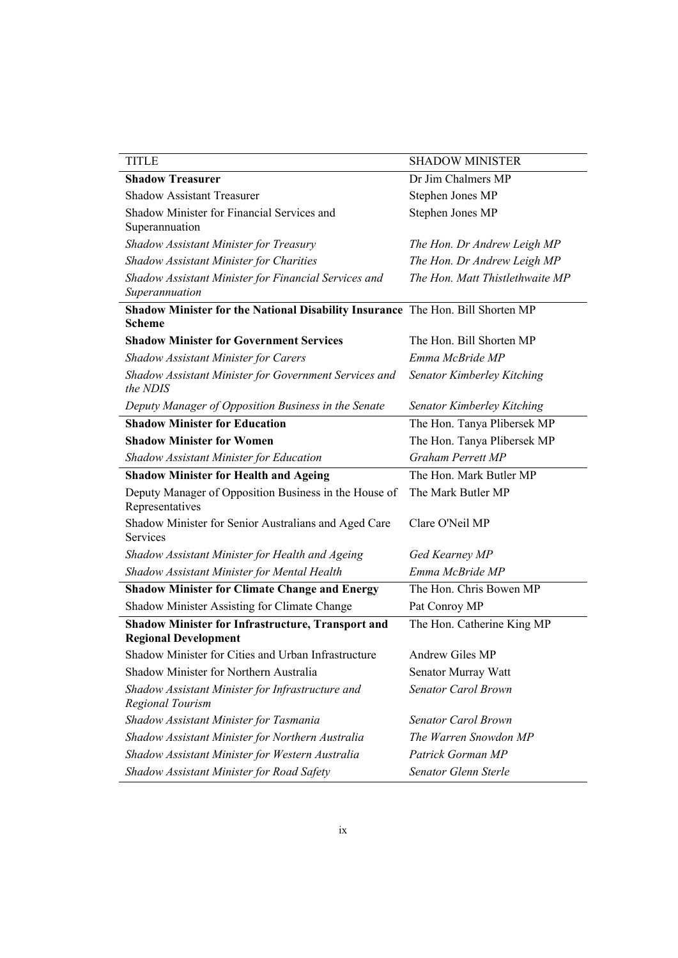| <b>TITLE</b>                                                                                    | <b>SHADOW MINISTER</b>          |
|-------------------------------------------------------------------------------------------------|---------------------------------|
| <b>Shadow Treasurer</b>                                                                         | Dr Jim Chalmers MP              |
| <b>Shadow Assistant Treasurer</b>                                                               | Stephen Jones MP                |
| Shadow Minister for Financial Services and<br>Superannuation                                    | Stephen Jones MP                |
| Shadow Assistant Minister for Treasury                                                          | The Hon. Dr Andrew Leigh MP     |
| <b>Shadow Assistant Minister for Charities</b>                                                  | The Hon. Dr Andrew Leigh MP     |
| Shadow Assistant Minister for Financial Services and<br>Superannuation                          | The Hon. Matt Thistlethwaite MP |
| Shadow Minister for the National Disability Insurance The Hon. Bill Shorten MP<br><b>Scheme</b> |                                 |
| <b>Shadow Minister for Government Services</b>                                                  | The Hon. Bill Shorten MP        |
| <b>Shadow Assistant Minister for Carers</b>                                                     | Emma McBride MP                 |
| Shadow Assistant Minister for Government Services and<br>the NDIS                               | Senator Kimberley Kitching      |
| Deputy Manager of Opposition Business in the Senate                                             | Senator Kimberley Kitching      |
| <b>Shadow Minister for Education</b>                                                            | The Hon. Tanya Plibersek MP     |
| <b>Shadow Minister for Women</b>                                                                | The Hon. Tanya Plibersek MP     |
| Shadow Assistant Minister for Education                                                         | <b>Graham Perrett MP</b>        |
| <b>Shadow Minister for Health and Ageing</b>                                                    | The Hon. Mark Butler MP         |
| Deputy Manager of Opposition Business in the House of<br>Representatives                        | The Mark Butler MP              |
| Shadow Minister for Senior Australians and Aged Care<br>Services                                | Clare O'Neil MP                 |
| Shadow Assistant Minister for Health and Ageing                                                 | Ged Kearney MP                  |
| Shadow Assistant Minister for Mental Health                                                     | Emma McBride MP                 |
| <b>Shadow Minister for Climate Change and Energy</b>                                            | The Hon. Chris Bowen MP         |
| Shadow Minister Assisting for Climate Change                                                    | Pat Conroy MP                   |
| <b>Shadow Minister for Infrastructure, Transport and</b><br><b>Regional Development</b>         | The Hon. Catherine King MP      |
| Shadow Minister for Cities and Urban Infrastructure                                             | Andrew Giles MP                 |
| Shadow Minister for Northern Australia                                                          | Senator Murray Watt             |
| Shadow Assistant Minister for Infrastructure and<br><b>Regional Tourism</b>                     | Senator Carol Brown             |
| Shadow Assistant Minister for Tasmania                                                          | Senator Carol Brown             |
| Shadow Assistant Minister for Northern Australia                                                | The Warren Snowdon MP           |
| Shadow Assistant Minister for Western Australia                                                 | Patrick Gorman MP               |
| Shadow Assistant Minister for Road Safety                                                       | Senator Glenn Sterle            |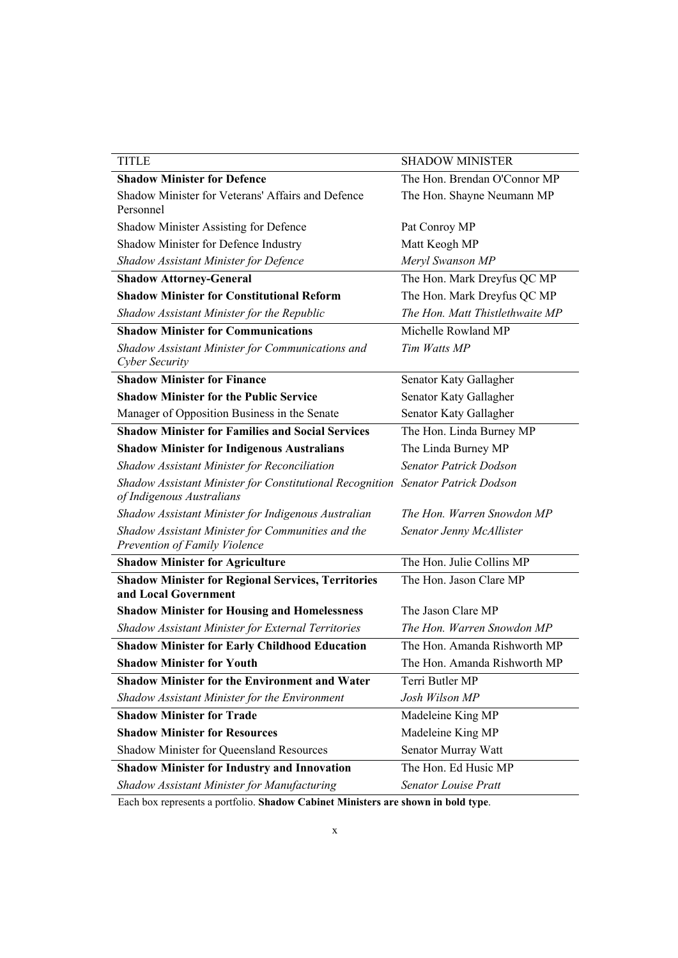| <b>TITLE</b>                                                                                                 | <b>SHADOW MINISTER</b>          |
|--------------------------------------------------------------------------------------------------------------|---------------------------------|
| <b>Shadow Minister for Defence</b>                                                                           | The Hon. Brendan O'Connor MP    |
| Shadow Minister for Veterans' Affairs and Defence<br>Personnel                                               | The Hon. Shayne Neumann MP      |
| Shadow Minister Assisting for Defence                                                                        | Pat Conroy MP                   |
| Shadow Minister for Defence Industry                                                                         | Matt Keogh MP                   |
| Shadow Assistant Minister for Defence                                                                        | Meryl Swanson MP                |
| <b>Shadow Attorney-General</b>                                                                               | The Hon. Mark Dreyfus QC MP     |
| <b>Shadow Minister for Constitutional Reform</b>                                                             | The Hon. Mark Dreyfus QC MP     |
| Shadow Assistant Minister for the Republic                                                                   | The Hon. Matt Thistlethwaite MP |
| <b>Shadow Minister for Communications</b>                                                                    | Michelle Rowland MP             |
| Shadow Assistant Minister for Communications and<br>Cyber Security                                           | Tim Watts MP                    |
| <b>Shadow Minister for Finance</b>                                                                           | Senator Katy Gallagher          |
| <b>Shadow Minister for the Public Service</b>                                                                | Senator Katy Gallagher          |
| Manager of Opposition Business in the Senate                                                                 | Senator Katy Gallagher          |
| <b>Shadow Minister for Families and Social Services</b>                                                      | The Hon. Linda Burney MP        |
| <b>Shadow Minister for Indigenous Australians</b>                                                            | The Linda Burney MP             |
| Shadow Assistant Minister for Reconciliation                                                                 | <b>Senator Patrick Dodson</b>   |
| Shadow Assistant Minister for Constitutional Recognition Senator Patrick Dodson<br>of Indigenous Australians |                                 |
| Shadow Assistant Minister for Indigenous Australian                                                          | The Hon. Warren Snowdon MP      |
| Shadow Assistant Minister for Communities and the<br>Prevention of Family Violence                           | Senator Jenny McAllister        |
| <b>Shadow Minister for Agriculture</b>                                                                       | The Hon. Julie Collins MP       |
| <b>Shadow Minister for Regional Services, Territories</b><br>and Local Government                            | The Hon. Jason Clare MP         |
| <b>Shadow Minister for Housing and Homelessness</b>                                                          | The Jason Clare MP              |
| Shadow Assistant Minister for External Territories                                                           | The Hon. Warren Snowdon MP      |
| <b>Shadow Minister for Early Childhood Education</b>                                                         | The Hon. Amanda Rishworth MP    |
| <b>Shadow Minister for Youth</b>                                                                             | The Hon. Amanda Rishworth MP    |
| <b>Shadow Minister for the Environment and Water</b>                                                         | Terri Butler MP                 |
| Shadow Assistant Minister for the Environment                                                                | Josh Wilson MP                  |
| <b>Shadow Minister for Trade</b>                                                                             | Madeleine King MP               |
| <b>Shadow Minister for Resources</b>                                                                         | Madeleine King MP               |
| Shadow Minister for Queensland Resources                                                                     | Senator Murray Watt             |
| <b>Shadow Minister for Industry and Innovation</b>                                                           | The Hon. Ed Husic MP            |
| Shadow Assistant Minister for Manufacturing                                                                  | <b>Senator Louise Pratt</b>     |

Each box represents a portfolio. **Shadow Cabinet Ministers are shown in bold type**.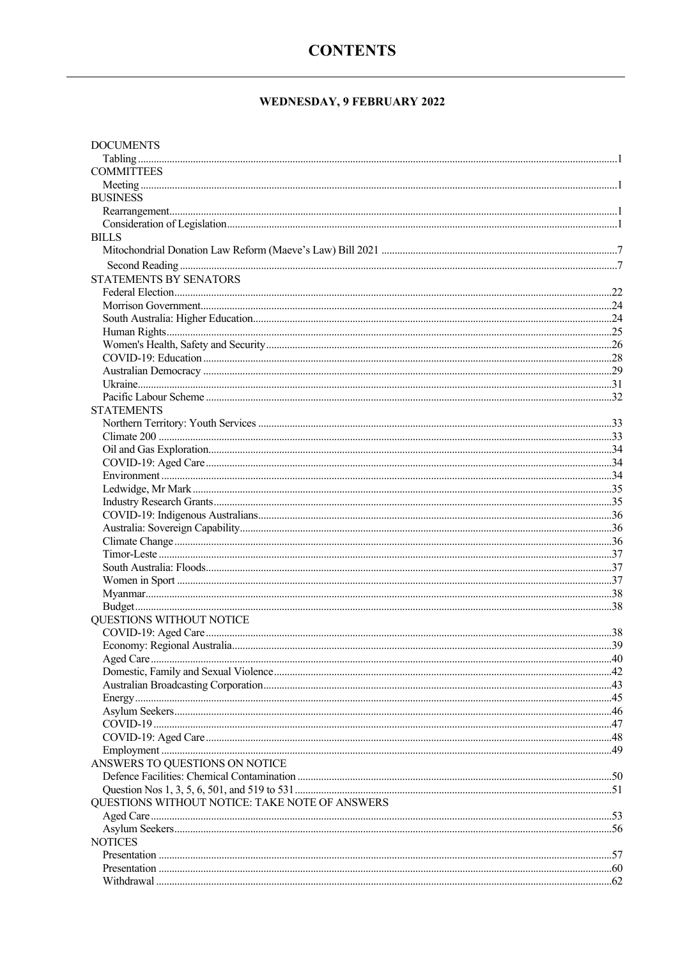### **CONTENTS**

### WEDNESDAY, 9 FEBRUARY 2022

| <b>DOCUMENTS</b>                               |  |
|------------------------------------------------|--|
|                                                |  |
| <b>COMMITTEES</b>                              |  |
|                                                |  |
| <b>BUSINESS</b>                                |  |
|                                                |  |
|                                                |  |
| <b>BILLS</b>                                   |  |
|                                                |  |
|                                                |  |
| <b>STATEMENTS BY SENATORS</b>                  |  |
|                                                |  |
|                                                |  |
|                                                |  |
|                                                |  |
|                                                |  |
|                                                |  |
|                                                |  |
|                                                |  |
|                                                |  |
| <b>STATEMENTS</b>                              |  |
|                                                |  |
|                                                |  |
|                                                |  |
|                                                |  |
|                                                |  |
|                                                |  |
|                                                |  |
|                                                |  |
|                                                |  |
|                                                |  |
|                                                |  |
|                                                |  |
|                                                |  |
|                                                |  |
|                                                |  |
| QUESTIONS WITHOUT NOTICE                       |  |
|                                                |  |
|                                                |  |
|                                                |  |
|                                                |  |
|                                                |  |
|                                                |  |
|                                                |  |
|                                                |  |
|                                                |  |
|                                                |  |
| ANSWERS TO QUESTIONS ON NOTICE                 |  |
|                                                |  |
|                                                |  |
| QUESTIONS WITHOUT NOTICE: TAKE NOTE OF ANSWERS |  |
|                                                |  |
|                                                |  |
| <b>NOTICES</b>                                 |  |
|                                                |  |
|                                                |  |
|                                                |  |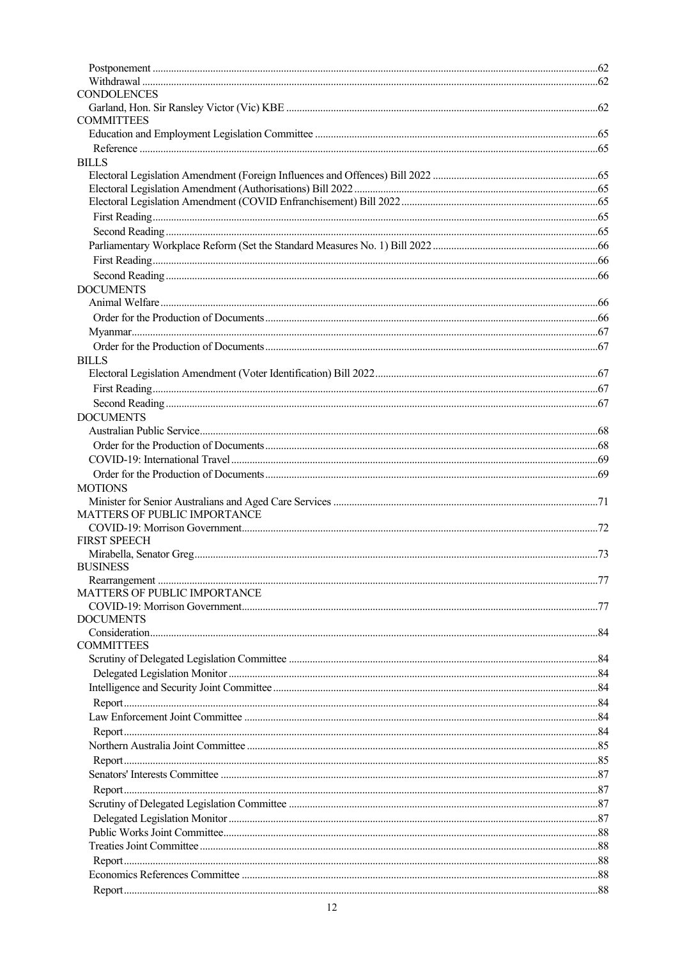| <b>CONDOLENCES</b>           |  |
|------------------------------|--|
|                              |  |
| <b>COMMITTEES</b>            |  |
|                              |  |
|                              |  |
| <b>BILLS</b>                 |  |
|                              |  |
|                              |  |
|                              |  |
|                              |  |
|                              |  |
|                              |  |
|                              |  |
|                              |  |
| <b>DOCUMENTS</b>             |  |
|                              |  |
|                              |  |
|                              |  |
|                              |  |
| <b>BILLS</b>                 |  |
|                              |  |
|                              |  |
|                              |  |
| <b>DOCUMENTS</b>             |  |
|                              |  |
|                              |  |
|                              |  |
|                              |  |
|                              |  |
| <b>MOTIONS</b>               |  |
| MATTERS OF PUBLIC IMPORTANCE |  |
|                              |  |
| <b>FIRST SPEECH</b>          |  |
|                              |  |
| <b>BUSINESS</b>              |  |
|                              |  |
| MATTERS OF PUBLIC IMPORTANCE |  |
|                              |  |
| <b>DOCUMENTS</b>             |  |
|                              |  |
| <b>COMMITTEES</b>            |  |
|                              |  |
|                              |  |
|                              |  |
|                              |  |
|                              |  |
|                              |  |
|                              |  |
|                              |  |
|                              |  |
|                              |  |
|                              |  |
|                              |  |
|                              |  |
|                              |  |
|                              |  |
|                              |  |
|                              |  |
|                              |  |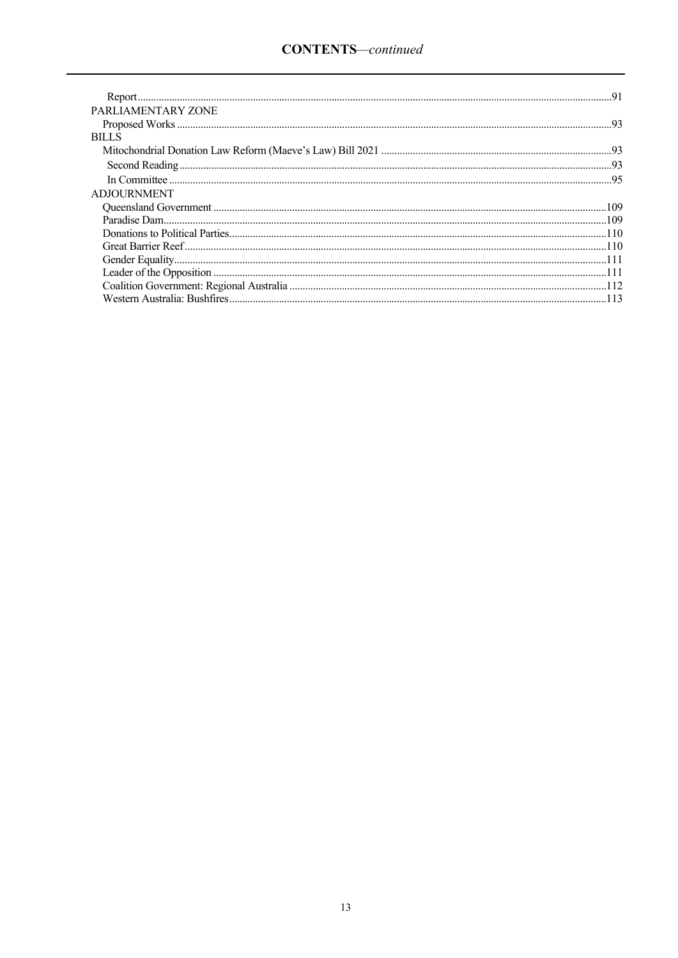| PARLIAMENTARY ZONE |  |
|--------------------|--|
|                    |  |
| <b>BILLS</b>       |  |
|                    |  |
|                    |  |
|                    |  |
| <b>ADJOURNMENT</b> |  |
|                    |  |
|                    |  |
|                    |  |
|                    |  |
|                    |  |
|                    |  |
|                    |  |
|                    |  |
|                    |  |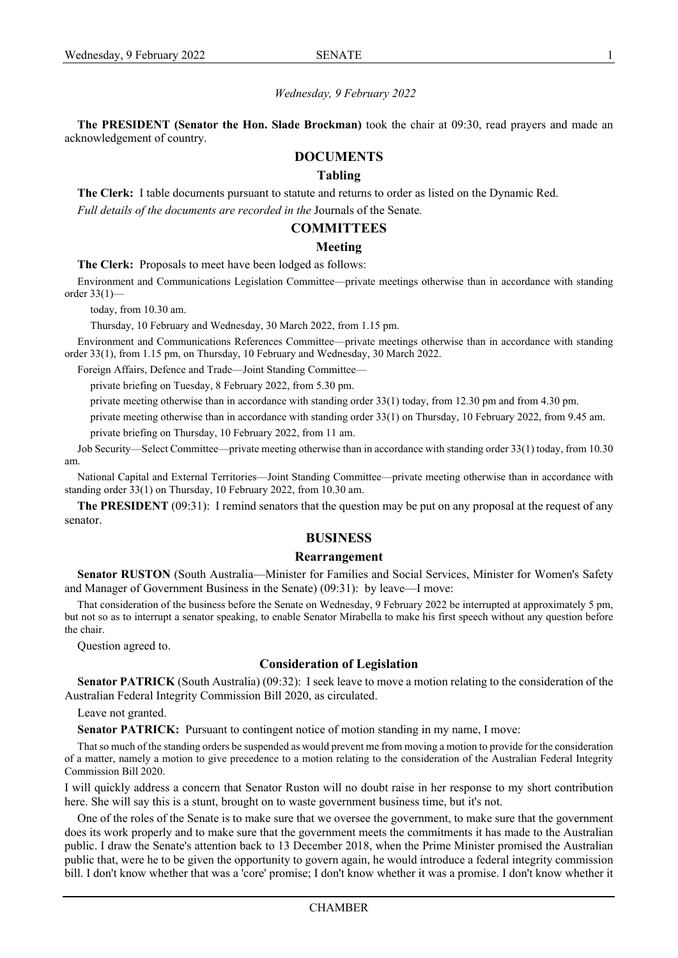#### *Wednesday, 9 February 2022*

**The PRESIDENT (Senator the Hon. Slade Brockman)** took the chair at 09:30, read prayers and made an acknowledgement of country.

#### <span id="page-16-0"></span>**DOCUMENTS**

#### <span id="page-16-1"></span>**Tabling**

**The Clerk:** I table documents pursuant to statute and returns to order as listed on the Dynamic Red. *Full details of the documents are recorded in the* Journals of the Senate*.*

#### <span id="page-16-2"></span>**COMMITTEES**

#### <span id="page-16-3"></span>**Meeting**

**The Clerk:** Proposals to meet have been lodged as follows:

Environment and Communications Legislation Committee—private meetings otherwise than in accordance with standing order 33(1)—

today, from 10.30 am.

Thursday, 10 February and Wednesday, 30 March 2022, from 1.15 pm.

Environment and Communications References Committee—private meetings otherwise than in accordance with standing order 33(1), from 1.15 pm, on Thursday, 10 February and Wednesday, 30 March 2022.

Foreign Affairs, Defence and Trade—Joint Standing Committee—

private briefing on Tuesday, 8 February 2022, from 5.30 pm.

private meeting otherwise than in accordance with standing order 33(1) today, from 12.30 pm and from 4.30 pm.

private meeting otherwise than in accordance with standing order 33(1) on Thursday, 10 February 2022, from 9.45 am.

private briefing on Thursday, 10 February 2022, from 11 am.

Job Security—Select Committee—private meeting otherwise than in accordance with standing order 33(1) today, from 10.30 am.

National Capital and External Territories—Joint Standing Committee—private meeting otherwise than in accordance with standing order 33(1) on Thursday, 10 February 2022, from 10.30 am.

**The PRESIDENT** (09:31): I remind senators that the question may be put on any proposal at the request of any senator.

#### <span id="page-16-4"></span>**BUSINESS**

#### <span id="page-16-5"></span>**Rearrangement**

**Senator RUSTON** (South Australia—Minister for Families and Social Services, Minister for Women's Safety and Manager of Government Business in the Senate) (09:31): by leave—I move:

That consideration of the business before the Senate on Wednesday, 9 February 2022 be interrupted at approximately 5 pm, but not so as to interrupt a senator speaking, to enable Senator Mirabella to make his first speech without any question before the chair.

Question agreed to.

#### <span id="page-16-6"></span>**Consideration of Legislation**

**Senator PATRICK** (South Australia) (09:32): I seek leave to move a motion relating to the consideration of the Australian Federal Integrity Commission Bill 2020, as circulated.

Leave not granted.

**Senator PATRICK:** Pursuant to contingent notice of motion standing in my name, I move:

That so much of the standing orders be suspended as would prevent me from moving a motion to provide for the consideration of a matter, namely a motion to give precedence to a motion relating to the consideration of the Australian Federal Integrity Commission Bill 2020.

I will quickly address a concern that Senator Ruston will no doubt raise in her response to my short contribution here. She will say this is a stunt, brought on to waste government business time, but it's not.

One of the roles of the Senate is to make sure that we oversee the government, to make sure that the government does its work properly and to make sure that the government meets the commitments it has made to the Australian public. I draw the Senate's attention back to 13 December 2018, when the Prime Minister promised the Australian public that, were he to be given the opportunity to govern again, he would introduce a federal integrity commission bill. I don't know whether that was a 'core' promise; I don't know whether it was a promise. I don't know whether it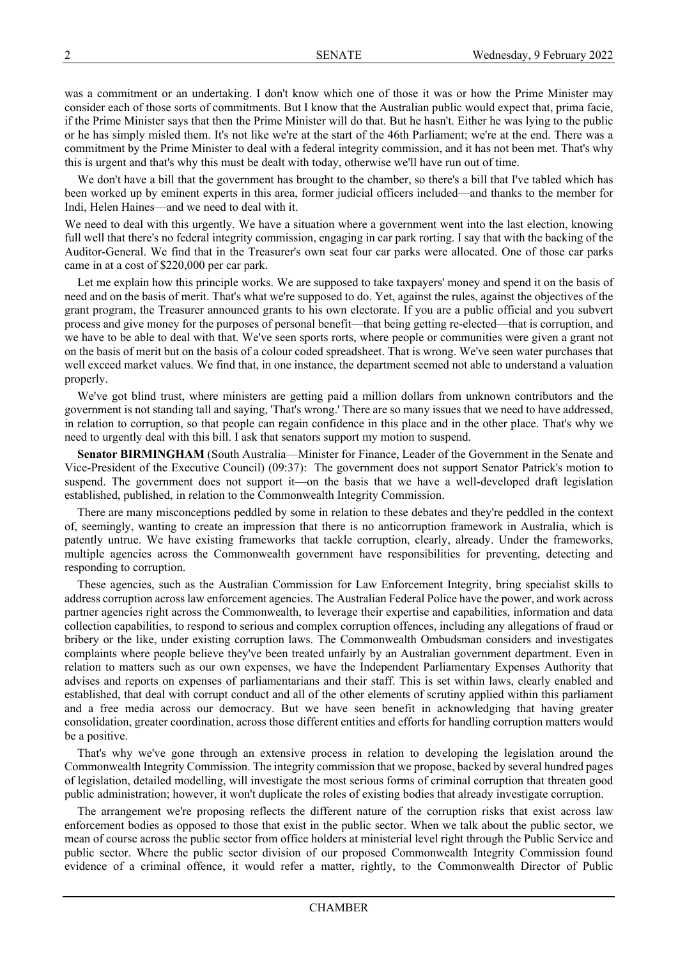was a commitment or an undertaking. I don't know which one of those it was or how the Prime Minister may consider each of those sorts of commitments. But I know that the Australian public would expect that, prima facie, if the Prime Minister says that then the Prime Minister will do that. But he hasn't. Either he was lying to the public or he has simply misled them. It's not like we're at the start of the 46th Parliament; we're at the end. There was a commitment by the Prime Minister to deal with a federal integrity commission, and it has not been met. That's why this is urgent and that's why this must be dealt with today, otherwise we'll have run out of time.

We don't have a bill that the government has brought to the chamber, so there's a bill that I've tabled which has been worked up by eminent experts in this area, former judicial officers included—and thanks to the member for Indi, Helen Haines—and we need to deal with it.

We need to deal with this urgently. We have a situation where a government went into the last election, knowing full well that there's no federal integrity commission, engaging in car park rorting. I say that with the backing of the Auditor-General. We find that in the Treasurer's own seat four car parks were allocated. One of those car parks came in at a cost of \$220,000 per car park.

Let me explain how this principle works. We are supposed to take taxpayers' money and spend it on the basis of need and on the basis of merit. That's what we're supposed to do. Yet, against the rules, against the objectives of the grant program, the Treasurer announced grants to his own electorate. If you are a public official and you subvert process and give money for the purposes of personal benefit—that being getting re-elected—that is corruption, and we have to be able to deal with that. We've seen sports rorts, where people or communities were given a grant not on the basis of merit but on the basis of a colour coded spreadsheet. That is wrong. We've seen water purchases that well exceed market values. We find that, in one instance, the department seemed not able to understand a valuation properly.

We've got blind trust, where ministers are getting paid a million dollars from unknown contributors and the government is not standing tall and saying, 'That's wrong.' There are so many issues that we need to have addressed, in relation to corruption, so that people can regain confidence in this place and in the other place. That's why we need to urgently deal with this bill. I ask that senators support my motion to suspend.

**Senator BIRMINGHAM** (South Australia—Minister for Finance, Leader of the Government in the Senate and Vice-President of the Executive Council) (09:37): The government does not support Senator Patrick's motion to suspend. The government does not support it—on the basis that we have a well-developed draft legislation established, published, in relation to the Commonwealth Integrity Commission.

There are many misconceptions peddled by some in relation to these debates and they're peddled in the context of, seemingly, wanting to create an impression that there is no anticorruption framework in Australia, which is patently untrue. We have existing frameworks that tackle corruption, clearly, already. Under the frameworks, multiple agencies across the Commonwealth government have responsibilities for preventing, detecting and responding to corruption.

These agencies, such as the Australian Commission for Law Enforcement Integrity, bring specialist skills to address corruption across law enforcement agencies. The Australian Federal Police have the power, and work across partner agencies right across the Commonwealth, to leverage their expertise and capabilities, information and data collection capabilities, to respond to serious and complex corruption offences, including any allegations of fraud or bribery or the like, under existing corruption laws. The Commonwealth Ombudsman considers and investigates complaints where people believe they've been treated unfairly by an Australian government department. Even in relation to matters such as our own expenses, we have the Independent Parliamentary Expenses Authority that advises and reports on expenses of parliamentarians and their staff. This is set within laws, clearly enabled and established, that deal with corrupt conduct and all of the other elements of scrutiny applied within this parliament and a free media across our democracy. But we have seen benefit in acknowledging that having greater consolidation, greater coordination, across those different entities and efforts for handling corruption matters would be a positive.

That's why we've gone through an extensive process in relation to developing the legislation around the Commonwealth Integrity Commission. The integrity commission that we propose, backed by several hundred pages of legislation, detailed modelling, will investigate the most serious forms of criminal corruption that threaten good public administration; however, it won't duplicate the roles of existing bodies that already investigate corruption.

The arrangement we're proposing reflects the different nature of the corruption risks that exist across law enforcement bodies as opposed to those that exist in the public sector. When we talk about the public sector, we mean of course across the public sector from office holders at ministerial level right through the Public Service and public sector. Where the public sector division of our proposed Commonwealth Integrity Commission found evidence of a criminal offence, it would refer a matter, rightly, to the Commonwealth Director of Public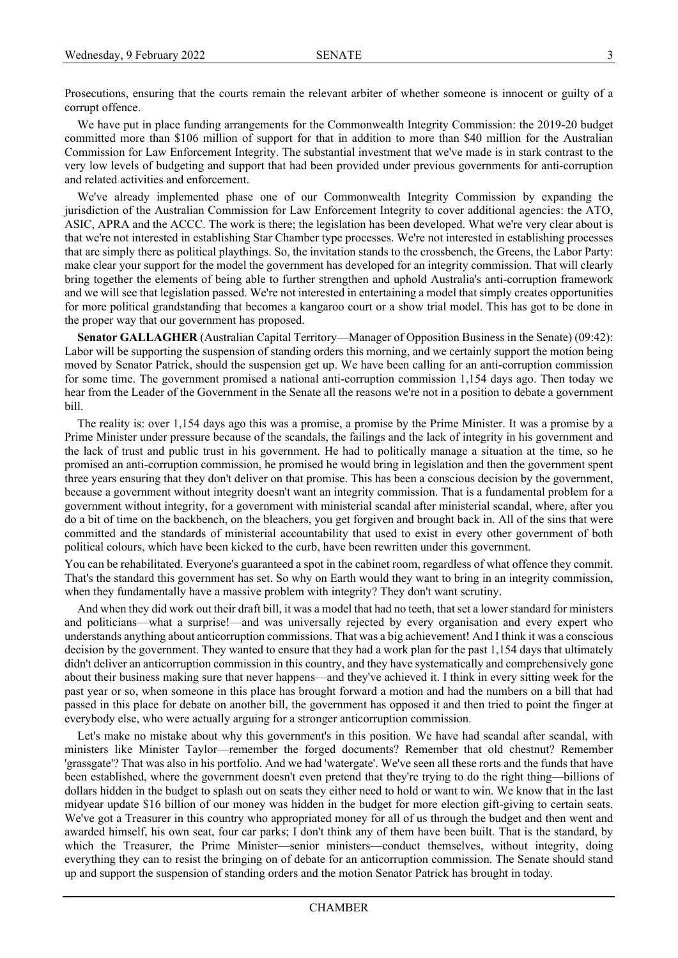Prosecutions, ensuring that the courts remain the relevant arbiter of whether someone is innocent or guilty of a corrupt offence.

We have put in place funding arrangements for the Commonwealth Integrity Commission: the 2019-20 budget committed more than \$106 million of support for that in addition to more than \$40 million for the Australian Commission for Law Enforcement Integrity. The substantial investment that we've made is in stark contrast to the very low levels of budgeting and support that had been provided under previous governments for anti-corruption and related activities and enforcement.

We've already implemented phase one of our Commonwealth Integrity Commission by expanding the jurisdiction of the Australian Commission for Law Enforcement Integrity to cover additional agencies: the ATO, ASIC, APRA and the ACCC. The work is there; the legislation has been developed. What we're very clear about is that we're not interested in establishing Star Chamber type processes. We're not interested in establishing processes that are simply there as political playthings. So, the invitation stands to the crossbench, the Greens, the Labor Party: make clear your support for the model the government has developed for an integrity commission. That will clearly bring together the elements of being able to further strengthen and uphold Australia's anti-corruption framework and we will see that legislation passed. We're not interested in entertaining a model that simply creates opportunities for more political grandstanding that becomes a kangaroo court or a show trial model. This has got to be done in the proper way that our government has proposed.

**Senator GALLAGHER** (Australian Capital Territory—Manager of Opposition Business in the Senate) (09:42): Labor will be supporting the suspension of standing orders this morning, and we certainly support the motion being moved by Senator Patrick, should the suspension get up. We have been calling for an anti-corruption commission for some time. The government promised a national anti-corruption commission 1,154 days ago. Then today we hear from the Leader of the Government in the Senate all the reasons we're not in a position to debate a government bill.

The reality is: over 1,154 days ago this was a promise, a promise by the Prime Minister. It was a promise by a Prime Minister under pressure because of the scandals, the failings and the lack of integrity in his government and the lack of trust and public trust in his government. He had to politically manage a situation at the time, so he promised an anti-corruption commission, he promised he would bring in legislation and then the government spent three years ensuring that they don't deliver on that promise. This has been a conscious decision by the government, because a government without integrity doesn't want an integrity commission. That is a fundamental problem for a government without integrity, for a government with ministerial scandal after ministerial scandal, where, after you do a bit of time on the backbench, on the bleachers, you get forgiven and brought back in. All of the sins that were committed and the standards of ministerial accountability that used to exist in every other government of both political colours, which have been kicked to the curb, have been rewritten under this government.

You can be rehabilitated. Everyone's guaranteed a spot in the cabinet room, regardless of what offence they commit. That's the standard this government has set. So why on Earth would they want to bring in an integrity commission, when they fundamentally have a massive problem with integrity? They don't want scrutiny.

And when they did work out their draft bill, it was a model that had no teeth, that set a lower standard for ministers and politicians—what a surprise!—and was universally rejected by every organisation and every expert who understands anything about anticorruption commissions. That was a big achievement! And I think it was a conscious decision by the government. They wanted to ensure that they had a work plan for the past 1,154 days that ultimately didn't deliver an anticorruption commission in this country, and they have systematically and comprehensively gone about their business making sure that never happens—and they've achieved it. I think in every sitting week for the past year or so, when someone in this place has brought forward a motion and had the numbers on a bill that had passed in this place for debate on another bill, the government has opposed it and then tried to point the finger at everybody else, who were actually arguing for a stronger anticorruption commission.

Let's make no mistake about why this government's in this position. We have had scandal after scandal, with ministers like Minister Taylor—remember the forged documents? Remember that old chestnut? Remember 'grassgate'? That was also in his portfolio. And we had 'watergate'. We've seen all these rorts and the funds that have been established, where the government doesn't even pretend that they're trying to do the right thing—billions of dollars hidden in the budget to splash out on seats they either need to hold or want to win. We know that in the last midyear update \$16 billion of our money was hidden in the budget for more election gift-giving to certain seats. We've got a Treasurer in this country who appropriated money for all of us through the budget and then went and awarded himself, his own seat, four car parks; I don't think any of them have been built. That is the standard, by which the Treasurer, the Prime Minister—senior ministers—conduct themselves, without integrity, doing everything they can to resist the bringing on of debate for an anticorruption commission. The Senate should stand up and support the suspension of standing orders and the motion Senator Patrick has brought in today.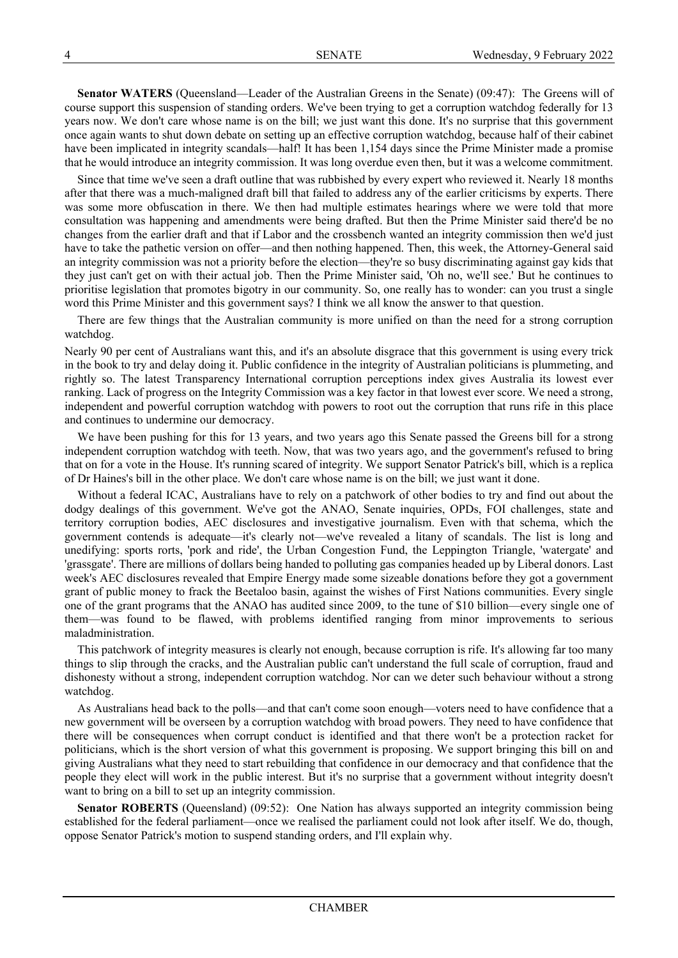**Senator WATERS** (Queensland—Leader of the Australian Greens in the Senate) (09:47): The Greens will of course support this suspension of standing orders. We've been trying to get a corruption watchdog federally for 13 years now. We don't care whose name is on the bill; we just want this done. It's no surprise that this government once again wants to shut down debate on setting up an effective corruption watchdog, because half of their cabinet have been implicated in integrity scandals—half! It has been 1,154 days since the Prime Minister made a promise that he would introduce an integrity commission. It was long overdue even then, but it was a welcome commitment.

Since that time we've seen a draft outline that was rubbished by every expert who reviewed it. Nearly 18 months after that there was a much-maligned draft bill that failed to address any of the earlier criticisms by experts. There was some more obfuscation in there. We then had multiple estimates hearings where we were told that more consultation was happening and amendments were being drafted. But then the Prime Minister said there'd be no changes from the earlier draft and that if Labor and the crossbench wanted an integrity commission then we'd just have to take the pathetic version on offer—and then nothing happened. Then, this week, the Attorney-General said an integrity commission was not a priority before the election—they're so busy discriminating against gay kids that they just can't get on with their actual job. Then the Prime Minister said, 'Oh no, we'll see.' But he continues to prioritise legislation that promotes bigotry in our community. So, one really has to wonder: can you trust a single word this Prime Minister and this government says? I think we all know the answer to that question.

There are few things that the Australian community is more unified on than the need for a strong corruption watchdog.

Nearly 90 per cent of Australians want this, and it's an absolute disgrace that this government is using every trick in the book to try and delay doing it. Public confidence in the integrity of Australian politicians is plummeting, and rightly so. The latest Transparency International corruption perceptions index gives Australia its lowest ever ranking. Lack of progress on the Integrity Commission was a key factor in that lowest ever score. We need a strong, independent and powerful corruption watchdog with powers to root out the corruption that runs rife in this place and continues to undermine our democracy.

We have been pushing for this for 13 years, and two years ago this Senate passed the Greens bill for a strong independent corruption watchdog with teeth. Now, that was two years ago, and the government's refused to bring that on for a vote in the House. It's running scared of integrity. We support Senator Patrick's bill, which is a replica of Dr Haines's bill in the other place. We don't care whose name is on the bill; we just want it done.

Without a federal ICAC, Australians have to rely on a patchwork of other bodies to try and find out about the dodgy dealings of this government. We've got the ANAO, Senate inquiries, OPDs, FOI challenges, state and territory corruption bodies, AEC disclosures and investigative journalism. Even with that schema, which the government contends is adequate—it's clearly not—we've revealed a litany of scandals. The list is long and unedifying: sports rorts, 'pork and ride', the Urban Congestion Fund, the Leppington Triangle, 'watergate' and 'grassgate'. There are millions of dollars being handed to polluting gas companies headed up by Liberal donors. Last week's AEC disclosures revealed that Empire Energy made some sizeable donations before they got a government grant of public money to frack the Beetaloo basin, against the wishes of First Nations communities. Every single one of the grant programs that the ANAO has audited since 2009, to the tune of \$10 billion—every single one of them—was found to be flawed, with problems identified ranging from minor improvements to serious maladministration.

This patchwork of integrity measures is clearly not enough, because corruption is rife. It's allowing far too many things to slip through the cracks, and the Australian public can't understand the full scale of corruption, fraud and dishonesty without a strong, independent corruption watchdog. Nor can we deter such behaviour without a strong watchdog.

As Australians head back to the polls—and that can't come soon enough—voters need to have confidence that a new government will be overseen by a corruption watchdog with broad powers. They need to have confidence that there will be consequences when corrupt conduct is identified and that there won't be a protection racket for politicians, which is the short version of what this government is proposing. We support bringing this bill on and giving Australians what they need to start rebuilding that confidence in our democracy and that confidence that the people they elect will work in the public interest. But it's no surprise that a government without integrity doesn't want to bring on a bill to set up an integrity commission.

**Senator ROBERTS** (Queensland) (09:52): One Nation has always supported an integrity commission being established for the federal parliament—once we realised the parliament could not look after itself. We do, though, oppose Senator Patrick's motion to suspend standing orders, and I'll explain why.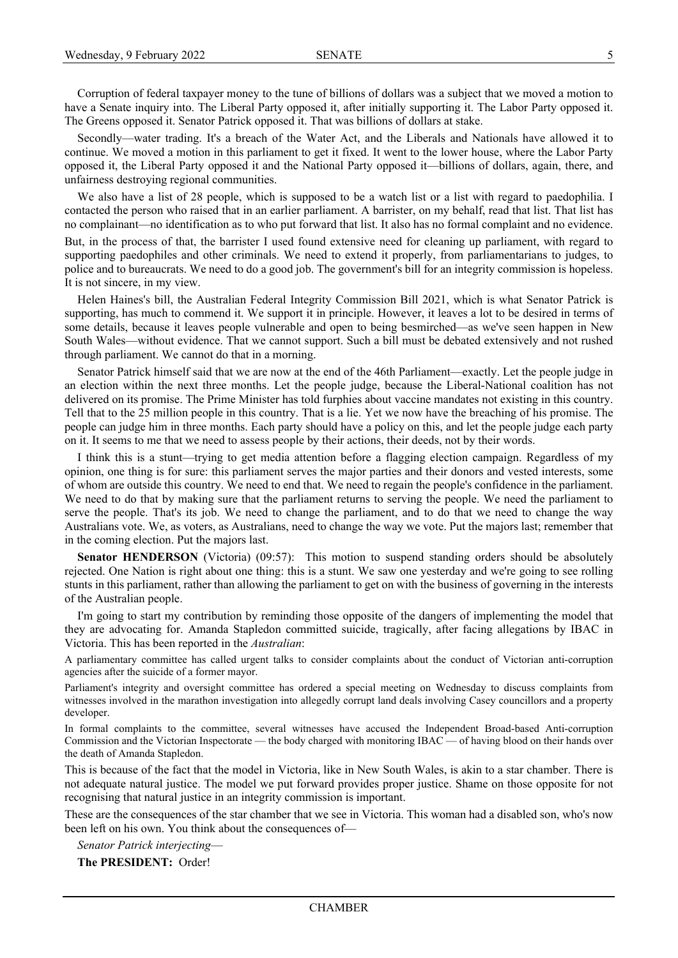Corruption of federal taxpayer money to the tune of billions of dollars was a subject that we moved a motion to have a Senate inquiry into. The Liberal Party opposed it, after initially supporting it. The Labor Party opposed it. The Greens opposed it. Senator Patrick opposed it. That was billions of dollars at stake.

Secondly—water trading. It's a breach of the Water Act, and the Liberals and Nationals have allowed it to continue. We moved a motion in this parliament to get it fixed. It went to the lower house, where the Labor Party opposed it, the Liberal Party opposed it and the National Party opposed it—billions of dollars, again, there, and unfairness destroying regional communities.

We also have a list of 28 people, which is supposed to be a watch list or a list with regard to paedophilia. I contacted the person who raised that in an earlier parliament. A barrister, on my behalf, read that list. That list has no complainant—no identification as to who put forward that list. It also has no formal complaint and no evidence.

But, in the process of that, the barrister I used found extensive need for cleaning up parliament, with regard to supporting paedophiles and other criminals. We need to extend it properly, from parliamentarians to judges, to police and to bureaucrats. We need to do a good job. The government's bill for an integrity commission is hopeless. It is not sincere, in my view.

Helen Haines's bill, the Australian Federal Integrity Commission Bill 2021, which is what Senator Patrick is supporting, has much to commend it. We support it in principle. However, it leaves a lot to be desired in terms of some details, because it leaves people vulnerable and open to being besmirched—as we've seen happen in New South Wales—without evidence. That we cannot support. Such a bill must be debated extensively and not rushed through parliament. We cannot do that in a morning.

Senator Patrick himself said that we are now at the end of the 46th Parliament—exactly. Let the people judge in an election within the next three months. Let the people judge, because the Liberal-National coalition has not delivered on its promise. The Prime Minister has told furphies about vaccine mandates not existing in this country. Tell that to the 25 million people in this country. That is a lie. Yet we now have the breaching of his promise. The people can judge him in three months. Each party should have a policy on this, and let the people judge each party on it. It seems to me that we need to assess people by their actions, their deeds, not by their words.

I think this is a stunt—trying to get media attention before a flagging election campaign. Regardless of my opinion, one thing is for sure: this parliament serves the major parties and their donors and vested interests, some of whom are outside this country. We need to end that. We need to regain the people's confidence in the parliament. We need to do that by making sure that the parliament returns to serving the people. We need the parliament to serve the people. That's its job. We need to change the parliament, and to do that we need to change the way Australians vote. We, as voters, as Australians, need to change the way we vote. Put the majors last; remember that in the coming election. Put the majors last.

**Senator HENDERSON** (Victoria) (09:57): This motion to suspend standing orders should be absolutely rejected. One Nation is right about one thing: this is a stunt. We saw one yesterday and we're going to see rolling stunts in this parliament, rather than allowing the parliament to get on with the business of governing in the interests of the Australian people.

I'm going to start my contribution by reminding those opposite of the dangers of implementing the model that they are advocating for. Amanda Stapledon committed suicide, tragically, after facing allegations by IBAC in Victoria. This has been reported in the *Australian*:

A parliamentary committee has called urgent talks to consider complaints about the conduct of Victorian anti-corruption agencies after the suicide of a former mayor.

Parliament's integrity and oversight committee has ordered a special meeting on Wednesday to discuss complaints from witnesses involved in the marathon investigation into allegedly corrupt land deals involving Casey councillors and a property developer.

In formal complaints to the committee, several witnesses have accused the Independent Broad-based Anti-corruption Commission and the Victorian Inspectorate — the body charged with monitoring IBAC — of having blood on their hands over the death of Amanda Stapledon.

This is because of the fact that the model in Victoria, like in New South Wales, is akin to a star chamber. There is not adequate natural justice. The model we put forward provides proper justice. Shame on those opposite for not recognising that natural justice in an integrity commission is important.

These are the consequences of the star chamber that we see in Victoria. This woman had a disabled son, who's now been left on his own. You think about the consequences of—

*Senator Patrick interjecting*—

**The PRESIDENT:** Order!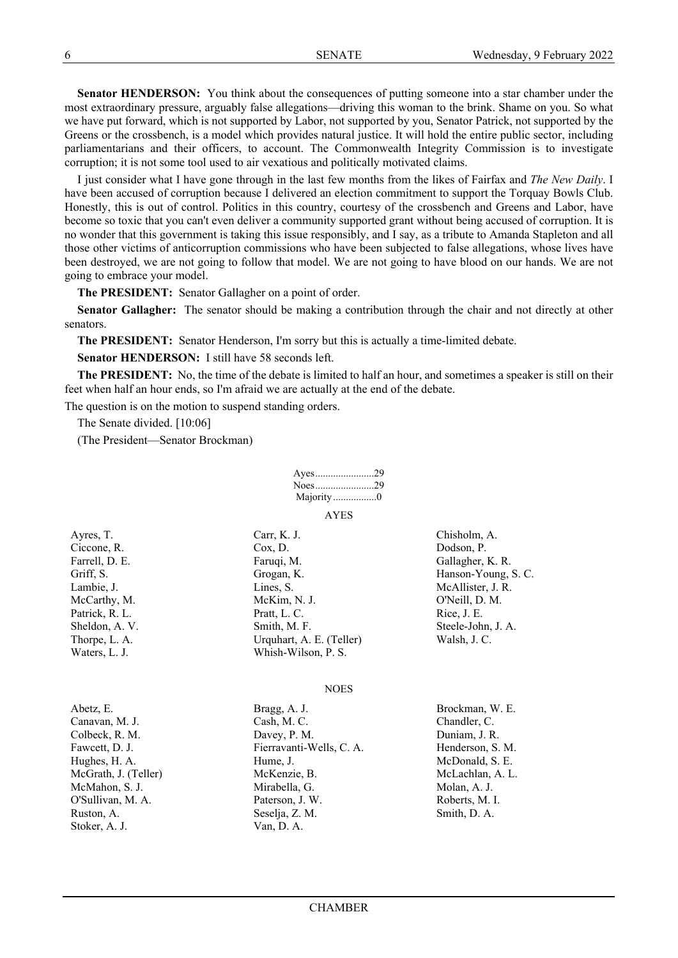**Senator HENDERSON:** You think about the consequences of putting someone into a star chamber under the most extraordinary pressure, arguably false allegations—driving this woman to the brink. Shame on you. So what we have put forward, which is not supported by Labor, not supported by you, Senator Patrick, not supported by the Greens or the crossbench, is a model which provides natural justice. It will hold the entire public sector, including parliamentarians and their officers, to account. The Commonwealth Integrity Commission is to investigate corruption; it is not some tool used to air vexatious and politically motivated claims.

I just consider what I have gone through in the last few months from the likes of Fairfax and *The New Daily*. I have been accused of corruption because I delivered an election commitment to support the Torquay Bowls Club. Honestly, this is out of control. Politics in this country, courtesy of the crossbench and Greens and Labor, have become so toxic that you can't even deliver a community supported grant without being accused of corruption. It is no wonder that this government is taking this issue responsibly, and I say, as a tribute to Amanda Stapleton and all those other victims of anticorruption commissions who have been subjected to false allegations, whose lives have been destroyed, we are not going to follow that model. We are not going to have blood on our hands. We are not going to embrace your model.

**The PRESIDENT:** Senator Gallagher on a point of order.

**Senator Gallagher:** The senator should be making a contribution through the chair and not directly at other senators.

**The PRESIDENT:** Senator Henderson, I'm sorry but this is actually a time-limited debate.

**Senator HENDERSON:** I still have 58 seconds left.

**The PRESIDENT:** No, the time of the debate is limited to half an hour, and sometimes a speaker is still on their feet when half an hour ends, so I'm afraid we are actually at the end of the debate.

The question is on the motion to suspend standing orders.

The Senate divided. [10:06]

(The President—Senator Brockman)

|                          | Majority0              |                            |
|--------------------------|------------------------|----------------------------|
|                          | <b>AYES</b>            |                            |
| Ayres, T.<br>Ciccone, R. | Carr, K. J.<br>Cox, D. | Chisholm, A.<br>Dodson, P. |

Farrell, D. E. **Farmal** Example Faruqi, M. **Gallagher, K. R.** Gallagher, K. R. Griff, S. Grogan, K. Grogan, K. Hanson-Young, S. C. Lambie, J. Cambie, J. Chambie, J. R. Chambie, J. R. Chambie, J. R. Chambie, J. R. Chambie, J. R. Chambie, J. R. McCarthy, M. M. McKim, N. J. O'Neill, D. M. Patrick, R. L. Pratt, L. C. Rice, J. E. Sheldon, A. V. Smith, M. F. Steele-John, J. A. Thorpe, L. A. Urquhart, A. E. (Teller) Walsh, J. C. Waters, L. J. Whish-Wilson, P. S.

NOES

| Abetz, E.            | Bragg, A. J.             | Brockman, W. E.  |
|----------------------|--------------------------|------------------|
| Canavan, M. J.       | Cash, M.C.               | Chandler, C.     |
| Colbeck, R. M.       | Davey, P. M.             | Duniam, J. R.    |
| Fawcett, D. J.       | Fierravanti-Wells, C. A. | Henderson, S. M. |
| Hughes, H. A.        | Hume, J.                 | McDonald, S. E.  |
| McGrath, J. (Teller) | McKenzie, B.             | McLachlan, A. L. |
| McMahon, S. J.       | Mirabella, G.            | Molan, A. J.     |
| O'Sullivan, M. A.    | Paterson, J. W.          | Roberts, M. I.   |
| Ruston, A.           | Seselja, Z. M.           | Smith, D. A.     |
| Stoker, A. J.        | Van, D. A.               |                  |
|                      |                          |                  |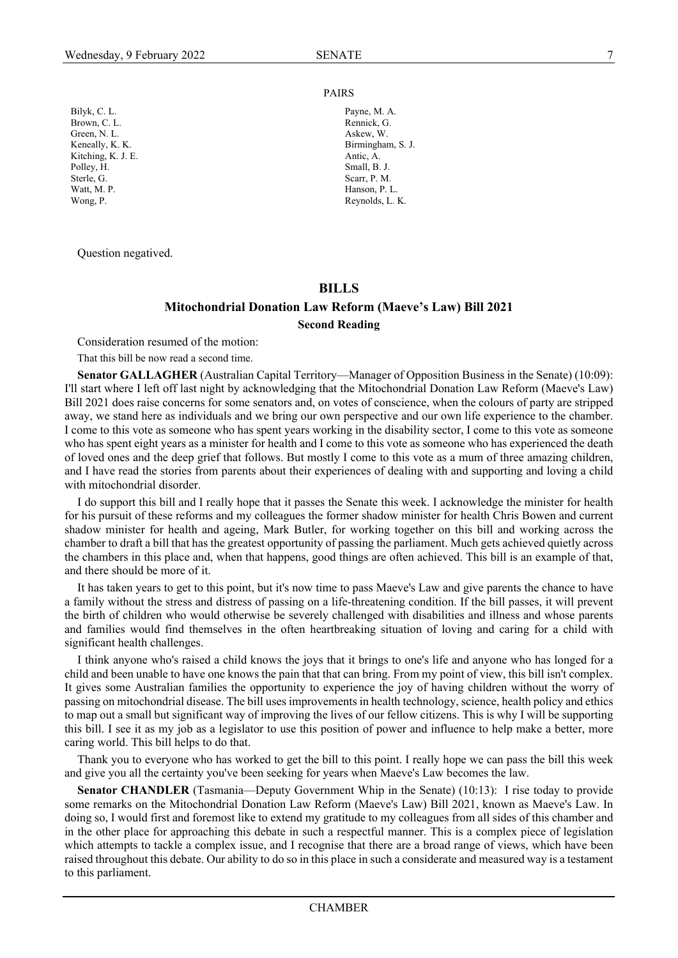#### PAIRS

Bilyk, C. L. Payne, M. A. Brown, C. L. Rennick, G. Green, N. L. Askew, W. Keneally, K. K. Birmingham, S. J. Kitching, K. J. E. Antic, A. Antic, A. Antic, A. Antic, A. Antic, A. Antic, A. Antic, A. Antic, A. Antic, A. Antic, A. Antic, A. Antic, A. Antic, A. Antic, A. Antic, A. Antic, A. Antic, A. Antic, A. Antic, A. Antic, A. Ant Sterle, G. Scarr, P. M. Watt, M. P. Hanson. P. L. Wong, P. Reynolds, L. K.

Question negatived.

Polley, H.

#### <span id="page-22-2"></span><span id="page-22-0"></span>**BILLS**

#### <span id="page-22-1"></span>**Mitochondrial Donation Law Reform (Maeve's Law) Bill 2021 Second Reading**

Consideration resumed of the motion:

That this bill be now read a second time.

**Senator GALLAGHER** (Australian Capital Territory—Manager of Opposition Business in the Senate) (10:09): I'll start where I left off last night by acknowledging that the Mitochondrial Donation Law Reform (Maeve's Law) Bill 2021 does raise concerns for some senators and, on votes of conscience, when the colours of party are stripped away, we stand here as individuals and we bring our own perspective and our own life experience to the chamber. I come to this vote as someone who has spent years working in the disability sector, I come to this vote as someone who has spent eight years as a minister for health and I come to this vote as someone who has experienced the death of loved ones and the deep grief that follows. But mostly I come to this vote as a mum of three amazing children, and I have read the stories from parents about their experiences of dealing with and supporting and loving a child with mitochondrial disorder.

I do support this bill and I really hope that it passes the Senate this week. I acknowledge the minister for health for his pursuit of these reforms and my colleagues the former shadow minister for health Chris Bowen and current shadow minister for health and ageing, Mark Butler, for working together on this bill and working across the chamber to draft a bill that has the greatest opportunity of passing the parliament. Much gets achieved quietly across the chambers in this place and, when that happens, good things are often achieved. This bill is an example of that, and there should be more of it.

It has taken years to get to this point, but it's now time to pass Maeve's Law and give parents the chance to have a family without the stress and distress of passing on a life-threatening condition. If the bill passes, it will prevent the birth of children who would otherwise be severely challenged with disabilities and illness and whose parents and families would find themselves in the often heartbreaking situation of loving and caring for a child with significant health challenges.

I think anyone who's raised a child knows the joys that it brings to one's life and anyone who has longed for a child and been unable to have one knows the pain that that can bring. From my point of view, this bill isn't complex. It gives some Australian families the opportunity to experience the joy of having children without the worry of passing on mitochondrial disease. The bill uses improvements in health technology, science, health policy and ethics to map out a small but significant way of improving the lives of our fellow citizens. This is why I will be supporting this bill. I see it as my job as a legislator to use this position of power and influence to help make a better, more caring world. This bill helps to do that.

Thank you to everyone who has worked to get the bill to this point. I really hope we can pass the bill this week and give you all the certainty you've been seeking for years when Maeve's Law becomes the law.

**Senator CHANDLER** (Tasmania—Deputy Government Whip in the Senate) (10:13): I rise today to provide some remarks on the Mitochondrial Donation Law Reform (Maeve's Law) Bill 2021, known as Maeve's Law. In doing so, I would first and foremost like to extend my gratitude to my colleagues from all sides of this chamber and in the other place for approaching this debate in such a respectful manner. This is a complex piece of legislation which attempts to tackle a complex issue, and I recognise that there are a broad range of views, which have been raised throughout this debate. Our ability to do so in this place in such a considerate and measured way is a testament to this parliament.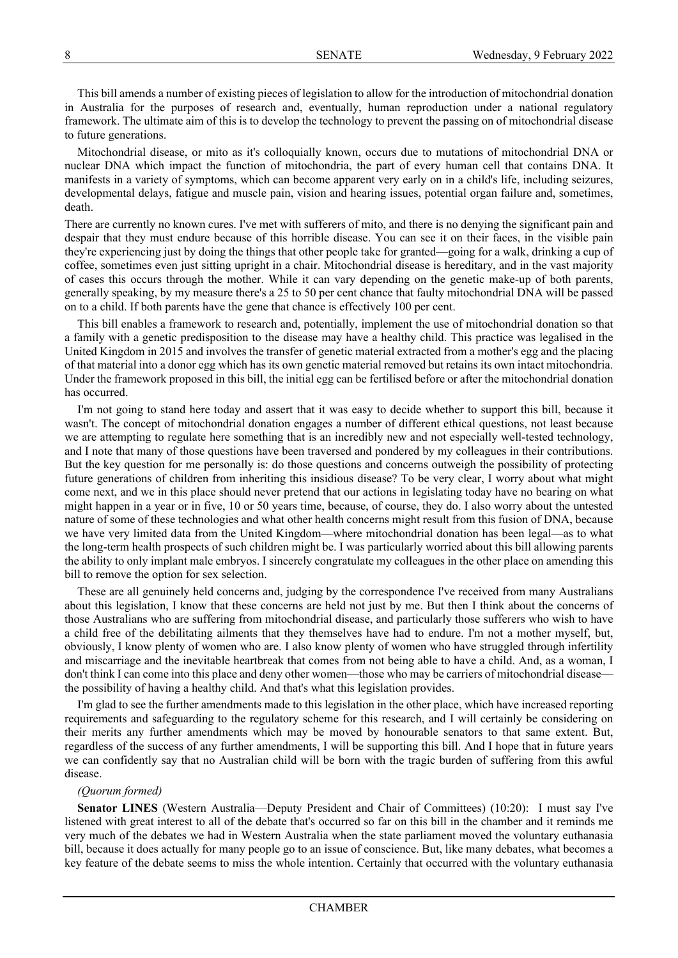This bill amends a number of existing pieces of legislation to allow for the introduction of mitochondrial donation in Australia for the purposes of research and, eventually, human reproduction under a national regulatory framework. The ultimate aim of this is to develop the technology to prevent the passing on of mitochondrial disease to future generations.

Mitochondrial disease, or mito as it's colloquially known, occurs due to mutations of mitochondrial DNA or nuclear DNA which impact the function of mitochondria, the part of every human cell that contains DNA. It manifests in a variety of symptoms, which can become apparent very early on in a child's life, including seizures, developmental delays, fatigue and muscle pain, vision and hearing issues, potential organ failure and, sometimes, death.

There are currently no known cures. I've met with sufferers of mito, and there is no denying the significant pain and despair that they must endure because of this horrible disease. You can see it on their faces, in the visible pain they're experiencing just by doing the things that other people take for granted—going for a walk, drinking a cup of coffee, sometimes even just sitting upright in a chair. Mitochondrial disease is hereditary, and in the vast majority of cases this occurs through the mother. While it can vary depending on the genetic make-up of both parents, generally speaking, by my measure there's a 25 to 50 per cent chance that faulty mitochondrial DNA will be passed on to a child. If both parents have the gene that chance is effectively 100 per cent.

This bill enables a framework to research and, potentially, implement the use of mitochondrial donation so that a family with a genetic predisposition to the disease may have a healthy child. This practice was legalised in the United Kingdom in 2015 and involves the transfer of genetic material extracted from a mother's egg and the placing of that material into a donor egg which has its own genetic material removed but retains its own intact mitochondria. Under the framework proposed in this bill, the initial egg can be fertilised before or after the mitochondrial donation has occurred.

I'm not going to stand here today and assert that it was easy to decide whether to support this bill, because it wasn't. The concept of mitochondrial donation engages a number of different ethical questions, not least because we are attempting to regulate here something that is an incredibly new and not especially well-tested technology, and I note that many of those questions have been traversed and pondered by my colleagues in their contributions. But the key question for me personally is: do those questions and concerns outweigh the possibility of protecting future generations of children from inheriting this insidious disease? To be very clear, I worry about what might come next, and we in this place should never pretend that our actions in legislating today have no bearing on what might happen in a year or in five, 10 or 50 years time, because, of course, they do. I also worry about the untested nature of some of these technologies and what other health concerns might result from this fusion of DNA, because we have very limited data from the United Kingdom—where mitochondrial donation has been legal—as to what the long-term health prospects of such children might be. I was particularly worried about this bill allowing parents the ability to only implant male embryos. I sincerely congratulate my colleagues in the other place on amending this bill to remove the option for sex selection.

These are all genuinely held concerns and, judging by the correspondence I've received from many Australians about this legislation, I know that these concerns are held not just by me. But then I think about the concerns of those Australians who are suffering from mitochondrial disease, and particularly those sufferers who wish to have a child free of the debilitating ailments that they themselves have had to endure. I'm not a mother myself, but, obviously, I know plenty of women who are. I also know plenty of women who have struggled through infertility and miscarriage and the inevitable heartbreak that comes from not being able to have a child. And, as a woman, I don't think I can come into this place and deny other women—those who may be carriers of mitochondrial diseasethe possibility of having a healthy child. And that's what this legislation provides.

I'm glad to see the further amendments made to this legislation in the other place, which have increased reporting requirements and safeguarding to the regulatory scheme for this research, and I will certainly be considering on their merits any further amendments which may be moved by honourable senators to that same extent. But, regardless of the success of any further amendments, I will be supporting this bill. And I hope that in future years we can confidently say that no Australian child will be born with the tragic burden of suffering from this awful disease.

#### *(Quorum formed)*

**Senator LINES** (Western Australia—Deputy President and Chair of Committees) (10:20): I must say I've listened with great interest to all of the debate that's occurred so far on this bill in the chamber and it reminds me very much of the debates we had in Western Australia when the state parliament moved the voluntary euthanasia bill, because it does actually for many people go to an issue of conscience. But, like many debates, what becomes a key feature of the debate seems to miss the whole intention. Certainly that occurred with the voluntary euthanasia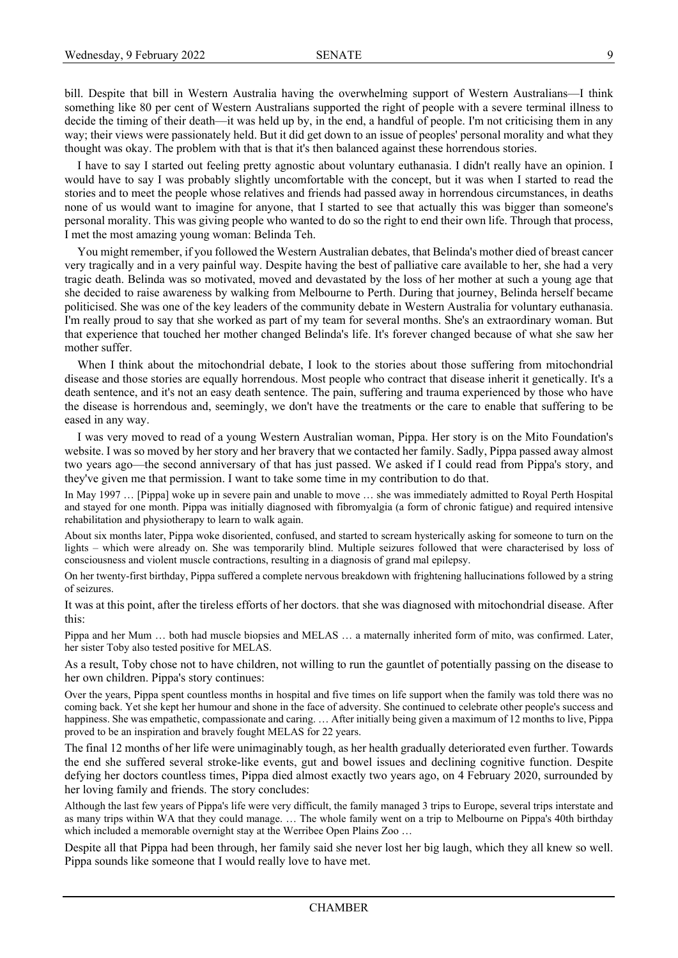bill. Despite that bill in Western Australia having the overwhelming support of Western Australians—I think something like 80 per cent of Western Australians supported the right of people with a severe terminal illness to decide the timing of their death—it was held up by, in the end, a handful of people. I'm not criticising them in any way; their views were passionately held. But it did get down to an issue of peoples' personal morality and what they thought was okay. The problem with that is that it's then balanced against these horrendous stories.

I have to say I started out feeling pretty agnostic about voluntary euthanasia. I didn't really have an opinion. I would have to say I was probably slightly uncomfortable with the concept, but it was when I started to read the stories and to meet the people whose relatives and friends had passed away in horrendous circumstances, in deaths none of us would want to imagine for anyone, that I started to see that actually this was bigger than someone's personal morality. This was giving people who wanted to do so the right to end their own life. Through that process, I met the most amazing young woman: Belinda Teh.

You might remember, if you followed the Western Australian debates, that Belinda's mother died of breast cancer very tragically and in a very painful way. Despite having the best of palliative care available to her, she had a very tragic death. Belinda was so motivated, moved and devastated by the loss of her mother at such a young age that she decided to raise awareness by walking from Melbourne to Perth. During that journey, Belinda herself became politicised. She was one of the key leaders of the community debate in Western Australia for voluntary euthanasia. I'm really proud to say that she worked as part of my team for several months. She's an extraordinary woman. But that experience that touched her mother changed Belinda's life. It's forever changed because of what she saw her mother suffer.

When I think about the mitochondrial debate, I look to the stories about those suffering from mitochondrial disease and those stories are equally horrendous. Most people who contract that disease inherit it genetically. It's a death sentence, and it's not an easy death sentence. The pain, suffering and trauma experienced by those who have the disease is horrendous and, seemingly, we don't have the treatments or the care to enable that suffering to be eased in any way.

I was very moved to read of a young Western Australian woman, Pippa. Her story is on the Mito Foundation's website. I was so moved by her story and her bravery that we contacted her family. Sadly, Pippa passed away almost two years ago—the second anniversary of that has just passed. We asked if I could read from Pippa's story, and they've given me that permission. I want to take some time in my contribution to do that.

In May 1997 … [Pippa] woke up in severe pain and unable to move … she was immediately admitted to Royal Perth Hospital and stayed for one month. Pippa was initially diagnosed with fibromyalgia (a form of chronic fatigue) and required intensive rehabilitation and physiotherapy to learn to walk again.

About six months later, Pippa woke disoriented, confused, and started to scream hysterically asking for someone to turn on the lights – which were already on. She was temporarily blind. Multiple seizures followed that were characterised by loss of consciousness and violent muscle contractions, resulting in a diagnosis of grand mal epilepsy.

On her twenty-first birthday, Pippa suffered a complete nervous breakdown with frightening hallucinations followed by a string of seizures.

It was at this point, after the tireless efforts of her doctors. that she was diagnosed with mitochondrial disease. After this:

Pippa and her Mum … both had muscle biopsies and MELAS … a maternally inherited form of mito, was confirmed. Later, her sister Toby also tested positive for MELAS.

As a result, Toby chose not to have children, not willing to run the gauntlet of potentially passing on the disease to her own children. Pippa's story continues:

Over the years, Pippa spent countless months in hospital and five times on life support when the family was told there was no coming back. Yet she kept her humour and shone in the face of adversity. She continued to celebrate other people's success and happiness. She was empathetic, compassionate and caring. ... After initially being given a maximum of 12 months to live, Pippa proved to be an inspiration and bravely fought MELAS for 22 years.

The final 12 months of her life were unimaginably tough, as her health gradually deteriorated even further. Towards the end she suffered several stroke-like events, gut and bowel issues and declining cognitive function. Despite defying her doctors countless times, Pippa died almost exactly two years ago, on 4 February 2020, surrounded by her loving family and friends. The story concludes:

Although the last few years of Pippa's life were very difficult, the family managed 3 trips to Europe, several trips interstate and as many trips within WA that they could manage. … The whole family went on a trip to Melbourne on Pippa's 40th birthday which included a memorable overnight stay at the Werribee Open Plains Zoo ...

Despite all that Pippa had been through, her family said she never lost her big laugh, which they all knew so well. Pippa sounds like someone that I would really love to have met.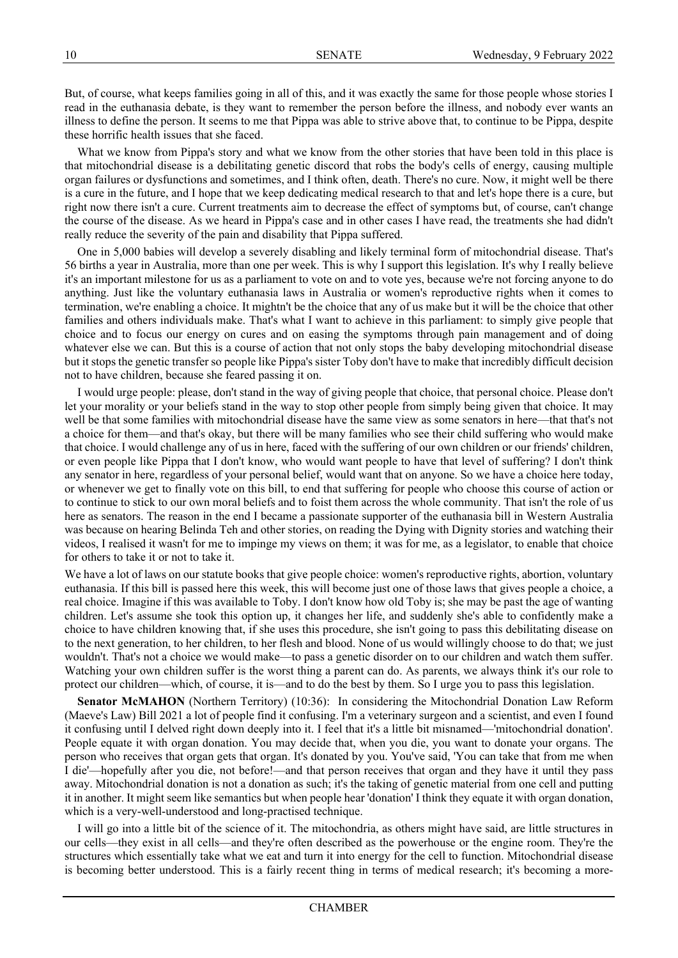But, of course, what keeps families going in all of this, and it was exactly the same for those people whose stories I read in the euthanasia debate, is they want to remember the person before the illness, and nobody ever wants an illness to define the person. It seems to me that Pippa was able to strive above that, to continue to be Pippa, despite these horrific health issues that she faced.

What we know from Pippa's story and what we know from the other stories that have been told in this place is that mitochondrial disease is a debilitating genetic discord that robs the body's cells of energy, causing multiple organ failures or dysfunctions and sometimes, and I think often, death. There's no cure. Now, it might well be there is a cure in the future, and I hope that we keep dedicating medical research to that and let's hope there is a cure, but right now there isn't a cure. Current treatments aim to decrease the effect of symptoms but, of course, can't change the course of the disease. As we heard in Pippa's case and in other cases I have read, the treatments she had didn't really reduce the severity of the pain and disability that Pippa suffered.

One in 5,000 babies will develop a severely disabling and likely terminal form of mitochondrial disease. That's 56 births a year in Australia, more than one per week. This is why I support this legislation. It's why I really believe it's an important milestone for us as a parliament to vote on and to vote yes, because we're not forcing anyone to do anything. Just like the voluntary euthanasia laws in Australia or women's reproductive rights when it comes to termination, we're enabling a choice. It mightn't be the choice that any of us make but it will be the choice that other families and others individuals make. That's what I want to achieve in this parliament: to simply give people that choice and to focus our energy on cures and on easing the symptoms through pain management and of doing whatever else we can. But this is a course of action that not only stops the baby developing mitochondrial disease but it stops the genetic transfer so people like Pippa's sister Toby don't have to make that incredibly difficult decision not to have children, because she feared passing it on.

I would urge people: please, don't stand in the way of giving people that choice, that personal choice. Please don't let your morality or your beliefs stand in the way to stop other people from simply being given that choice. It may well be that some families with mitochondrial disease have the same view as some senators in here—that that's not a choice for them—and that's okay, but there will be many families who see their child suffering who would make that choice. I would challenge any of us in here, faced with the suffering of our own children or our friends' children, or even people like Pippa that I don't know, who would want people to have that level of suffering? I don't think any senator in here, regardless of your personal belief, would want that on anyone. So we have a choice here today, or whenever we get to finally vote on this bill, to end that suffering for people who choose this course of action or to continue to stick to our own moral beliefs and to foist them across the whole community. That isn't the role of us here as senators. The reason in the end I became a passionate supporter of the euthanasia bill in Western Australia was because on hearing Belinda Teh and other stories, on reading the Dying with Dignity stories and watching their videos, I realised it wasn't for me to impinge my views on them; it was for me, as a legislator, to enable that choice for others to take it or not to take it.

We have a lot of laws on our statute books that give people choice: women's reproductive rights, abortion, voluntary euthanasia. If this bill is passed here this week, this will become just one of those laws that gives people a choice, a real choice. Imagine if this was available to Toby. I don't know how old Toby is; she may be past the age of wanting children. Let's assume she took this option up, it changes her life, and suddenly she's able to confidently make a choice to have children knowing that, if she uses this procedure, she isn't going to pass this debilitating disease on to the next generation, to her children, to her flesh and blood. None of us would willingly choose to do that; we just wouldn't. That's not a choice we would make—to pass a genetic disorder on to our children and watch them suffer. Watching your own children suffer is the worst thing a parent can do. As parents, we always think it's our role to protect our children—which, of course, it is—and to do the best by them. So I urge you to pass this legislation.

**Senator McMAHON** (Northern Territory) (10:36): In considering the Mitochondrial Donation Law Reform (Maeve's Law) Bill 2021 a lot of people find it confusing. I'm a veterinary surgeon and a scientist, and even I found it confusing until I delved right down deeply into it. I feel that it's a little bit misnamed—'mitochondrial donation'. People equate it with organ donation. You may decide that, when you die, you want to donate your organs. The person who receives that organ gets that organ. It's donated by you. You've said, 'You can take that from me when I die'—hopefully after you die, not before!—and that person receives that organ and they have it until they pass away. Mitochondrial donation is not a donation as such; it's the taking of genetic material from one cell and putting it in another. It might seem like semantics but when people hear 'donation' I think they equate it with organ donation, which is a very-well-understood and long-practised technique.

I will go into a little bit of the science of it. The mitochondria, as others might have said, are little structures in our cells—they exist in all cells—and they're often described as the powerhouse or the engine room. They're the structures which essentially take what we eat and turn it into energy for the cell to function. Mitochondrial disease is becoming better understood. This is a fairly recent thing in terms of medical research; it's becoming a more-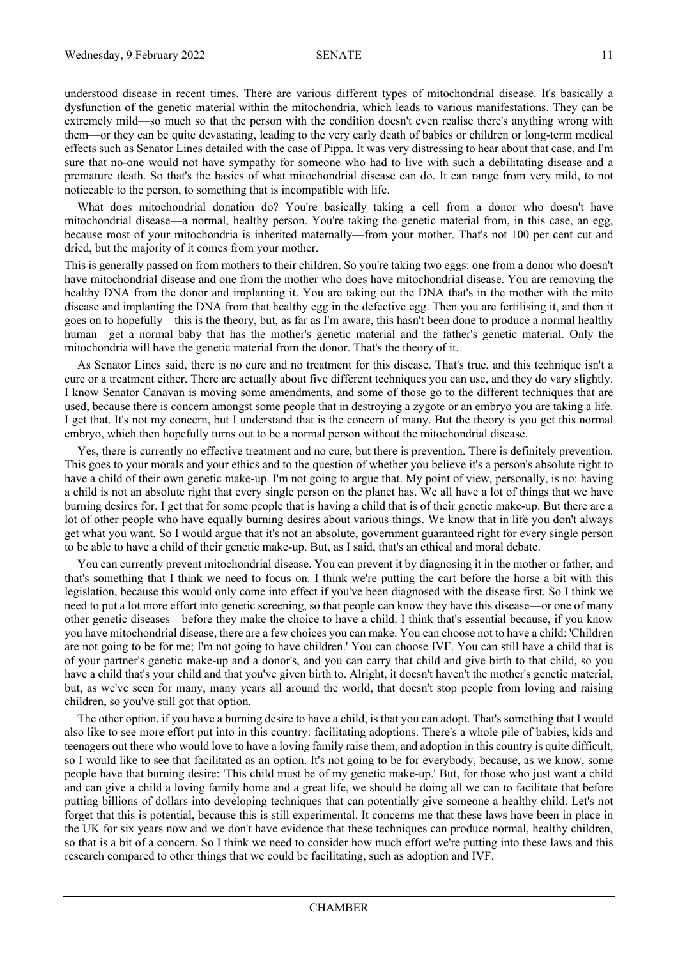understood disease in recent times. There are various different types of mitochondrial disease. It's basically a dysfunction of the genetic material within the mitochondria, which leads to various manifestations. They can be extremely mild—so much so that the person with the condition doesn't even realise there's anything wrong with them—or they can be quite devastating, leading to the very early death of babies or children or long-term medical effects such as Senator Lines detailed with the case of Pippa. It was very distressing to hear about that case, and I'm sure that no-one would not have sympathy for someone who had to live with such a debilitating disease and a premature death. So that's the basics of what mitochondrial disease can do. It can range from very mild, to not noticeable to the person, to something that is incompatible with life.

What does mitochondrial donation do? You're basically taking a cell from a donor who doesn't have mitochondrial disease—a normal, healthy person. You're taking the genetic material from, in this case, an egg, because most of your mitochondria is inherited maternally—from your mother. That's not 100 per cent cut and dried, but the majority of it comes from your mother.

This is generally passed on from mothers to their children. So you're taking two eggs: one from a donor who doesn't have mitochondrial disease and one from the mother who does have mitochondrial disease. You are removing the healthy DNA from the donor and implanting it. You are taking out the DNA that's in the mother with the mito disease and implanting the DNA from that healthy egg in the defective egg. Then you are fertilising it, and then it goes on to hopefully—this is the theory, but, as far as I'm aware, this hasn't been done to produce a normal healthy human—get a normal baby that has the mother's genetic material and the father's genetic material. Only the mitochondria will have the genetic material from the donor. That's the theory of it.

As Senator Lines said, there is no cure and no treatment for this disease. That's true, and this technique isn't a cure or a treatment either. There are actually about five different techniques you can use, and they do vary slightly. I know Senator Canavan is moving some amendments, and some of those go to the different techniques that are used, because there is concern amongst some people that in destroying a zygote or an embryo you are taking a life. I get that. It's not my concern, but I understand that is the concern of many. But the theory is you get this normal embryo, which then hopefully turns out to be a normal person without the mitochondrial disease.

Yes, there is currently no effective treatment and no cure, but there is prevention. There is definitely prevention. This goes to your morals and your ethics and to the question of whether you believe it's a person's absolute right to have a child of their own genetic make-up. I'm not going to argue that. My point of view, personally, is no: having a child is not an absolute right that every single person on the planet has. We all have a lot of things that we have burning desires for. I get that for some people that is having a child that is of their genetic make-up. But there are a lot of other people who have equally burning desires about various things. We know that in life you don't always get what you want. So I would argue that it's not an absolute, government guaranteed right for every single person to be able to have a child of their genetic make-up. But, as I said, that's an ethical and moral debate.

You can currently prevent mitochondrial disease. You can prevent it by diagnosing it in the mother or father, and that's something that I think we need to focus on. I think we're putting the cart before the horse a bit with this legislation, because this would only come into effect if you've been diagnosed with the disease first. So I think we need to put a lot more effort into genetic screening, so that people can know they have this disease—or one of many other genetic diseases—before they make the choice to have a child. I think that's essential because, if you know you have mitochondrial disease, there are a few choices you can make. You can choose not to have a child: 'Children are not going to be for me; I'm not going to have children.' You can choose IVF. You can still have a child that is of your partner's genetic make-up and a donor's, and you can carry that child and give birth to that child, so you have a child that's your child and that you've given birth to. Alright, it doesn't haven't the mother's genetic material, but, as we've seen for many, many years all around the world, that doesn't stop people from loving and raising children, so you've still got that option.

The other option, if you have a burning desire to have a child, is that you can adopt. That's something that I would also like to see more effort put into in this country: facilitating adoptions. There's a whole pile of babies, kids and teenagers out there who would love to have a loving family raise them, and adoption in this country is quite difficult, so I would like to see that facilitated as an option. It's not going to be for everybody, because, as we know, some people have that burning desire: 'This child must be of my genetic make-up.' But, for those who just want a child and can give a child a loving family home and a great life, we should be doing all we can to facilitate that before putting billions of dollars into developing techniques that can potentially give someone a healthy child. Let's not forget that this is potential, because this is still experimental. It concerns me that these laws have been in place in the UK for six years now and we don't have evidence that these techniques can produce normal, healthy children, so that is a bit of a concern. So I think we need to consider how much effort we're putting into these laws and this research compared to other things that we could be facilitating, such as adoption and IVF.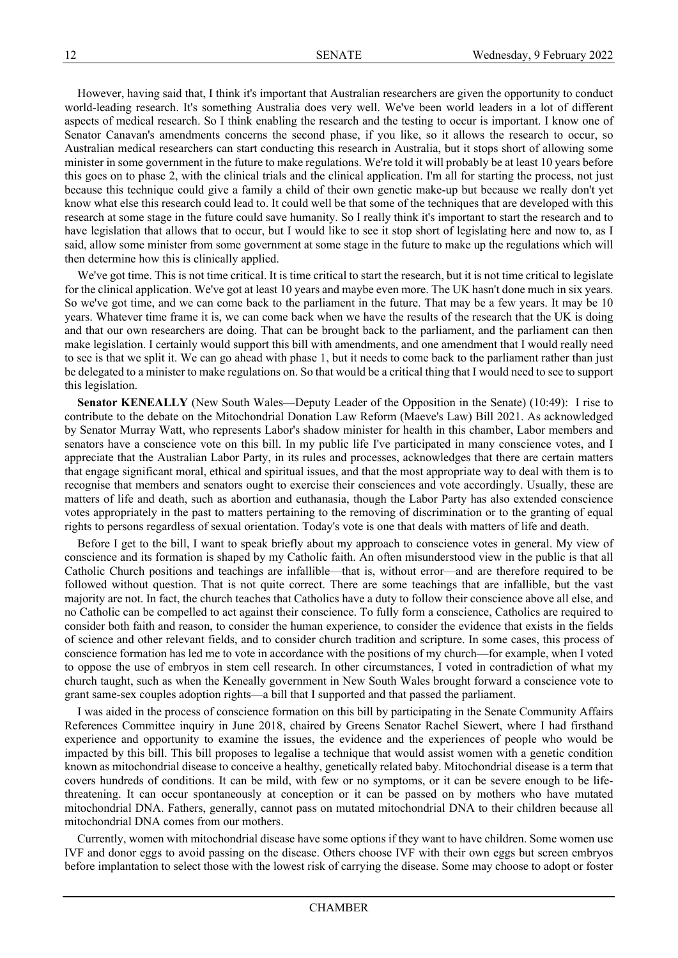However, having said that, I think it's important that Australian researchers are given the opportunity to conduct world-leading research. It's something Australia does very well. We've been world leaders in a lot of different aspects of medical research. So I think enabling the research and the testing to occur is important. I know one of Senator Canavan's amendments concerns the second phase, if you like, so it allows the research to occur, so Australian medical researchers can start conducting this research in Australia, but it stops short of allowing some minister in some government in the future to make regulations. We're told it will probably be at least 10 years before this goes on to phase 2, with the clinical trials and the clinical application. I'm all for starting the process, not just because this technique could give a family a child of their own genetic make-up but because we really don't yet know what else this research could lead to. It could well be that some of the techniques that are developed with this research at some stage in the future could save humanity. So I really think it's important to start the research and to have legislation that allows that to occur, but I would like to see it stop short of legislating here and now to, as I said, allow some minister from some government at some stage in the future to make up the regulations which will then determine how this is clinically applied.

We've got time. This is not time critical. It is time critical to start the research, but it is not time critical to legislate for the clinical application. We've got at least 10 years and maybe even more. The UK hasn't done much in six years. So we've got time, and we can come back to the parliament in the future. That may be a few years. It may be 10 years. Whatever time frame it is, we can come back when we have the results of the research that the UK is doing and that our own researchers are doing. That can be brought back to the parliament, and the parliament can then make legislation. I certainly would support this bill with amendments, and one amendment that I would really need to see is that we split it. We can go ahead with phase 1, but it needs to come back to the parliament rather than just be delegated to a minister to make regulations on. So that would be a critical thing that I would need to see to support this legislation.

**Senator KENEALLY** (New South Wales—Deputy Leader of the Opposition in the Senate) (10:49): I rise to contribute to the debate on the Mitochondrial Donation Law Reform (Maeve's Law) Bill 2021. As acknowledged by Senator Murray Watt, who represents Labor's shadow minister for health in this chamber, Labor members and senators have a conscience vote on this bill. In my public life I've participated in many conscience votes, and I appreciate that the Australian Labor Party, in its rules and processes, acknowledges that there are certain matters that engage significant moral, ethical and spiritual issues, and that the most appropriate way to deal with them is to recognise that members and senators ought to exercise their consciences and vote accordingly. Usually, these are matters of life and death, such as abortion and euthanasia, though the Labor Party has also extended conscience votes appropriately in the past to matters pertaining to the removing of discrimination or to the granting of equal rights to persons regardless of sexual orientation. Today's vote is one that deals with matters of life and death.

Before I get to the bill, I want to speak briefly about my approach to conscience votes in general. My view of conscience and its formation is shaped by my Catholic faith. An often misunderstood view in the public is that all Catholic Church positions and teachings are infallible—that is, without error—and are therefore required to be followed without question. That is not quite correct. There are some teachings that are infallible, but the vast majority are not. In fact, the church teaches that Catholics have a duty to follow their conscience above all else, and no Catholic can be compelled to act against their conscience. To fully form a conscience, Catholics are required to consider both faith and reason, to consider the human experience, to consider the evidence that exists in the fields of science and other relevant fields, and to consider church tradition and scripture. In some cases, this process of conscience formation has led me to vote in accordance with the positions of my church—for example, when I voted to oppose the use of embryos in stem cell research. In other circumstances, I voted in contradiction of what my church taught, such as when the Keneally government in New South Wales brought forward a conscience vote to grant same-sex couples adoption rights—a bill that I supported and that passed the parliament.

I was aided in the process of conscience formation on this bill by participating in the Senate Community Affairs References Committee inquiry in June 2018, chaired by Greens Senator Rachel Siewert, where I had firsthand experience and opportunity to examine the issues, the evidence and the experiences of people who would be impacted by this bill. This bill proposes to legalise a technique that would assist women with a genetic condition known as mitochondrial disease to conceive a healthy, genetically related baby. Mitochondrial disease is a term that covers hundreds of conditions. It can be mild, with few or no symptoms, or it can be severe enough to be lifethreatening. It can occur spontaneously at conception or it can be passed on by mothers who have mutated mitochondrial DNA. Fathers, generally, cannot pass on mutated mitochondrial DNA to their children because all mitochondrial DNA comes from our mothers.

Currently, women with mitochondrial disease have some options if they want to have children. Some women use IVF and donor eggs to avoid passing on the disease. Others choose IVF with their own eggs but screen embryos before implantation to select those with the lowest risk of carrying the disease. Some may choose to adopt or foster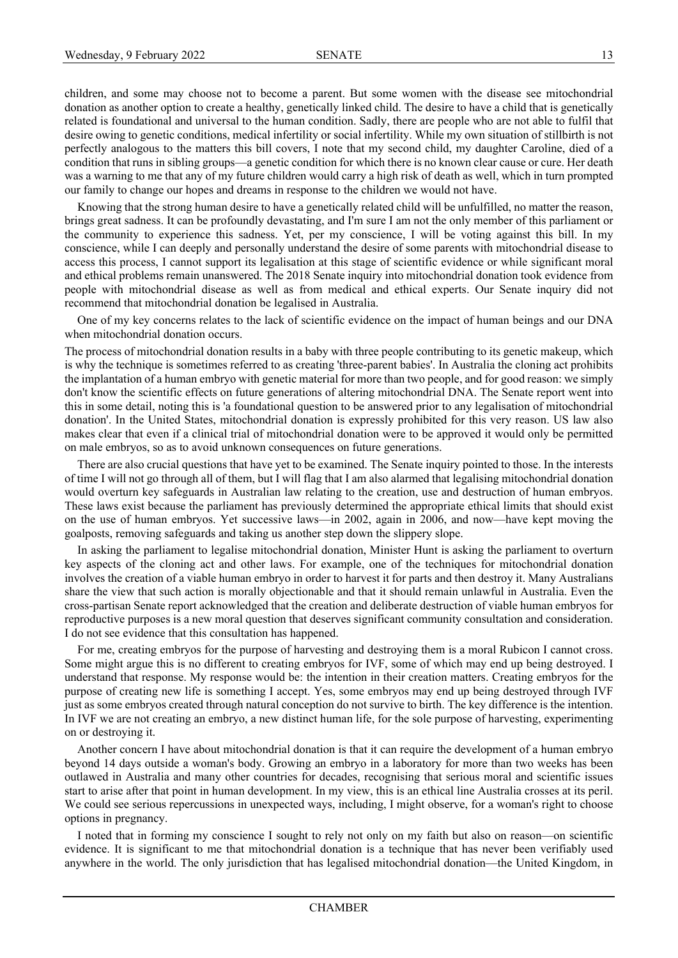children, and some may choose not to become a parent. But some women with the disease see mitochondrial donation as another option to create a healthy, genetically linked child. The desire to have a child that is genetically related is foundational and universal to the human condition. Sadly, there are people who are not able to fulfil that desire owing to genetic conditions, medical infertility or social infertility. While my own situation of stillbirth is not perfectly analogous to the matters this bill covers, I note that my second child, my daughter Caroline, died of a condition that runs in sibling groups—a genetic condition for which there is no known clear cause or cure. Her death was a warning to me that any of my future children would carry a high risk of death as well, which in turn prompted our family to change our hopes and dreams in response to the children we would not have.

Knowing that the strong human desire to have a genetically related child will be unfulfilled, no matter the reason, brings great sadness. It can be profoundly devastating, and I'm sure I am not the only member of this parliament or the community to experience this sadness. Yet, per my conscience, I will be voting against this bill. In my conscience, while I can deeply and personally understand the desire of some parents with mitochondrial disease to access this process, I cannot support its legalisation at this stage of scientific evidence or while significant moral and ethical problems remain unanswered. The 2018 Senate inquiry into mitochondrial donation took evidence from people with mitochondrial disease as well as from medical and ethical experts. Our Senate inquiry did not recommend that mitochondrial donation be legalised in Australia.

One of my key concerns relates to the lack of scientific evidence on the impact of human beings and our DNA when mitochondrial donation occurs.

The process of mitochondrial donation results in a baby with three people contributing to its genetic makeup, which is why the technique is sometimes referred to as creating 'three-parent babies'. In Australia the cloning act prohibits the implantation of a human embryo with genetic material for more than two people, and for good reason: we simply don't know the scientific effects on future generations of altering mitochondrial DNA. The Senate report went into this in some detail, noting this is 'a foundational question to be answered prior to any legalisation of mitochondrial donation'. In the United States, mitochondrial donation is expressly prohibited for this very reason. US law also makes clear that even if a clinical trial of mitochondrial donation were to be approved it would only be permitted on male embryos, so as to avoid unknown consequences on future generations.

There are also crucial questions that have yet to be examined. The Senate inquiry pointed to those. In the interests of time I will not go through all of them, but I will flag that I am also alarmed that legalising mitochondrial donation would overturn key safeguards in Australian law relating to the creation, use and destruction of human embryos. These laws exist because the parliament has previously determined the appropriate ethical limits that should exist on the use of human embryos. Yet successive laws—in 2002, again in 2006, and now—have kept moving the goalposts, removing safeguards and taking us another step down the slippery slope.

In asking the parliament to legalise mitochondrial donation, Minister Hunt is asking the parliament to overturn key aspects of the cloning act and other laws. For example, one of the techniques for mitochondrial donation involves the creation of a viable human embryo in order to harvest it for parts and then destroy it. Many Australians share the view that such action is morally objectionable and that it should remain unlawful in Australia. Even the cross-partisan Senate report acknowledged that the creation and deliberate destruction of viable human embryos for reproductive purposes is a new moral question that deserves significant community consultation and consideration. I do not see evidence that this consultation has happened.

For me, creating embryos for the purpose of harvesting and destroying them is a moral Rubicon I cannot cross. Some might argue this is no different to creating embryos for IVF, some of which may end up being destroyed. I understand that response. My response would be: the intention in their creation matters. Creating embryos for the purpose of creating new life is something I accept. Yes, some embryos may end up being destroyed through IVF just as some embryos created through natural conception do not survive to birth. The key difference is the intention. In IVF we are not creating an embryo, a new distinct human life, for the sole purpose of harvesting, experimenting on or destroying it.

Another concern I have about mitochondrial donation is that it can require the development of a human embryo beyond 14 days outside a woman's body. Growing an embryo in a laboratory for more than two weeks has been outlawed in Australia and many other countries for decades, recognising that serious moral and scientific issues start to arise after that point in human development. In my view, this is an ethical line Australia crosses at its peril. We could see serious repercussions in unexpected ways, including, I might observe, for a woman's right to choose options in pregnancy.

I noted that in forming my conscience I sought to rely not only on my faith but also on reason—on scientific evidence. It is significant to me that mitochondrial donation is a technique that has never been verifiably used anywhere in the world. The only jurisdiction that has legalised mitochondrial donation—the United Kingdom, in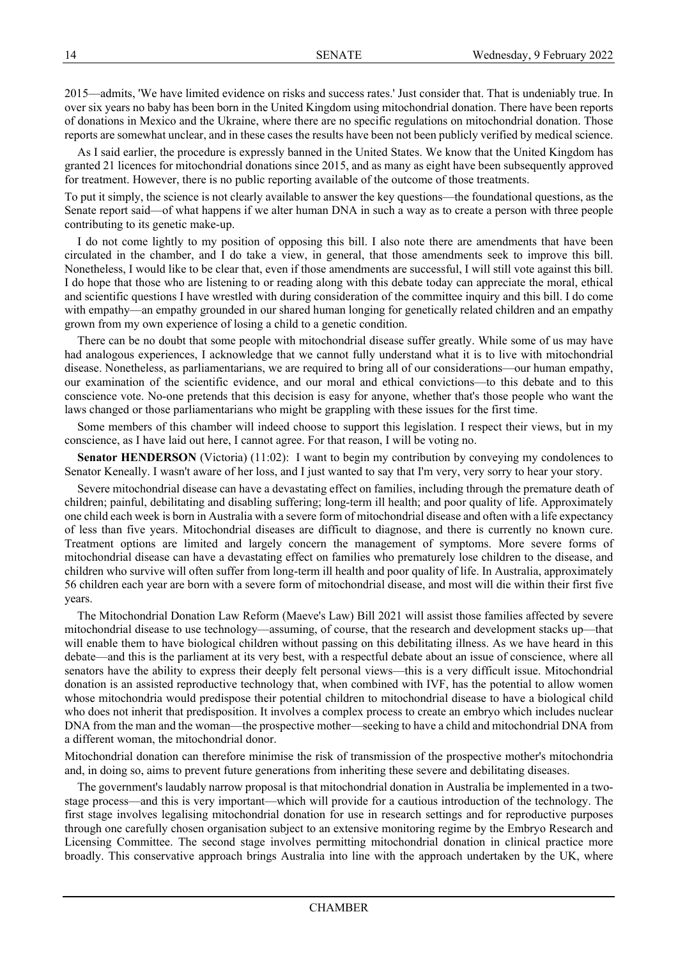2015—admits, 'We have limited evidence on risks and success rates.' Just consider that. That is undeniably true. In over six years no baby has been born in the United Kingdom using mitochondrial donation. There have been reports of donations in Mexico and the Ukraine, where there are no specific regulations on mitochondrial donation. Those reports are somewhat unclear, and in these cases the results have been not been publicly verified by medical science.

As I said earlier, the procedure is expressly banned in the United States. We know that the United Kingdom has granted 21 licences for mitochondrial donations since 2015, and as many as eight have been subsequently approved for treatment. However, there is no public reporting available of the outcome of those treatments.

To put it simply, the science is not clearly available to answer the key questions—the foundational questions, as the Senate report said—of what happens if we alter human DNA in such a way as to create a person with three people contributing to its genetic make-up.

I do not come lightly to my position of opposing this bill. I also note there are amendments that have been circulated in the chamber, and I do take a view, in general, that those amendments seek to improve this bill. Nonetheless, I would like to be clear that, even if those amendments are successful, I will still vote against this bill. I do hope that those who are listening to or reading along with this debate today can appreciate the moral, ethical and scientific questions I have wrestled with during consideration of the committee inquiry and this bill. I do come with empathy—an empathy grounded in our shared human longing for genetically related children and an empathy grown from my own experience of losing a child to a genetic condition.

There can be no doubt that some people with mitochondrial disease suffer greatly. While some of us may have had analogous experiences, I acknowledge that we cannot fully understand what it is to live with mitochondrial disease. Nonetheless, as parliamentarians, we are required to bring all of our considerations—our human empathy, our examination of the scientific evidence, and our moral and ethical convictions—to this debate and to this conscience vote. No-one pretends that this decision is easy for anyone, whether that's those people who want the laws changed or those parliamentarians who might be grappling with these issues for the first time.

Some members of this chamber will indeed choose to support this legislation. I respect their views, but in my conscience, as I have laid out here, I cannot agree. For that reason, I will be voting no.

**Senator HENDERSON** (Victoria) (11:02): I want to begin my contribution by conveying my condolences to Senator Keneally. I wasn't aware of her loss, and I just wanted to say that I'm very, very sorry to hear your story.

Severe mitochondrial disease can have a devastating effect on families, including through the premature death of children; painful, debilitating and disabling suffering; long-term ill health; and poor quality of life. Approximately one child each week is born in Australia with a severe form of mitochondrial disease and often with a life expectancy of less than five years. Mitochondrial diseases are difficult to diagnose, and there is currently no known cure. Treatment options are limited and largely concern the management of symptoms. More severe forms of mitochondrial disease can have a devastating effect on families who prematurely lose children to the disease, and children who survive will often suffer from long-term ill health and poor quality of life. In Australia, approximately 56 children each year are born with a severe form of mitochondrial disease, and most will die within their first five years.

The Mitochondrial Donation Law Reform (Maeve's Law) Bill 2021 will assist those families affected by severe mitochondrial disease to use technology—assuming, of course, that the research and development stacks up—that will enable them to have biological children without passing on this debilitating illness. As we have heard in this debate—and this is the parliament at its very best, with a respectful debate about an issue of conscience, where all senators have the ability to express their deeply felt personal views—this is a very difficult issue. Mitochondrial donation is an assisted reproductive technology that, when combined with IVF, has the potential to allow women whose mitochondria would predispose their potential children to mitochondrial disease to have a biological child who does not inherit that predisposition. It involves a complex process to create an embryo which includes nuclear DNA from the man and the woman—the prospective mother—seeking to have a child and mitochondrial DNA from a different woman, the mitochondrial donor.

Mitochondrial donation can therefore minimise the risk of transmission of the prospective mother's mitochondria and, in doing so, aims to prevent future generations from inheriting these severe and debilitating diseases.

The government's laudably narrow proposal is that mitochondrial donation in Australia be implemented in a twostage process—and this is very important—which will provide for a cautious introduction of the technology. The first stage involves legalising mitochondrial donation for use in research settings and for reproductive purposes through one carefully chosen organisation subject to an extensive monitoring regime by the Embryo Research and Licensing Committee. The second stage involves permitting mitochondrial donation in clinical practice more broadly. This conservative approach brings Australia into line with the approach undertaken by the UK, where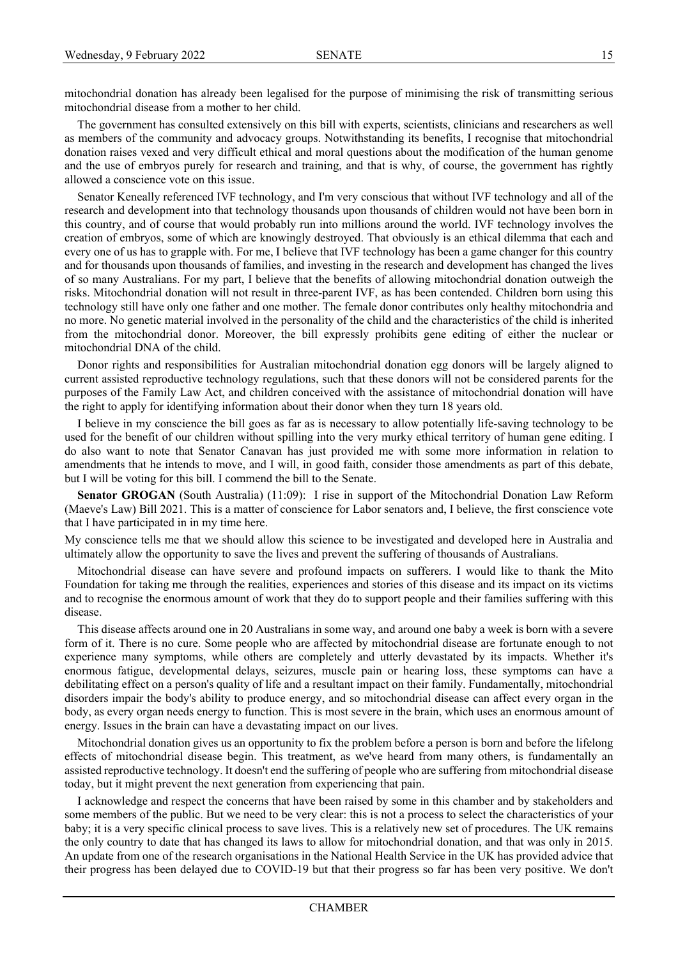mitochondrial donation has already been legalised for the purpose of minimising the risk of transmitting serious mitochondrial disease from a mother to her child.

The government has consulted extensively on this bill with experts, scientists, clinicians and researchers as well as members of the community and advocacy groups. Notwithstanding its benefits, I recognise that mitochondrial donation raises vexed and very difficult ethical and moral questions about the modification of the human genome and the use of embryos purely for research and training, and that is why, of course, the government has rightly allowed a conscience vote on this issue.

Senator Keneally referenced IVF technology, and I'm very conscious that without IVF technology and all of the research and development into that technology thousands upon thousands of children would not have been born in this country, and of course that would probably run into millions around the world. IVF technology involves the creation of embryos, some of which are knowingly destroyed. That obviously is an ethical dilemma that each and every one of us has to grapple with. For me, I believe that IVF technology has been a game changer for this country and for thousands upon thousands of families, and investing in the research and development has changed the lives of so many Australians. For my part, I believe that the benefits of allowing mitochondrial donation outweigh the risks. Mitochondrial donation will not result in three-parent IVF, as has been contended. Children born using this technology still have only one father and one mother. The female donor contributes only healthy mitochondria and no more. No genetic material involved in the personality of the child and the characteristics of the child is inherited from the mitochondrial donor. Moreover, the bill expressly prohibits gene editing of either the nuclear or mitochondrial DNA of the child.

Donor rights and responsibilities for Australian mitochondrial donation egg donors will be largely aligned to current assisted reproductive technology regulations, such that these donors will not be considered parents for the purposes of the Family Law Act, and children conceived with the assistance of mitochondrial donation will have the right to apply for identifying information about their donor when they turn 18 years old.

I believe in my conscience the bill goes as far as is necessary to allow potentially life-saving technology to be used for the benefit of our children without spilling into the very murky ethical territory of human gene editing. I do also want to note that Senator Canavan has just provided me with some more information in relation to amendments that he intends to move, and I will, in good faith, consider those amendments as part of this debate, but I will be voting for this bill. I commend the bill to the Senate.

**Senator GROGAN** (South Australia) (11:09): I rise in support of the Mitochondrial Donation Law Reform (Maeve's Law) Bill 2021. This is a matter of conscience for Labor senators and, I believe, the first conscience vote that I have participated in in my time here.

My conscience tells me that we should allow this science to be investigated and developed here in Australia and ultimately allow the opportunity to save the lives and prevent the suffering of thousands of Australians.

Mitochondrial disease can have severe and profound impacts on sufferers. I would like to thank the Mito Foundation for taking me through the realities, experiences and stories of this disease and its impact on its victims and to recognise the enormous amount of work that they do to support people and their families suffering with this disease.

This disease affects around one in 20 Australians in some way, and around one baby a week is born with a severe form of it. There is no cure. Some people who are affected by mitochondrial disease are fortunate enough to not experience many symptoms, while others are completely and utterly devastated by its impacts. Whether it's enormous fatigue, developmental delays, seizures, muscle pain or hearing loss, these symptoms can have a debilitating effect on a person's quality of life and a resultant impact on their family. Fundamentally, mitochondrial disorders impair the body's ability to produce energy, and so mitochondrial disease can affect every organ in the body, as every organ needs energy to function. This is most severe in the brain, which uses an enormous amount of energy. Issues in the brain can have a devastating impact on our lives.

Mitochondrial donation gives us an opportunity to fix the problem before a person is born and before the lifelong effects of mitochondrial disease begin. This treatment, as we've heard from many others, is fundamentally an assisted reproductive technology. It doesn't end the suffering of people who are suffering from mitochondrial disease today, but it might prevent the next generation from experiencing that pain.

I acknowledge and respect the concerns that have been raised by some in this chamber and by stakeholders and some members of the public. But we need to be very clear: this is not a process to select the characteristics of your baby; it is a very specific clinical process to save lives. This is a relatively new set of procedures. The UK remains the only country to date that has changed its laws to allow for mitochondrial donation, and that was only in 2015. An update from one of the research organisations in the National Health Service in the UK has provided advice that their progress has been delayed due to COVID-19 but that their progress so far has been very positive. We don't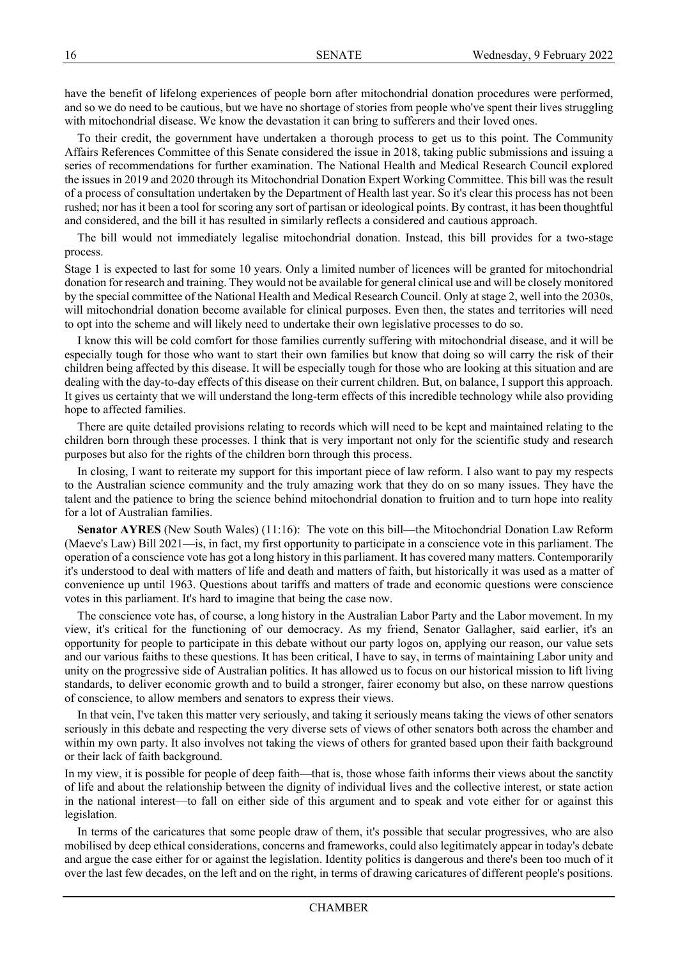have the benefit of lifelong experiences of people born after mitochondrial donation procedures were performed, and so we do need to be cautious, but we have no shortage of stories from people who've spent their lives struggling with mitochondrial disease. We know the devastation it can bring to sufferers and their loved ones.

To their credit, the government have undertaken a thorough process to get us to this point. The Community Affairs References Committee of this Senate considered the issue in 2018, taking public submissions and issuing a series of recommendations for further examination. The National Health and Medical Research Council explored the issues in 2019 and 2020 through its Mitochondrial Donation Expert Working Committee. This bill was the result of a process of consultation undertaken by the Department of Health last year. So it's clear this process has not been rushed; nor has it been a tool for scoring any sort of partisan or ideological points. By contrast, it has been thoughtful and considered, and the bill it has resulted in similarly reflects a considered and cautious approach.

The bill would not immediately legalise mitochondrial donation. Instead, this bill provides for a two-stage process.

Stage 1 is expected to last for some 10 years. Only a limited number of licences will be granted for mitochondrial donation for research and training. They would not be available for general clinical use and will be closely monitored by the special committee of the National Health and Medical Research Council. Only at stage 2, well into the 2030s, will mitochondrial donation become available for clinical purposes. Even then, the states and territories will need to opt into the scheme and will likely need to undertake their own legislative processes to do so.

I know this will be cold comfort for those families currently suffering with mitochondrial disease, and it will be especially tough for those who want to start their own families but know that doing so will carry the risk of their children being affected by this disease. It will be especially tough for those who are looking at this situation and are dealing with the day-to-day effects of this disease on their current children. But, on balance, I support this approach. It gives us certainty that we will understand the long-term effects of this incredible technology while also providing hope to affected families.

There are quite detailed provisions relating to records which will need to be kept and maintained relating to the children born through these processes. I think that is very important not only for the scientific study and research purposes but also for the rights of the children born through this process.

In closing, I want to reiterate my support for this important piece of law reform. I also want to pay my respects to the Australian science community and the truly amazing work that they do on so many issues. They have the talent and the patience to bring the science behind mitochondrial donation to fruition and to turn hope into reality for a lot of Australian families.

**Senator AYRES** (New South Wales) (11:16): The vote on this bill—the Mitochondrial Donation Law Reform (Maeve's Law) Bill 2021—is, in fact, my first opportunity to participate in a conscience vote in this parliament. The operation of a conscience vote has got a long history in this parliament. It has covered many matters. Contemporarily it's understood to deal with matters of life and death and matters of faith, but historically it was used as a matter of convenience up until 1963. Questions about tariffs and matters of trade and economic questions were conscience votes in this parliament. It's hard to imagine that being the case now.

The conscience vote has, of course, a long history in the Australian Labor Party and the Labor movement. In my view, it's critical for the functioning of our democracy. As my friend, Senator Gallagher, said earlier, it's an opportunity for people to participate in this debate without our party logos on, applying our reason, our value sets and our various faiths to these questions. It has been critical, I have to say, in terms of maintaining Labor unity and unity on the progressive side of Australian politics. It has allowed us to focus on our historical mission to lift living standards, to deliver economic growth and to build a stronger, fairer economy but also, on these narrow questions of conscience, to allow members and senators to express their views.

In that vein, I've taken this matter very seriously, and taking it seriously means taking the views of other senators seriously in this debate and respecting the very diverse sets of views of other senators both across the chamber and within my own party. It also involves not taking the views of others for granted based upon their faith background or their lack of faith background.

In my view, it is possible for people of deep faith—that is, those whose faith informs their views about the sanctity of life and about the relationship between the dignity of individual lives and the collective interest, or state action in the national interest—to fall on either side of this argument and to speak and vote either for or against this legislation.

In terms of the caricatures that some people draw of them, it's possible that secular progressives, who are also mobilised by deep ethical considerations, concerns and frameworks, could also legitimately appear in today's debate and argue the case either for or against the legislation. Identity politics is dangerous and there's been too much of it over the last few decades, on the left and on the right, in terms of drawing caricatures of different people's positions.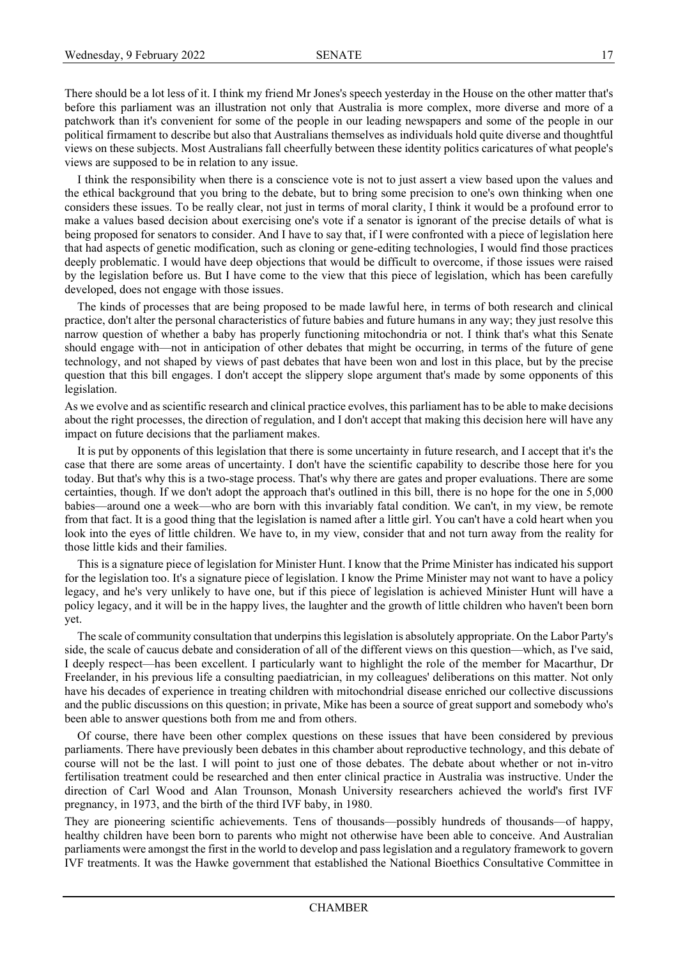There should be a lot less of it. I think my friend Mr Jones's speech yesterday in the House on the other matter that's before this parliament was an illustration not only that Australia is more complex, more diverse and more of a patchwork than it's convenient for some of the people in our leading newspapers and some of the people in our political firmament to describe but also that Australians themselves as individuals hold quite diverse and thoughtful views on these subjects. Most Australians fall cheerfully between these identity politics caricatures of what people's views are supposed to be in relation to any issue.

I think the responsibility when there is a conscience vote is not to just assert a view based upon the values and the ethical background that you bring to the debate, but to bring some precision to one's own thinking when one considers these issues. To be really clear, not just in terms of moral clarity, I think it would be a profound error to make a values based decision about exercising one's vote if a senator is ignorant of the precise details of what is being proposed for senators to consider. And I have to say that, if I were confronted with a piece of legislation here that had aspects of genetic modification, such as cloning or gene-editing technologies, I would find those practices deeply problematic. I would have deep objections that would be difficult to overcome, if those issues were raised by the legislation before us. But I have come to the view that this piece of legislation, which has been carefully developed, does not engage with those issues.

The kinds of processes that are being proposed to be made lawful here, in terms of both research and clinical practice, don't alter the personal characteristics of future babies and future humans in any way; they just resolve this narrow question of whether a baby has properly functioning mitochondria or not. I think that's what this Senate should engage with—not in anticipation of other debates that might be occurring, in terms of the future of gene technology, and not shaped by views of past debates that have been won and lost in this place, but by the precise question that this bill engages. I don't accept the slippery slope argument that's made by some opponents of this legislation.

As we evolve and as scientific research and clinical practice evolves, this parliament has to be able to make decisions about the right processes, the direction of regulation, and I don't accept that making this decision here will have any impact on future decisions that the parliament makes.

It is put by opponents of this legislation that there is some uncertainty in future research, and I accept that it's the case that there are some areas of uncertainty. I don't have the scientific capability to describe those here for you today. But that's why this is a two-stage process. That's why there are gates and proper evaluations. There are some certainties, though. If we don't adopt the approach that's outlined in this bill, there is no hope for the one in 5,000 babies—around one a week—who are born with this invariably fatal condition. We can't, in my view, be remote from that fact. It is a good thing that the legislation is named after a little girl. You can't have a cold heart when you look into the eyes of little children. We have to, in my view, consider that and not turn away from the reality for those little kids and their families.

This is a signature piece of legislation for Minister Hunt. I know that the Prime Minister has indicated his support for the legislation too. It's a signature piece of legislation. I know the Prime Minister may not want to have a policy legacy, and he's very unlikely to have one, but if this piece of legislation is achieved Minister Hunt will have a policy legacy, and it will be in the happy lives, the laughter and the growth of little children who haven't been born yet.

The scale of community consultation that underpins this legislation is absolutely appropriate. On the Labor Party's side, the scale of caucus debate and consideration of all of the different views on this question—which, as I've said, I deeply respect—has been excellent. I particularly want to highlight the role of the member for Macarthur, Dr Freelander, in his previous life a consulting paediatrician, in my colleagues' deliberations on this matter. Not only have his decades of experience in treating children with mitochondrial disease enriched our collective discussions and the public discussions on this question; in private, Mike has been a source of great support and somebody who's been able to answer questions both from me and from others.

Of course, there have been other complex questions on these issues that have been considered by previous parliaments. There have previously been debates in this chamber about reproductive technology, and this debate of course will not be the last. I will point to just one of those debates. The debate about whether or not in-vitro fertilisation treatment could be researched and then enter clinical practice in Australia was instructive. Under the direction of Carl Wood and Alan Trounson, Monash University researchers achieved the world's first IVF pregnancy, in 1973, and the birth of the third IVF baby, in 1980.

They are pioneering scientific achievements. Tens of thousands—possibly hundreds of thousands—of happy, healthy children have been born to parents who might not otherwise have been able to conceive. And Australian parliaments were amongst the first in the world to develop and pass legislation and a regulatory framework to govern IVF treatments. It was the Hawke government that established the National Bioethics Consultative Committee in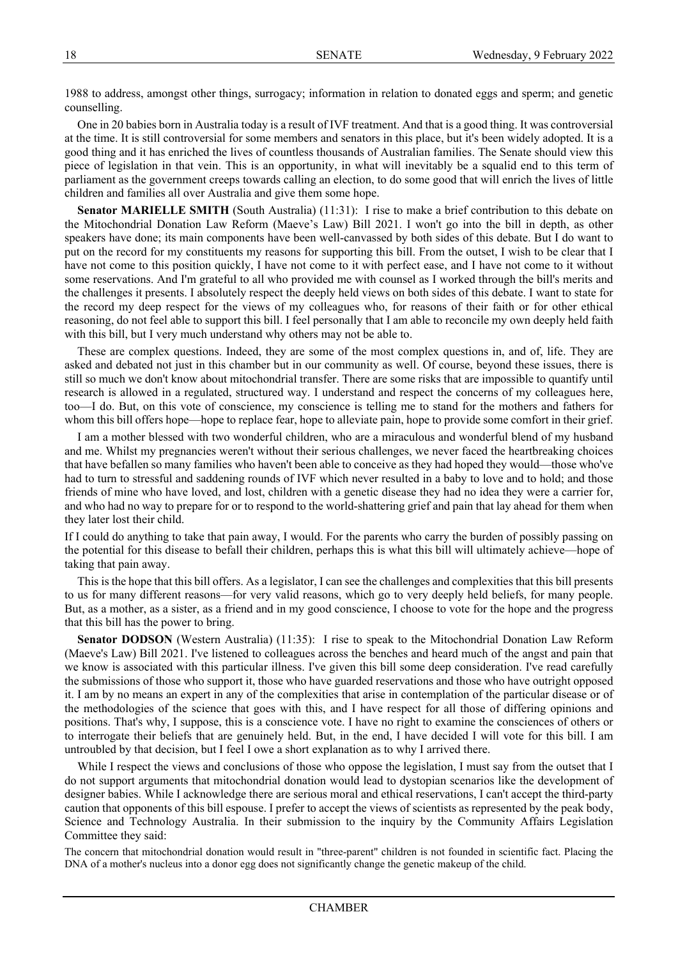1988 to address, amongst other things, surrogacy; information in relation to donated eggs and sperm; and genetic counselling.

One in 20 babies born in Australia today is a result of IVF treatment. And that is a good thing. It was controversial at the time. It is still controversial for some members and senators in this place, but it's been widely adopted. It is a good thing and it has enriched the lives of countless thousands of Australian families. The Senate should view this piece of legislation in that vein. This is an opportunity, in what will inevitably be a squalid end to this term of parliament as the government creeps towards calling an election, to do some good that will enrich the lives of little children and families all over Australia and give them some hope.

**Senator MARIELLE SMITH** (South Australia) (11:31): I rise to make a brief contribution to this debate on the Mitochondrial Donation Law Reform (Maeve's Law) Bill 2021. I won't go into the bill in depth, as other speakers have done; its main components have been well-canvassed by both sides of this debate. But I do want to put on the record for my constituents my reasons for supporting this bill. From the outset, I wish to be clear that I have not come to this position quickly, I have not come to it with perfect ease, and I have not come to it without some reservations. And I'm grateful to all who provided me with counsel as I worked through the bill's merits and the challenges it presents. I absolutely respect the deeply held views on both sides of this debate. I want to state for the record my deep respect for the views of my colleagues who, for reasons of their faith or for other ethical reasoning, do not feel able to support this bill. I feel personally that I am able to reconcile my own deeply held faith with this bill, but I very much understand why others may not be able to.

These are complex questions. Indeed, they are some of the most complex questions in, and of, life. They are asked and debated not just in this chamber but in our community as well. Of course, beyond these issues, there is still so much we don't know about mitochondrial transfer. There are some risks that are impossible to quantify until research is allowed in a regulated, structured way. I understand and respect the concerns of my colleagues here, too—I do. But, on this vote of conscience, my conscience is telling me to stand for the mothers and fathers for whom this bill offers hope—hope to replace fear, hope to alleviate pain, hope to provide some comfort in their grief.

I am a mother blessed with two wonderful children, who are a miraculous and wonderful blend of my husband and me. Whilst my pregnancies weren't without their serious challenges, we never faced the heartbreaking choices that have befallen so many families who haven't been able to conceive as they had hoped they would—those who've had to turn to stressful and saddening rounds of IVF which never resulted in a baby to love and to hold; and those friends of mine who have loved, and lost, children with a genetic disease they had no idea they were a carrier for, and who had no way to prepare for or to respond to the world-shattering grief and pain that lay ahead for them when they later lost their child.

If I could do anything to take that pain away, I would. For the parents who carry the burden of possibly passing on the potential for this disease to befall their children, perhaps this is what this bill will ultimately achieve—hope of taking that pain away.

This is the hope that this bill offers. As a legislator, I can see the challenges and complexities that this bill presents to us for many different reasons—for very valid reasons, which go to very deeply held beliefs, for many people. But, as a mother, as a sister, as a friend and in my good conscience, I choose to vote for the hope and the progress that this bill has the power to bring.

Senator DODSON (Western Australia) (11:35): I rise to speak to the Mitochondrial Donation Law Reform (Maeve's Law) Bill 2021. I've listened to colleagues across the benches and heard much of the angst and pain that we know is associated with this particular illness. I've given this bill some deep consideration. I've read carefully the submissions of those who support it, those who have guarded reservations and those who have outright opposed it. I am by no means an expert in any of the complexities that arise in contemplation of the particular disease or of the methodologies of the science that goes with this, and I have respect for all those of differing opinions and positions. That's why, I suppose, this is a conscience vote. I have no right to examine the consciences of others or to interrogate their beliefs that are genuinely held. But, in the end, I have decided I will vote for this bill. I am untroubled by that decision, but I feel I owe a short explanation as to why I arrived there.

While I respect the views and conclusions of those who oppose the legislation. I must say from the outset that I do not support arguments that mitochondrial donation would lead to dystopian scenarios like the development of designer babies. While I acknowledge there are serious moral and ethical reservations, I can't accept the third-party caution that opponents of this bill espouse. I prefer to accept the views of scientists as represented by the peak body, Science and Technology Australia. In their submission to the inquiry by the Community Affairs Legislation Committee they said:

The concern that mitochondrial donation would result in "three-parent" children is not founded in scientific fact. Placing the DNA of a mother's nucleus into a donor egg does not significantly change the genetic makeup of the child.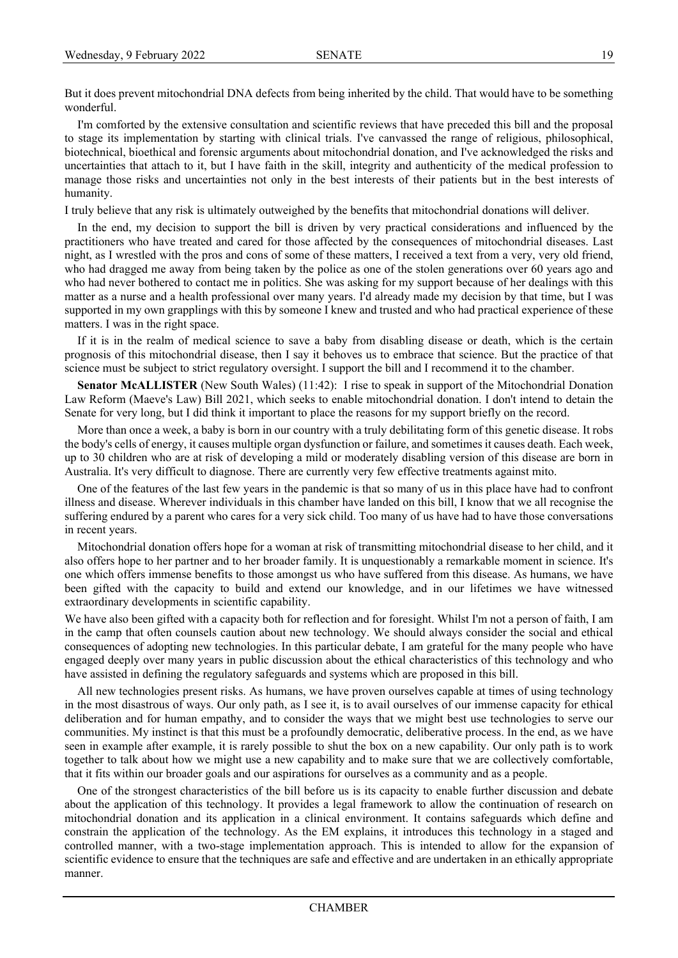But it does prevent mitochondrial DNA defects from being inherited by the child. That would have to be something wonderful.

I'm comforted by the extensive consultation and scientific reviews that have preceded this bill and the proposal to stage its implementation by starting with clinical trials. I've canvassed the range of religious, philosophical, biotechnical, bioethical and forensic arguments about mitochondrial donation, and I've acknowledged the risks and uncertainties that attach to it, but I have faith in the skill, integrity and authenticity of the medical profession to manage those risks and uncertainties not only in the best interests of their patients but in the best interests of humanity.

I truly believe that any risk is ultimately outweighed by the benefits that mitochondrial donations will deliver.

In the end, my decision to support the bill is driven by very practical considerations and influenced by the practitioners who have treated and cared for those affected by the consequences of mitochondrial diseases. Last night, as I wrestled with the pros and cons of some of these matters, I received a text from a very, very old friend, who had dragged me away from being taken by the police as one of the stolen generations over 60 years ago and who had never bothered to contact me in politics. She was asking for my support because of her dealings with this matter as a nurse and a health professional over many years. I'd already made my decision by that time, but I was supported in my own grapplings with this by someone I knew and trusted and who had practical experience of these matters. I was in the right space.

If it is in the realm of medical science to save a baby from disabling disease or death, which is the certain prognosis of this mitochondrial disease, then I say it behoves us to embrace that science. But the practice of that science must be subject to strict regulatory oversight. I support the bill and I recommend it to the chamber.

**Senator McALLISTER** (New South Wales) (11:42): I rise to speak in support of the Mitochondrial Donation Law Reform (Maeve's Law) Bill 2021, which seeks to enable mitochondrial donation. I don't intend to detain the Senate for very long, but I did think it important to place the reasons for my support briefly on the record.

More than once a week, a baby is born in our country with a truly debilitating form of this genetic disease. It robs the body's cells of energy, it causes multiple organ dysfunction or failure, and sometimes it causes death. Each week, up to 30 children who are at risk of developing a mild or moderately disabling version of this disease are born in Australia. It's very difficult to diagnose. There are currently very few effective treatments against mito.

One of the features of the last few years in the pandemic is that so many of us in this place have had to confront illness and disease. Wherever individuals in this chamber have landed on this bill, I know that we all recognise the suffering endured by a parent who cares for a very sick child. Too many of us have had to have those conversations in recent years.

Mitochondrial donation offers hope for a woman at risk of transmitting mitochondrial disease to her child, and it also offers hope to her partner and to her broader family. It is unquestionably a remarkable moment in science. It's one which offers immense benefits to those amongst us who have suffered from this disease. As humans, we have been gifted with the capacity to build and extend our knowledge, and in our lifetimes we have witnessed extraordinary developments in scientific capability.

We have also been gifted with a capacity both for reflection and for foresight. Whilst I'm not a person of faith, I am in the camp that often counsels caution about new technology. We should always consider the social and ethical consequences of adopting new technologies. In this particular debate, I am grateful for the many people who have engaged deeply over many years in public discussion about the ethical characteristics of this technology and who have assisted in defining the regulatory safeguards and systems which are proposed in this bill.

All new technologies present risks. As humans, we have proven ourselves capable at times of using technology in the most disastrous of ways. Our only path, as I see it, is to avail ourselves of our immense capacity for ethical deliberation and for human empathy, and to consider the ways that we might best use technologies to serve our communities. My instinct is that this must be a profoundly democratic, deliberative process. In the end, as we have seen in example after example, it is rarely possible to shut the box on a new capability. Our only path is to work together to talk about how we might use a new capability and to make sure that we are collectively comfortable, that it fits within our broader goals and our aspirations for ourselves as a community and as a people.

One of the strongest characteristics of the bill before us is its capacity to enable further discussion and debate about the application of this technology. It provides a legal framework to allow the continuation of research on mitochondrial donation and its application in a clinical environment. It contains safeguards which define and constrain the application of the technology. As the EM explains, it introduces this technology in a staged and controlled manner, with a two-stage implementation approach. This is intended to allow for the expansion of scientific evidence to ensure that the techniques are safe and effective and are undertaken in an ethically appropriate manner.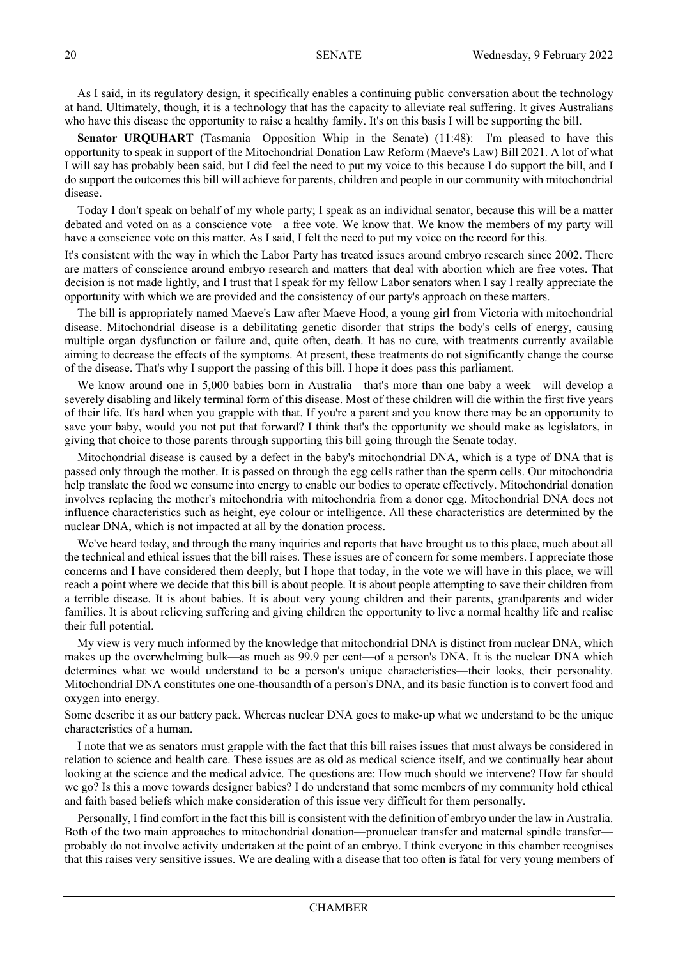As I said, in its regulatory design, it specifically enables a continuing public conversation about the technology at hand. Ultimately, though, it is a technology that has the capacity to alleviate real suffering. It gives Australians who have this disease the opportunity to raise a healthy family. It's on this basis I will be supporting the bill.

**Senator URQUHART** (Tasmania—Opposition Whip in the Senate) (11:48): I'm pleased to have this opportunity to speak in support of the Mitochondrial Donation Law Reform (Maeve's Law) Bill 2021. A lot of what I will say has probably been said, but I did feel the need to put my voice to this because I do support the bill, and I do support the outcomes this bill will achieve for parents, children and people in our community with mitochondrial disease.

Today I don't speak on behalf of my whole party; I speak as an individual senator, because this will be a matter debated and voted on as a conscience vote—a free vote. We know that. We know the members of my party will have a conscience vote on this matter. As I said, I felt the need to put my voice on the record for this.

It's consistent with the way in which the Labor Party has treated issues around embryo research since 2002. There are matters of conscience around embryo research and matters that deal with abortion which are free votes. That decision is not made lightly, and I trust that I speak for my fellow Labor senators when I say I really appreciate the opportunity with which we are provided and the consistency of our party's approach on these matters.

The bill is appropriately named Maeve's Law after Maeve Hood, a young girl from Victoria with mitochondrial disease. Mitochondrial disease is a debilitating genetic disorder that strips the body's cells of energy, causing multiple organ dysfunction or failure and, quite often, death. It has no cure, with treatments currently available aiming to decrease the effects of the symptoms. At present, these treatments do not significantly change the course of the disease. That's why I support the passing of this bill. I hope it does pass this parliament.

We know around one in 5,000 babies born in Australia—that's more than one baby a week—will develop a severely disabling and likely terminal form of this disease. Most of these children will die within the first five years of their life. It's hard when you grapple with that. If you're a parent and you know there may be an opportunity to save your baby, would you not put that forward? I think that's the opportunity we should make as legislators, in giving that choice to those parents through supporting this bill going through the Senate today.

Mitochondrial disease is caused by a defect in the baby's mitochondrial DNA, which is a type of DNA that is passed only through the mother. It is passed on through the egg cells rather than the sperm cells. Our mitochondria help translate the food we consume into energy to enable our bodies to operate effectively. Mitochondrial donation involves replacing the mother's mitochondria with mitochondria from a donor egg. Mitochondrial DNA does not influence characteristics such as height, eye colour or intelligence. All these characteristics are determined by the nuclear DNA, which is not impacted at all by the donation process.

We've heard today, and through the many inquiries and reports that have brought us to this place, much about all the technical and ethical issues that the bill raises. These issues are of concern for some members. I appreciate those concerns and I have considered them deeply, but I hope that today, in the vote we will have in this place, we will reach a point where we decide that this bill is about people. It is about people attempting to save their children from a terrible disease. It is about babies. It is about very young children and their parents, grandparents and wider families. It is about relieving suffering and giving children the opportunity to live a normal healthy life and realise their full potential.

My view is very much informed by the knowledge that mitochondrial DNA is distinct from nuclear DNA, which makes up the overwhelming bulk—as much as 99.9 per cent—of a person's DNA. It is the nuclear DNA which determines what we would understand to be a person's unique characteristics—their looks, their personality. Mitochondrial DNA constitutes one one-thousandth of a person's DNA, and its basic function is to convert food and oxygen into energy.

Some describe it as our battery pack. Whereas nuclear DNA goes to make-up what we understand to be the unique characteristics of a human.

I note that we as senators must grapple with the fact that this bill raises issues that must always be considered in relation to science and health care. These issues are as old as medical science itself, and we continually hear about looking at the science and the medical advice. The questions are: How much should we intervene? How far should we go? Is this a move towards designer babies? I do understand that some members of my community hold ethical and faith based beliefs which make consideration of this issue very difficult for them personally.

Personally, I find comfort in the fact this bill is consistent with the definition of embryo under the law in Australia. Both of the two main approaches to mitochondrial donation—pronuclear transfer and maternal spindle transfer probably do not involve activity undertaken at the point of an embryo. I think everyone in this chamber recognises that this raises very sensitive issues. We are dealing with a disease that too often is fatal for very young members of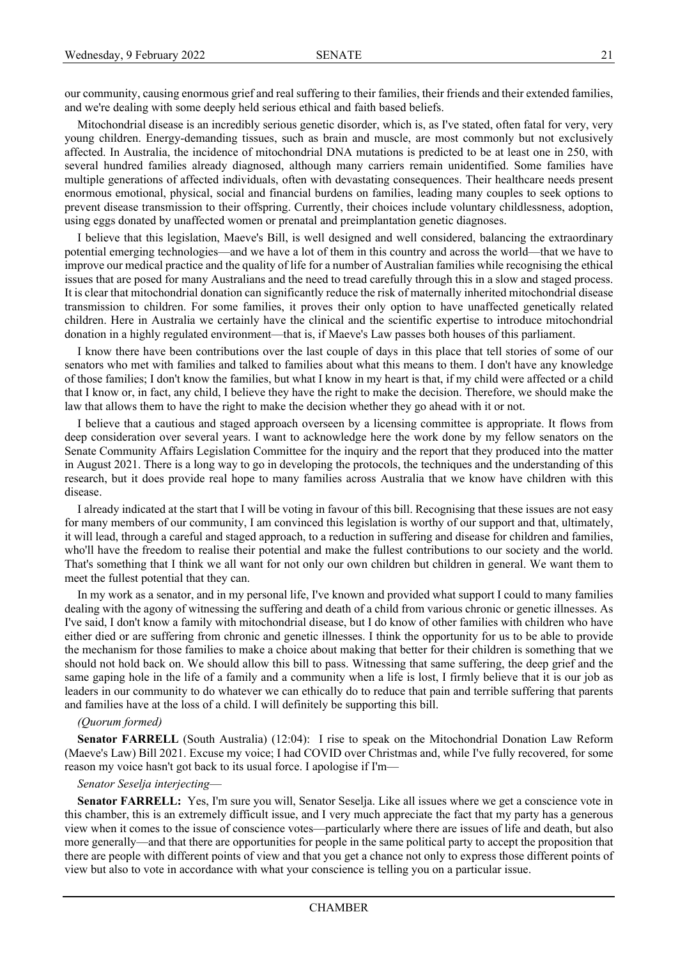our community, causing enormous grief and real suffering to their families, their friends and their extended families, and we're dealing with some deeply held serious ethical and faith based beliefs.

Mitochondrial disease is an incredibly serious genetic disorder, which is, as I've stated, often fatal for very, very young children. Energy-demanding tissues, such as brain and muscle, are most commonly but not exclusively affected. In Australia, the incidence of mitochondrial DNA mutations is predicted to be at least one in 250, with several hundred families already diagnosed, although many carriers remain unidentified. Some families have multiple generations of affected individuals, often with devastating consequences. Their healthcare needs present enormous emotional, physical, social and financial burdens on families, leading many couples to seek options to prevent disease transmission to their offspring. Currently, their choices include voluntary childlessness, adoption, using eggs donated by unaffected women or prenatal and preimplantation genetic diagnoses.

I believe that this legislation, Maeve's Bill, is well designed and well considered, balancing the extraordinary potential emerging technologies—and we have a lot of them in this country and across the world—that we have to improve our medical practice and the quality of life for a number of Australian families while recognising the ethical issues that are posed for many Australians and the need to tread carefully through this in a slow and staged process. It is clear that mitochondrial donation can significantly reduce the risk of maternally inherited mitochondrial disease transmission to children. For some families, it proves their only option to have unaffected genetically related children. Here in Australia we certainly have the clinical and the scientific expertise to introduce mitochondrial donation in a highly regulated environment—that is, if Maeve's Law passes both houses of this parliament.

I know there have been contributions over the last couple of days in this place that tell stories of some of our senators who met with families and talked to families about what this means to them. I don't have any knowledge of those families; I don't know the families, but what I know in my heart is that, if my child were affected or a child that I know or, in fact, any child, I believe they have the right to make the decision. Therefore, we should make the law that allows them to have the right to make the decision whether they go ahead with it or not.

I believe that a cautious and staged approach overseen by a licensing committee is appropriate. It flows from deep consideration over several years. I want to acknowledge here the work done by my fellow senators on the Senate Community Affairs Legislation Committee for the inquiry and the report that they produced into the matter in August 2021. There is a long way to go in developing the protocols, the techniques and the understanding of this research, but it does provide real hope to many families across Australia that we know have children with this disease.

I already indicated at the start that I will be voting in favour of this bill. Recognising that these issues are not easy for many members of our community, I am convinced this legislation is worthy of our support and that, ultimately, it will lead, through a careful and staged approach, to a reduction in suffering and disease for children and families, who'll have the freedom to realise their potential and make the fullest contributions to our society and the world. That's something that I think we all want for not only our own children but children in general. We want them to meet the fullest potential that they can.

In my work as a senator, and in my personal life, I've known and provided what support I could to many families dealing with the agony of witnessing the suffering and death of a child from various chronic or genetic illnesses. As I've said, I don't know a family with mitochondrial disease, but I do know of other families with children who have either died or are suffering from chronic and genetic illnesses. I think the opportunity for us to be able to provide the mechanism for those families to make a choice about making that better for their children is something that we should not hold back on. We should allow this bill to pass. Witnessing that same suffering, the deep grief and the same gaping hole in the life of a family and a community when a life is lost, I firmly believe that it is our job as leaders in our community to do whatever we can ethically do to reduce that pain and terrible suffering that parents and families have at the loss of a child. I will definitely be supporting this bill.

## *(Quorum formed)*

**Senator FARRELL** (South Australia) (12:04): I rise to speak on the Mitochondrial Donation Law Reform (Maeve's Law) Bill 2021. Excuse my voice; I had COVID over Christmas and, while I've fully recovered, for some reason my voice hasn't got back to its usual force. I apologise if I'm—

#### *Senator Seselja interjecting*—

**Senator FARRELL:** Yes, I'm sure you will, Senator Seselja. Like all issues where we get a conscience vote in this chamber, this is an extremely difficult issue, and I very much appreciate the fact that my party has a generous view when it comes to the issue of conscience votes—particularly where there are issues of life and death, but also more generally—and that there are opportunities for people in the same political party to accept the proposition that there are people with different points of view and that you get a chance not only to express those different points of view but also to vote in accordance with what your conscience is telling you on a particular issue.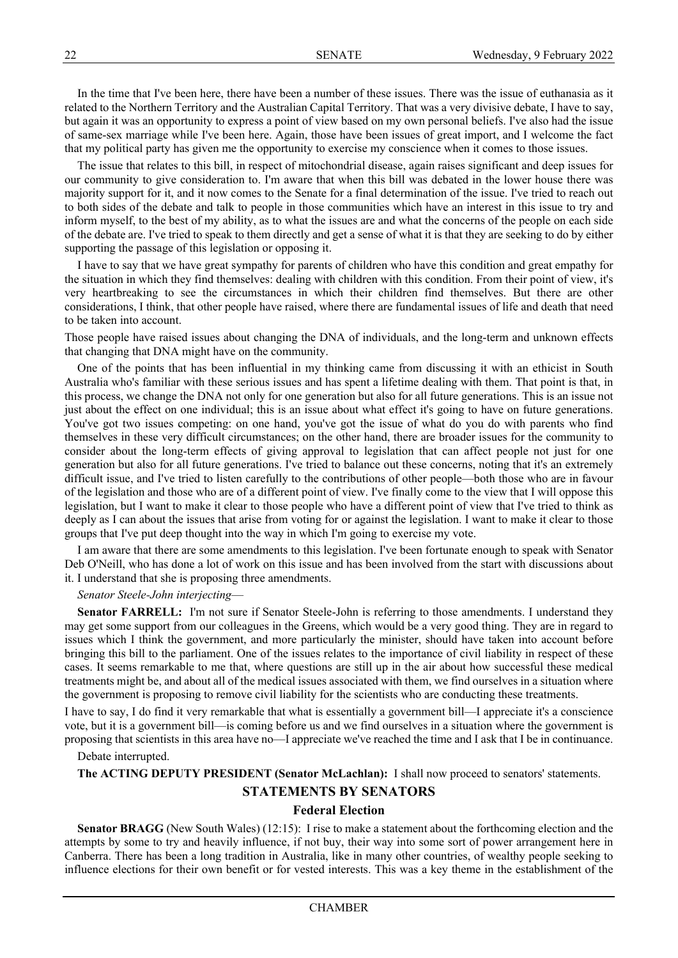In the time that I've been here, there have been a number of these issues. There was the issue of euthanasia as it related to the Northern Territory and the Australian Capital Territory. That was a very divisive debate, I have to say, but again it was an opportunity to express a point of view based on my own personal beliefs. I've also had the issue of same-sex marriage while I've been here. Again, those have been issues of great import, and I welcome the fact that my political party has given me the opportunity to exercise my conscience when it comes to those issues.

The issue that relates to this bill, in respect of mitochondrial disease, again raises significant and deep issues for our community to give consideration to. I'm aware that when this bill was debated in the lower house there was majority support for it, and it now comes to the Senate for a final determination of the issue. I've tried to reach out to both sides of the debate and talk to people in those communities which have an interest in this issue to try and inform myself, to the best of my ability, as to what the issues are and what the concerns of the people on each side of the debate are. I've tried to speak to them directly and get a sense of what it is that they are seeking to do by either supporting the passage of this legislation or opposing it.

I have to say that we have great sympathy for parents of children who have this condition and great empathy for the situation in which they find themselves: dealing with children with this condition. From their point of view, it's very heartbreaking to see the circumstances in which their children find themselves. But there are other considerations, I think, that other people have raised, where there are fundamental issues of life and death that need to be taken into account.

Those people have raised issues about changing the DNA of individuals, and the long-term and unknown effects that changing that DNA might have on the community.

One of the points that has been influential in my thinking came from discussing it with an ethicist in South Australia who's familiar with these serious issues and has spent a lifetime dealing with them. That point is that, in this process, we change the DNA not only for one generation but also for all future generations. This is an issue not just about the effect on one individual; this is an issue about what effect it's going to have on future generations. You've got two issues competing: on one hand, you've got the issue of what do you do with parents who find themselves in these very difficult circumstances; on the other hand, there are broader issues for the community to consider about the long-term effects of giving approval to legislation that can affect people not just for one generation but also for all future generations. I've tried to balance out these concerns, noting that it's an extremely difficult issue, and I've tried to listen carefully to the contributions of other people—both those who are in favour of the legislation and those who are of a different point of view. I've finally come to the view that I will oppose this legislation, but I want to make it clear to those people who have a different point of view that I've tried to think as deeply as I can about the issues that arise from voting for or against the legislation. I want to make it clear to those groups that I've put deep thought into the way in which I'm going to exercise my vote.

I am aware that there are some amendments to this legislation. I've been fortunate enough to speak with Senator Deb O'Neill, who has done a lot of work on this issue and has been involved from the start with discussions about it. I understand that she is proposing three amendments.

#### *Senator Steele-John interjecting*—

**Senator FARRELL:** I'm not sure if Senator Steele-John is referring to those amendments. I understand they may get some support from our colleagues in the Greens, which would be a very good thing. They are in regard to issues which I think the government, and more particularly the minister, should have taken into account before bringing this bill to the parliament. One of the issues relates to the importance of civil liability in respect of these cases. It seems remarkable to me that, where questions are still up in the air about how successful these medical treatments might be, and about all of the medical issues associated with them, we find ourselves in a situation where the government is proposing to remove civil liability for the scientists who are conducting these treatments.

I have to say, I do find it very remarkable that what is essentially a government bill—I appreciate it's a conscience vote, but it is a government bill—is coming before us and we find ourselves in a situation where the government is proposing that scientists in this area have no—I appreciate we've reached the time and I ask that I be in continuance.

Debate interrupted.

**The ACTING DEPUTY PRESIDENT (Senator McLachlan):** I shall now proceed to senators' statements.

# **STATEMENTS BY SENATORS**

## **Federal Election**

**Senator BRAGG** (New South Wales) (12:15): I rise to make a statement about the forthcoming election and the attempts by some to try and heavily influence, if not buy, their way into some sort of power arrangement here in Canberra. There has been a long tradition in Australia, like in many other countries, of wealthy people seeking to influence elections for their own benefit or for vested interests. This was a key theme in the establishment of the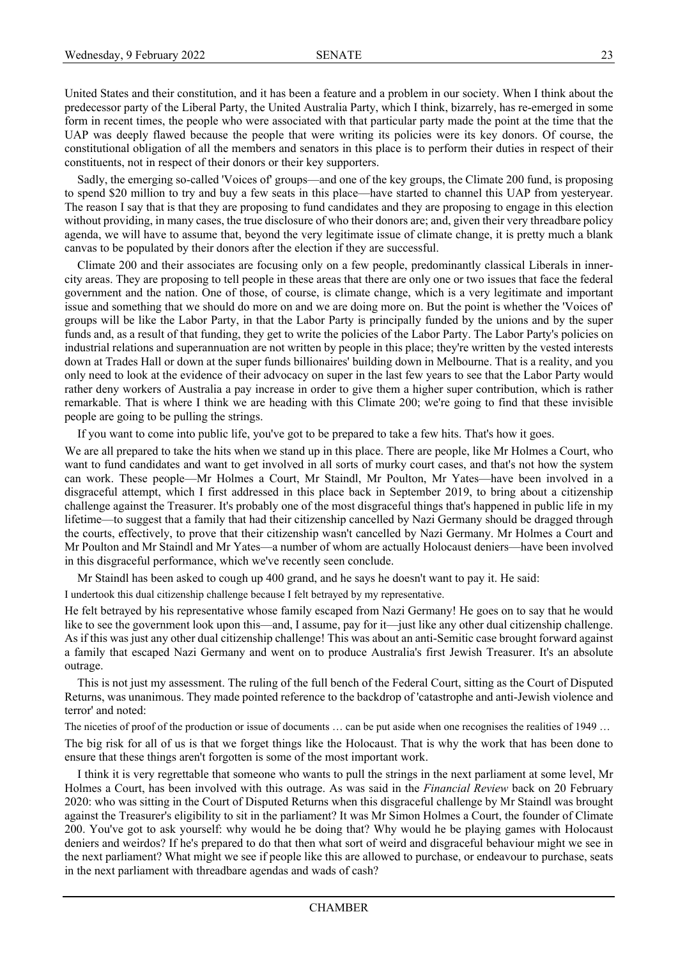United States and their constitution, and it has been a feature and a problem in our society. When I think about the predecessor party of the Liberal Party, the United Australia Party, which I think, bizarrely, has re-emerged in some form in recent times, the people who were associated with that particular party made the point at the time that the UAP was deeply flawed because the people that were writing its policies were its key donors. Of course, the constitutional obligation of all the members and senators in this place is to perform their duties in respect of their constituents, not in respect of their donors or their key supporters.

Sadly, the emerging so-called 'Voices of' groups—and one of the key groups, the Climate 200 fund, is proposing to spend \$20 million to try and buy a few seats in this place—have started to channel this UAP from yesteryear. The reason I say that is that they are proposing to fund candidates and they are proposing to engage in this election without providing, in many cases, the true disclosure of who their donors are; and, given their very threadbare policy agenda, we will have to assume that, beyond the very legitimate issue of climate change, it is pretty much a blank canvas to be populated by their donors after the election if they are successful.

Climate 200 and their associates are focusing only on a few people, predominantly classical Liberals in innercity areas. They are proposing to tell people in these areas that there are only one or two issues that face the federal government and the nation. One of those, of course, is climate change, which is a very legitimate and important issue and something that we should do more on and we are doing more on. But the point is whether the 'Voices of' groups will be like the Labor Party, in that the Labor Party is principally funded by the unions and by the super funds and, as a result of that funding, they get to write the policies of the Labor Party. The Labor Party's policies on industrial relations and superannuation are not written by people in this place; they're written by the vested interests down at Trades Hall or down at the super funds billionaires' building down in Melbourne. That is a reality, and you only need to look at the evidence of their advocacy on super in the last few years to see that the Labor Party would rather deny workers of Australia a pay increase in order to give them a higher super contribution, which is rather remarkable. That is where I think we are heading with this Climate 200; we're going to find that these invisible people are going to be pulling the strings.

If you want to come into public life, you've got to be prepared to take a few hits. That's how it goes.

We are all prepared to take the hits when we stand up in this place. There are people, like Mr Holmes a Court, who want to fund candidates and want to get involved in all sorts of murky court cases, and that's not how the system can work. These people—Mr Holmes a Court, Mr Staindl, Mr Poulton, Mr Yates—have been involved in a disgraceful attempt, which I first addressed in this place back in September 2019, to bring about a citizenship challenge against the Treasurer. It's probably one of the most disgraceful things that's happened in public life in my lifetime—to suggest that a family that had their citizenship cancelled by Nazi Germany should be dragged through the courts, effectively, to prove that their citizenship wasn't cancelled by Nazi Germany. Mr Holmes a Court and Mr Poulton and Mr Staindl and Mr Yates—a number of whom are actually Holocaust deniers—have been involved in this disgraceful performance, which we've recently seen conclude.

Mr Staindl has been asked to cough up 400 grand, and he says he doesn't want to pay it. He said:

I undertook this dual citizenship challenge because I felt betrayed by my representative.

He felt betrayed by his representative whose family escaped from Nazi Germany! He goes on to say that he would like to see the government look upon this—and, I assume, pay for it—just like any other dual citizenship challenge. As if this was just any other dual citizenship challenge! This was about an anti-Semitic case brought forward against a family that escaped Nazi Germany and went on to produce Australia's first Jewish Treasurer. It's an absolute outrage.

This is not just my assessment. The ruling of the full bench of the Federal Court, sitting as the Court of Disputed Returns, was unanimous. They made pointed reference to the backdrop of 'catastrophe and anti-Jewish violence and terror' and noted:

The niceties of proof of the production or issue of documents ... can be put aside when one recognises the realities of 1949 ...

The big risk for all of us is that we forget things like the Holocaust. That is why the work that has been done to ensure that these things aren't forgotten is some of the most important work.

I think it is very regrettable that someone who wants to pull the strings in the next parliament at some level, Mr Holmes a Court, has been involved with this outrage. As was said in the *Financial Review* back on 20 February 2020: who was sitting in the Court of Disputed Returns when this disgraceful challenge by Mr Staindl was brought against the Treasurer's eligibility to sit in the parliament? It was Mr Simon Holmes a Court, the founder of Climate 200. You've got to ask yourself: why would he be doing that? Why would he be playing games with Holocaust deniers and weirdos? If he's prepared to do that then what sort of weird and disgraceful behaviour might we see in the next parliament? What might we see if people like this are allowed to purchase, or endeavour to purchase, seats in the next parliament with threadbare agendas and wads of cash?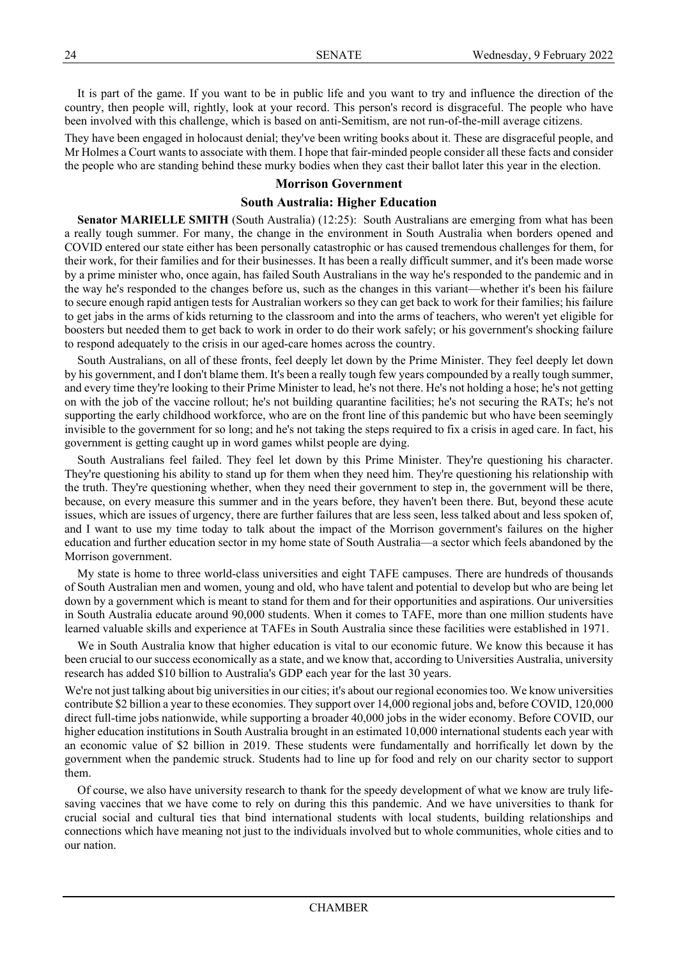It is part of the game. If you want to be in public life and you want to try and influence the direction of the country, then people will, rightly, look at your record. This person's record is disgraceful. The people who have been involved with this challenge, which is based on anti-Semitism, are not run-of-the-mill average citizens.

They have been engaged in holocaust denial; they've been writing books about it. These are disgraceful people, and Mr Holmes a Court wants to associate with them. I hope that fair-minded people consider all these facts and consider the people who are standing behind these murky bodies when they cast their ballot later this year in the election.

# **Morrison Government**

# **South Australia: Higher Education**

**Senator MARIELLE SMITH** (South Australia) (12:25): South Australians are emerging from what has been a really tough summer. For many, the change in the environment in South Australia when borders opened and COVID entered our state either has been personally catastrophic or has caused tremendous challenges for them, for their work, for their families and for their businesses. It has been a really difficult summer, and it's been made worse by a prime minister who, once again, has failed South Australians in the way he's responded to the pandemic and in the way he's responded to the changes before us, such as the changes in this variant—whether it's been his failure to secure enough rapid antigen tests for Australian workers so they can get back to work for their families; his failure to get jabs in the arms of kids returning to the classroom and into the arms of teachers, who weren't yet eligible for boosters but needed them to get back to work in order to do their work safely; or his government's shocking failure to respond adequately to the crisis in our aged-care homes across the country.

South Australians, on all of these fronts, feel deeply let down by the Prime Minister. They feel deeply let down by his government, and I don't blame them. It's been a really tough few years compounded by a really tough summer, and every time they're looking to their Prime Minister to lead, he's not there. He's not holding a hose; he's not getting on with the job of the vaccine rollout; he's not building quarantine facilities; he's not securing the RATs; he's not supporting the early childhood workforce, who are on the front line of this pandemic but who have been seemingly invisible to the government for so long; and he's not taking the steps required to fix a crisis in aged care. In fact, his government is getting caught up in word games whilst people are dying.

South Australians feel failed. They feel let down by this Prime Minister. They're questioning his character. They're questioning his ability to stand up for them when they need him. They're questioning his relationship with the truth. They're questioning whether, when they need their government to step in, the government will be there, because, on every measure this summer and in the years before, they haven't been there. But, beyond these acute issues, which are issues of urgency, there are further failures that are less seen, less talked about and less spoken of, and I want to use my time today to talk about the impact of the Morrison government's failures on the higher education and further education sector in my home state of South Australia—a sector which feels abandoned by the Morrison government.

My state is home to three world-class universities and eight TAFE campuses. There are hundreds of thousands of South Australian men and women, young and old, who have talent and potential to develop but who are being let down by a government which is meant to stand for them and for their opportunities and aspirations. Our universities in South Australia educate around 90,000 students. When it comes to TAFE, more than one million students have learned valuable skills and experience at TAFEs in South Australia since these facilities were established in 1971.

We in South Australia know that higher education is vital to our economic future. We know this because it has been crucial to our success economically as a state, and we know that, according to Universities Australia, university research has added \$10 billion to Australia's GDP each year for the last 30 years.

We're not just talking about big universities in our cities; it's about our regional economies too. We know universities contribute \$2 billion a year to these economies. They support over 14,000 regional jobs and, before COVID, 120,000 direct full-time jobs nationwide, while supporting a broader 40,000 jobs in the wider economy. Before COVID, our higher education institutions in South Australia brought in an estimated 10,000 international students each year with an economic value of \$2 billion in 2019. These students were fundamentally and horrifically let down by the government when the pandemic struck. Students had to line up for food and rely on our charity sector to support them.

Of course, we also have university research to thank for the speedy development of what we know are truly lifesaving vaccines that we have come to rely on during this this pandemic. And we have universities to thank for crucial social and cultural ties that bind international students with local students, building relationships and connections which have meaning not just to the individuals involved but to whole communities, whole cities and to our nation.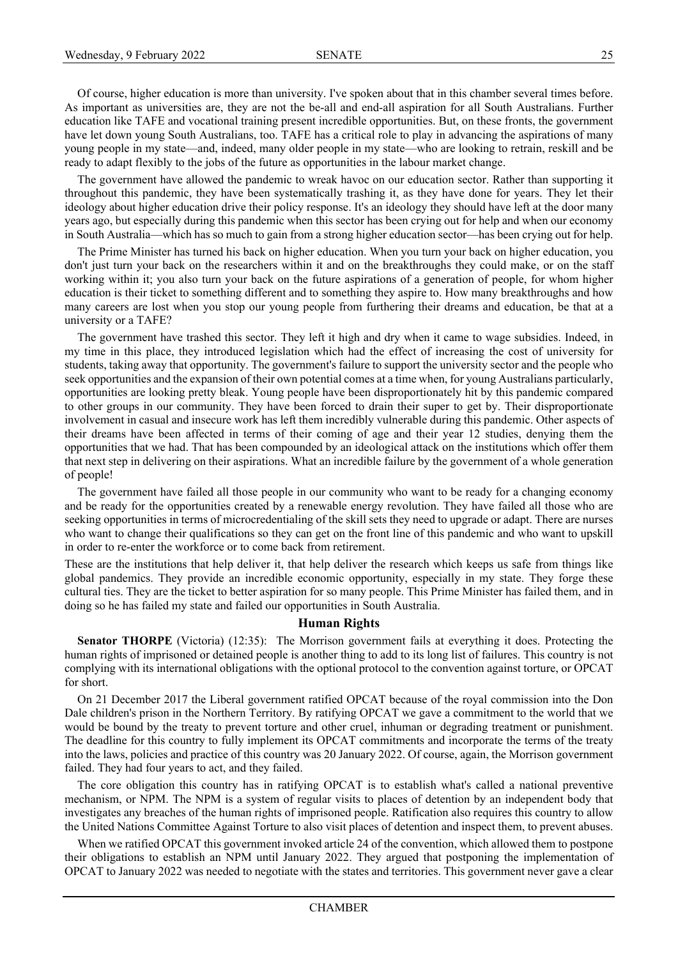Of course, higher education is more than university. I've spoken about that in this chamber several times before. As important as universities are, they are not the be-all and end-all aspiration for all South Australians. Further education like TAFE and vocational training present incredible opportunities. But, on these fronts, the government have let down young South Australians, too. TAFE has a critical role to play in advancing the aspirations of many young people in my state—and, indeed, many older people in my state—who are looking to retrain, reskill and be ready to adapt flexibly to the jobs of the future as opportunities in the labour market change.

The government have allowed the pandemic to wreak havoc on our education sector. Rather than supporting it throughout this pandemic, they have been systematically trashing it, as they have done for years. They let their ideology about higher education drive their policy response. It's an ideology they should have left at the door many years ago, but especially during this pandemic when this sector has been crying out for help and when our economy in South Australia—which has so much to gain from a strong higher education sector—has been crying out for help.

The Prime Minister has turned his back on higher education. When you turn your back on higher education, you don't just turn your back on the researchers within it and on the breakthroughs they could make, or on the staff working within it; you also turn your back on the future aspirations of a generation of people, for whom higher education is their ticket to something different and to something they aspire to. How many breakthroughs and how many careers are lost when you stop our young people from furthering their dreams and education, be that at a university or a TAFE?

The government have trashed this sector. They left it high and dry when it came to wage subsidies. Indeed, in my time in this place, they introduced legislation which had the effect of increasing the cost of university for students, taking away that opportunity. The government's failure to support the university sector and the people who seek opportunities and the expansion of their own potential comes at a time when, for young Australians particularly, opportunities are looking pretty bleak. Young people have been disproportionately hit by this pandemic compared to other groups in our community. They have been forced to drain their super to get by. Their disproportionate involvement in casual and insecure work has left them incredibly vulnerable during this pandemic. Other aspects of their dreams have been affected in terms of their coming of age and their year 12 studies, denying them the opportunities that we had. That has been compounded by an ideological attack on the institutions which offer them that next step in delivering on their aspirations. What an incredible failure by the government of a whole generation of people!

The government have failed all those people in our community who want to be ready for a changing economy and be ready for the opportunities created by a renewable energy revolution. They have failed all those who are seeking opportunities in terms of microcredentialing of the skill sets they need to upgrade or adapt. There are nurses who want to change their qualifications so they can get on the front line of this pandemic and who want to upskill in order to re-enter the workforce or to come back from retirement.

These are the institutions that help deliver it, that help deliver the research which keeps us safe from things like global pandemics. They provide an incredible economic opportunity, especially in my state. They forge these cultural ties. They are the ticket to better aspiration for so many people. This Prime Minister has failed them, and in doing so he has failed my state and failed our opportunities in South Australia.

## **Human Rights**

**Senator THORPE** (Victoria) (12:35): The Morrison government fails at everything it does. Protecting the human rights of imprisoned or detained people is another thing to add to its long list of failures. This country is not complying with its international obligations with the optional protocol to the convention against torture, or OPCAT for short.

On 21 December 2017 the Liberal government ratified OPCAT because of the royal commission into the Don Dale children's prison in the Northern Territory. By ratifying OPCAT we gave a commitment to the world that we would be bound by the treaty to prevent torture and other cruel, inhuman or degrading treatment or punishment. The deadline for this country to fully implement its OPCAT commitments and incorporate the terms of the treaty into the laws, policies and practice of this country was 20 January 2022. Of course, again, the Morrison government failed. They had four years to act, and they failed.

The core obligation this country has in ratifying OPCAT is to establish what's called a national preventive mechanism, or NPM. The NPM is a system of regular visits to places of detention by an independent body that investigates any breaches of the human rights of imprisoned people. Ratification also requires this country to allow the United Nations Committee Against Torture to also visit places of detention and inspect them, to prevent abuses.

When we ratified OPCAT this government invoked article 24 of the convention, which allowed them to postpone their obligations to establish an NPM until January 2022. They argued that postponing the implementation of OPCAT to January 2022 was needed to negotiate with the states and territories. This government never gave a clear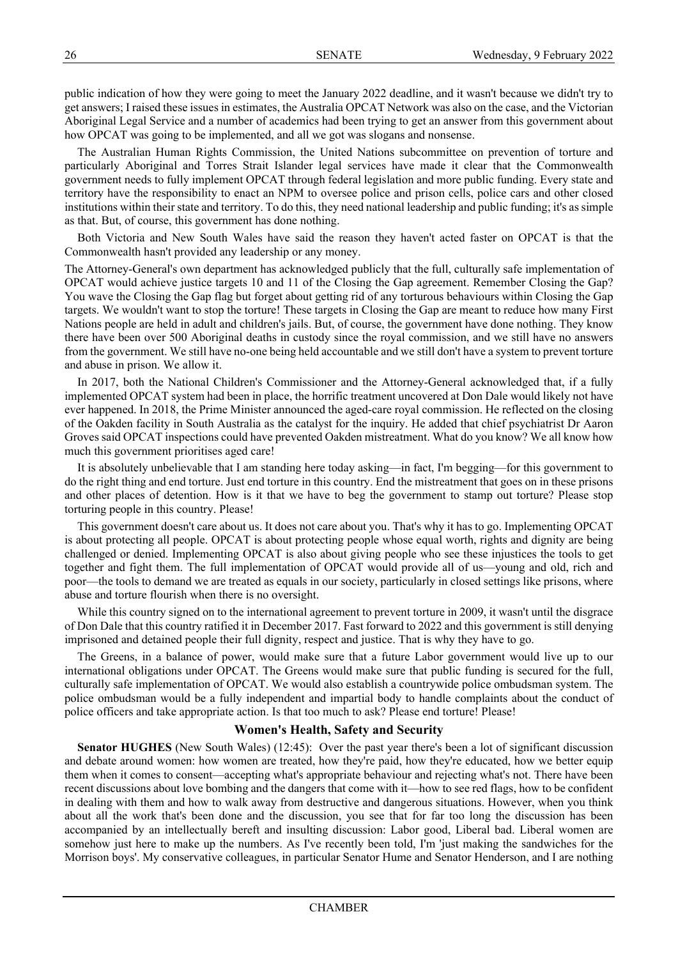public indication of how they were going to meet the January 2022 deadline, and it wasn't because we didn't try to get answers; I raised these issues in estimates, the Australia OPCAT Network was also on the case, and the Victorian Aboriginal Legal Service and a number of academics had been trying to get an answer from this government about how OPCAT was going to be implemented, and all we got was slogans and nonsense.

The Australian Human Rights Commission, the United Nations subcommittee on prevention of torture and particularly Aboriginal and Torres Strait Islander legal services have made it clear that the Commonwealth government needs to fully implement OPCAT through federal legislation and more public funding. Every state and territory have the responsibility to enact an NPM to oversee police and prison cells, police cars and other closed institutions within their state and territory. To do this, they need national leadership and public funding; it's as simple as that. But, of course, this government has done nothing.

Both Victoria and New South Wales have said the reason they haven't acted faster on OPCAT is that the Commonwealth hasn't provided any leadership or any money.

The Attorney-General's own department has acknowledged publicly that the full, culturally safe implementation of OPCAT would achieve justice targets 10 and 11 of the Closing the Gap agreement. Remember Closing the Gap? You wave the Closing the Gap flag but forget about getting rid of any torturous behaviours within Closing the Gap targets. We wouldn't want to stop the torture! These targets in Closing the Gap are meant to reduce how many First Nations people are held in adult and children's jails. But, of course, the government have done nothing. They know there have been over 500 Aboriginal deaths in custody since the royal commission, and we still have no answers from the government. We still have no-one being held accountable and we still don't have a system to prevent torture and abuse in prison. We allow it.

In 2017, both the National Children's Commissioner and the Attorney-General acknowledged that, if a fully implemented OPCAT system had been in place, the horrific treatment uncovered at Don Dale would likely not have ever happened. In 2018, the Prime Minister announced the aged-care royal commission. He reflected on the closing of the Oakden facility in South Australia as the catalyst for the inquiry. He added that chief psychiatrist Dr Aaron Groves said OPCAT inspections could have prevented Oakden mistreatment. What do you know? We all know how much this government prioritises aged care!

It is absolutely unbelievable that I am standing here today asking—in fact, I'm begging—for this government to do the right thing and end torture. Just end torture in this country. End the mistreatment that goes on in these prisons and other places of detention. How is it that we have to beg the government to stamp out torture? Please stop torturing people in this country. Please!

This government doesn't care about us. It does not care about you. That's why it has to go. Implementing OPCAT is about protecting all people. OPCAT is about protecting people whose equal worth, rights and dignity are being challenged or denied. Implementing OPCAT is also about giving people who see these injustices the tools to get together and fight them. The full implementation of OPCAT would provide all of us—young and old, rich and poor—the tools to demand we are treated as equals in our society, particularly in closed settings like prisons, where abuse and torture flourish when there is no oversight.

While this country signed on to the international agreement to prevent torture in 2009, it wasn't until the disgrace of Don Dale that this country ratified it in December 2017. Fast forward to 2022 and this government is still denying imprisoned and detained people their full dignity, respect and justice. That is why they have to go.

The Greens, in a balance of power, would make sure that a future Labor government would live up to our international obligations under OPCAT. The Greens would make sure that public funding is secured for the full, culturally safe implementation of OPCAT. We would also establish a countrywide police ombudsman system. The police ombudsman would be a fully independent and impartial body to handle complaints about the conduct of police officers and take appropriate action. Is that too much to ask? Please end torture! Please!

## **Women's Health, Safety and Security**

**Senator HUGHES** (New South Wales) (12:45): Over the past year there's been a lot of significant discussion and debate around women: how women are treated, how they're paid, how they're educated, how we better equip them when it comes to consent—accepting what's appropriate behaviour and rejecting what's not. There have been recent discussions about love bombing and the dangers that come with it—how to see red flags, how to be confident in dealing with them and how to walk away from destructive and dangerous situations. However, when you think about all the work that's been done and the discussion, you see that for far too long the discussion has been accompanied by an intellectually bereft and insulting discussion: Labor good, Liberal bad. Liberal women are somehow just here to make up the numbers. As I've recently been told, I'm 'just making the sandwiches for the Morrison boys'. My conservative colleagues, in particular Senator Hume and Senator Henderson, and I are nothing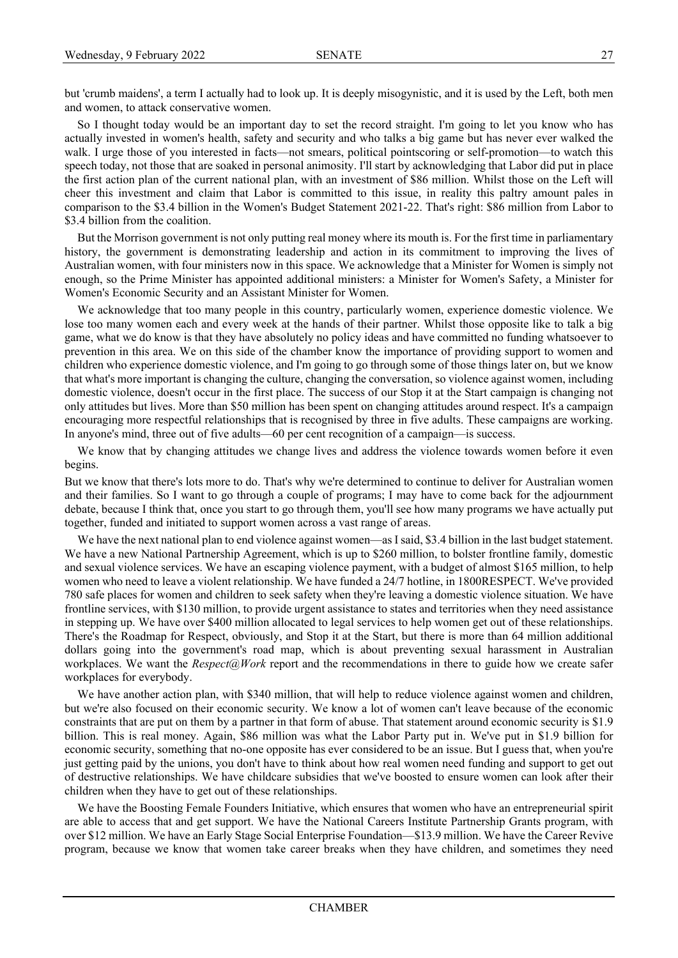but 'crumb maidens', a term I actually had to look up. It is deeply misogynistic, and it is used by the Left, both men and women, to attack conservative women.

So I thought today would be an important day to set the record straight. I'm going to let you know who has actually invested in women's health, safety and security and who talks a big game but has never ever walked the walk. I urge those of you interested in facts—not smears, political pointscoring or self-promotion—to watch this speech today, not those that are soaked in personal animosity. I'll start by acknowledging that Labor did put in place the first action plan of the current national plan, with an investment of \$86 million. Whilst those on the Left will cheer this investment and claim that Labor is committed to this issue, in reality this paltry amount pales in comparison to the \$3.4 billion in the Women's Budget Statement 2021-22. That's right: \$86 million from Labor to \$3.4 billion from the coalition.

But the Morrison government is not only putting real money where its mouth is. For the first time in parliamentary history, the government is demonstrating leadership and action in its commitment to improving the lives of Australian women, with four ministers now in this space. We acknowledge that a Minister for Women is simply not enough, so the Prime Minister has appointed additional ministers: a Minister for Women's Safety, a Minister for Women's Economic Security and an Assistant Minister for Women.

We acknowledge that too many people in this country, particularly women, experience domestic violence. We lose too many women each and every week at the hands of their partner. Whilst those opposite like to talk a big game, what we do know is that they have absolutely no policy ideas and have committed no funding whatsoever to prevention in this area. We on this side of the chamber know the importance of providing support to women and children who experience domestic violence, and I'm going to go through some of those things later on, but we know that what's more important is changing the culture, changing the conversation, so violence against women, including domestic violence, doesn't occur in the first place. The success of our Stop it at the Start campaign is changing not only attitudes but lives. More than \$50 million has been spent on changing attitudes around respect. It's a campaign encouraging more respectful relationships that is recognised by three in five adults. These campaigns are working. In anyone's mind, three out of five adults—60 per cent recognition of a campaign—is success.

We know that by changing attitudes we change lives and address the violence towards women before it even begins.

But we know that there's lots more to do. That's why we're determined to continue to deliver for Australian women and their families. So I want to go through a couple of programs; I may have to come back for the adjournment debate, because I think that, once you start to go through them, you'll see how many programs we have actually put together, funded and initiated to support women across a vast range of areas.

We have the next national plan to end violence against women—as I said, \$3.4 billion in the last budget statement. We have a new National Partnership Agreement, which is up to \$260 million, to bolster frontline family, domestic and sexual violence services. We have an escaping violence payment, with a budget of almost \$165 million, to help women who need to leave a violent relationship. We have funded a 24/7 hotline, in 1800RESPECT. We've provided 780 safe places for women and children to seek safety when they're leaving a domestic violence situation. We have frontline services, with \$130 million, to provide urgent assistance to states and territories when they need assistance in stepping up. We have over \$400 million allocated to legal services to help women get out of these relationships. There's the Roadmap for Respect, obviously, and Stop it at the Start, but there is more than 64 million additional dollars going into the government's road map, which is about preventing sexual harassment in Australian workplaces. We want the *Respect@Work* report and the recommendations in there to guide how we create safer workplaces for everybody.

We have another action plan, with \$340 million, that will help to reduce violence against women and children, but we're also focused on their economic security. We know a lot of women can't leave because of the economic constraints that are put on them by a partner in that form of abuse. That statement around economic security is \$1.9 billion. This is real money. Again, \$86 million was what the Labor Party put in. We've put in \$1.9 billion for economic security, something that no-one opposite has ever considered to be an issue. But I guess that, when you're just getting paid by the unions, you don't have to think about how real women need funding and support to get out of destructive relationships. We have childcare subsidies that we've boosted to ensure women can look after their children when they have to get out of these relationships.

We have the Boosting Female Founders Initiative, which ensures that women who have an entrepreneurial spirit are able to access that and get support. We have the National Careers Institute Partnership Grants program, with over \$12 million. We have an Early Stage Social Enterprise Foundation—\$13.9 million. We have the Career Revive program, because we know that women take career breaks when they have children, and sometimes they need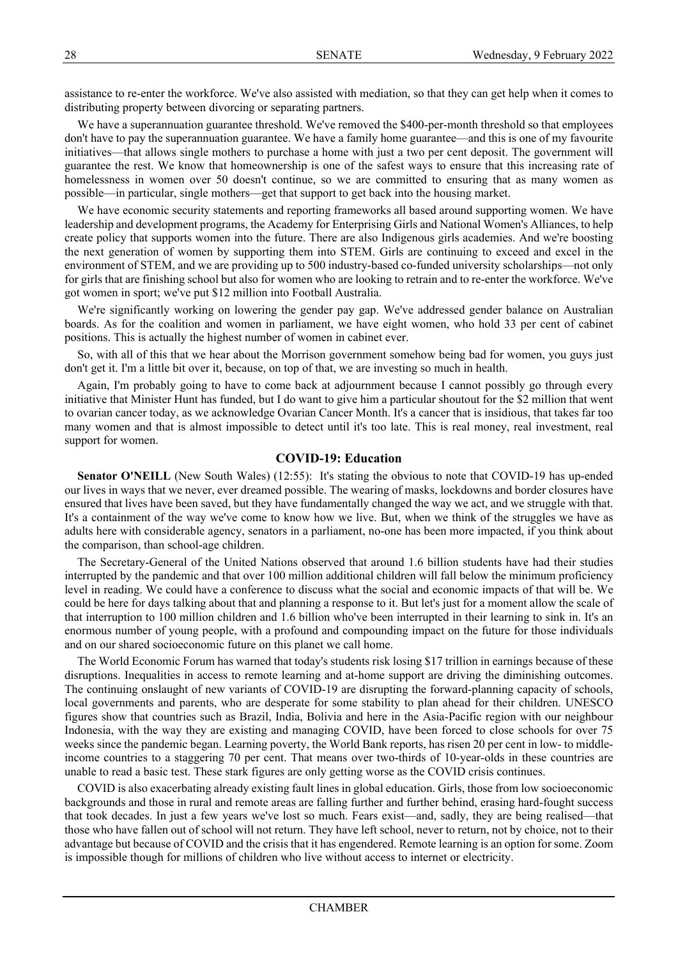assistance to re-enter the workforce. We've also assisted with mediation, so that they can get help when it comes to distributing property between divorcing or separating partners.

We have a superannuation guarantee threshold. We've removed the \$400-per-month threshold so that employees don't have to pay the superannuation guarantee. We have a family home guarantee—and this is one of my favourite initiatives—that allows single mothers to purchase a home with just a two per cent deposit. The government will guarantee the rest. We know that homeownership is one of the safest ways to ensure that this increasing rate of homelessness in women over 50 doesn't continue, so we are committed to ensuring that as many women as possible—in particular, single mothers—get that support to get back into the housing market.

We have economic security statements and reporting frameworks all based around supporting women. We have leadership and development programs, the Academy for Enterprising Girls and National Women's Alliances, to help create policy that supports women into the future. There are also Indigenous girls academies. And we're boosting the next generation of women by supporting them into STEM. Girls are continuing to exceed and excel in the environment of STEM, and we are providing up to 500 industry-based co-funded university scholarships—not only for girls that are finishing school but also for women who are looking to retrain and to re-enter the workforce. We've got women in sport; we've put \$12 million into Football Australia.

We're significantly working on lowering the gender pay gap. We've addressed gender balance on Australian boards. As for the coalition and women in parliament, we have eight women, who hold 33 per cent of cabinet positions. This is actually the highest number of women in cabinet ever.

So, with all of this that we hear about the Morrison government somehow being bad for women, you guys just don't get it. I'm a little bit over it, because, on top of that, we are investing so much in health.

Again, I'm probably going to have to come back at adjournment because I cannot possibly go through every initiative that Minister Hunt has funded, but I do want to give him a particular shoutout for the \$2 million that went to ovarian cancer today, as we acknowledge Ovarian Cancer Month. It's a cancer that is insidious, that takes far too many women and that is almost impossible to detect until it's too late. This is real money, real investment, real support for women.

# **COVID-19: Education**

Senator O'NEILL (New South Wales) (12:55): It's stating the obvious to note that COVID-19 has up-ended our lives in ways that we never, ever dreamed possible. The wearing of masks, lockdowns and border closures have ensured that lives have been saved, but they have fundamentally changed the way we act, and we struggle with that. It's a containment of the way we've come to know how we live. But, when we think of the struggles we have as adults here with considerable agency, senators in a parliament, no-one has been more impacted, if you think about the comparison, than school-age children.

The Secretary-General of the United Nations observed that around 1.6 billion students have had their studies interrupted by the pandemic and that over 100 million additional children will fall below the minimum proficiency level in reading. We could have a conference to discuss what the social and economic impacts of that will be. We could be here for days talking about that and planning a response to it. But let's just for a moment allow the scale of that interruption to 100 million children and 1.6 billion who've been interrupted in their learning to sink in. It's an enormous number of young people, with a profound and compounding impact on the future for those individuals and on our shared socioeconomic future on this planet we call home.

The World Economic Forum has warned that today's students risk losing \$17 trillion in earnings because of these disruptions. Inequalities in access to remote learning and at-home support are driving the diminishing outcomes. The continuing onslaught of new variants of COVID-19 are disrupting the forward-planning capacity of schools, local governments and parents, who are desperate for some stability to plan ahead for their children. UNESCO figures show that countries such as Brazil, India, Bolivia and here in the Asia-Pacific region with our neighbour Indonesia, with the way they are existing and managing COVID, have been forced to close schools for over 75 weeks since the pandemic began. Learning poverty, the World Bank reports, has risen 20 per cent in low- to middleincome countries to a staggering 70 per cent. That means over two-thirds of 10-year-olds in these countries are unable to read a basic test. These stark figures are only getting worse as the COVID crisis continues.

COVID is also exacerbating already existing fault lines in global education. Girls, those from low socioeconomic backgrounds and those in rural and remote areas are falling further and further behind, erasing hard-fought success that took decades. In just a few years we've lost so much. Fears exist—and, sadly, they are being realised—that those who have fallen out of school will not return. They have left school, never to return, not by choice, not to their advantage but because of COVID and the crisis that it has engendered. Remote learning is an option for some. Zoom is impossible though for millions of children who live without access to internet or electricity.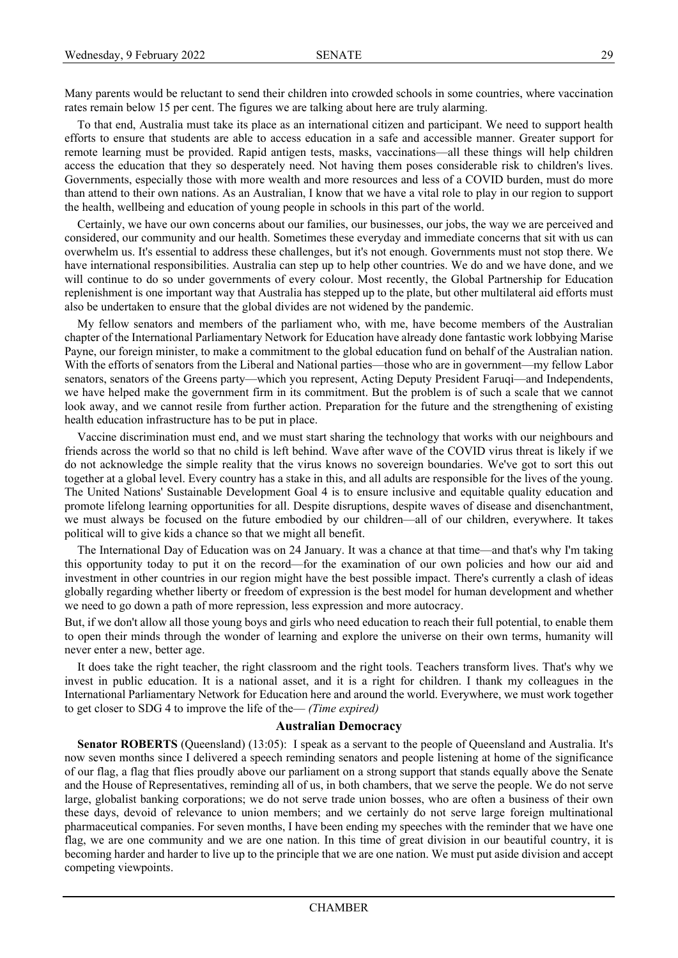Many parents would be reluctant to send their children into crowded schools in some countries, where vaccination rates remain below 15 per cent. The figures we are talking about here are truly alarming.

To that end, Australia must take its place as an international citizen and participant. We need to support health efforts to ensure that students are able to access education in a safe and accessible manner. Greater support for remote learning must be provided. Rapid antigen tests, masks, vaccinations—all these things will help children access the education that they so desperately need. Not having them poses considerable risk to children's lives. Governments, especially those with more wealth and more resources and less of a COVID burden, must do more than attend to their own nations. As an Australian, I know that we have a vital role to play in our region to support the health, wellbeing and education of young people in schools in this part of the world.

Certainly, we have our own concerns about our families, our businesses, our jobs, the way we are perceived and considered, our community and our health. Sometimes these everyday and immediate concerns that sit with us can overwhelm us. It's essential to address these challenges, but it's not enough. Governments must not stop there. We have international responsibilities. Australia can step up to help other countries. We do and we have done, and we will continue to do so under governments of every colour. Most recently, the Global Partnership for Education replenishment is one important way that Australia has stepped up to the plate, but other multilateral aid efforts must also be undertaken to ensure that the global divides are not widened by the pandemic.

My fellow senators and members of the parliament who, with me, have become members of the Australian chapter of the International Parliamentary Network for Education have already done fantastic work lobbying Marise Payne, our foreign minister, to make a commitment to the global education fund on behalf of the Australian nation. With the efforts of senators from the Liberal and National parties—those who are in government—my fellow Labor senators, senators of the Greens party—which you represent, Acting Deputy President Faruqi—and Independents, we have helped make the government firm in its commitment. But the problem is of such a scale that we cannot look away, and we cannot resile from further action. Preparation for the future and the strengthening of existing health education infrastructure has to be put in place.

Vaccine discrimination must end, and we must start sharing the technology that works with our neighbours and friends across the world so that no child is left behind. Wave after wave of the COVID virus threat is likely if we do not acknowledge the simple reality that the virus knows no sovereign boundaries. We've got to sort this out together at a global level. Every country has a stake in this, and all adults are responsible for the lives of the young. The United Nations' Sustainable Development Goal 4 is to ensure inclusive and equitable quality education and promote lifelong learning opportunities for all. Despite disruptions, despite waves of disease and disenchantment, we must always be focused on the future embodied by our children—all of our children, everywhere. It takes political will to give kids a chance so that we might all benefit.

The International Day of Education was on 24 January. It was a chance at that time—and that's why I'm taking this opportunity today to put it on the record—for the examination of our own policies and how our aid and investment in other countries in our region might have the best possible impact. There's currently a clash of ideas globally regarding whether liberty or freedom of expression is the best model for human development and whether we need to go down a path of more repression, less expression and more autocracy.

But, if we don't allow all those young boys and girls who need education to reach their full potential, to enable them to open their minds through the wonder of learning and explore the universe on their own terms, humanity will never enter a new, better age.

It does take the right teacher, the right classroom and the right tools. Teachers transform lives. That's why we invest in public education. It is a national asset, and it is a right for children. I thank my colleagues in the International Parliamentary Network for Education here and around the world. Everywhere, we must work together to get closer to SDG 4 to improve the life of the— *(Time expired)*

### **Australian Democracy**

Senator ROBERTS (Queensland) (13:05): I speak as a servant to the people of Queensland and Australia. It's now seven months since I delivered a speech reminding senators and people listening at home of the significance of our flag, a flag that flies proudly above our parliament on a strong support that stands equally above the Senate and the House of Representatives, reminding all of us, in both chambers, that we serve the people. We do not serve large, globalist banking corporations; we do not serve trade union bosses, who are often a business of their own these days, devoid of relevance to union members; and we certainly do not serve large foreign multinational pharmaceutical companies. For seven months, I have been ending my speeches with the reminder that we have one flag, we are one community and we are one nation. In this time of great division in our beautiful country, it is becoming harder and harder to live up to the principle that we are one nation. We must put aside division and accept competing viewpoints.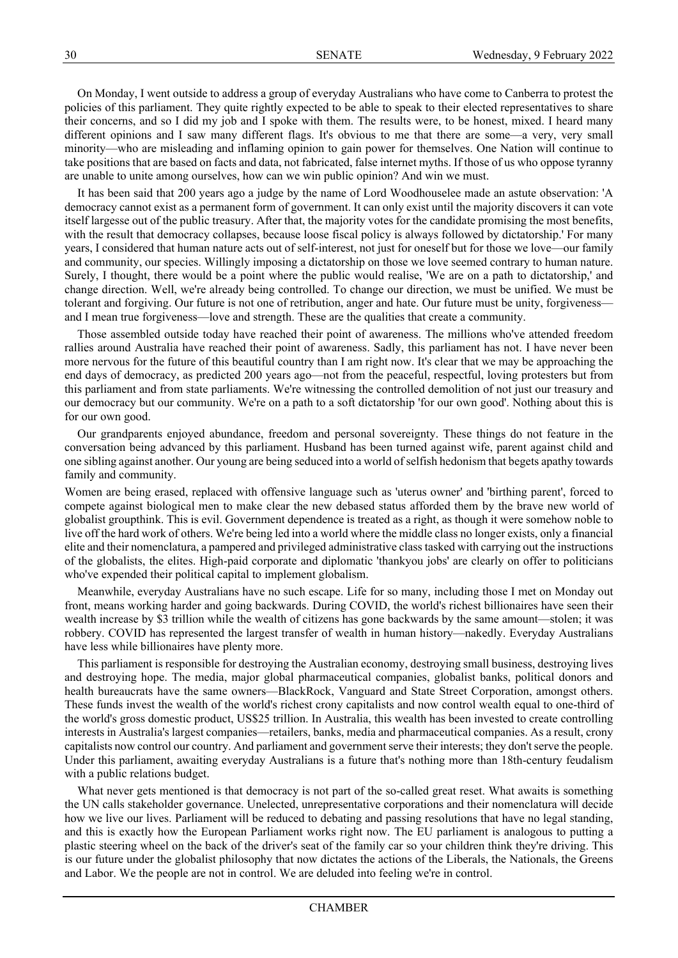On Monday, I went outside to address a group of everyday Australians who have come to Canberra to protest the policies of this parliament. They quite rightly expected to be able to speak to their elected representatives to share their concerns, and so I did my job and I spoke with them. The results were, to be honest, mixed. I heard many different opinions and I saw many different flags. It's obvious to me that there are some—a very, very small minority—who are misleading and inflaming opinion to gain power for themselves. One Nation will continue to take positions that are based on facts and data, not fabricated, false internet myths. If those of us who oppose tyranny are unable to unite among ourselves, how can we win public opinion? And win we must.

It has been said that 200 years ago a judge by the name of Lord Woodhouselee made an astute observation: 'A democracy cannot exist as a permanent form of government. It can only exist until the majority discovers it can vote itself largesse out of the public treasury. After that, the majority votes for the candidate promising the most benefits, with the result that democracy collapses, because loose fiscal policy is always followed by dictatorship.' For many years, I considered that human nature acts out of self-interest, not just for oneself but for those we love—our family and community, our species. Willingly imposing a dictatorship on those we love seemed contrary to human nature. Surely, I thought, there would be a point where the public would realise, 'We are on a path to dictatorship,' and change direction. Well, we're already being controlled. To change our direction, we must be unified. We must be tolerant and forgiving. Our future is not one of retribution, anger and hate. Our future must be unity, forgiveness and I mean true forgiveness—love and strength. These are the qualities that create a community.

Those assembled outside today have reached their point of awareness. The millions who've attended freedom rallies around Australia have reached their point of awareness. Sadly, this parliament has not. I have never been more nervous for the future of this beautiful country than I am right now. It's clear that we may be approaching the end days of democracy, as predicted 200 years ago—not from the peaceful, respectful, loving protesters but from this parliament and from state parliaments. We're witnessing the controlled demolition of not just our treasury and our democracy but our community. We're on a path to a soft dictatorship 'for our own good'. Nothing about this is for our own good.

Our grandparents enjoyed abundance, freedom and personal sovereignty. These things do not feature in the conversation being advanced by this parliament. Husband has been turned against wife, parent against child and one sibling against another. Our young are being seduced into a world of selfish hedonism that begets apathy towards family and community.

Women are being erased, replaced with offensive language such as 'uterus owner' and 'birthing parent', forced to compete against biological men to make clear the new debased status afforded them by the brave new world of globalist groupthink. This is evil. Government dependence is treated as a right, as though it were somehow noble to live off the hard work of others. We're being led into a world where the middle class no longer exists, only a financial elite and their nomenclatura, a pampered and privileged administrative class tasked with carrying out the instructions of the globalists, the elites. High-paid corporate and diplomatic 'thankyou jobs' are clearly on offer to politicians who've expended their political capital to implement globalism.

Meanwhile, everyday Australians have no such escape. Life for so many, including those I met on Monday out front, means working harder and going backwards. During COVID, the world's richest billionaires have seen their wealth increase by \$3 trillion while the wealth of citizens has gone backwards by the same amount—stolen; it was robbery. COVID has represented the largest transfer of wealth in human history—nakedly. Everyday Australians have less while billionaires have plenty more.

This parliament is responsible for destroying the Australian economy, destroying small business, destroying lives and destroying hope. The media, major global pharmaceutical companies, globalist banks, political donors and health bureaucrats have the same owners—BlackRock, Vanguard and State Street Corporation, amongst others. These funds invest the wealth of the world's richest crony capitalists and now control wealth equal to one-third of the world's gross domestic product, US\$25 trillion. In Australia, this wealth has been invested to create controlling interests in Australia's largest companies—retailers, banks, media and pharmaceutical companies. As a result, crony capitalists now control our country. And parliament and government serve their interests; they don't serve the people. Under this parliament, awaiting everyday Australians is a future that's nothing more than 18th-century feudalism with a public relations budget.

What never gets mentioned is that democracy is not part of the so-called great reset. What awaits is something the UN calls stakeholder governance. Unelected, unrepresentative corporations and their nomenclatura will decide how we live our lives. Parliament will be reduced to debating and passing resolutions that have no legal standing, and this is exactly how the European Parliament works right now. The EU parliament is analogous to putting a plastic steering wheel on the back of the driver's seat of the family car so your children think they're driving. This is our future under the globalist philosophy that now dictates the actions of the Liberals, the Nationals, the Greens and Labor. We the people are not in control. We are deluded into feeling we're in control.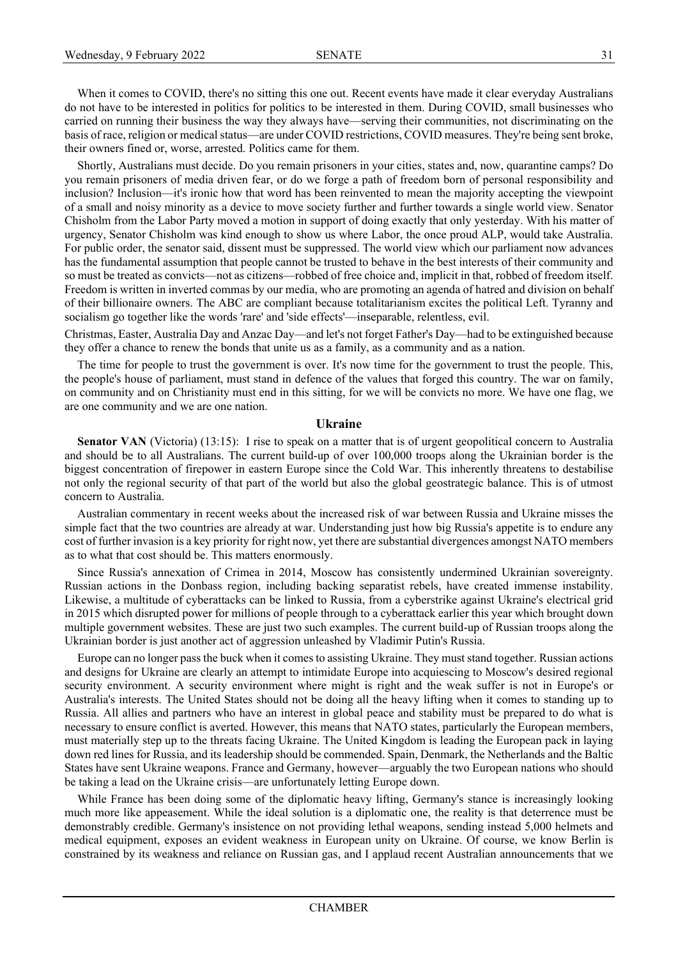When it comes to COVID, there's no sitting this one out. Recent events have made it clear everyday Australians do not have to be interested in politics for politics to be interested in them. During COVID, small businesses who carried on running their business the way they always have—serving their communities, not discriminating on the basis of race, religion or medical status—are under COVID restrictions, COVID measures. They're being sent broke, their owners fined or, worse, arrested. Politics came for them.

Shortly, Australians must decide. Do you remain prisoners in your cities, states and, now, quarantine camps? Do you remain prisoners of media driven fear, or do we forge a path of freedom born of personal responsibility and inclusion? Inclusion—it's ironic how that word has been reinvented to mean the majority accepting the viewpoint of a small and noisy minority as a device to move society further and further towards a single world view. Senator Chisholm from the Labor Party moved a motion in support of doing exactly that only yesterday. With his matter of urgency, Senator Chisholm was kind enough to show us where Labor, the once proud ALP, would take Australia. For public order, the senator said, dissent must be suppressed. The world view which our parliament now advances has the fundamental assumption that people cannot be trusted to behave in the best interests of their community and so must be treated as convicts—not as citizens—robbed of free choice and, implicit in that, robbed of freedom itself. Freedom is written in inverted commas by our media, who are promoting an agenda of hatred and division on behalf of their billionaire owners. The ABC are compliant because totalitarianism excites the political Left. Tyranny and socialism go together like the words 'rare' and 'side effects'—inseparable, relentless, evil.

Christmas, Easter, Australia Day and Anzac Day—and let's not forget Father's Day—had to be extinguished because they offer a chance to renew the bonds that unite us as a family, as a community and as a nation.

The time for people to trust the government is over. It's now time for the government to trust the people. This, the people's house of parliament, must stand in defence of the values that forged this country. The war on family, on community and on Christianity must end in this sitting, for we will be convicts no more. We have one flag, we are one community and we are one nation.

#### **Ukraine**

**Senator VAN** (Victoria) (13:15): I rise to speak on a matter that is of urgent geopolitical concern to Australia and should be to all Australians. The current build-up of over 100,000 troops along the Ukrainian border is the biggest concentration of firepower in eastern Europe since the Cold War. This inherently threatens to destabilise not only the regional security of that part of the world but also the global geostrategic balance. This is of utmost concern to Australia.

Australian commentary in recent weeks about the increased risk of war between Russia and Ukraine misses the simple fact that the two countries are already at war. Understanding just how big Russia's appetite is to endure any cost of further invasion is a key priority for right now, yet there are substantial divergences amongst NATO members as to what that cost should be. This matters enormously.

Since Russia's annexation of Crimea in 2014, Moscow has consistently undermined Ukrainian sovereignty. Russian actions in the Donbass region, including backing separatist rebels, have created immense instability. Likewise, a multitude of cyberattacks can be linked to Russia, from a cyberstrike against Ukraine's electrical grid in 2015 which disrupted power for millions of people through to a cyberattack earlier this year which brought down multiple government websites. These are just two such examples. The current build-up of Russian troops along the Ukrainian border is just another act of aggression unleashed by Vladimir Putin's Russia.

Europe can no longer pass the buck when it comes to assisting Ukraine. They must stand together. Russian actions and designs for Ukraine are clearly an attempt to intimidate Europe into acquiescing to Moscow's desired regional security environment. A security environment where might is right and the weak suffer is not in Europe's or Australia's interests. The United States should not be doing all the heavy lifting when it comes to standing up to Russia. All allies and partners who have an interest in global peace and stability must be prepared to do what is necessary to ensure conflict is averted. However, this means that NATO states, particularly the European members, must materially step up to the threats facing Ukraine. The United Kingdom is leading the European pack in laying down red lines for Russia, and its leadership should be commended. Spain, Denmark, the Netherlands and the Baltic States have sent Ukraine weapons. France and Germany, however—arguably the two European nations who should be taking a lead on the Ukraine crisis—are unfortunately letting Europe down.

While France has been doing some of the diplomatic heavy lifting, Germany's stance is increasingly looking much more like appeasement. While the ideal solution is a diplomatic one, the reality is that deterrence must be demonstrably credible. Germany's insistence on not providing lethal weapons, sending instead 5,000 helmets and medical equipment, exposes an evident weakness in European unity on Ukraine. Of course, we know Berlin is constrained by its weakness and reliance on Russian gas, and I applaud recent Australian announcements that we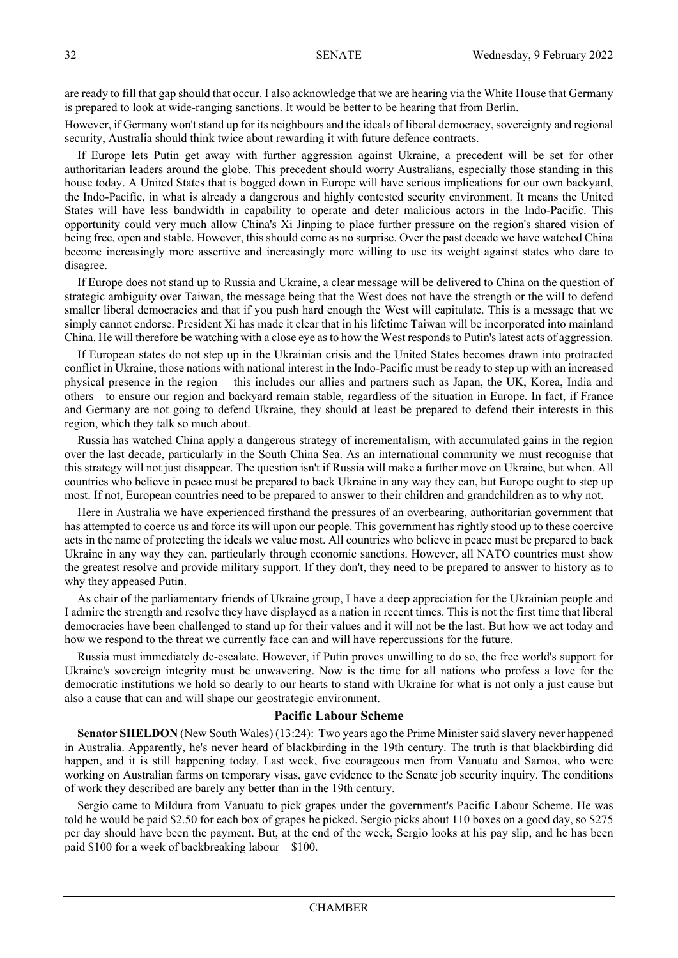are ready to fill that gap should that occur. I also acknowledge that we are hearing via the White House that Germany is prepared to look at wide-ranging sanctions. It would be better to be hearing that from Berlin.

However, if Germany won't stand up for its neighbours and the ideals of liberal democracy, sovereignty and regional security, Australia should think twice about rewarding it with future defence contracts.

If Europe lets Putin get away with further aggression against Ukraine, a precedent will be set for other authoritarian leaders around the globe. This precedent should worry Australians, especially those standing in this house today. A United States that is bogged down in Europe will have serious implications for our own backyard, the Indo-Pacific, in what is already a dangerous and highly contested security environment. It means the United States will have less bandwidth in capability to operate and deter malicious actors in the Indo-Pacific. This opportunity could very much allow China's Xi Jinping to place further pressure on the region's shared vision of being free, open and stable. However, this should come as no surprise. Over the past decade we have watched China become increasingly more assertive and increasingly more willing to use its weight against states who dare to disagree.

If Europe does not stand up to Russia and Ukraine, a clear message will be delivered to China on the question of strategic ambiguity over Taiwan, the message being that the West does not have the strength or the will to defend smaller liberal democracies and that if you push hard enough the West will capitulate. This is a message that we simply cannot endorse. President Xi has made it clear that in his lifetime Taiwan will be incorporated into mainland China. He will therefore be watching with a close eye as to how the West responds to Putin's latest acts of aggression.

If European states do not step up in the Ukrainian crisis and the United States becomes drawn into protracted conflict in Ukraine, those nations with national interest in the Indo-Pacific must be ready to step up with an increased physical presence in the region —this includes our allies and partners such as Japan, the UK, Korea, India and others—to ensure our region and backyard remain stable, regardless of the situation in Europe. In fact, if France and Germany are not going to defend Ukraine, they should at least be prepared to defend their interests in this region, which they talk so much about.

Russia has watched China apply a dangerous strategy of incrementalism, with accumulated gains in the region over the last decade, particularly in the South China Sea. As an international community we must recognise that this strategy will not just disappear. The question isn't if Russia will make a further move on Ukraine, but when. All countries who believe in peace must be prepared to back Ukraine in any way they can, but Europe ought to step up most. If not, European countries need to be prepared to answer to their children and grandchildren as to why not.

Here in Australia we have experienced firsthand the pressures of an overbearing, authoritarian government that has attempted to coerce us and force its will upon our people. This government has rightly stood up to these coercive acts in the name of protecting the ideals we value most. All countries who believe in peace must be prepared to back Ukraine in any way they can, particularly through economic sanctions. However, all NATO countries must show the greatest resolve and provide military support. If they don't, they need to be prepared to answer to history as to why they appeased Putin.

As chair of the parliamentary friends of Ukraine group, I have a deep appreciation for the Ukrainian people and I admire the strength and resolve they have displayed as a nation in recent times. This is not the first time that liberal democracies have been challenged to stand up for their values and it will not be the last. But how we act today and how we respond to the threat we currently face can and will have repercussions for the future.

Russia must immediately de-escalate. However, if Putin proves unwilling to do so, the free world's support for Ukraine's sovereign integrity must be unwavering. Now is the time for all nations who profess a love for the democratic institutions we hold so dearly to our hearts to stand with Ukraine for what is not only a just cause but also a cause that can and will shape our geostrategic environment.

#### **Pacific Labour Scheme**

**Senator SHELDON** (New South Wales) (13:24): Two years ago the Prime Minister said slavery never happened in Australia. Apparently, he's never heard of blackbirding in the 19th century. The truth is that blackbirding did happen, and it is still happening today. Last week, five courageous men from Vanuatu and Samoa, who were working on Australian farms on temporary visas, gave evidence to the Senate job security inquiry. The conditions of work they described are barely any better than in the 19th century.

Sergio came to Mildura from Vanuatu to pick grapes under the government's Pacific Labour Scheme. He was told he would be paid \$2.50 for each box of grapes he picked. Sergio picks about 110 boxes on a good day, so \$275 per day should have been the payment. But, at the end of the week, Sergio looks at his pay slip, and he has been paid \$100 for a week of backbreaking labour—\$100.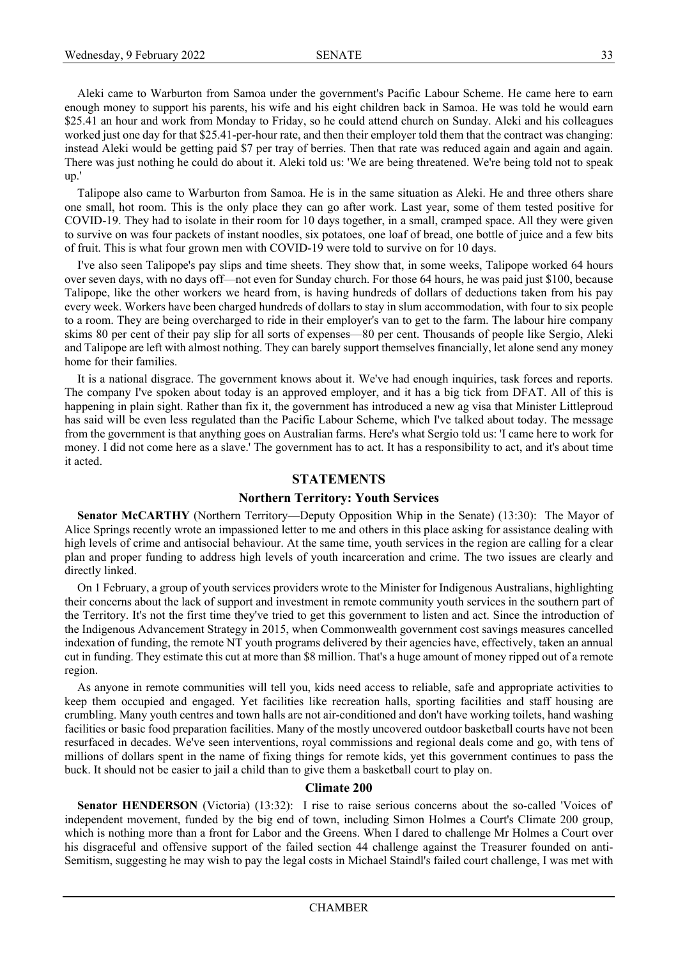Aleki came to Warburton from Samoa under the government's Pacific Labour Scheme. He came here to earn enough money to support his parents, his wife and his eight children back in Samoa. He was told he would earn \$25.41 an hour and work from Monday to Friday, so he could attend church on Sunday. Aleki and his colleagues worked just one day for that \$25.41-per-hour rate, and then their employer told them that the contract was changing: instead Aleki would be getting paid \$7 per tray of berries. Then that rate was reduced again and again and again. There was just nothing he could do about it. Aleki told us: 'We are being threatened. We're being told not to speak up.'

Talipope also came to Warburton from Samoa. He is in the same situation as Aleki. He and three others share one small, hot room. This is the only place they can go after work. Last year, some of them tested positive for COVID-19. They had to isolate in their room for 10 days together, in a small, cramped space. All they were given to survive on was four packets of instant noodles, six potatoes, one loaf of bread, one bottle of juice and a few bits of fruit. This is what four grown men with COVID-19 were told to survive on for 10 days.

I've also seen Talipope's pay slips and time sheets. They show that, in some weeks, Talipope worked 64 hours over seven days, with no days off—not even for Sunday church. For those 64 hours, he was paid just \$100, because Talipope, like the other workers we heard from, is having hundreds of dollars of deductions taken from his pay every week. Workers have been charged hundreds of dollars to stay in slum accommodation, with four to six people to a room. They are being overcharged to ride in their employer's van to get to the farm. The labour hire company skims 80 per cent of their pay slip for all sorts of expenses—80 per cent. Thousands of people like Sergio, Aleki and Talipope are left with almost nothing. They can barely support themselves financially, let alone send any money home for their families.

It is a national disgrace. The government knows about it. We've had enough inquiries, task forces and reports. The company I've spoken about today is an approved employer, and it has a big tick from DFAT. All of this is happening in plain sight. Rather than fix it, the government has introduced a new ag visa that Minister Littleproud has said will be even less regulated than the Pacific Labour Scheme, which I've talked about today. The message from the government is that anything goes on Australian farms. Here's what Sergio told us: 'I came here to work for money. I did not come here as a slave.' The government has to act. It has a responsibility to act, and it's about time it acted.

# **STATEMENTS**

## **Northern Territory: Youth Services**

**Senator McCARTHY** (Northern Territory—Deputy Opposition Whip in the Senate) (13:30): The Mayor of Alice Springs recently wrote an impassioned letter to me and others in this place asking for assistance dealing with high levels of crime and antisocial behaviour. At the same time, youth services in the region are calling for a clear plan and proper funding to address high levels of youth incarceration and crime. The two issues are clearly and directly linked.

On 1 February, a group of youth services providers wrote to the Minister for Indigenous Australians, highlighting their concerns about the lack of support and investment in remote community youth services in the southern part of the Territory. It's not the first time they've tried to get this government to listen and act. Since the introduction of the Indigenous Advancement Strategy in 2015, when Commonwealth government cost savings measures cancelled indexation of funding, the remote NT youth programs delivered by their agencies have, effectively, taken an annual cut in funding. They estimate this cut at more than \$8 million. That's a huge amount of money ripped out of a remote region.

As anyone in remote communities will tell you, kids need access to reliable, safe and appropriate activities to keep them occupied and engaged. Yet facilities like recreation halls, sporting facilities and staff housing are crumbling. Many youth centres and town halls are not air-conditioned and don't have working toilets, hand washing facilities or basic food preparation facilities. Many of the mostly uncovered outdoor basketball courts have not been resurfaced in decades. We've seen interventions, royal commissions and regional deals come and go, with tens of millions of dollars spent in the name of fixing things for remote kids, yet this government continues to pass the buck. It should not be easier to jail a child than to give them a basketball court to play on.

#### **Climate 200**

Senator HENDERSON (Victoria) (13:32): I rise to raise serious concerns about the so-called 'Voices of' independent movement, funded by the big end of town, including Simon Holmes a Court's Climate 200 group, which is nothing more than a front for Labor and the Greens. When I dared to challenge Mr Holmes a Court over his disgraceful and offensive support of the failed section 44 challenge against the Treasurer founded on anti-Semitism, suggesting he may wish to pay the legal costs in Michael Staindl's failed court challenge, I was met with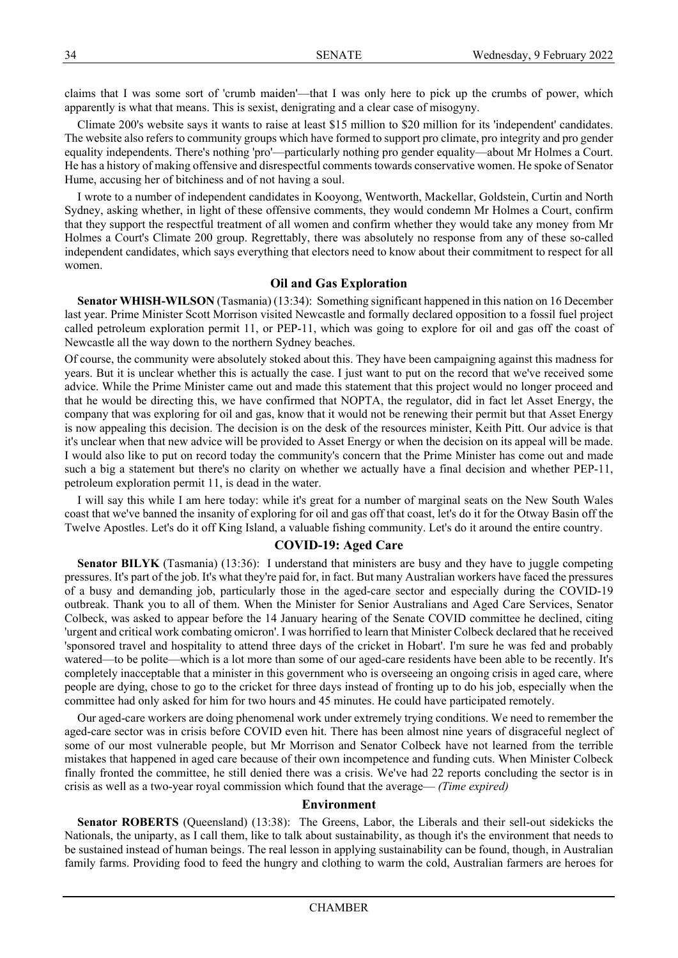claims that I was some sort of 'crumb maiden'—that I was only here to pick up the crumbs of power, which apparently is what that means. This is sexist, denigrating and a clear case of misogyny.

Climate 200's website says it wants to raise at least \$15 million to \$20 million for its 'independent' candidates. The website also refers to community groups which have formed to support pro climate, pro integrity and pro gender equality independents. There's nothing 'pro'—particularly nothing pro gender equality—about Mr Holmes a Court. He has a history of making offensive and disrespectful comments towards conservative women. He spoke of Senator Hume, accusing her of bitchiness and of not having a soul.

I wrote to a number of independent candidates in Kooyong, Wentworth, Mackellar, Goldstein, Curtin and North Sydney, asking whether, in light of these offensive comments, they would condemn Mr Holmes a Court, confirm that they support the respectful treatment of all women and confirm whether they would take any money from Mr Holmes a Court's Climate 200 group. Regrettably, there was absolutely no response from any of these so-called independent candidates, which says everything that electors need to know about their commitment to respect for all women.

# **Oil and Gas Exploration**

**Senator WHISH-WILSON** (Tasmania) (13:34): Something significant happened in this nation on 16 December last year. Prime Minister Scott Morrison visited Newcastle and formally declared opposition to a fossil fuel project called petroleum exploration permit 11, or PEP-11, which was going to explore for oil and gas off the coast of Newcastle all the way down to the northern Sydney beaches.

Of course, the community were absolutely stoked about this. They have been campaigning against this madness for years. But it is unclear whether this is actually the case. I just want to put on the record that we've received some advice. While the Prime Minister came out and made this statement that this project would no longer proceed and that he would be directing this, we have confirmed that NOPTA, the regulator, did in fact let Asset Energy, the company that was exploring for oil and gas, know that it would not be renewing their permit but that Asset Energy is now appealing this decision. The decision is on the desk of the resources minister, Keith Pitt. Our advice is that it's unclear when that new advice will be provided to Asset Energy or when the decision on its appeal will be made. I would also like to put on record today the community's concern that the Prime Minister has come out and made such a big a statement but there's no clarity on whether we actually have a final decision and whether PEP-11, petroleum exploration permit 11, is dead in the water.

I will say this while I am here today: while it's great for a number of marginal seats on the New South Wales coast that we've banned the insanity of exploring for oil and gas off that coast, let's do it for the Otway Basin off the Twelve Apostles. Let's do it off King Island, a valuable fishing community. Let's do it around the entire country.

## **COVID-19: Aged Care**

**Senator BILYK** (Tasmania) (13:36): I understand that ministers are busy and they have to juggle competing pressures. It's part of the job. It's what they're paid for, in fact. But many Australian workers have faced the pressures of a busy and demanding job, particularly those in the aged-care sector and especially during the COVID-19 outbreak. Thank you to all of them. When the Minister for Senior Australians and Aged Care Services, Senator Colbeck, was asked to appear before the 14 January hearing of the Senate COVID committee he declined, citing 'urgent and critical work combating omicron'. I was horrified to learn that Minister Colbeck declared that he received 'sponsored travel and hospitality to attend three days of the cricket in Hobart'. I'm sure he was fed and probably watered—to be polite—which is a lot more than some of our aged-care residents have been able to be recently. It's completely inacceptable that a minister in this government who is overseeing an ongoing crisis in aged care, where people are dying, chose to go to the cricket for three days instead of fronting up to do his job, especially when the committee had only asked for him for two hours and 45 minutes. He could have participated remotely.

Our aged-care workers are doing phenomenal work under extremely trying conditions. We need to remember the aged-care sector was in crisis before COVID even hit. There has been almost nine years of disgraceful neglect of some of our most vulnerable people, but Mr Morrison and Senator Colbeck have not learned from the terrible mistakes that happened in aged care because of their own incompetence and funding cuts. When Minister Colbeck finally fronted the committee, he still denied there was a crisis. We've had 22 reports concluding the sector is in crisis as well as a two-year royal commission which found that the average— *(Time expired)*

# **Environment**

**Senator ROBERTS** (Queensland) (13:38): The Greens, Labor, the Liberals and their sell-out sidekicks the Nationals, the uniparty, as I call them, like to talk about sustainability, as though it's the environment that needs to be sustained instead of human beings. The real lesson in applying sustainability can be found, though, in Australian family farms. Providing food to feed the hungry and clothing to warm the cold, Australian farmers are heroes for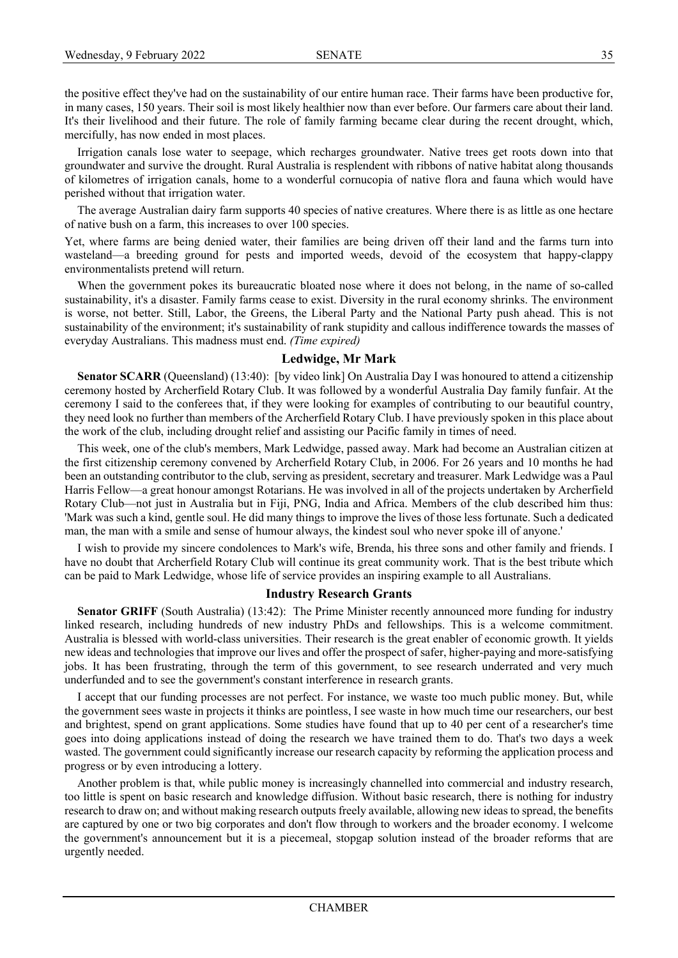the positive effect they've had on the sustainability of our entire human race. Their farms have been productive for, in many cases, 150 years. Their soil is most likely healthier now than ever before. Our farmers care about their land. It's their livelihood and their future. The role of family farming became clear during the recent drought, which, mercifully, has now ended in most places.

Irrigation canals lose water to seepage, which recharges groundwater. Native trees get roots down into that groundwater and survive the drought. Rural Australia is resplendent with ribbons of native habitat along thousands of kilometres of irrigation canals, home to a wonderful cornucopia of native flora and fauna which would have perished without that irrigation water.

The average Australian dairy farm supports 40 species of native creatures. Where there is as little as one hectare of native bush on a farm, this increases to over 100 species.

Yet, where farms are being denied water, their families are being driven off their land and the farms turn into wasteland—a breeding ground for pests and imported weeds, devoid of the ecosystem that happy-clappy environmentalists pretend will return.

When the government pokes its bureaucratic bloated nose where it does not belong, in the name of so-called sustainability, it's a disaster. Family farms cease to exist. Diversity in the rural economy shrinks. The environment is worse, not better. Still, Labor, the Greens, the Liberal Party and the National Party push ahead. This is not sustainability of the environment; it's sustainability of rank stupidity and callous indifference towards the masses of everyday Australians. This madness must end. *(Time expired)*

#### **Ledwidge, Mr Mark**

**Senator SCARR** (Queensland) (13:40): [by video link] On Australia Day I was honoured to attend a citizenship ceremony hosted by Archerfield Rotary Club. It was followed by a wonderful Australia Day family funfair. At the ceremony I said to the conferees that, if they were looking for examples of contributing to our beautiful country, they need look no further than members of the Archerfield Rotary Club. I have previously spoken in this place about the work of the club, including drought relief and assisting our Pacific family in times of need.

This week, one of the club's members, Mark Ledwidge, passed away. Mark had become an Australian citizen at the first citizenship ceremony convened by Archerfield Rotary Club, in 2006. For 26 years and 10 months he had been an outstanding contributor to the club, serving as president, secretary and treasurer. Mark Ledwidge was a Paul Harris Fellow—a great honour amongst Rotarians. He was involved in all of the projects undertaken by Archerfield Rotary Club—not just in Australia but in Fiji, PNG, India and Africa. Members of the club described him thus: 'Mark was such a kind, gentle soul. He did many things to improve the lives of those less fortunate. Such a dedicated man, the man with a smile and sense of humour always, the kindest soul who never spoke ill of anyone.'

I wish to provide my sincere condolences to Mark's wife, Brenda, his three sons and other family and friends. I have no doubt that Archerfield Rotary Club will continue its great community work. That is the best tribute which can be paid to Mark Ledwidge, whose life of service provides an inspiring example to all Australians.

## **Industry Research Grants**

**Senator GRIFF** (South Australia) (13:42): The Prime Minister recently announced more funding for industry linked research, including hundreds of new industry PhDs and fellowships. This is a welcome commitment. Australia is blessed with world-class universities. Their research is the great enabler of economic growth. It yields new ideas and technologies that improve our lives and offer the prospect of safer, higher-paying and more-satisfying jobs. It has been frustrating, through the term of this government, to see research underrated and very much underfunded and to see the government's constant interference in research grants.

I accept that our funding processes are not perfect. For instance, we waste too much public money. But, while the government sees waste in projects it thinks are pointless, I see waste in how much time our researchers, our best and brightest, spend on grant applications. Some studies have found that up to 40 per cent of a researcher's time goes into doing applications instead of doing the research we have trained them to do. That's two days a week wasted. The government could significantly increase our research capacity by reforming the application process and progress or by even introducing a lottery.

Another problem is that, while public money is increasingly channelled into commercial and industry research, too little is spent on basic research and knowledge diffusion. Without basic research, there is nothing for industry research to draw on; and without making research outputs freely available, allowing new ideas to spread, the benefits are captured by one or two big corporates and don't flow through to workers and the broader economy. I welcome the government's announcement but it is a piecemeal, stopgap solution instead of the broader reforms that are urgently needed.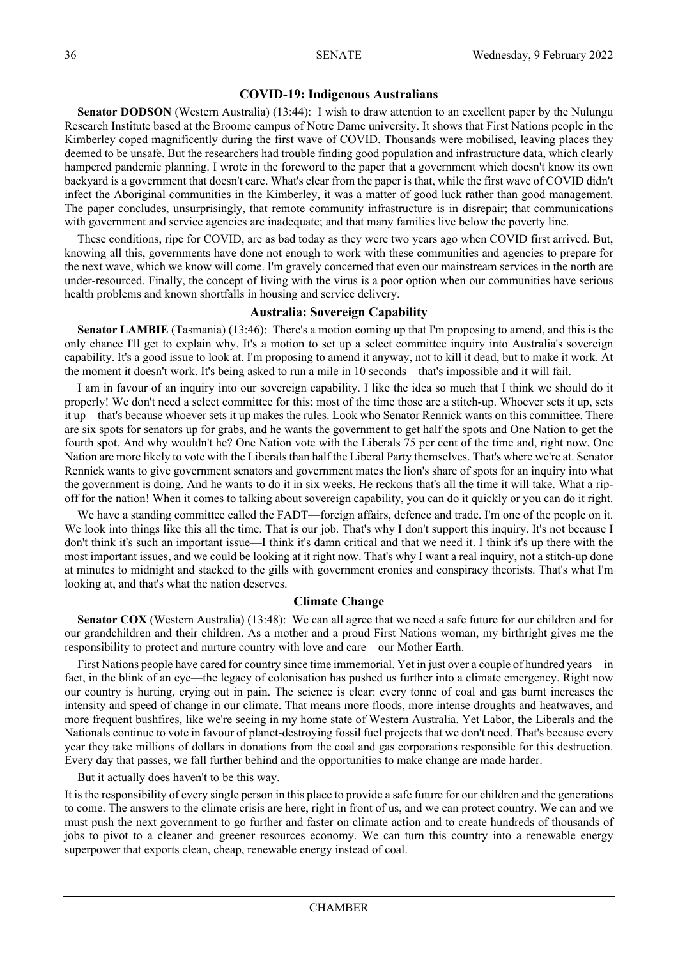# **COVID-19: Indigenous Australians**

**Senator DODSON** (Western Australia) (13:44): I wish to draw attention to an excellent paper by the Nulungu Research Institute based at the Broome campus of Notre Dame university. It shows that First Nations people in the Kimberley coped magnificently during the first wave of COVID. Thousands were mobilised, leaving places they deemed to be unsafe. But the researchers had trouble finding good population and infrastructure data, which clearly hampered pandemic planning. I wrote in the foreword to the paper that a government which doesn't know its own backyard is a government that doesn't care. What's clear from the paper is that, while the first wave of COVID didn't infect the Aboriginal communities in the Kimberley, it was a matter of good luck rather than good management. The paper concludes, unsurprisingly, that remote community infrastructure is in disrepair; that communications with government and service agencies are inadequate; and that many families live below the poverty line.

These conditions, ripe for COVID, are as bad today as they were two years ago when COVID first arrived. But, knowing all this, governments have done not enough to work with these communities and agencies to prepare for the next wave, which we know will come. I'm gravely concerned that even our mainstream services in the north are under-resourced. Finally, the concept of living with the virus is a poor option when our communities have serious health problems and known shortfalls in housing and service delivery.

# **Australia: Sovereign Capability**

**Senator LAMBIE** (Tasmania) (13:46): There's a motion coming up that I'm proposing to amend, and this is the only chance I'll get to explain why. It's a motion to set up a select committee inquiry into Australia's sovereign capability. It's a good issue to look at. I'm proposing to amend it anyway, not to kill it dead, but to make it work. At the moment it doesn't work. It's being asked to run a mile in 10 seconds—that's impossible and it will fail.

I am in favour of an inquiry into our sovereign capability. I like the idea so much that I think we should do it properly! We don't need a select committee for this; most of the time those are a stitch-up. Whoever sets it up, sets it up—that's because whoever sets it up makes the rules. Look who Senator Rennick wants on this committee. There are six spots for senators up for grabs, and he wants the government to get half the spots and One Nation to get the fourth spot. And why wouldn't he? One Nation vote with the Liberals 75 per cent of the time and, right now, One Nation are more likely to vote with the Liberals than half the Liberal Party themselves. That's where we're at. Senator Rennick wants to give government senators and government mates the lion's share of spots for an inquiry into what the government is doing. And he wants to do it in six weeks. He reckons that's all the time it will take. What a ripoff for the nation! When it comes to talking about sovereign capability, you can do it quickly or you can do it right.

We have a standing committee called the FADT—foreign affairs, defence and trade. I'm one of the people on it. We look into things like this all the time. That is our job. That's why I don't support this inquiry. It's not because I don't think it's such an important issue—I think it's damn critical and that we need it. I think it's up there with the most important issues, and we could be looking at it right now. That's why I want a real inquiry, not a stitch-up done at minutes to midnight and stacked to the gills with government cronies and conspiracy theorists. That's what I'm looking at, and that's what the nation deserves.

# **Climate Change**

**Senator COX** (Western Australia) (13:48): We can all agree that we need a safe future for our children and for our grandchildren and their children. As a mother and a proud First Nations woman, my birthright gives me the responsibility to protect and nurture country with love and care—our Mother Earth.

First Nations people have cared for country since time immemorial. Yet in just over a couple of hundred years—in fact, in the blink of an eye—the legacy of colonisation has pushed us further into a climate emergency. Right now our country is hurting, crying out in pain. The science is clear: every tonne of coal and gas burnt increases the intensity and speed of change in our climate. That means more floods, more intense droughts and heatwaves, and more frequent bushfires, like we're seeing in my home state of Western Australia. Yet Labor, the Liberals and the Nationals continue to vote in favour of planet-destroying fossil fuel projects that we don't need. That's because every year they take millions of dollars in donations from the coal and gas corporations responsible for this destruction. Every day that passes, we fall further behind and the opportunities to make change are made harder.

But it actually does haven't to be this way.

It is the responsibility of every single person in this place to provide a safe future for our children and the generations to come. The answers to the climate crisis are here, right in front of us, and we can protect country. We can and we must push the next government to go further and faster on climate action and to create hundreds of thousands of jobs to pivot to a cleaner and greener resources economy. We can turn this country into a renewable energy superpower that exports clean, cheap, renewable energy instead of coal.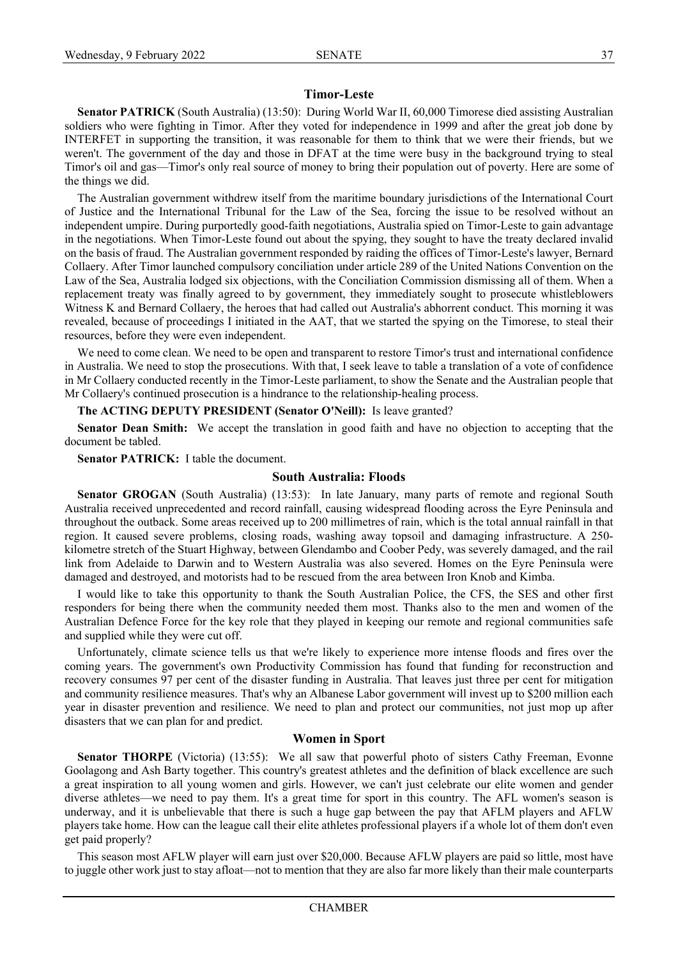#### **Timor-Leste**

**Senator PATRICK** (South Australia) (13:50): During World War II, 60,000 Timorese died assisting Australian soldiers who were fighting in Timor. After they voted for independence in 1999 and after the great job done by INTERFET in supporting the transition, it was reasonable for them to think that we were their friends, but we weren't. The government of the day and those in DFAT at the time were busy in the background trying to steal Timor's oil and gas—Timor's only real source of money to bring their population out of poverty. Here are some of the things we did.

The Australian government withdrew itself from the maritime boundary jurisdictions of the International Court of Justice and the International Tribunal for the Law of the Sea, forcing the issue to be resolved without an independent umpire. During purportedly good-faith negotiations, Australia spied on Timor-Leste to gain advantage in the negotiations. When Timor-Leste found out about the spying, they sought to have the treaty declared invalid on the basis of fraud. The Australian government responded by raiding the offices of Timor-Leste's lawyer, Bernard Collaery. After Timor launched compulsory conciliation under article 289 of the United Nations Convention on the Law of the Sea, Australia lodged six objections, with the Conciliation Commission dismissing all of them. When a replacement treaty was finally agreed to by government, they immediately sought to prosecute whistleblowers Witness K and Bernard Collaery, the heroes that had called out Australia's abhorrent conduct. This morning it was revealed, because of proceedings I initiated in the AAT, that we started the spying on the Timorese, to steal their resources, before they were even independent.

We need to come clean. We need to be open and transparent to restore Timor's trust and international confidence in Australia. We need to stop the prosecutions. With that, I seek leave to table a translation of a vote of confidence in Mr Collaery conducted recently in the Timor-Leste parliament, to show the Senate and the Australian people that Mr Collaery's continued prosecution is a hindrance to the relationship-healing process.

**The ACTING DEPUTY PRESIDENT (Senator O'Neill):** Is leave granted?

**Senator Dean Smith:** We accept the translation in good faith and have no objection to accepting that the document be tabled.

**Senator PATRICK:** I table the document.

#### **South Australia: Floods**

**Senator GROGAN** (South Australia) (13:53): In late January, many parts of remote and regional South Australia received unprecedented and record rainfall, causing widespread flooding across the Eyre Peninsula and throughout the outback. Some areas received up to 200 millimetres of rain, which is the total annual rainfall in that region. It caused severe problems, closing roads, washing away topsoil and damaging infrastructure. A 250 kilometre stretch of the Stuart Highway, between Glendambo and Coober Pedy, was severely damaged, and the rail link from Adelaide to Darwin and to Western Australia was also severed. Homes on the Eyre Peninsula were damaged and destroyed, and motorists had to be rescued from the area between Iron Knob and Kimba.

I would like to take this opportunity to thank the South Australian Police, the CFS, the SES and other first responders for being there when the community needed them most. Thanks also to the men and women of the Australian Defence Force for the key role that they played in keeping our remote and regional communities safe and supplied while they were cut off.

Unfortunately, climate science tells us that we're likely to experience more intense floods and fires over the coming years. The government's own Productivity Commission has found that funding for reconstruction and recovery consumes 97 per cent of the disaster funding in Australia. That leaves just three per cent for mitigation and community resilience measures. That's why an Albanese Labor government will invest up to \$200 million each year in disaster prevention and resilience. We need to plan and protect our communities, not just mop up after disasters that we can plan for and predict.

#### **Women in Sport**

**Senator THORPE** (Victoria) (13:55): We all saw that powerful photo of sisters Cathy Freeman, Evonne Goolagong and Ash Barty together. This country's greatest athletes and the definition of black excellence are such a great inspiration to all young women and girls. However, we can't just celebrate our elite women and gender diverse athletes—we need to pay them. It's a great time for sport in this country. The AFL women's season is underway, and it is unbelievable that there is such a huge gap between the pay that AFLM players and AFLW players take home. How can the league call their elite athletes professional players if a whole lot of them don't even get paid properly?

This season most AFLW player will earn just over \$20,000. Because AFLW players are paid so little, most have to juggle other work just to stay afloat—not to mention that they are also far more likely than their male counterparts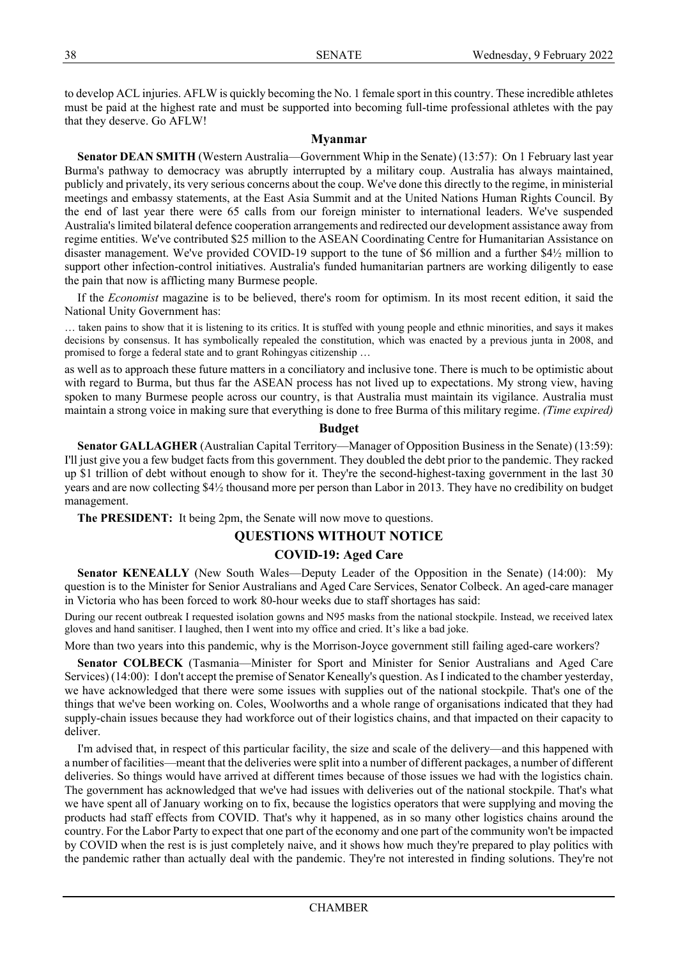to develop ACL injuries. AFLW is quickly becoming the No. 1 female sport in this country. These incredible athletes must be paid at the highest rate and must be supported into becoming full-time professional athletes with the pay that they deserve. Go AFLW!

# **Myanmar**

**Senator DEAN SMITH** (Western Australia—Government Whip in the Senate) (13:57): On 1 February last year Burma's pathway to democracy was abruptly interrupted by a military coup. Australia has always maintained, publicly and privately, its very serious concerns about the coup. We've done this directly to the regime, in ministerial meetings and embassy statements, at the East Asia Summit and at the United Nations Human Rights Council. By the end of last year there were 65 calls from our foreign minister to international leaders. We've suspended Australia's limited bilateral defence cooperation arrangements and redirected our development assistance away from regime entities. We've contributed \$25 million to the ASEAN Coordinating Centre for Humanitarian Assistance on disaster management. We've provided COVID-19 support to the tune of \$6 million and a further \$4½ million to support other infection-control initiatives. Australia's funded humanitarian partners are working diligently to ease the pain that now is afflicting many Burmese people.

If the *Economist* magazine is to be believed, there's room for optimism. In its most recent edition, it said the National Unity Government has:

… taken pains to show that it is listening to its critics. It is stuffed with young people and ethnic minorities, and says it makes decisions by consensus. It has symbolically repealed the constitution, which was enacted by a previous junta in 2008, and promised to forge a federal state and to grant Rohingyas citizenship …

as well as to approach these future matters in a conciliatory and inclusive tone. There is much to be optimistic about with regard to Burma, but thus far the ASEAN process has not lived up to expectations. My strong view, having spoken to many Burmese people across our country, is that Australia must maintain its vigilance. Australia must maintain a strong voice in making sure that everything is done to free Burma of this military regime. *(Time expired)*

## **Budget**

**Senator GALLAGHER** (Australian Capital Territory—Manager of Opposition Business in the Senate) (13:59): I'll just give you a few budget facts from this government. They doubled the debt prior to the pandemic. They racked up \$1 trillion of debt without enough to show for it. They're the second-highest-taxing government in the last 30 years and are now collecting \$4½ thousand more per person than Labor in 2013. They have no credibility on budget management.

**The PRESIDENT:** It being 2pm, the Senate will now move to questions.

# **QUESTIONS WITHOUT NOTICE**

# **COVID-19: Aged Care**

**Senator KENEALLY** (New South Wales—Deputy Leader of the Opposition in the Senate) (14:00): My question is to the Minister for Senior Australians and Aged Care Services, Senator Colbeck. An aged-care manager in Victoria who has been forced to work 80-hour weeks due to staff shortages has said:

During our recent outbreak I requested isolation gowns and N95 masks from the national stockpile. Instead, we received latex gloves and hand sanitiser. I laughed, then I went into my office and cried. It's like a bad joke.

More than two years into this pandemic, why is the Morrison-Joyce government still failing aged-care workers?

**Senator COLBECK** (Tasmania—Minister for Sport and Minister for Senior Australians and Aged Care Services) (14:00): I don't accept the premise of Senator Keneally's question. As I indicated to the chamber yesterday, we have acknowledged that there were some issues with supplies out of the national stockpile. That's one of the things that we've been working on. Coles, Woolworths and a whole range of organisations indicated that they had supply-chain issues because they had workforce out of their logistics chains, and that impacted on their capacity to deliver.

I'm advised that, in respect of this particular facility, the size and scale of the delivery—and this happened with a number of facilities—meant that the deliveries were split into a number of different packages, a number of different deliveries. So things would have arrived at different times because of those issues we had with the logistics chain. The government has acknowledged that we've had issues with deliveries out of the national stockpile. That's what we have spent all of January working on to fix, because the logistics operators that were supplying and moving the products had staff effects from COVID. That's why it happened, as in so many other logistics chains around the country. For the Labor Party to expect that one part of the economy and one part of the community won't be impacted by COVID when the rest is is just completely naive, and it shows how much they're prepared to play politics with the pandemic rather than actually deal with the pandemic. They're not interested in finding solutions. They're not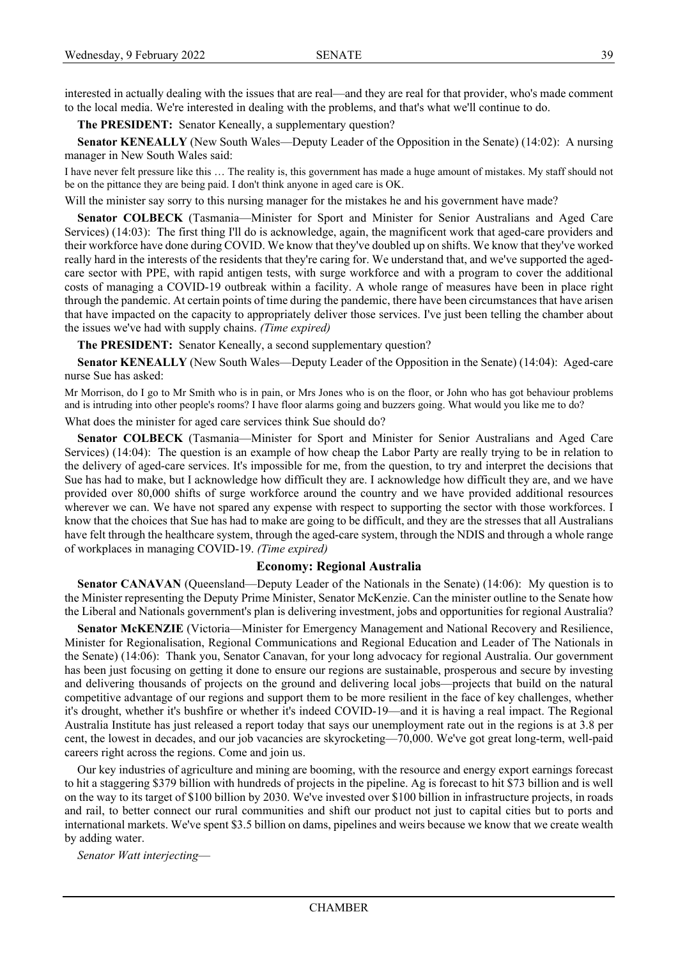interested in actually dealing with the issues that are real—and they are real for that provider, who's made comment to the local media. We're interested in dealing with the problems, and that's what we'll continue to do.

**The PRESIDENT:** Senator Keneally, a supplementary question?

**Senator KENEALLY** (New South Wales—Deputy Leader of the Opposition in the Senate) (14:02): A nursing manager in New South Wales said:

I have never felt pressure like this … The reality is, this government has made a huge amount of mistakes. My staff should not be on the pittance they are being paid. I don't think anyone in aged care is OK.

Will the minister say sorry to this nursing manager for the mistakes he and his government have made?

**Senator COLBECK** (Tasmania—Minister for Sport and Minister for Senior Australians and Aged Care Services) (14:03): The first thing I'll do is acknowledge, again, the magnificent work that aged-care providers and their workforce have done during COVID. We know that they've doubled up on shifts. We know that they've worked really hard in the interests of the residents that they're caring for. We understand that, and we've supported the agedcare sector with PPE, with rapid antigen tests, with surge workforce and with a program to cover the additional costs of managing a COVID-19 outbreak within a facility. A whole range of measures have been in place right through the pandemic. At certain points of time during the pandemic, there have been circumstances that have arisen that have impacted on the capacity to appropriately deliver those services. I've just been telling the chamber about the issues we've had with supply chains. *(Time expired)*

**The PRESIDENT:** Senator Keneally, a second supplementary question?

**Senator KENEALLY** (New South Wales—Deputy Leader of the Opposition in the Senate) (14:04): Aged-care nurse Sue has asked:

Mr Morrison, do I go to Mr Smith who is in pain, or Mrs Jones who is on the floor, or John who has got behaviour problems and is intruding into other people's rooms? I have floor alarms going and buzzers going. What would you like me to do?

What does the minister for aged care services think Sue should do?

**Senator COLBECK** (Tasmania—Minister for Sport and Minister for Senior Australians and Aged Care Services) (14:04): The question is an example of how cheap the Labor Party are really trying to be in relation to the delivery of aged-care services. It's impossible for me, from the question, to try and interpret the decisions that Sue has had to make, but I acknowledge how difficult they are. I acknowledge how difficult they are, and we have provided over 80,000 shifts of surge workforce around the country and we have provided additional resources wherever we can. We have not spared any expense with respect to supporting the sector with those workforces. I know that the choices that Sue has had to make are going to be difficult, and they are the stresses that all Australians have felt through the healthcare system, through the aged-care system, through the NDIS and through a whole range of workplaces in managing COVID-19. *(Time expired)*

## **Economy: Regional Australia**

**Senator CANAVAN** (Queensland—Deputy Leader of the Nationals in the Senate) (14:06): My question is to the Minister representing the Deputy Prime Minister, Senator McKenzie. Can the minister outline to the Senate how the Liberal and Nationals government's plan is delivering investment, jobs and opportunities for regional Australia?

**Senator McKENZIE** (Victoria—Minister for Emergency Management and National Recovery and Resilience, Minister for Regionalisation, Regional Communications and Regional Education and Leader of The Nationals in the Senate) (14:06): Thank you, Senator Canavan, for your long advocacy for regional Australia. Our government has been just focusing on getting it done to ensure our regions are sustainable, prosperous and secure by investing and delivering thousands of projects on the ground and delivering local jobs—projects that build on the natural competitive advantage of our regions and support them to be more resilient in the face of key challenges, whether it's drought, whether it's bushfire or whether it's indeed COVID-19—and it is having a real impact. The Regional Australia Institute has just released a report today that says our unemployment rate out in the regions is at 3.8 per cent, the lowest in decades, and our job vacancies are skyrocketing—70,000. We've got great long-term, well-paid careers right across the regions. Come and join us.

Our key industries of agriculture and mining are booming, with the resource and energy export earnings forecast to hit a staggering \$379 billion with hundreds of projects in the pipeline. Ag is forecast to hit \$73 billion and is well on the way to its target of \$100 billion by 2030. We've invested over \$100 billion in infrastructure projects, in roads and rail, to better connect our rural communities and shift our product not just to capital cities but to ports and international markets. We've spent \$3.5 billion on dams, pipelines and weirs because we know that we create wealth by adding water.

*Senator Watt interjecting*—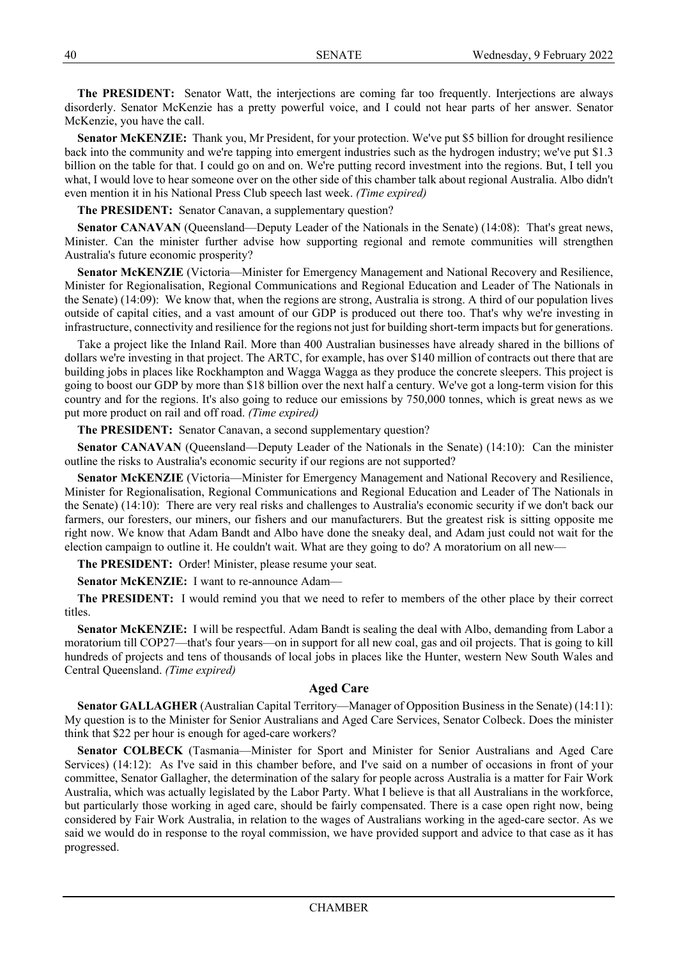**The PRESIDENT:** Senator Watt, the interjections are coming far too frequently. Interjections are always disorderly. Senator McKenzie has a pretty powerful voice, and I could not hear parts of her answer. Senator McKenzie, you have the call.

**Senator McKENZIE:** Thank you, Mr President, for your protection. We've put \$5 billion for drought resilience back into the community and we're tapping into emergent industries such as the hydrogen industry; we've put \$1.3 billion on the table for that. I could go on and on. We're putting record investment into the regions. But, I tell you what, I would love to hear someone over on the other side of this chamber talk about regional Australia. Albo didn't even mention it in his National Press Club speech last week. *(Time expired)*

## **The PRESIDENT:** Senator Canavan, a supplementary question?

**Senator CANAVAN** (Queensland—Deputy Leader of the Nationals in the Senate) (14:08): That's great news, Minister. Can the minister further advise how supporting regional and remote communities will strengthen Australia's future economic prosperity?

**Senator McKENZIE** (Victoria—Minister for Emergency Management and National Recovery and Resilience, Minister for Regionalisation, Regional Communications and Regional Education and Leader of The Nationals in the Senate) (14:09): We know that, when the regions are strong, Australia is strong. A third of our population lives outside of capital cities, and a vast amount of our GDP is produced out there too. That's why we're investing in infrastructure, connectivity and resilience for the regions not just for building short-term impacts but for generations.

Take a project like the Inland Rail. More than 400 Australian businesses have already shared in the billions of dollars we're investing in that project. The ARTC, for example, has over \$140 million of contracts out there that are building jobs in places like Rockhampton and Wagga Wagga as they produce the concrete sleepers. This project is going to boost our GDP by more than \$18 billion over the next half a century. We've got a long-term vision for this country and for the regions. It's also going to reduce our emissions by 750,000 tonnes, which is great news as we put more product on rail and off road. *(Time expired)*

**The PRESIDENT:** Senator Canavan, a second supplementary question?

**Senator CANAVAN** (Queensland—Deputy Leader of the Nationals in the Senate) (14:10): Can the minister outline the risks to Australia's economic security if our regions are not supported?

**Senator McKENZIE** (Victoria—Minister for Emergency Management and National Recovery and Resilience, Minister for Regionalisation, Regional Communications and Regional Education and Leader of The Nationals in the Senate) (14:10): There are very real risks and challenges to Australia's economic security if we don't back our farmers, our foresters, our miners, our fishers and our manufacturers. But the greatest risk is sitting opposite me right now. We know that Adam Bandt and Albo have done the sneaky deal, and Adam just could not wait for the election campaign to outline it. He couldn't wait. What are they going to do? A moratorium on all new—

**The PRESIDENT:** Order! Minister, please resume your seat.

**Senator McKENZIE:** I want to re-announce Adam—

**The PRESIDENT:** I would remind you that we need to refer to members of the other place by their correct titles.

**Senator McKENZIE:** I will be respectful. Adam Bandt is sealing the deal with Albo, demanding from Labor a moratorium till COP27—that's four years—on in support for all new coal, gas and oil projects. That is going to kill hundreds of projects and tens of thousands of local jobs in places like the Hunter, western New South Wales and Central Queensland. *(Time expired)*

# **Aged Care**

**Senator GALLAGHER** (Australian Capital Territory—Manager of Opposition Business in the Senate) (14:11): My question is to the Minister for Senior Australians and Aged Care Services, Senator Colbeck. Does the minister think that \$22 per hour is enough for aged-care workers?

**Senator COLBECK** (Tasmania—Minister for Sport and Minister for Senior Australians and Aged Care Services) (14:12): As I've said in this chamber before, and I've said on a number of occasions in front of your committee, Senator Gallagher, the determination of the salary for people across Australia is a matter for Fair Work Australia, which was actually legislated by the Labor Party. What I believe is that all Australians in the workforce, but particularly those working in aged care, should be fairly compensated. There is a case open right now, being considered by Fair Work Australia, in relation to the wages of Australians working in the aged-care sector. As we said we would do in response to the royal commission, we have provided support and advice to that case as it has progressed.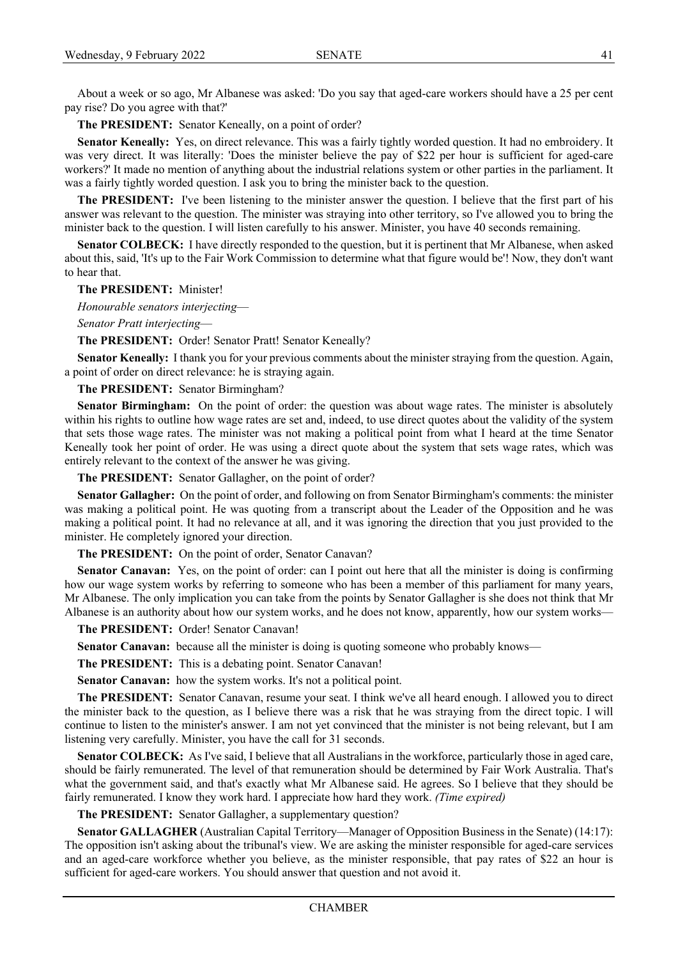About a week or so ago, Mr Albanese was asked: 'Do you say that aged-care workers should have a 25 per cent pay rise? Do you agree with that?'

**The PRESIDENT:** Senator Keneally, on a point of order?

**Senator Keneally:** Yes, on direct relevance. This was a fairly tightly worded question. It had no embroidery. It was very direct. It was literally: 'Does the minister believe the pay of \$22 per hour is sufficient for aged-care workers?' It made no mention of anything about the industrial relations system or other parties in the parliament. It was a fairly tightly worded question. I ask you to bring the minister back to the question.

**The PRESIDENT:** I've been listening to the minister answer the question. I believe that the first part of his answer was relevant to the question. The minister was straying into other territory, so I've allowed you to bring the minister back to the question. I will listen carefully to his answer. Minister, you have 40 seconds remaining.

**Senator COLBECK:** I have directly responded to the question, but it is pertinent that Mr Albanese, when asked about this, said, 'It's up to the Fair Work Commission to determine what that figure would be'! Now, they don't want to hear that.

**The PRESIDENT:** Minister!

*Honourable senators interjecting*—

*Senator Pratt interjecting*—

**The PRESIDENT:** Order! Senator Pratt! Senator Keneally?

**Senator Keneally:** I thank you for your previous comments about the minister straying from the question. Again, a point of order on direct relevance: he is straying again.

**The PRESIDENT:** Senator Birmingham?

**Senator Birmingham:** On the point of order: the question was about wage rates. The minister is absolutely within his rights to outline how wage rates are set and, indeed, to use direct quotes about the validity of the system that sets those wage rates. The minister was not making a political point from what I heard at the time Senator Keneally took her point of order. He was using a direct quote about the system that sets wage rates, which was entirely relevant to the context of the answer he was giving.

**The PRESIDENT:** Senator Gallagher, on the point of order?

**Senator Gallagher:** On the point of order, and following on from Senator Birmingham's comments: the minister was making a political point. He was quoting from a transcript about the Leader of the Opposition and he was making a political point. It had no relevance at all, and it was ignoring the direction that you just provided to the minister. He completely ignored your direction.

**The PRESIDENT:** On the point of order, Senator Canavan?

**Senator Canavan:** Yes, on the point of order: can I point out here that all the minister is doing is confirming how our wage system works by referring to someone who has been a member of this parliament for many years, Mr Albanese. The only implication you can take from the points by Senator Gallagher is she does not think that Mr Albanese is an authority about how our system works, and he does not know, apparently, how our system works—

**The PRESIDENT:** Order! Senator Canavan!

**Senator Canavan:** because all the minister is doing is quoting someone who probably knows—

**The PRESIDENT:** This is a debating point. Senator Canavan!

**Senator Canavan:** how the system works. It's not a political point.

**The PRESIDENT:** Senator Canavan, resume your seat. I think we've all heard enough. I allowed you to direct the minister back to the question, as I believe there was a risk that he was straying from the direct topic. I will continue to listen to the minister's answer. I am not yet convinced that the minister is not being relevant, but I am listening very carefully. Minister, you have the call for 31 seconds.

**Senator COLBECK:** As I've said, I believe that all Australians in the workforce, particularly those in aged care, should be fairly remunerated. The level of that remuneration should be determined by Fair Work Australia. That's what the government said, and that's exactly what Mr Albanese said. He agrees. So I believe that they should be fairly remunerated. I know they work hard. I appreciate how hard they work. *(Time expired)*

**The PRESIDENT:** Senator Gallagher, a supplementary question?

**Senator GALLAGHER** (Australian Capital Territory—Manager of Opposition Business in the Senate) (14:17): The opposition isn't asking about the tribunal's view. We are asking the minister responsible for aged-care services and an aged-care workforce whether you believe, as the minister responsible, that pay rates of \$22 an hour is sufficient for aged-care workers. You should answer that question and not avoid it.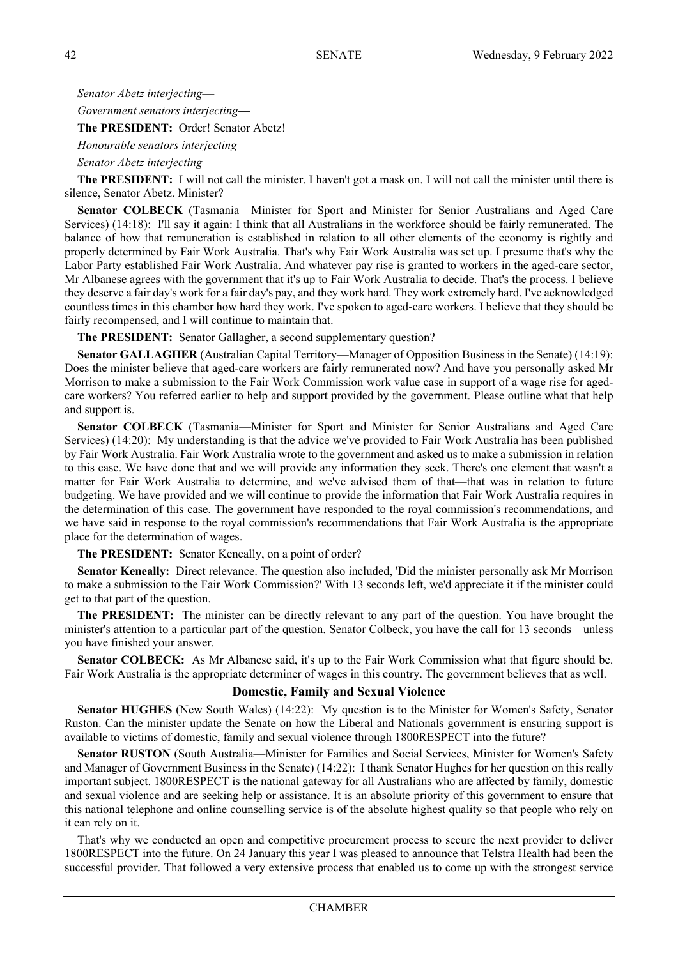*Senator Abetz interjecting*—

*Government senators interjecting***—**

**The PRESIDENT:** Order! Senator Abetz!

*Honourable senators interjecting*—

*Senator Abetz interjecting*—

**The PRESIDENT:** I will not call the minister. I haven't got a mask on. I will not call the minister until there is silence, Senator Abetz. Minister?

**Senator COLBECK** (Tasmania—Minister for Sport and Minister for Senior Australians and Aged Care Services) (14:18): I'll say it again: I think that all Australians in the workforce should be fairly remunerated. The balance of how that remuneration is established in relation to all other elements of the economy is rightly and properly determined by Fair Work Australia. That's why Fair Work Australia was set up. I presume that's why the Labor Party established Fair Work Australia. And whatever pay rise is granted to workers in the aged-care sector, Mr Albanese agrees with the government that it's up to Fair Work Australia to decide. That's the process. I believe they deserve a fair day's work for a fair day's pay, and they work hard. They work extremely hard. I've acknowledged countless times in this chamber how hard they work. I've spoken to aged-care workers. I believe that they should be fairly recompensed, and I will continue to maintain that.

**The PRESIDENT:** Senator Gallagher, a second supplementary question?

**Senator GALLAGHER** (Australian Capital Territory—Manager of Opposition Business in the Senate) (14:19): Does the minister believe that aged-care workers are fairly remunerated now? And have you personally asked Mr Morrison to make a submission to the Fair Work Commission work value case in support of a wage rise for agedcare workers? You referred earlier to help and support provided by the government. Please outline what that help and support is.

**Senator COLBECK** (Tasmania—Minister for Sport and Minister for Senior Australians and Aged Care Services) (14:20): My understanding is that the advice we've provided to Fair Work Australia has been published by Fair Work Australia. Fair Work Australia wrote to the government and asked us to make a submission in relation to this case. We have done that and we will provide any information they seek. There's one element that wasn't a matter for Fair Work Australia to determine, and we've advised them of that—that was in relation to future budgeting. We have provided and we will continue to provide the information that Fair Work Australia requires in the determination of this case. The government have responded to the royal commission's recommendations, and we have said in response to the royal commission's recommendations that Fair Work Australia is the appropriate place for the determination of wages.

**The PRESIDENT:** Senator Keneally, on a point of order?

**Senator Keneally:** Direct relevance. The question also included, 'Did the minister personally ask Mr Morrison to make a submission to the Fair Work Commission?' With 13 seconds left, we'd appreciate it if the minister could get to that part of the question.

**The PRESIDENT:** The minister can be directly relevant to any part of the question. You have brought the minister's attention to a particular part of the question. Senator Colbeck, you have the call for 13 seconds—unless you have finished your answer.

**Senator COLBECK:** As Mr Albanese said, it's up to the Fair Work Commission what that figure should be. Fair Work Australia is the appropriate determiner of wages in this country. The government believes that as well.

# **Domestic, Family and Sexual Violence**

**Senator HUGHES** (New South Wales) (14:22): My question is to the Minister for Women's Safety, Senator Ruston. Can the minister update the Senate on how the Liberal and Nationals government is ensuring support is available to victims of domestic, family and sexual violence through 1800RESPECT into the future?

**Senator RUSTON** (South Australia—Minister for Families and Social Services, Minister for Women's Safety and Manager of Government Business in the Senate) (14:22): I thank Senator Hughes for her question on this really important subject. 1800RESPECT is the national gateway for all Australians who are affected by family, domestic and sexual violence and are seeking help or assistance. It is an absolute priority of this government to ensure that this national telephone and online counselling service is of the absolute highest quality so that people who rely on it can rely on it.

That's why we conducted an open and competitive procurement process to secure the next provider to deliver 1800RESPECT into the future. On 24 January this year I was pleased to announce that Telstra Health had been the successful provider. That followed a very extensive process that enabled us to come up with the strongest service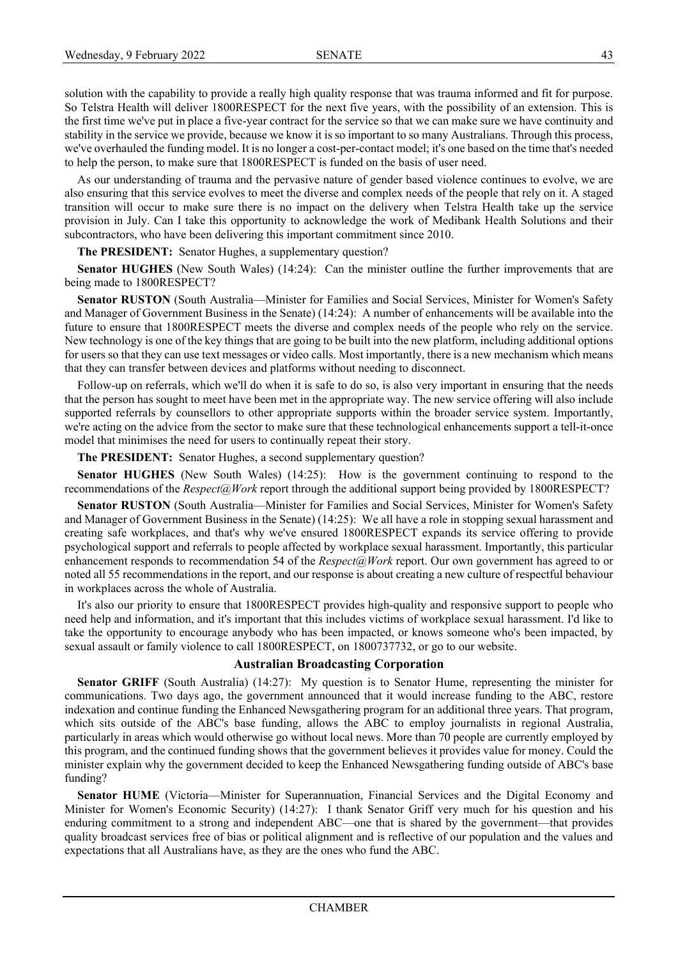solution with the capability to provide a really high quality response that was trauma informed and fit for purpose. So Telstra Health will deliver 1800RESPECT for the next five years, with the possibility of an extension. This is the first time we've put in place a five-year contract for the service so that we can make sure we have continuity and stability in the service we provide, because we know it is so important to so many Australians. Through this process, we've overhauled the funding model. It is no longer a cost-per-contact model; it's one based on the time that's needed to help the person, to make sure that 1800RESPECT is funded on the basis of user need.

As our understanding of trauma and the pervasive nature of gender based violence continues to evolve, we are also ensuring that this service evolves to meet the diverse and complex needs of the people that rely on it. A staged transition will occur to make sure there is no impact on the delivery when Telstra Health take up the service provision in July. Can I take this opportunity to acknowledge the work of Medibank Health Solutions and their subcontractors, who have been delivering this important commitment since 2010.

**The PRESIDENT:** Senator Hughes, a supplementary question?

**Senator HUGHES** (New South Wales) (14:24): Can the minister outline the further improvements that are being made to 1800RESPECT?

**Senator RUSTON** (South Australia—Minister for Families and Social Services, Minister for Women's Safety and Manager of Government Business in the Senate) (14:24): A number of enhancements will be available into the future to ensure that 1800RESPECT meets the diverse and complex needs of the people who rely on the service. New technology is one of the key things that are going to be built into the new platform, including additional options for users so that they can use text messages or video calls. Most importantly, there is a new mechanism which means that they can transfer between devices and platforms without needing to disconnect.

Follow-up on referrals, which we'll do when it is safe to do so, is also very important in ensuring that the needs that the person has sought to meet have been met in the appropriate way. The new service offering will also include supported referrals by counsellors to other appropriate supports within the broader service system. Importantly, we're acting on the advice from the sector to make sure that these technological enhancements support a tell-it-once model that minimises the need for users to continually repeat their story.

**The PRESIDENT:** Senator Hughes, a second supplementary question?

**Senator HUGHES** (New South Wales) (14:25): How is the government continuing to respond to the recommendations of the *Respect@Work* report through the additional support being provided by 1800RESPECT?

**Senator RUSTON** (South Australia—Minister for Families and Social Services, Minister for Women's Safety and Manager of Government Business in the Senate) (14:25): We all have a role in stopping sexual harassment and creating safe workplaces, and that's why we've ensured 1800RESPECT expands its service offering to provide psychological support and referrals to people affected by workplace sexual harassment. Importantly, this particular enhancement responds to recommendation 54 of the *Respect@Work* report. Our own government has agreed to or noted all 55 recommendations in the report, and our response is about creating a new culture of respectful behaviour in workplaces across the whole of Australia.

It's also our priority to ensure that 1800RESPECT provides high-quality and responsive support to people who need help and information, and it's important that this includes victims of workplace sexual harassment. I'd like to take the opportunity to encourage anybody who has been impacted, or knows someone who's been impacted, by sexual assault or family violence to call 1800RESPECT, on 1800737732, or go to our website.

## **Australian Broadcasting Corporation**

**Senator GRIFF** (South Australia) (14:27): My question is to Senator Hume, representing the minister for communications. Two days ago, the government announced that it would increase funding to the ABC, restore indexation and continue funding the Enhanced Newsgathering program for an additional three years. That program, which sits outside of the ABC's base funding, allows the ABC to employ journalists in regional Australia, particularly in areas which would otherwise go without local news. More than 70 people are currently employed by this program, and the continued funding shows that the government believes it provides value for money. Could the minister explain why the government decided to keep the Enhanced Newsgathering funding outside of ABC's base funding?

**Senator HUME** (Victoria—Minister for Superannuation, Financial Services and the Digital Economy and Minister for Women's Economic Security) (14:27): I thank Senator Griff very much for his question and his enduring commitment to a strong and independent ABC—one that is shared by the government—that provides quality broadcast services free of bias or political alignment and is reflective of our population and the values and expectations that all Australians have, as they are the ones who fund the ABC.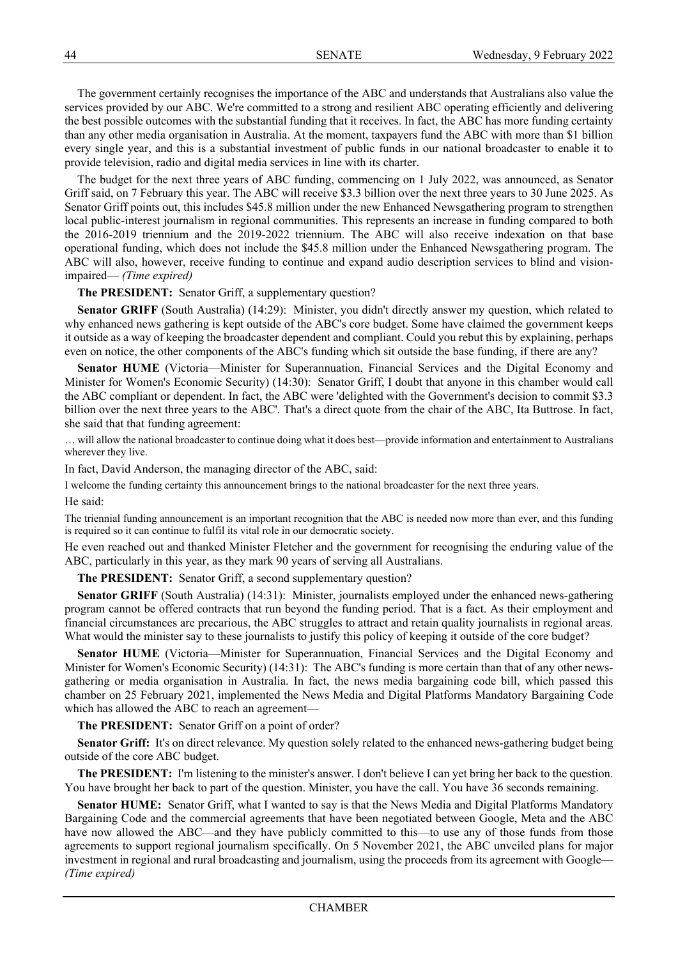The government certainly recognises the importance of the ABC and understands that Australians also value the services provided by our ABC. We're committed to a strong and resilient ABC operating efficiently and delivering the best possible outcomes with the substantial funding that it receives. In fact, the ABC has more funding certainty than any other media organisation in Australia. At the moment, taxpayers fund the ABC with more than \$1 billion every single year, and this is a substantial investment of public funds in our national broadcaster to enable it to provide television, radio and digital media services in line with its charter.

The budget for the next three years of ABC funding, commencing on 1 July 2022, was announced, as Senator Griff said, on 7 February this year. The ABC will receive \$3.3 billion over the next three years to 30 June 2025. As Senator Griff points out, this includes \$45.8 million under the new Enhanced Newsgathering program to strengthen local public-interest journalism in regional communities. This represents an increase in funding compared to both the 2016-2019 triennium and the 2019-2022 triennium. The ABC will also receive indexation on that base operational funding, which does not include the \$45.8 million under the Enhanced Newsgathering program. The ABC will also, however, receive funding to continue and expand audio description services to blind and visionimpaired— *(Time expired)*

**The PRESIDENT:** Senator Griff, a supplementary question?

**Senator GRIFF** (South Australia) (14:29): Minister, you didn't directly answer my question, which related to why enhanced news gathering is kept outside of the ABC's core budget. Some have claimed the government keeps it outside as a way of keeping the broadcaster dependent and compliant. Could you rebut this by explaining, perhaps even on notice, the other components of the ABC's funding which sit outside the base funding, if there are any?

**Senator HUME** (Victoria—Minister for Superannuation, Financial Services and the Digital Economy and Minister for Women's Economic Security) (14:30): Senator Griff, I doubt that anyone in this chamber would call the ABC compliant or dependent. In fact, the ABC were 'delighted with the Government's decision to commit \$3.3 billion over the next three years to the ABC'. That's a direct quote from the chair of the ABC, Ita Buttrose. In fact, she said that that funding agreement:

… will allow the national broadcaster to continue doing what it does best—provide information and entertainment to Australians wherever they live.

In fact, David Anderson, the managing director of the ABC, said:

I welcome the funding certainty this announcement brings to the national broadcaster for the next three years.

He said:

The triennial funding announcement is an important recognition that the ABC is needed now more than ever, and this funding is required so it can continue to fulfil its vital role in our democratic society.

He even reached out and thanked Minister Fletcher and the government for recognising the enduring value of the ABC, particularly in this year, as they mark 90 years of serving all Australians.

**The PRESIDENT:** Senator Griff, a second supplementary question?

**Senator GRIFF** (South Australia) (14:31): Minister, journalists employed under the enhanced news-gathering program cannot be offered contracts that run beyond the funding period. That is a fact. As their employment and financial circumstances are precarious, the ABC struggles to attract and retain quality journalists in regional areas. What would the minister say to these journalists to justify this policy of keeping it outside of the core budget?

**Senator HUME** (Victoria—Minister for Superannuation, Financial Services and the Digital Economy and Minister for Women's Economic Security) (14:31): The ABC's funding is more certain than that of any other newsgathering or media organisation in Australia. In fact, the news media bargaining code bill, which passed this chamber on 25 February 2021, implemented the News Media and Digital Platforms Mandatory Bargaining Code which has allowed the ABC to reach an agreement—

**The PRESIDENT:** Senator Griff on a point of order?

**Senator Griff:** It's on direct relevance. My question solely related to the enhanced news-gathering budget being outside of the core ABC budget.

**The PRESIDENT:** I'm listening to the minister's answer. I don't believe I can yet bring her back to the question. You have brought her back to part of the question. Minister, you have the call. You have 36 seconds remaining.

**Senator HUME:** Senator Griff, what I wanted to say is that the News Media and Digital Platforms Mandatory Bargaining Code and the commercial agreements that have been negotiated between Google, Meta and the ABC have now allowed the ABC—and they have publicly committed to this—to use any of those funds from those agreements to support regional journalism specifically. On 5 November 2021, the ABC unveiled plans for major investment in regional and rural broadcasting and journalism, using the proceeds from its agreement with Google— *(Time expired)*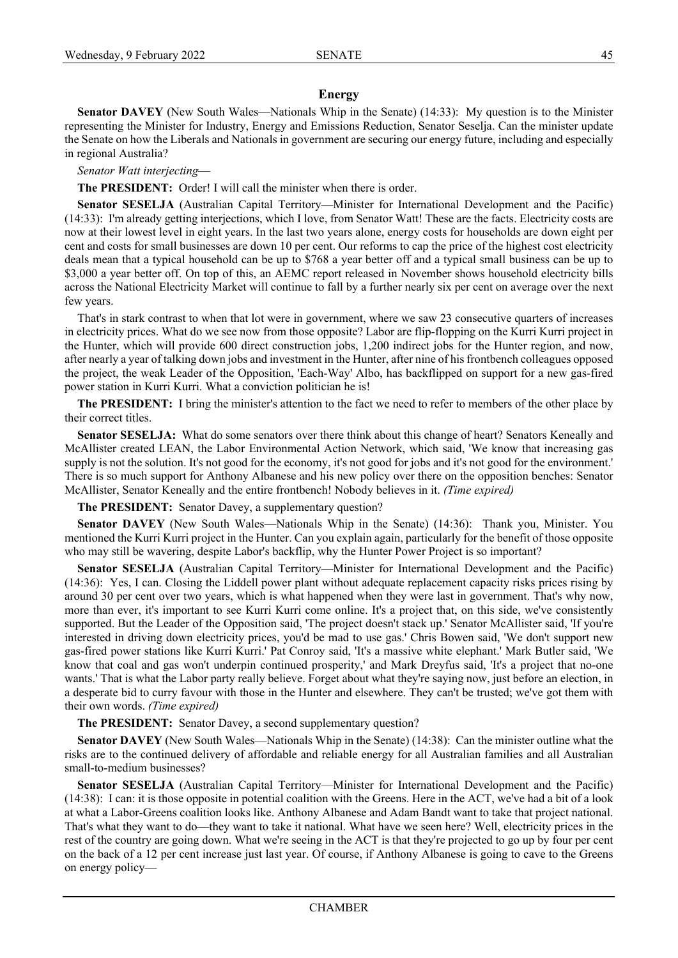## **Energy**

**Senator DAVEY** (New South Wales—Nationals Whip in the Senate) (14:33): My question is to the Minister representing the Minister for Industry, Energy and Emissions Reduction, Senator Seselja. Can the minister update the Senate on how the Liberals and Nationals in government are securing our energy future, including and especially in regional Australia?

## *Senator Watt interjecting*—

**The PRESIDENT:** Order! I will call the minister when there is order.

**Senator SESELJA** (Australian Capital Territory—Minister for International Development and the Pacific) (14:33): I'm already getting interjections, which I love, from Senator Watt! These are the facts. Electricity costs are now at their lowest level in eight years. In the last two years alone, energy costs for households are down eight per cent and costs for small businesses are down 10 per cent. Our reforms to cap the price of the highest cost electricity deals mean that a typical household can be up to \$768 a year better off and a typical small business can be up to \$3,000 a year better off. On top of this, an AEMC report released in November shows household electricity bills across the National Electricity Market will continue to fall by a further nearly six per cent on average over the next few years.

That's in stark contrast to when that lot were in government, where we saw 23 consecutive quarters of increases in electricity prices. What do we see now from those opposite? Labor are flip-flopping on the Kurri Kurri project in the Hunter, which will provide 600 direct construction jobs, 1,200 indirect jobs for the Hunter region, and now, after nearly a year of talking down jobs and investment in the Hunter, after nine of his frontbench colleagues opposed the project, the weak Leader of the Opposition, 'Each-Way' Albo, has backflipped on support for a new gas-fired power station in Kurri Kurri. What a conviction politician he is!

**The PRESIDENT:** I bring the minister's attention to the fact we need to refer to members of the other place by their correct titles.

**Senator SESELJA:** What do some senators over there think about this change of heart? Senators Keneally and McAllister created LEAN, the Labor Environmental Action Network, which said, 'We know that increasing gas supply is not the solution. It's not good for the economy, it's not good for jobs and it's not good for the environment.' There is so much support for Anthony Albanese and his new policy over there on the opposition benches: Senator McAllister, Senator Keneally and the entire frontbench! Nobody believes in it. *(Time expired)*

**The PRESIDENT:** Senator Davey, a supplementary question?

**Senator DAVEY** (New South Wales—Nationals Whip in the Senate) (14:36): Thank you, Minister. You mentioned the Kurri Kurri project in the Hunter. Can you explain again, particularly for the benefit of those opposite who may still be wavering, despite Labor's backflip, why the Hunter Power Project is so important?

**Senator SESELJA** (Australian Capital Territory—Minister for International Development and the Pacific) (14:36): Yes, I can. Closing the Liddell power plant without adequate replacement capacity risks prices rising by around 30 per cent over two years, which is what happened when they were last in government. That's why now, more than ever, it's important to see Kurri Kurri come online. It's a project that, on this side, we've consistently supported. But the Leader of the Opposition said, 'The project doesn't stack up.' Senator McAllister said, 'If you're interested in driving down electricity prices, you'd be mad to use gas.' Chris Bowen said, 'We don't support new gas-fired power stations like Kurri Kurri.' Pat Conroy said, 'It's a massive white elephant.' Mark Butler said, 'We know that coal and gas won't underpin continued prosperity,' and Mark Dreyfus said, 'It's a project that no-one wants.' That is what the Labor party really believe. Forget about what they're saying now, just before an election, in a desperate bid to curry favour with those in the Hunter and elsewhere. They can't be trusted; we've got them with their own words. *(Time expired)*

**The PRESIDENT:** Senator Davey, a second supplementary question?

**Senator DAVEY** (New South Wales—Nationals Whip in the Senate) (14:38): Can the minister outline what the risks are to the continued delivery of affordable and reliable energy for all Australian families and all Australian small-to-medium businesses?

**Senator SESELJA** (Australian Capital Territory—Minister for International Development and the Pacific) (14:38): I can: it is those opposite in potential coalition with the Greens. Here in the ACT, we've had a bit of a look at what a Labor-Greens coalition looks like. Anthony Albanese and Adam Bandt want to take that project national. That's what they want to do—they want to take it national. What have we seen here? Well, electricity prices in the rest of the country are going down. What we're seeing in the ACT is that they're projected to go up by four per cent on the back of a 12 per cent increase just last year. Of course, if Anthony Albanese is going to cave to the Greens on energy policy—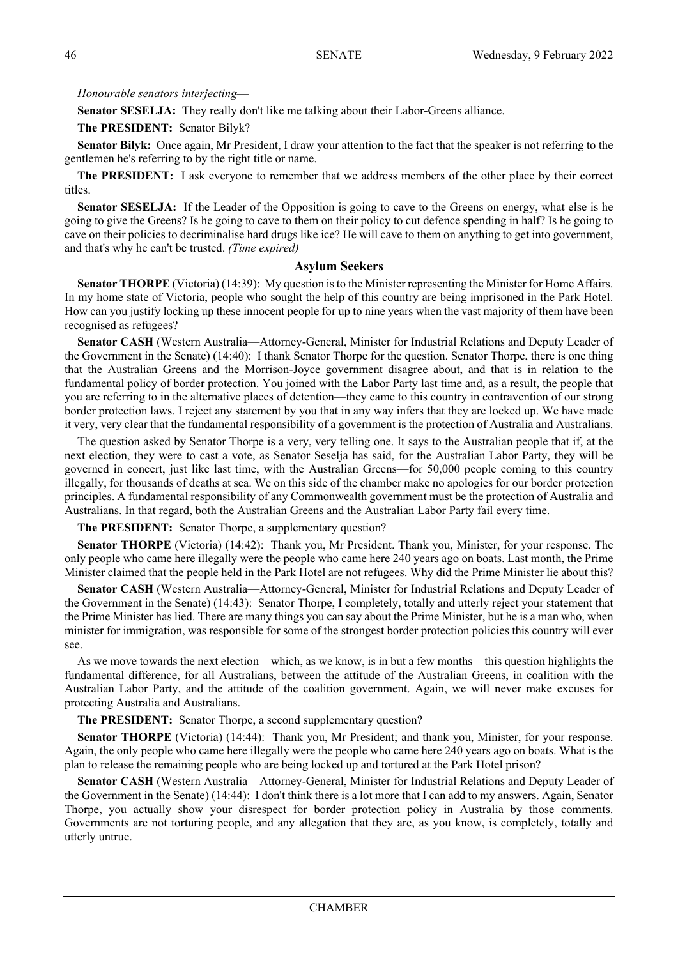# *Honourable senators interjecting*—

**Senator SESELJA:** They really don't like me talking about their Labor-Greens alliance.

**The PRESIDENT:** Senator Bilyk?

**Senator Bilyk:** Once again, Mr President, I draw your attention to the fact that the speaker is not referring to the gentlemen he's referring to by the right title or name.

**The PRESIDENT:** I ask everyone to remember that we address members of the other place by their correct titles.

**Senator SESELJA:** If the Leader of the Opposition is going to cave to the Greens on energy, what else is he going to give the Greens? Is he going to cave to them on their policy to cut defence spending in half? Is he going to cave on their policies to decriminalise hard drugs like ice? He will cave to them on anything to get into government, and that's why he can't be trusted. *(Time expired)*

# **Asylum Seekers**

**Senator THORPE** (Victoria) (14:39): My question is to the Minister representing the Minister for Home Affairs. In my home state of Victoria, people who sought the help of this country are being imprisoned in the Park Hotel. How can you justify locking up these innocent people for up to nine years when the vast majority of them have been recognised as refugees?

**Senator CASH** (Western Australia—Attorney-General, Minister for Industrial Relations and Deputy Leader of the Government in the Senate) (14:40): I thank Senator Thorpe for the question. Senator Thorpe, there is one thing that the Australian Greens and the Morrison-Joyce government disagree about, and that is in relation to the fundamental policy of border protection. You joined with the Labor Party last time and, as a result, the people that you are referring to in the alternative places of detention—they came to this country in contravention of our strong border protection laws. I reject any statement by you that in any way infers that they are locked up. We have made it very, very clear that the fundamental responsibility of a government is the protection of Australia and Australians.

The question asked by Senator Thorpe is a very, very telling one. It says to the Australian people that if, at the next election, they were to cast a vote, as Senator Seselja has said, for the Australian Labor Party, they will be governed in concert, just like last time, with the Australian Greens—for 50,000 people coming to this country illegally, for thousands of deaths at sea. We on this side of the chamber make no apologies for our border protection principles. A fundamental responsibility of any Commonwealth government must be the protection of Australia and Australians. In that regard, both the Australian Greens and the Australian Labor Party fail every time.

**The PRESIDENT:** Senator Thorpe, a supplementary question?

**Senator THORPE** (Victoria) (14:42): Thank you, Mr President. Thank you, Minister, for your response. The only people who came here illegally were the people who came here 240 years ago on boats. Last month, the Prime Minister claimed that the people held in the Park Hotel are not refugees. Why did the Prime Minister lie about this?

**Senator CASH** (Western Australia—Attorney-General, Minister for Industrial Relations and Deputy Leader of the Government in the Senate) (14:43): Senator Thorpe, I completely, totally and utterly reject your statement that the Prime Minister has lied. There are many things you can say about the Prime Minister, but he is a man who, when minister for immigration, was responsible for some of the strongest border protection policies this country will ever see.

As we move towards the next election—which, as we know, is in but a few months—this question highlights the fundamental difference, for all Australians, between the attitude of the Australian Greens, in coalition with the Australian Labor Party, and the attitude of the coalition government. Again, we will never make excuses for protecting Australia and Australians.

**The PRESIDENT:** Senator Thorpe, a second supplementary question?

**Senator THORPE** (Victoria) (14:44): Thank you, Mr President; and thank you, Minister, for your response. Again, the only people who came here illegally were the people who came here 240 years ago on boats. What is the plan to release the remaining people who are being locked up and tortured at the Park Hotel prison?

**Senator CASH** (Western Australia—Attorney-General, Minister for Industrial Relations and Deputy Leader of the Government in the Senate) (14:44): I don't think there is a lot more that I can add to my answers. Again, Senator Thorpe, you actually show your disrespect for border protection policy in Australia by those comments. Governments are not torturing people, and any allegation that they are, as you know, is completely, totally and utterly untrue.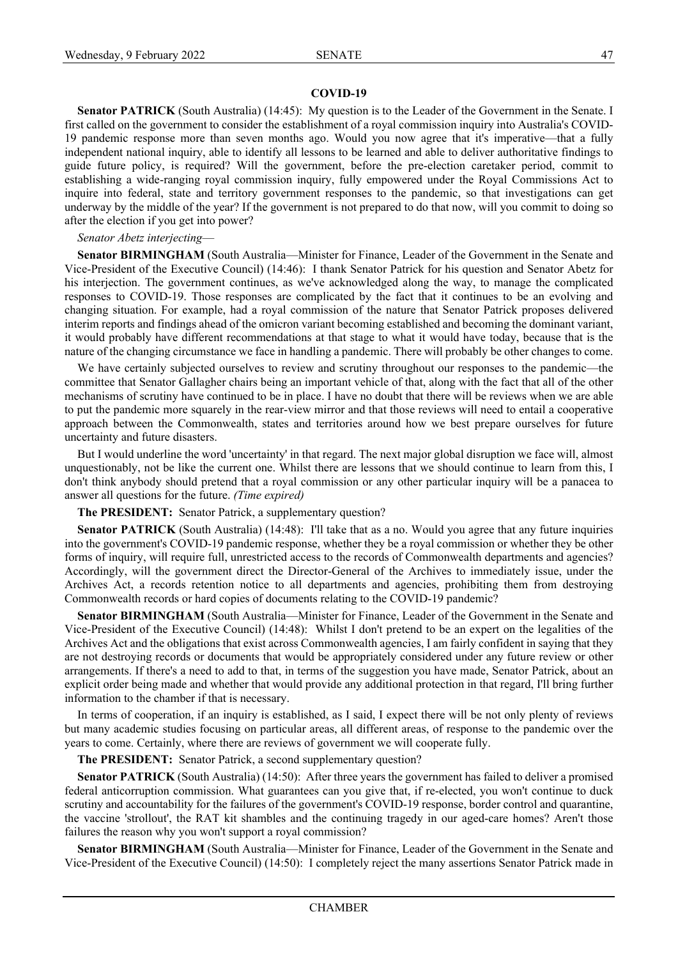#### **COVID-19**

**Senator PATRICK** (South Australia) (14:45): My question is to the Leader of the Government in the Senate. I first called on the government to consider the establishment of a royal commission inquiry into Australia's COVID-19 pandemic response more than seven months ago. Would you now agree that it's imperative—that a fully independent national inquiry, able to identify all lessons to be learned and able to deliver authoritative findings to guide future policy, is required? Will the government, before the pre-election caretaker period, commit to establishing a wide-ranging royal commission inquiry, fully empowered under the Royal Commissions Act to inquire into federal, state and territory government responses to the pandemic, so that investigations can get underway by the middle of the year? If the government is not prepared to do that now, will you commit to doing so after the election if you get into power?

#### *Senator Abetz interjecting*—

**Senator BIRMINGHAM** (South Australia—Minister for Finance, Leader of the Government in the Senate and Vice-President of the Executive Council) (14:46): I thank Senator Patrick for his question and Senator Abetz for his interjection. The government continues, as we've acknowledged along the way, to manage the complicated responses to COVID-19. Those responses are complicated by the fact that it continues to be an evolving and changing situation. For example, had a royal commission of the nature that Senator Patrick proposes delivered interim reports and findings ahead of the omicron variant becoming established and becoming the dominant variant, it would probably have different recommendations at that stage to what it would have today, because that is the nature of the changing circumstance we face in handling a pandemic. There will probably be other changes to come.

We have certainly subjected ourselves to review and scrutiny throughout our responses to the pandemic—the committee that Senator Gallagher chairs being an important vehicle of that, along with the fact that all of the other mechanisms of scrutiny have continued to be in place. I have no doubt that there will be reviews when we are able to put the pandemic more squarely in the rear-view mirror and that those reviews will need to entail a cooperative approach between the Commonwealth, states and territories around how we best prepare ourselves for future uncertainty and future disasters.

But I would underline the word 'uncertainty' in that regard. The next major global disruption we face will, almost unquestionably, not be like the current one. Whilst there are lessons that we should continue to learn from this, I don't think anybody should pretend that a royal commission or any other particular inquiry will be a panacea to answer all questions for the future. *(Time expired)*

#### **The PRESIDENT:** Senator Patrick, a supplementary question?

**Senator PATRICK** (South Australia) (14:48): I'll take that as a no. Would you agree that any future inquiries into the government's COVID-19 pandemic response, whether they be a royal commission or whether they be other forms of inquiry, will require full, unrestricted access to the records of Commonwealth departments and agencies? Accordingly, will the government direct the Director-General of the Archives to immediately issue, under the Archives Act, a records retention notice to all departments and agencies, prohibiting them from destroying Commonwealth records or hard copies of documents relating to the COVID-19 pandemic?

**Senator BIRMINGHAM** (South Australia—Minister for Finance, Leader of the Government in the Senate and Vice-President of the Executive Council) (14:48): Whilst I don't pretend to be an expert on the legalities of the Archives Act and the obligations that exist across Commonwealth agencies, I am fairly confident in saying that they are not destroying records or documents that would be appropriately considered under any future review or other arrangements. If there's a need to add to that, in terms of the suggestion you have made, Senator Patrick, about an explicit order being made and whether that would provide any additional protection in that regard, I'll bring further information to the chamber if that is necessary.

In terms of cooperation, if an inquiry is established, as I said, I expect there will be not only plenty of reviews but many academic studies focusing on particular areas, all different areas, of response to the pandemic over the years to come. Certainly, where there are reviews of government we will cooperate fully.

**The PRESIDENT:** Senator Patrick, a second supplementary question?

**Senator PATRICK** (South Australia) (14:50): After three years the government has failed to deliver a promised federal anticorruption commission. What guarantees can you give that, if re-elected, you won't continue to duck scrutiny and accountability for the failures of the government's COVID-19 response, border control and quarantine, the vaccine 'strollout', the RAT kit shambles and the continuing tragedy in our aged-care homes? Aren't those failures the reason why you won't support a royal commission?

**Senator BIRMINGHAM** (South Australia—Minister for Finance, Leader of the Government in the Senate and Vice-President of the Executive Council) (14:50): I completely reject the many assertions Senator Patrick made in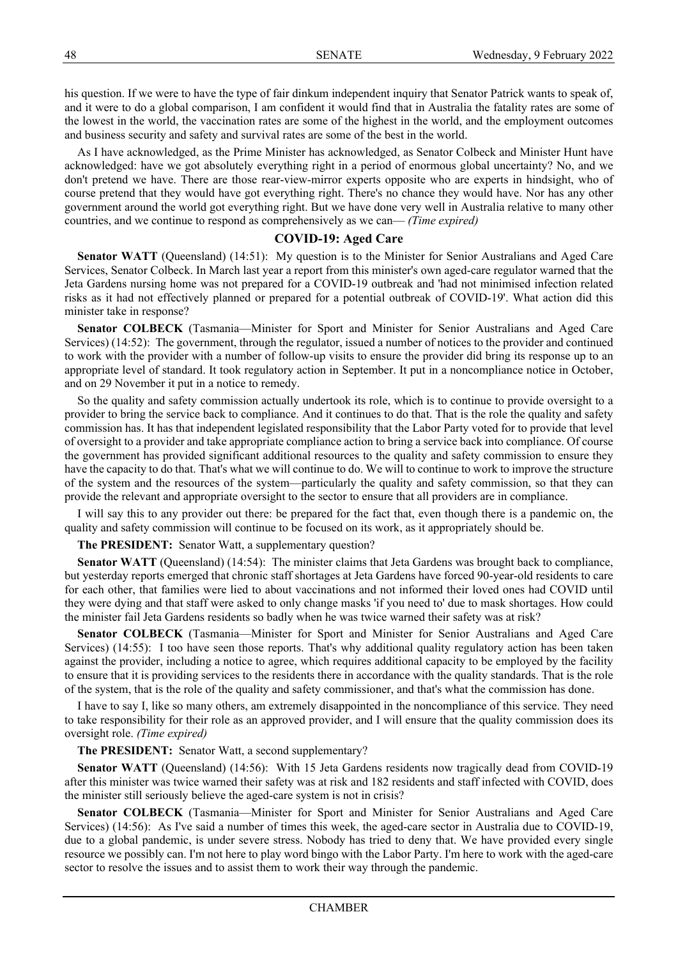his question. If we were to have the type of fair dinkum independent inquiry that Senator Patrick wants to speak of, and it were to do a global comparison, I am confident it would find that in Australia the fatality rates are some of the lowest in the world, the vaccination rates are some of the highest in the world, and the employment outcomes and business security and safety and survival rates are some of the best in the world.

As I have acknowledged, as the Prime Minister has acknowledged, as Senator Colbeck and Minister Hunt have acknowledged: have we got absolutely everything right in a period of enormous global uncertainty? No, and we don't pretend we have. There are those rear-view-mirror experts opposite who are experts in hindsight, who of course pretend that they would have got everything right. There's no chance they would have. Nor has any other government around the world got everything right. But we have done very well in Australia relative to many other countries, and we continue to respond as comprehensively as we can— *(Time expired)*

## **COVID-19: Aged Care**

**Senator WATT** (Queensland) (14:51): My question is to the Minister for Senior Australians and Aged Care Services, Senator Colbeck. In March last year a report from this minister's own aged-care regulator warned that the Jeta Gardens nursing home was not prepared for a COVID-19 outbreak and 'had not minimised infection related risks as it had not effectively planned or prepared for a potential outbreak of COVID-19'. What action did this minister take in response?

**Senator COLBECK** (Tasmania—Minister for Sport and Minister for Senior Australians and Aged Care Services) (14:52): The government, through the regulator, issued a number of notices to the provider and continued to work with the provider with a number of follow-up visits to ensure the provider did bring its response up to an appropriate level of standard. It took regulatory action in September. It put in a noncompliance notice in October, and on 29 November it put in a notice to remedy.

So the quality and safety commission actually undertook its role, which is to continue to provide oversight to a provider to bring the service back to compliance. And it continues to do that. That is the role the quality and safety commission has. It has that independent legislated responsibility that the Labor Party voted for to provide that level of oversight to a provider and take appropriate compliance action to bring a service back into compliance. Of course the government has provided significant additional resources to the quality and safety commission to ensure they have the capacity to do that. That's what we will continue to do. We will to continue to work to improve the structure of the system and the resources of the system—particularly the quality and safety commission, so that they can provide the relevant and appropriate oversight to the sector to ensure that all providers are in compliance.

I will say this to any provider out there: be prepared for the fact that, even though there is a pandemic on, the quality and safety commission will continue to be focused on its work, as it appropriately should be.

**The PRESIDENT:** Senator Watt, a supplementary question?

**Senator WATT** (Queensland) (14:54): The minister claims that Jeta Gardens was brought back to compliance, but yesterday reports emerged that chronic staff shortages at Jeta Gardens have forced 90-year-old residents to care for each other, that families were lied to about vaccinations and not informed their loved ones had COVID until they were dying and that staff were asked to only change masks 'if you need to' due to mask shortages. How could the minister fail Jeta Gardens residents so badly when he was twice warned their safety was at risk?

**Senator COLBECK** (Tasmania—Minister for Sport and Minister for Senior Australians and Aged Care Services) (14:55): I too have seen those reports. That's why additional quality regulatory action has been taken against the provider, including a notice to agree, which requires additional capacity to be employed by the facility to ensure that it is providing services to the residents there in accordance with the quality standards. That is the role of the system, that is the role of the quality and safety commissioner, and that's what the commission has done.

I have to say I, like so many others, am extremely disappointed in the noncompliance of this service. They need to take responsibility for their role as an approved provider, and I will ensure that the quality commission does its oversight role. *(Time expired)*

**The PRESIDENT:** Senator Watt, a second supplementary?

**Senator WATT** (Queensland) (14:56): With 15 Jeta Gardens residents now tragically dead from COVID-19 after this minister was twice warned their safety was at risk and 182 residents and staff infected with COVID, does the minister still seriously believe the aged-care system is not in crisis?

**Senator COLBECK** (Tasmania—Minister for Sport and Minister for Senior Australians and Aged Care Services) (14:56): As I've said a number of times this week, the aged-care sector in Australia due to COVID-19, due to a global pandemic, is under severe stress. Nobody has tried to deny that. We have provided every single resource we possibly can. I'm not here to play word bingo with the Labor Party. I'm here to work with the aged-care sector to resolve the issues and to assist them to work their way through the pandemic.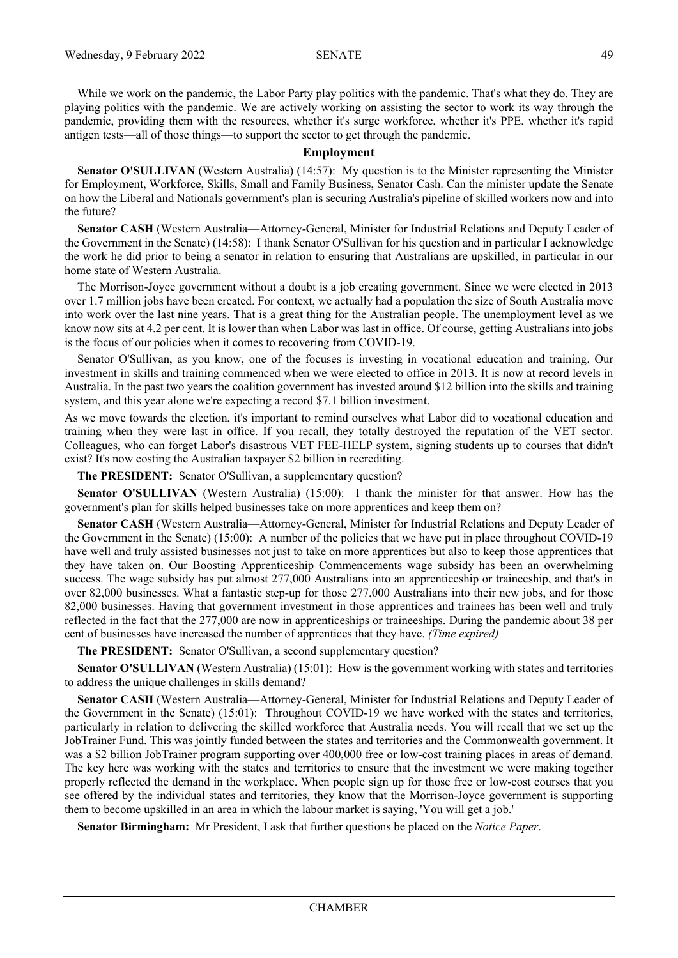While we work on the pandemic, the Labor Party play politics with the pandemic. That's what they do. They are playing politics with the pandemic. We are actively working on assisting the sector to work its way through the pandemic, providing them with the resources, whether it's surge workforce, whether it's PPE, whether it's rapid antigen tests—all of those things—to support the sector to get through the pandemic.

#### **Employment**

**Senator O'SULLIVAN** (Western Australia) (14:57): My question is to the Minister representing the Minister for Employment, Workforce, Skills, Small and Family Business, Senator Cash. Can the minister update the Senate on how the Liberal and Nationals government's plan is securing Australia's pipeline of skilled workers now and into the future?

**Senator CASH** (Western Australia—Attorney-General, Minister for Industrial Relations and Deputy Leader of the Government in the Senate) (14:58): I thank Senator O'Sullivan for his question and in particular I acknowledge the work he did prior to being a senator in relation to ensuring that Australians are upskilled, in particular in our home state of Western Australia.

The Morrison-Joyce government without a doubt is a job creating government. Since we were elected in 2013 over 1.7 million jobs have been created. For context, we actually had a population the size of South Australia move into work over the last nine years. That is a great thing for the Australian people. The unemployment level as we know now sits at 4.2 per cent. It is lower than when Labor was last in office. Of course, getting Australians into jobs is the focus of our policies when it comes to recovering from COVID-19.

Senator O'Sullivan, as you know, one of the focuses is investing in vocational education and training. Our investment in skills and training commenced when we were elected to office in 2013. It is now at record levels in Australia. In the past two years the coalition government has invested around \$12 billion into the skills and training system, and this year alone we're expecting a record \$7.1 billion investment.

As we move towards the election, it's important to remind ourselves what Labor did to vocational education and training when they were last in office. If you recall, they totally destroyed the reputation of the VET sector. Colleagues, who can forget Labor's disastrous VET FEE-HELP system, signing students up to courses that didn't exist? It's now costing the Australian taxpayer \$2 billion in recrediting.

**The PRESIDENT:** Senator O'Sullivan, a supplementary question?

**Senator O'SULLIVAN** (Western Australia) (15:00): I thank the minister for that answer. How has the government's plan for skills helped businesses take on more apprentices and keep them on?

**Senator CASH** (Western Australia—Attorney-General, Minister for Industrial Relations and Deputy Leader of the Government in the Senate) (15:00): A number of the policies that we have put in place throughout COVID-19 have well and truly assisted businesses not just to take on more apprentices but also to keep those apprentices that they have taken on. Our Boosting Apprenticeship Commencements wage subsidy has been an overwhelming success. The wage subsidy has put almost 277,000 Australians into an apprenticeship or traineeship, and that's in over 82,000 businesses. What a fantastic step-up for those 277,000 Australians into their new jobs, and for those 82,000 businesses. Having that government investment in those apprentices and trainees has been well and truly reflected in the fact that the 277,000 are now in apprenticeships or traineeships. During the pandemic about 38 per cent of businesses have increased the number of apprentices that they have. *(Time expired)*

**The PRESIDENT:** Senator O'Sullivan, a second supplementary question?

**Senator O'SULLIVAN** (Western Australia) (15:01): How is the government working with states and territories to address the unique challenges in skills demand?

**Senator CASH** (Western Australia—Attorney-General, Minister for Industrial Relations and Deputy Leader of the Government in the Senate) (15:01): Throughout COVID-19 we have worked with the states and territories, particularly in relation to delivering the skilled workforce that Australia needs. You will recall that we set up the JobTrainer Fund. This was jointly funded between the states and territories and the Commonwealth government. It was a \$2 billion JobTrainer program supporting over 400,000 free or low-cost training places in areas of demand. The key here was working with the states and territories to ensure that the investment we were making together properly reflected the demand in the workplace. When people sign up for those free or low-cost courses that you see offered by the individual states and territories, they know that the Morrison-Joyce government is supporting them to become upskilled in an area in which the labour market is saying, 'You will get a job.'

**Senator Birmingham:** Mr President, I ask that further questions be placed on the *Notice Paper*.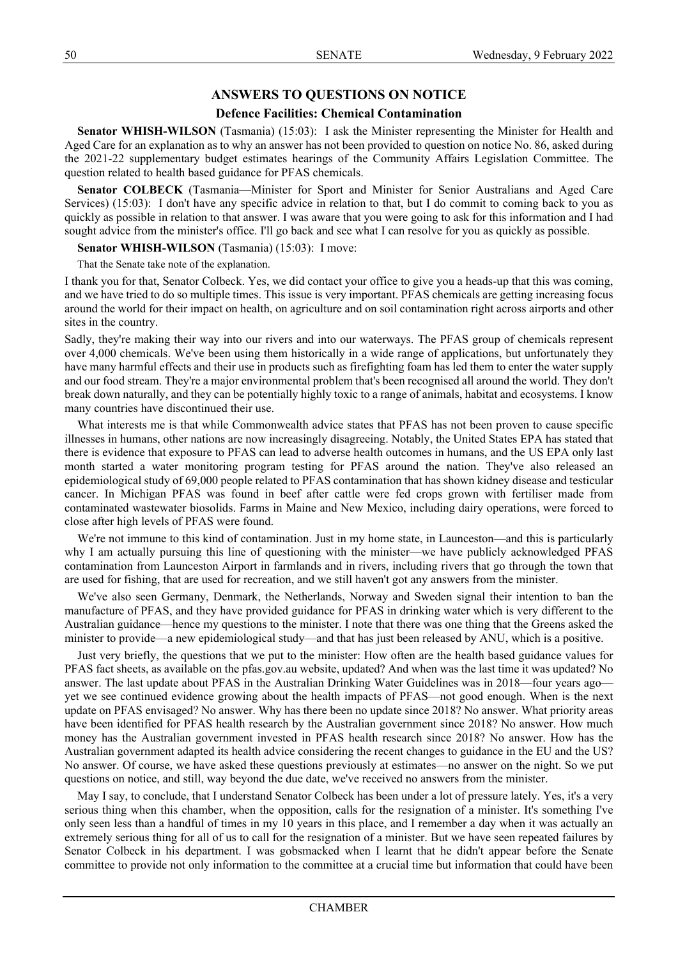# **ANSWERS TO QUESTIONS ON NOTICE**

# **Defence Facilities: Chemical Contamination**

**Senator WHISH-WILSON** (Tasmania) (15:03): I ask the Minister representing the Minister for Health and Aged Care for an explanation as to why an answer has not been provided to question on notice No. 86, asked during the 2021-22 supplementary budget estimates hearings of the Community Affairs Legislation Committee. The question related to health based guidance for PFAS chemicals.

**Senator COLBECK** (Tasmania—Minister for Sport and Minister for Senior Australians and Aged Care Services) (15:03): I don't have any specific advice in relation to that, but I do commit to coming back to you as quickly as possible in relation to that answer. I was aware that you were going to ask for this information and I had sought advice from the minister's office. I'll go back and see what I can resolve for you as quickly as possible.

## **Senator WHISH-WILSON** (Tasmania) (15:03): I move:

That the Senate take note of the explanation.

I thank you for that, Senator Colbeck. Yes, we did contact your office to give you a heads-up that this was coming, and we have tried to do so multiple times. This issue is very important. PFAS chemicals are getting increasing focus around the world for their impact on health, on agriculture and on soil contamination right across airports and other sites in the country.

Sadly, they're making their way into our rivers and into our waterways. The PFAS group of chemicals represent over 4,000 chemicals. We've been using them historically in a wide range of applications, but unfortunately they have many harmful effects and their use in products such as firefighting foam has led them to enter the water supply and our food stream. They're a major environmental problem that's been recognised all around the world. They don't break down naturally, and they can be potentially highly toxic to a range of animals, habitat and ecosystems. I know many countries have discontinued their use.

What interests me is that while Commonwealth advice states that PFAS has not been proven to cause specific illnesses in humans, other nations are now increasingly disagreeing. Notably, the United States EPA has stated that there is evidence that exposure to PFAS can lead to adverse health outcomes in humans, and the US EPA only last month started a water monitoring program testing for PFAS around the nation. They've also released an epidemiological study of 69,000 people related to PFAS contamination that has shown kidney disease and testicular cancer. In Michigan PFAS was found in beef after cattle were fed crops grown with fertiliser made from contaminated wastewater biosolids. Farms in Maine and New Mexico, including dairy operations, were forced to close after high levels of PFAS were found.

We're not immune to this kind of contamination. Just in my home state, in Launceston—and this is particularly why I am actually pursuing this line of questioning with the minister—we have publicly acknowledged PFAS contamination from Launceston Airport in farmlands and in rivers, including rivers that go through the town that are used for fishing, that are used for recreation, and we still haven't got any answers from the minister.

We've also seen Germany, Denmark, the Netherlands, Norway and Sweden signal their intention to ban the manufacture of PFAS, and they have provided guidance for PFAS in drinking water which is very different to the Australian guidance—hence my questions to the minister. I note that there was one thing that the Greens asked the minister to provide—a new epidemiological study—and that has just been released by ANU, which is a positive.

Just very briefly, the questions that we put to the minister: How often are the health based guidance values for PFAS fact sheets, as available on the pfas.gov.au website, updated? And when was the last time it was updated? No answer. The last update about PFAS in the Australian Drinking Water Guidelines was in 2018—four years ago yet we see continued evidence growing about the health impacts of PFAS—not good enough. When is the next update on PFAS envisaged? No answer. Why has there been no update since 2018? No answer. What priority areas have been identified for PFAS health research by the Australian government since 2018? No answer. How much money has the Australian government invested in PFAS health research since 2018? No answer. How has the Australian government adapted its health advice considering the recent changes to guidance in the EU and the US? No answer. Of course, we have asked these questions previously at estimates—no answer on the night. So we put questions on notice, and still, way beyond the due date, we've received no answers from the minister.

May I say, to conclude, that I understand Senator Colbeck has been under a lot of pressure lately. Yes, it's a very serious thing when this chamber, when the opposition, calls for the resignation of a minister. It's something I've only seen less than a handful of times in my 10 years in this place, and I remember a day when it was actually an extremely serious thing for all of us to call for the resignation of a minister. But we have seen repeated failures by Senator Colbeck in his department. I was gobsmacked when I learnt that he didn't appear before the Senate committee to provide not only information to the committee at a crucial time but information that could have been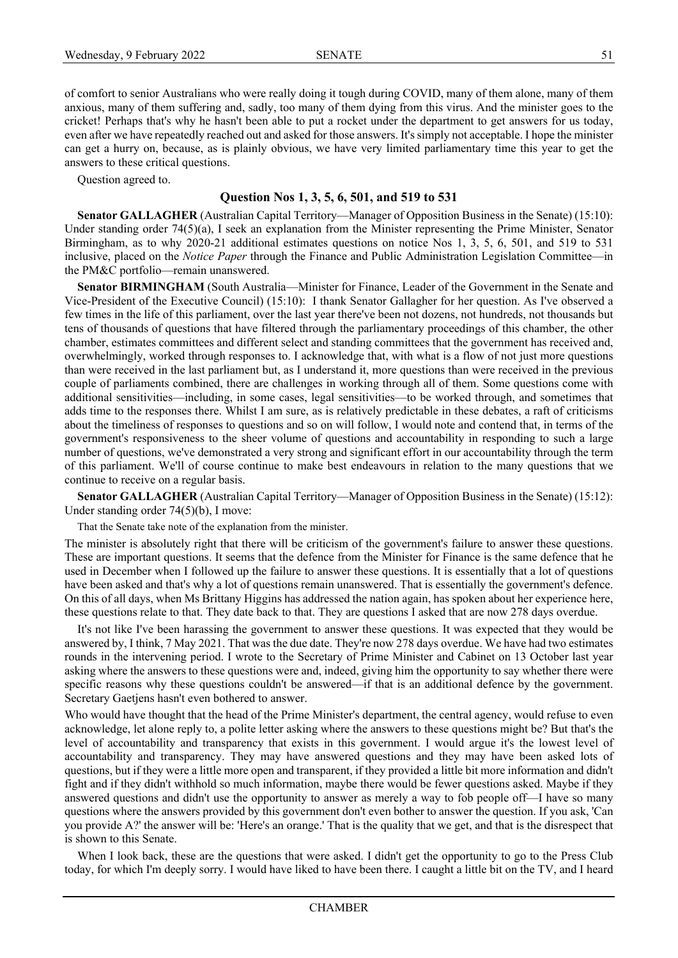of comfort to senior Australians who were really doing it tough during COVID, many of them alone, many of them anxious, many of them suffering and, sadly, too many of them dying from this virus. And the minister goes to the cricket! Perhaps that's why he hasn't been able to put a rocket under the department to get answers for us today, even after we have repeatedly reached out and asked for those answers. It's simply not acceptable. I hope the minister can get a hurry on, because, as is plainly obvious, we have very limited parliamentary time this year to get the answers to these critical questions.

Question agreed to.

## **Question Nos 1, 3, 5, 6, 501, and 519 to 531**

**Senator GALLAGHER** (Australian Capital Territory—Manager of Opposition Business in the Senate) (15:10): Under standing order 74(5)(a), I seek an explanation from the Minister representing the Prime Minister, Senator Birmingham, as to why 2020-21 additional estimates questions on notice Nos 1, 3, 5, 6, 501, and 519 to 531 inclusive, placed on the *Notice Paper* through the Finance and Public Administration Legislation Committee—in the PM&C portfolio—remain unanswered.

**Senator BIRMINGHAM** (South Australia—Minister for Finance, Leader of the Government in the Senate and Vice-President of the Executive Council) (15:10): I thank Senator Gallagher for her question. As I've observed a few times in the life of this parliament, over the last year there've been not dozens, not hundreds, not thousands but tens of thousands of questions that have filtered through the parliamentary proceedings of this chamber, the other chamber, estimates committees and different select and standing committees that the government has received and, overwhelmingly, worked through responses to. I acknowledge that, with what is a flow of not just more questions than were received in the last parliament but, as I understand it, more questions than were received in the previous couple of parliaments combined, there are challenges in working through all of them. Some questions come with additional sensitivities—including, in some cases, legal sensitivities—to be worked through, and sometimes that adds time to the responses there. Whilst I am sure, as is relatively predictable in these debates, a raft of criticisms about the timeliness of responses to questions and so on will follow, I would note and contend that, in terms of the government's responsiveness to the sheer volume of questions and accountability in responding to such a large number of questions, we've demonstrated a very strong and significant effort in our accountability through the term of this parliament. We'll of course continue to make best endeavours in relation to the many questions that we continue to receive on a regular basis.

**Senator GALLAGHER** (Australian Capital Territory—Manager of Opposition Business in the Senate) (15:12): Under standing order 74(5)(b), I move:

That the Senate take note of the explanation from the minister.

The minister is absolutely right that there will be criticism of the government's failure to answer these questions. These are important questions. It seems that the defence from the Minister for Finance is the same defence that he used in December when I followed up the failure to answer these questions. It is essentially that a lot of questions have been asked and that's why a lot of questions remain unanswered. That is essentially the government's defence. On this of all days, when Ms Brittany Higgins has addressed the nation again, has spoken about her experience here, these questions relate to that. They date back to that. They are questions I asked that are now 278 days overdue.

It's not like I've been harassing the government to answer these questions. It was expected that they would be answered by, I think, 7 May 2021. That was the due date. They're now 278 days overdue. We have had two estimates rounds in the intervening period. I wrote to the Secretary of Prime Minister and Cabinet on 13 October last year asking where the answers to these questions were and, indeed, giving him the opportunity to say whether there were specific reasons why these questions couldn't be answered—if that is an additional defence by the government. Secretary Gaetjens hasn't even bothered to answer.

Who would have thought that the head of the Prime Minister's department, the central agency, would refuse to even acknowledge, let alone reply to, a polite letter asking where the answers to these questions might be? But that's the level of accountability and transparency that exists in this government. I would argue it's the lowest level of accountability and transparency. They may have answered questions and they may have been asked lots of questions, but if they were a little more open and transparent, if they provided a little bit more information and didn't fight and if they didn't withhold so much information, maybe there would be fewer questions asked. Maybe if they answered questions and didn't use the opportunity to answer as merely a way to fob people off—I have so many questions where the answers provided by this government don't even bother to answer the question. If you ask, 'Can you provide A?' the answer will be: 'Here's an orange.' That is the quality that we get, and that is the disrespect that is shown to this Senate.

When I look back, these are the questions that were asked. I didn't get the opportunity to go to the Press Club today, for which I'm deeply sorry. I would have liked to have been there. I caught a little bit on the TV, and I heard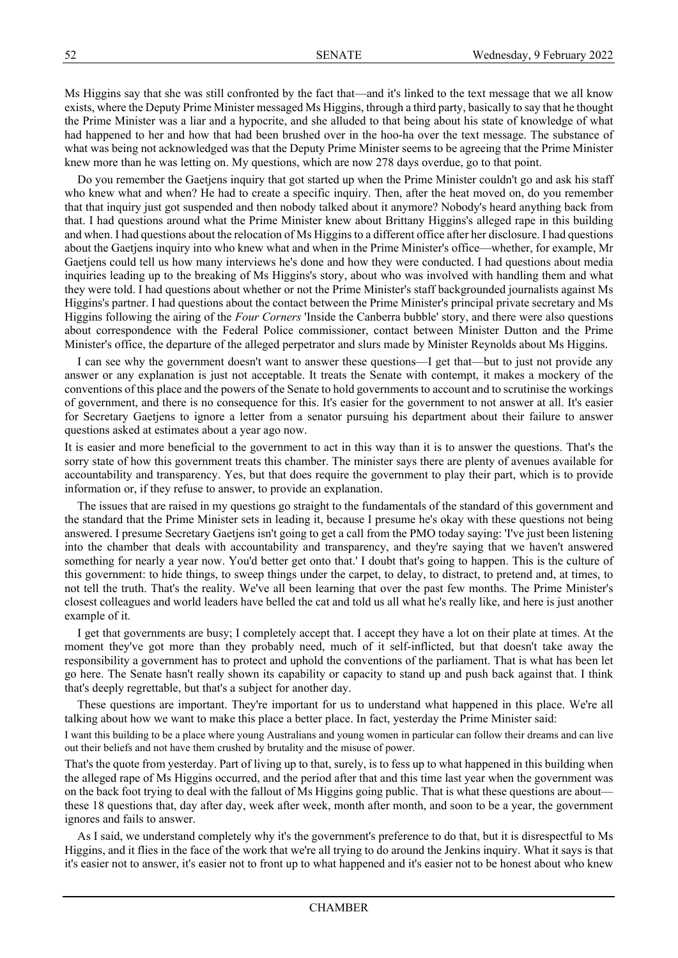Ms Higgins say that she was still confronted by the fact that—and it's linked to the text message that we all know exists, where the Deputy Prime Minister messaged Ms Higgins, through a third party, basically to say that he thought the Prime Minister was a liar and a hypocrite, and she alluded to that being about his state of knowledge of what had happened to her and how that had been brushed over in the hoo-ha over the text message. The substance of what was being not acknowledged was that the Deputy Prime Minister seems to be agreeing that the Prime Minister knew more than he was letting on. My questions, which are now 278 days overdue, go to that point.

Do you remember the Gaetjens inquiry that got started up when the Prime Minister couldn't go and ask his staff who knew what and when? He had to create a specific inquiry. Then, after the heat moved on, do you remember that that inquiry just got suspended and then nobody talked about it anymore? Nobody's heard anything back from that. I had questions around what the Prime Minister knew about Brittany Higgins's alleged rape in this building and when. I had questions about the relocation of Ms Higgins to a different office after her disclosure. I had questions about the Gaetjens inquiry into who knew what and when in the Prime Minister's office—whether, for example, Mr Gaetjens could tell us how many interviews he's done and how they were conducted. I had questions about media inquiries leading up to the breaking of Ms Higgins's story, about who was involved with handling them and what they were told. I had questions about whether or not the Prime Minister's staff backgrounded journalists against Ms Higgins's partner. I had questions about the contact between the Prime Minister's principal private secretary and Ms Higgins following the airing of the *Four Corners* 'Inside the Canberra bubble' story, and there were also questions about correspondence with the Federal Police commissioner, contact between Minister Dutton and the Prime Minister's office, the departure of the alleged perpetrator and slurs made by Minister Reynolds about Ms Higgins.

I can see why the government doesn't want to answer these questions—I get that—but to just not provide any answer or any explanation is just not acceptable. It treats the Senate with contempt, it makes a mockery of the conventions of this place and the powers of the Senate to hold governments to account and to scrutinise the workings of government, and there is no consequence for this. It's easier for the government to not answer at all. It's easier for Secretary Gaetjens to ignore a letter from a senator pursuing his department about their failure to answer questions asked at estimates about a year ago now.

It is easier and more beneficial to the government to act in this way than it is to answer the questions. That's the sorry state of how this government treats this chamber. The minister says there are plenty of avenues available for accountability and transparency. Yes, but that does require the government to play their part, which is to provide information or, if they refuse to answer, to provide an explanation.

The issues that are raised in my questions go straight to the fundamentals of the standard of this government and the standard that the Prime Minister sets in leading it, because I presume he's okay with these questions not being answered. I presume Secretary Gaetjens isn't going to get a call from the PMO today saying: 'I've just been listening into the chamber that deals with accountability and transparency, and they're saying that we haven't answered something for nearly a year now. You'd better get onto that.' I doubt that's going to happen. This is the culture of this government: to hide things, to sweep things under the carpet, to delay, to distract, to pretend and, at times, to not tell the truth. That's the reality. We've all been learning that over the past few months. The Prime Minister's closest colleagues and world leaders have belled the cat and told us all what he's really like, and here is just another example of it.

I get that governments are busy; I completely accept that. I accept they have a lot on their plate at times. At the moment they've got more than they probably need, much of it self-inflicted, but that doesn't take away the responsibility a government has to protect and uphold the conventions of the parliament. That is what has been let go here. The Senate hasn't really shown its capability or capacity to stand up and push back against that. I think that's deeply regrettable, but that's a subject for another day.

These questions are important. They're important for us to understand what happened in this place. We're all talking about how we want to make this place a better place. In fact, yesterday the Prime Minister said:

I want this building to be a place where young Australians and young women in particular can follow their dreams and can live out their beliefs and not have them crushed by brutality and the misuse of power.

That's the quote from yesterday. Part of living up to that, surely, is to fess up to what happened in this building when the alleged rape of Ms Higgins occurred, and the period after that and this time last year when the government was on the back foot trying to deal with the fallout of Ms Higgins going public. That is what these questions are about these 18 questions that, day after day, week after week, month after month, and soon to be a year, the government ignores and fails to answer.

As I said, we understand completely why it's the government's preference to do that, but it is disrespectful to Ms Higgins, and it flies in the face of the work that we're all trying to do around the Jenkins inquiry. What it says is that it's easier not to answer, it's easier not to front up to what happened and it's easier not to be honest about who knew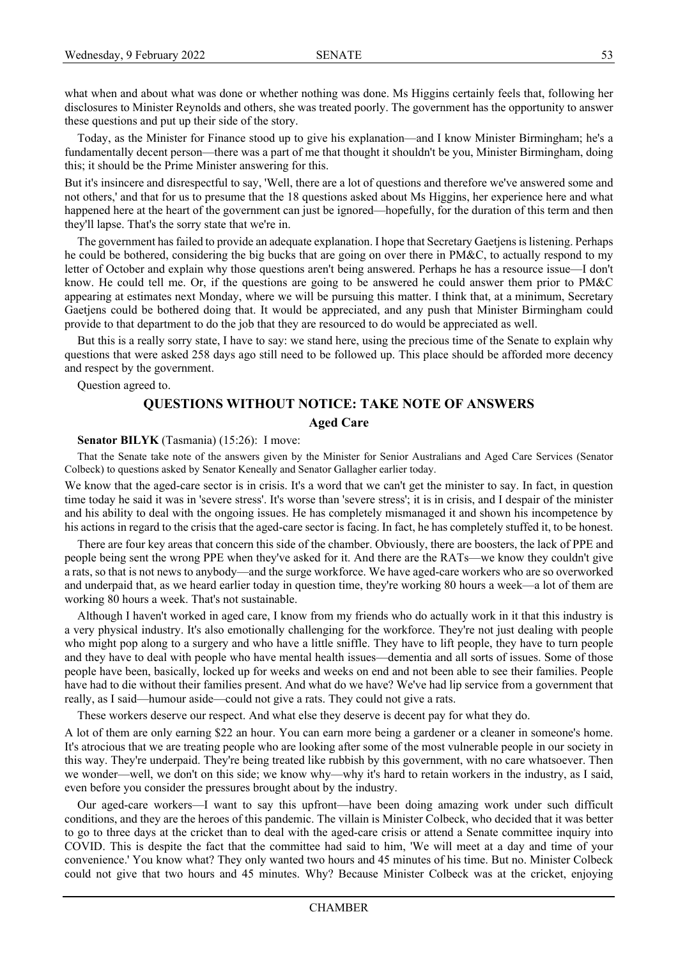what when and about what was done or whether nothing was done. Ms Higgins certainly feels that, following her disclosures to Minister Reynolds and others, she was treated poorly. The government has the opportunity to answer these questions and put up their side of the story.

Today, as the Minister for Finance stood up to give his explanation—and I know Minister Birmingham; he's a fundamentally decent person—there was a part of me that thought it shouldn't be you, Minister Birmingham, doing this; it should be the Prime Minister answering for this.

But it's insincere and disrespectful to say, 'Well, there are a lot of questions and therefore we've answered some and not others,' and that for us to presume that the 18 questions asked about Ms Higgins, her experience here and what happened here at the heart of the government can just be ignored—hopefully, for the duration of this term and then they'll lapse. That's the sorry state that we're in.

The government has failed to provide an adequate explanation. I hope that Secretary Gaetjens is listening. Perhaps he could be bothered, considering the big bucks that are going on over there in PM&C, to actually respond to my letter of October and explain why those questions aren't being answered. Perhaps he has a resource issue—I don't know. He could tell me. Or, if the questions are going to be answered he could answer them prior to PM&C appearing at estimates next Monday, where we will be pursuing this matter. I think that, at a minimum, Secretary Gaetjens could be bothered doing that. It would be appreciated, and any push that Minister Birmingham could provide to that department to do the job that they are resourced to do would be appreciated as well.

But this is a really sorry state, I have to say: we stand here, using the precious time of the Senate to explain why questions that were asked 258 days ago still need to be followed up. This place should be afforded more decency and respect by the government.

Question agreed to.

# **QUESTIONS WITHOUT NOTICE: TAKE NOTE OF ANSWERS Aged Care**

**Senator BILYK** (Tasmania) (15:26): I move:

That the Senate take note of the answers given by the Minister for Senior Australians and Aged Care Services (Senator Colbeck) to questions asked by Senator Keneally and Senator Gallagher earlier today.

We know that the aged-care sector is in crisis. It's a word that we can't get the minister to say. In fact, in question time today he said it was in 'severe stress'. It's worse than 'severe stress'; it is in crisis, and I despair of the minister and his ability to deal with the ongoing issues. He has completely mismanaged it and shown his incompetence by his actions in regard to the crisis that the aged-care sector is facing. In fact, he has completely stuffed it, to be honest.

There are four key areas that concern this side of the chamber. Obviously, there are boosters, the lack of PPE and people being sent the wrong PPE when they've asked for it. And there are the RATs—we know they couldn't give a rats, so that is not news to anybody—and the surge workforce. We have aged-care workers who are so overworked and underpaid that, as we heard earlier today in question time, they're working 80 hours a week—a lot of them are working 80 hours a week. That's not sustainable.

Although I haven't worked in aged care, I know from my friends who do actually work in it that this industry is a very physical industry. It's also emotionally challenging for the workforce. They're not just dealing with people who might pop along to a surgery and who have a little sniffle. They have to lift people, they have to turn people and they have to deal with people who have mental health issues—dementia and all sorts of issues. Some of those people have been, basically, locked up for weeks and weeks on end and not been able to see their families. People have had to die without their families present. And what do we have? We've had lip service from a government that really, as I said—humour aside—could not give a rats. They could not give a rats.

These workers deserve our respect. And what else they deserve is decent pay for what they do.

A lot of them are only earning \$22 an hour. You can earn more being a gardener or a cleaner in someone's home. It's atrocious that we are treating people who are looking after some of the most vulnerable people in our society in this way. They're underpaid. They're being treated like rubbish by this government, with no care whatsoever. Then we wonder—well, we don't on this side; we know why—why it's hard to retain workers in the industry, as I said, even before you consider the pressures brought about by the industry.

Our aged-care workers—I want to say this upfront—have been doing amazing work under such difficult conditions, and they are the heroes of this pandemic. The villain is Minister Colbeck, who decided that it was better to go to three days at the cricket than to deal with the aged-care crisis or attend a Senate committee inquiry into COVID. This is despite the fact that the committee had said to him, 'We will meet at a day and time of your convenience.' You know what? They only wanted two hours and 45 minutes of his time. But no. Minister Colbeck could not give that two hours and 45 minutes. Why? Because Minister Colbeck was at the cricket, enjoying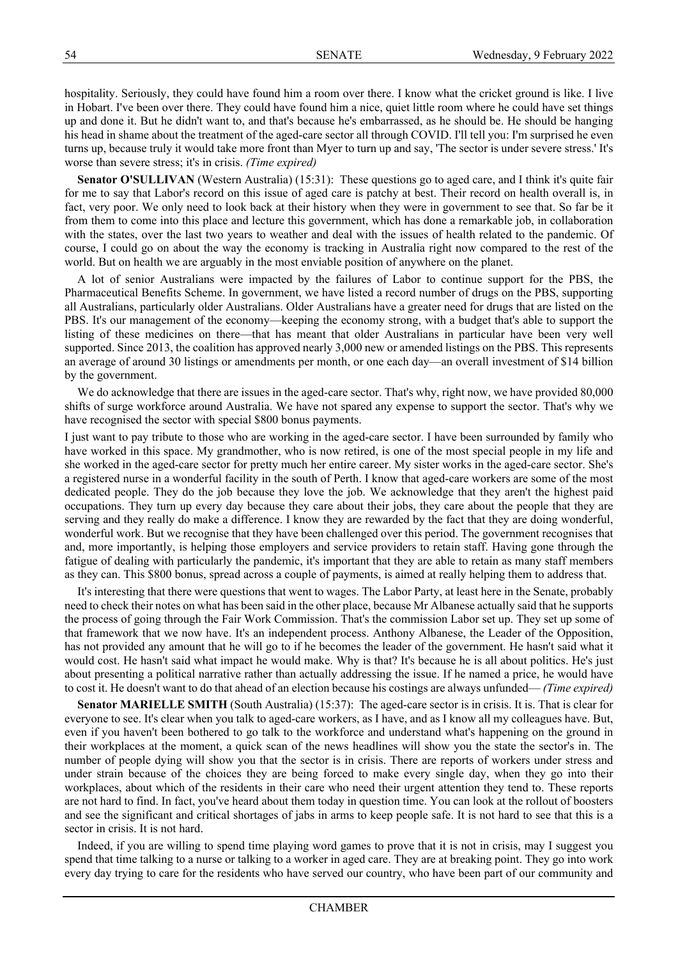hospitality. Seriously, they could have found him a room over there. I know what the cricket ground is like. I live in Hobart. I've been over there. They could have found him a nice, quiet little room where he could have set things up and done it. But he didn't want to, and that's because he's embarrassed, as he should be. He should be hanging his head in shame about the treatment of the aged-care sector all through COVID. I'll tell you: I'm surprised he even turns up, because truly it would take more front than Myer to turn up and say, 'The sector is under severe stress.' It's worse than severe stress; it's in crisis. *(Time expired)*

**Senator O'SULLIVAN** (Western Australia) (15:31): These questions go to aged care, and I think it's quite fair for me to say that Labor's record on this issue of aged care is patchy at best. Their record on health overall is, in fact, very poor. We only need to look back at their history when they were in government to see that. So far be it from them to come into this place and lecture this government, which has done a remarkable job, in collaboration with the states, over the last two years to weather and deal with the issues of health related to the pandemic. Of course, I could go on about the way the economy is tracking in Australia right now compared to the rest of the world. But on health we are arguably in the most enviable position of anywhere on the planet.

A lot of senior Australians were impacted by the failures of Labor to continue support for the PBS, the Pharmaceutical Benefits Scheme. In government, we have listed a record number of drugs on the PBS, supporting all Australians, particularly older Australians. Older Australians have a greater need for drugs that are listed on the PBS. It's our management of the economy—keeping the economy strong, with a budget that's able to support the listing of these medicines on there—that has meant that older Australians in particular have been very well supported. Since 2013, the coalition has approved nearly 3,000 new or amended listings on the PBS. This represents an average of around 30 listings or amendments per month, or one each day—an overall investment of \$14 billion by the government.

We do acknowledge that there are issues in the aged-care sector. That's why, right now, we have provided 80,000 shifts of surge workforce around Australia. We have not spared any expense to support the sector. That's why we have recognised the sector with special \$800 bonus payments.

I just want to pay tribute to those who are working in the aged-care sector. I have been surrounded by family who have worked in this space. My grandmother, who is now retired, is one of the most special people in my life and she worked in the aged-care sector for pretty much her entire career. My sister works in the aged-care sector. She's a registered nurse in a wonderful facility in the south of Perth. I know that aged-care workers are some of the most dedicated people. They do the job because they love the job. We acknowledge that they aren't the highest paid occupations. They turn up every day because they care about their jobs, they care about the people that they are serving and they really do make a difference. I know they are rewarded by the fact that they are doing wonderful, wonderful work. But we recognise that they have been challenged over this period. The government recognises that and, more importantly, is helping those employers and service providers to retain staff. Having gone through the fatigue of dealing with particularly the pandemic, it's important that they are able to retain as many staff members as they can. This \$800 bonus, spread across a couple of payments, is aimed at really helping them to address that.

It's interesting that there were questions that went to wages. The Labor Party, at least here in the Senate, probably need to check their notes on what has been said in the other place, because Mr Albanese actually said that he supports the process of going through the Fair Work Commission. That's the commission Labor set up. They set up some of that framework that we now have. It's an independent process. Anthony Albanese, the Leader of the Opposition, has not provided any amount that he will go to if he becomes the leader of the government. He hasn't said what it would cost. He hasn't said what impact he would make. Why is that? It's because he is all about politics. He's just about presenting a political narrative rather than actually addressing the issue. If he named a price, he would have to cost it. He doesn't want to do that ahead of an election because his costings are always unfunded— *(Time expired)*

**Senator MARIELLE SMITH** (South Australia) (15:37): The aged-care sector is in crisis. It is. That is clear for everyone to see. It's clear when you talk to aged-care workers, as I have, and as I know all my colleagues have. But, even if you haven't been bothered to go talk to the workforce and understand what's happening on the ground in their workplaces at the moment, a quick scan of the news headlines will show you the state the sector's in. The number of people dying will show you that the sector is in crisis. There are reports of workers under stress and under strain because of the choices they are being forced to make every single day, when they go into their workplaces, about which of the residents in their care who need their urgent attention they tend to. These reports are not hard to find. In fact, you've heard about them today in question time. You can look at the rollout of boosters and see the significant and critical shortages of jabs in arms to keep people safe. It is not hard to see that this is a sector in crisis. It is not hard.

Indeed, if you are willing to spend time playing word games to prove that it is not in crisis, may I suggest you spend that time talking to a nurse or talking to a worker in aged care. They are at breaking point. They go into work every day trying to care for the residents who have served our country, who have been part of our community and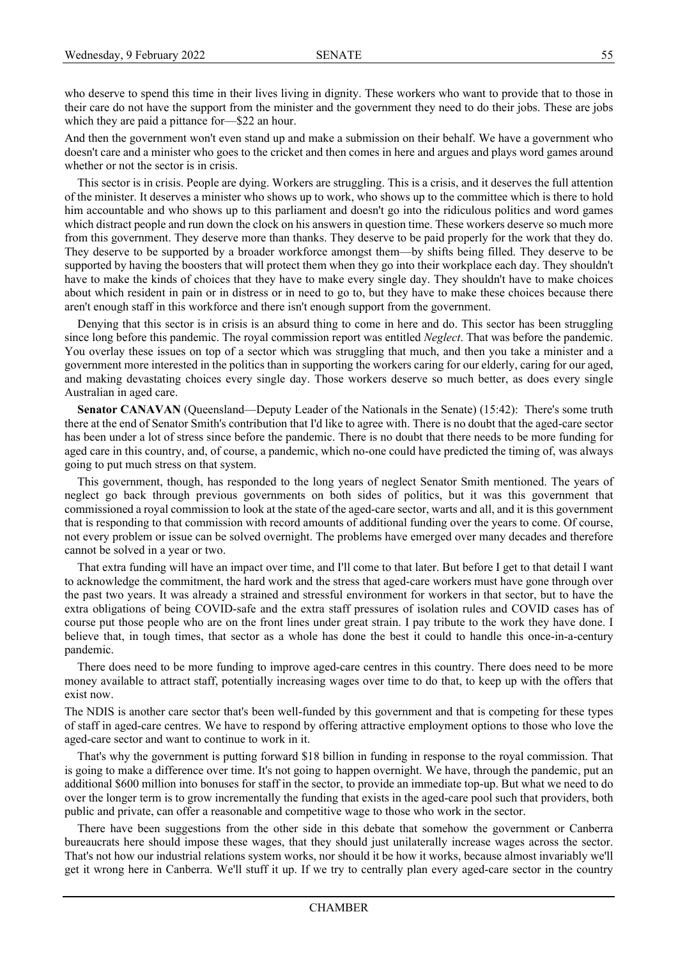who deserve to spend this time in their lives living in dignity. These workers who want to provide that to those in their care do not have the support from the minister and the government they need to do their jobs. These are jobs which they are paid a pittance for - \$22 an hour.

And then the government won't even stand up and make a submission on their behalf. We have a government who doesn't care and a minister who goes to the cricket and then comes in here and argues and plays word games around whether or not the sector is in crisis.

This sector is in crisis. People are dying. Workers are struggling. This is a crisis, and it deserves the full attention of the minister. It deserves a minister who shows up to work, who shows up to the committee which is there to hold him accountable and who shows up to this parliament and doesn't go into the ridiculous politics and word games which distract people and run down the clock on his answers in question time. These workers deserve so much more from this government. They deserve more than thanks. They deserve to be paid properly for the work that they do. They deserve to be supported by a broader workforce amongst them—by shifts being filled. They deserve to be supported by having the boosters that will protect them when they go into their workplace each day. They shouldn't have to make the kinds of choices that they have to make every single day. They shouldn't have to make choices about which resident in pain or in distress or in need to go to, but they have to make these choices because there aren't enough staff in this workforce and there isn't enough support from the government.

Denying that this sector is in crisis is an absurd thing to come in here and do. This sector has been struggling since long before this pandemic. The royal commission report was entitled *Neglect*. That was before the pandemic. You overlay these issues on top of a sector which was struggling that much, and then you take a minister and a government more interested in the politics than in supporting the workers caring for our elderly, caring for our aged, and making devastating choices every single day. Those workers deserve so much better, as does every single Australian in aged care.

Senator CANAVAN (Queensland—Deputy Leader of the Nationals in the Senate) (15:42): There's some truth there at the end of Senator Smith's contribution that I'd like to agree with. There is no doubt that the aged-care sector has been under a lot of stress since before the pandemic. There is no doubt that there needs to be more funding for aged care in this country, and, of course, a pandemic, which no-one could have predicted the timing of, was always going to put much stress on that system.

This government, though, has responded to the long years of neglect Senator Smith mentioned. The years of neglect go back through previous governments on both sides of politics, but it was this government that commissioned a royal commission to look at the state of the aged-care sector, warts and all, and it is this government that is responding to that commission with record amounts of additional funding over the years to come. Of course, not every problem or issue can be solved overnight. The problems have emerged over many decades and therefore cannot be solved in a year or two.

That extra funding will have an impact over time, and I'll come to that later. But before I get to that detail I want to acknowledge the commitment, the hard work and the stress that aged-care workers must have gone through over the past two years. It was already a strained and stressful environment for workers in that sector, but to have the extra obligations of being COVID-safe and the extra staff pressures of isolation rules and COVID cases has of course put those people who are on the front lines under great strain. I pay tribute to the work they have done. I believe that, in tough times, that sector as a whole has done the best it could to handle this once-in-a-century pandemic.

There does need to be more funding to improve aged-care centres in this country. There does need to be more money available to attract staff, potentially increasing wages over time to do that, to keep up with the offers that exist now.

The NDIS is another care sector that's been well-funded by this government and that is competing for these types of staff in aged-care centres. We have to respond by offering attractive employment options to those who love the aged-care sector and want to continue to work in it.

That's why the government is putting forward \$18 billion in funding in response to the royal commission. That is going to make a difference over time. It's not going to happen overnight. We have, through the pandemic, put an additional \$600 million into bonuses for staff in the sector, to provide an immediate top-up. But what we need to do over the longer term is to grow incrementally the funding that exists in the aged-care pool such that providers, both public and private, can offer a reasonable and competitive wage to those who work in the sector.

There have been suggestions from the other side in this debate that somehow the government or Canberra bureaucrats here should impose these wages, that they should just unilaterally increase wages across the sector. That's not how our industrial relations system works, nor should it be how it works, because almost invariably we'll get it wrong here in Canberra. We'll stuff it up. If we try to centrally plan every aged-care sector in the country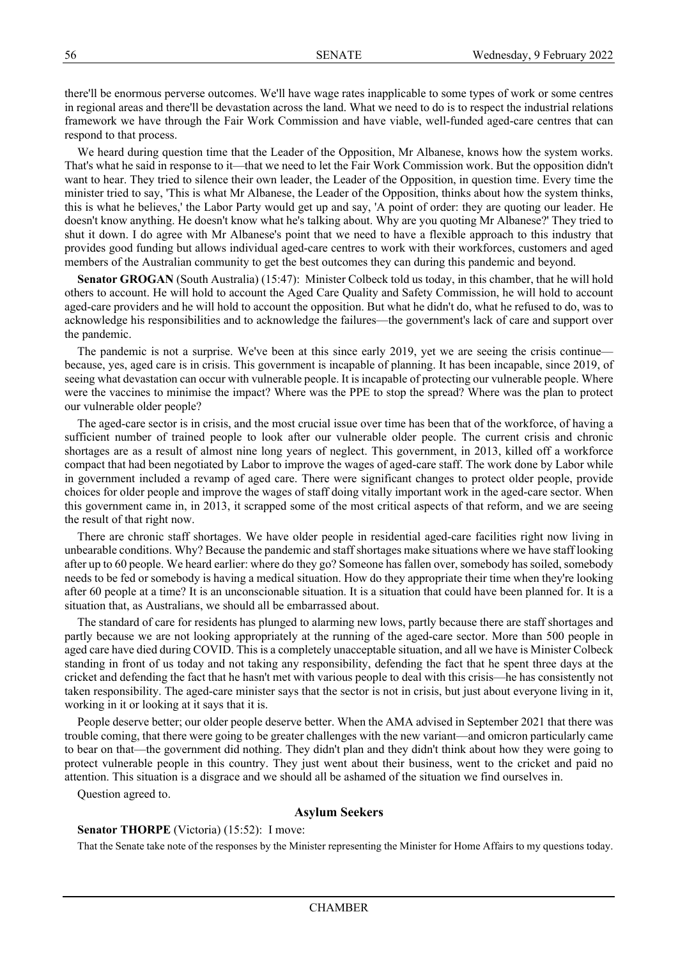there'll be enormous perverse outcomes. We'll have wage rates inapplicable to some types of work or some centres in regional areas and there'll be devastation across the land. What we need to do is to respect the industrial relations framework we have through the Fair Work Commission and have viable, well-funded aged-care centres that can respond to that process.

We heard during question time that the Leader of the Opposition, Mr Albanese, knows how the system works. That's what he said in response to it—that we need to let the Fair Work Commission work. But the opposition didn't want to hear. They tried to silence their own leader, the Leader of the Opposition, in question time. Every time the minister tried to say, 'This is what Mr Albanese, the Leader of the Opposition, thinks about how the system thinks, this is what he believes,' the Labor Party would get up and say, 'A point of order: they are quoting our leader. He doesn't know anything. He doesn't know what he's talking about. Why are you quoting Mr Albanese?' They tried to shut it down. I do agree with Mr Albanese's point that we need to have a flexible approach to this industry that provides good funding but allows individual aged-care centres to work with their workforces, customers and aged members of the Australian community to get the best outcomes they can during this pandemic and beyond.

**Senator GROGAN** (South Australia) (15:47): Minister Colbeck told us today, in this chamber, that he will hold others to account. He will hold to account the Aged Care Quality and Safety Commission, he will hold to account aged-care providers and he will hold to account the opposition. But what he didn't do, what he refused to do, was to acknowledge his responsibilities and to acknowledge the failures—the government's lack of care and support over the pandemic.

The pandemic is not a surprise. We've been at this since early 2019, yet we are seeing the crisis continue because, yes, aged care is in crisis. This government is incapable of planning. It has been incapable, since 2019, of seeing what devastation can occur with vulnerable people. It is incapable of protecting our vulnerable people. Where were the vaccines to minimise the impact? Where was the PPE to stop the spread? Where was the plan to protect our vulnerable older people?

The aged-care sector is in crisis, and the most crucial issue over time has been that of the workforce, of having a sufficient number of trained people to look after our vulnerable older people. The current crisis and chronic shortages are as a result of almost nine long years of neglect. This government, in 2013, killed off a workforce compact that had been negotiated by Labor to improve the wages of aged-care staff. The work done by Labor while in government included a revamp of aged care. There were significant changes to protect older people, provide choices for older people and improve the wages of staff doing vitally important work in the aged-care sector. When this government came in, in 2013, it scrapped some of the most critical aspects of that reform, and we are seeing the result of that right now.

There are chronic staff shortages. We have older people in residential aged-care facilities right now living in unbearable conditions. Why? Because the pandemic and staff shortages make situations where we have staff looking after up to 60 people. We heard earlier: where do they go? Someone has fallen over, somebody has soiled, somebody needs to be fed or somebody is having a medical situation. How do they appropriate their time when they're looking after 60 people at a time? It is an unconscionable situation. It is a situation that could have been planned for. It is a situation that, as Australians, we should all be embarrassed about.

The standard of care for residents has plunged to alarming new lows, partly because there are staff shortages and partly because we are not looking appropriately at the running of the aged-care sector. More than 500 people in aged care have died during COVID. This is a completely unacceptable situation, and all we have is Minister Colbeck standing in front of us today and not taking any responsibility, defending the fact that he spent three days at the cricket and defending the fact that he hasn't met with various people to deal with this crisis—he has consistently not taken responsibility. The aged-care minister says that the sector is not in crisis, but just about everyone living in it, working in it or looking at it says that it is.

People deserve better; our older people deserve better. When the AMA advised in September 2021 that there was trouble coming, that there were going to be greater challenges with the new variant—and omicron particularly came to bear on that—the government did nothing. They didn't plan and they didn't think about how they were going to protect vulnerable people in this country. They just went about their business, went to the cricket and paid no attention. This situation is a disgrace and we should all be ashamed of the situation we find ourselves in.

Question agreed to.

#### **Asylum Seekers**

#### **Senator THORPE** (Victoria) (15:52): I move:

That the Senate take note of the responses by the Minister representing the Minister for Home Affairs to my questions today.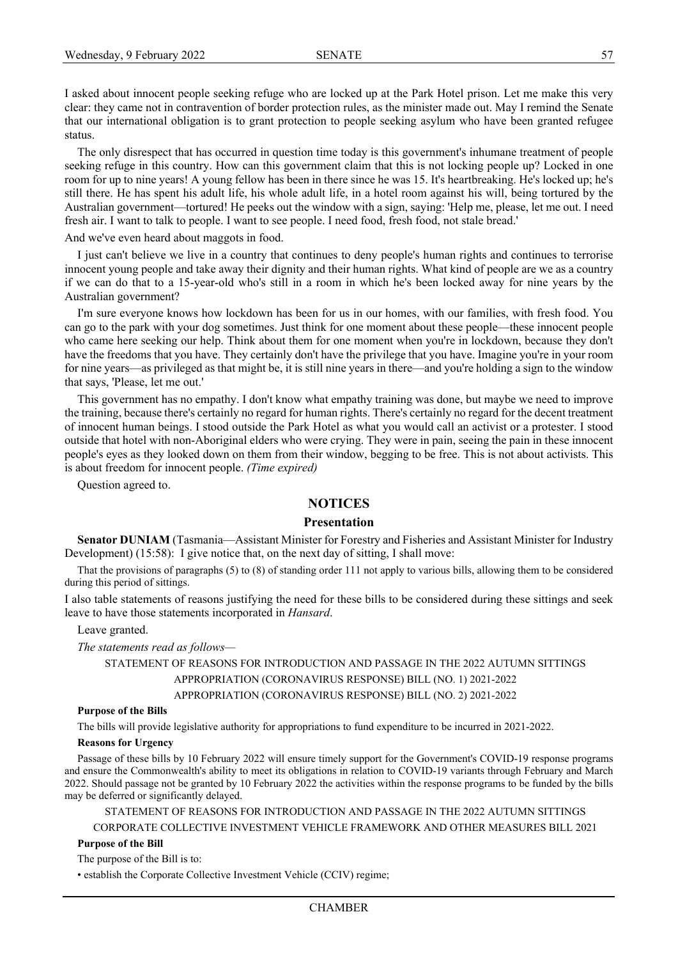I asked about innocent people seeking refuge who are locked up at the Park Hotel prison. Let me make this very clear: they came not in contravention of border protection rules, as the minister made out. May I remind the Senate that our international obligation is to grant protection to people seeking asylum who have been granted refugee status.

The only disrespect that has occurred in question time today is this government's inhumane treatment of people seeking refuge in this country. How can this government claim that this is not locking people up? Locked in one room for up to nine years! A young fellow has been in there since he was 15. It's heartbreaking. He's locked up; he's still there. He has spent his adult life, his whole adult life, in a hotel room against his will, being tortured by the Australian government—tortured! He peeks out the window with a sign, saying: 'Help me, please, let me out. I need fresh air. I want to talk to people. I want to see people. I need food, fresh food, not stale bread.'

And we've even heard about maggots in food.

I just can't believe we live in a country that continues to deny people's human rights and continues to terrorise innocent young people and take away their dignity and their human rights. What kind of people are we as a country if we can do that to a 15-year-old who's still in a room in which he's been locked away for nine years by the Australian government?

I'm sure everyone knows how lockdown has been for us in our homes, with our families, with fresh food. You can go to the park with your dog sometimes. Just think for one moment about these people—these innocent people who came here seeking our help. Think about them for one moment when you're in lockdown, because they don't have the freedoms that you have. They certainly don't have the privilege that you have. Imagine you're in your room for nine years—as privileged as that might be, it is still nine years in there—and you're holding a sign to the window that says, 'Please, let me out.'

This government has no empathy. I don't know what empathy training was done, but maybe we need to improve the training, because there's certainly no regard for human rights. There's certainly no regard for the decent treatment of innocent human beings. I stood outside the Park Hotel as what you would call an activist or a protester. I stood outside that hotel with non-Aboriginal elders who were crying. They were in pain, seeing the pain in these innocent people's eyes as they looked down on them from their window, begging to be free. This is not about activists. This is about freedom for innocent people. *(Time expired)*

Question agreed to.

# **NOTICES**

# **Presentation**

**Senator DUNIAM** (Tasmania—Assistant Minister for Forestry and Fisheries and Assistant Minister for Industry Development) (15:58): I give notice that, on the next day of sitting, I shall move:

That the provisions of paragraphs (5) to (8) of standing order 111 not apply to various bills, allowing them to be considered during this period of sittings.

I also table statements of reasons justifying the need for these bills to be considered during these sittings and seek leave to have those statements incorporated in *Hansard*.

Leave granted.

*The statements read as follows—*

STATEMENT OF REASONS FOR INTRODUCTION AND PASSAGE IN THE 2022 AUTUMN SITTINGS APPROPRIATION (CORONAVIRUS RESPONSE) BILL (NO. 1) 2021-2022 APPROPRIATION (CORONAVIRUS RESPONSE) BILL (NO. 2) 2021-2022

#### **Purpose of the Bills**

The bills will provide legislative authority for appropriations to fund expenditure to be incurred in 2021-2022.

#### **Reasons for Urgency**

Passage of these bills by 10 February 2022 will ensure timely support for the Government's COVID-19 response programs and ensure the Commonwealth's ability to meet its obligations in relation to COVID-19 variants through February and March 2022. Should passage not be granted by 10 February 2022 the activities within the response programs to be funded by the bills may be deferred or significantly delayed.

STATEMENT OF REASONS FOR INTRODUCTION AND PASSAGE IN THE 2022 AUTUMN SITTINGS CORPORATE COLLECTIVE INVESTMENT VEHICLE FRAMEWORK AND OTHER MEASURES BILL 2021

#### **Purpose of the Bill**

The purpose of the Bill is to:

• establish the Corporate Collective Investment Vehicle (CCIV) regime;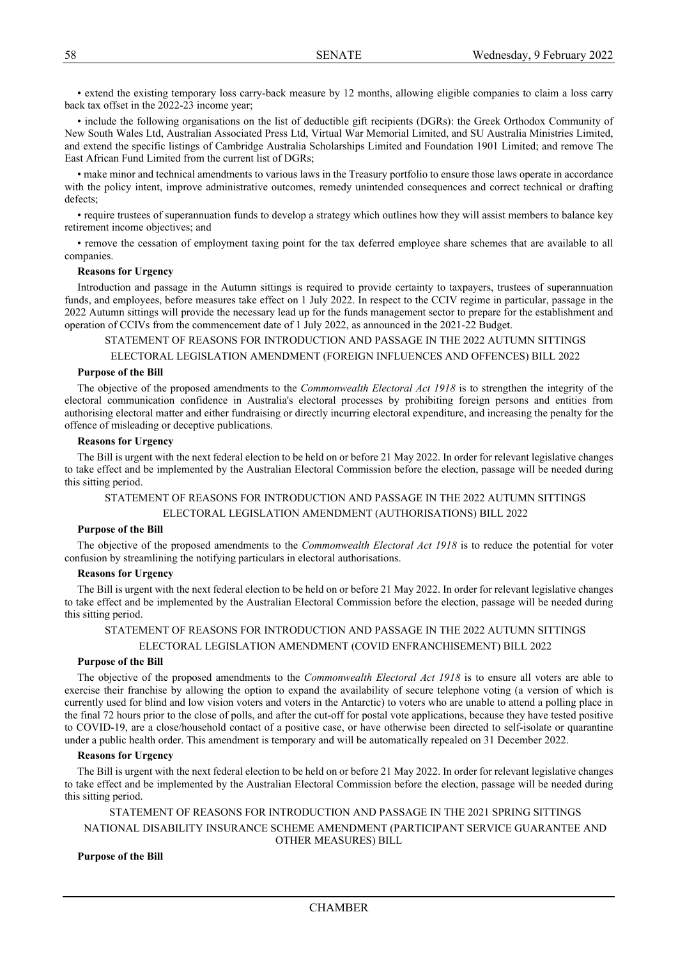• extend the existing temporary loss carry-back measure by 12 months, allowing eligible companies to claim a loss carry back tax offset in the 2022-23 income year;

• include the following organisations on the list of deductible gift recipients (DGRs): the Greek Orthodox Community of New South Wales Ltd, Australian Associated Press Ltd, Virtual War Memorial Limited, and SU Australia Ministries Limited, and extend the specific listings of Cambridge Australia Scholarships Limited and Foundation 1901 Limited; and remove The East African Fund Limited from the current list of DGRs;

• make minor and technical amendments to various laws in the Treasury portfolio to ensure those laws operate in accordance with the policy intent, improve administrative outcomes, remedy unintended consequences and correct technical or drafting defects;

• require trustees of superannuation funds to develop a strategy which outlines how they will assist members to balance key retirement income objectives; and

• remove the cessation of employment taxing point for the tax deferred employee share schemes that are available to all companies.

#### **Reasons for Urgency**

Introduction and passage in the Autumn sittings is required to provide certainty to taxpayers, trustees of superannuation funds, and employees, before measures take effect on 1 July 2022. In respect to the CCIV regime in particular, passage in the 2022 Autumn sittings will provide the necessary lead up for the funds management sector to prepare for the establishment and operation of CCIVs from the commencement date of 1 July 2022, as announced in the 2021-22 Budget.

STATEMENT OF REASONS FOR INTRODUCTION AND PASSAGE IN THE 2022 AUTUMN SITTINGS

ELECTORAL LEGISLATION AMENDMENT (FOREIGN INFLUENCES AND OFFENCES) BILL 2022

#### **Purpose of the Bill**

The objective of the proposed amendments to the *Commonwealth Electoral Act 1918* is to strengthen the integrity of the electoral communication confidence in Australia's electoral processes by prohibiting foreign persons and entities from authorising electoral matter and either fundraising or directly incurring electoral expenditure, and increasing the penalty for the offence of misleading or deceptive publications.

#### **Reasons for Urgency**

The Bill is urgent with the next federal election to be held on or before 21 May 2022. In order for relevant legislative changes to take effect and be implemented by the Australian Electoral Commission before the election, passage will be needed during this sitting period.

# STATEMENT OF REASONS FOR INTRODUCTION AND PASSAGE IN THE 2022 AUTUMN SITTINGS ELECTORAL LEGISLATION AMENDMENT (AUTHORISATIONS) BILL 2022

#### **Purpose of the Bill**

The objective of the proposed amendments to the *Commonwealth Electoral Act 1918* is to reduce the potential for voter confusion by streamlining the notifying particulars in electoral authorisations.

#### **Reasons for Urgency**

The Bill is urgent with the next federal election to be held on or before 21 May 2022. In order for relevant legislative changes to take effect and be implemented by the Australian Electoral Commission before the election, passage will be needed during this sitting period.

# STATEMENT OF REASONS FOR INTRODUCTION AND PASSAGE IN THE 2022 AUTUMN SITTINGS ELECTORAL LEGISLATION AMENDMENT (COVID ENFRANCHISEMENT) BILL 2022

#### **Purpose of the Bill**

The objective of the proposed amendments to the *Commonwealth Electoral Act 1918* is to ensure all voters are able to exercise their franchise by allowing the option to expand the availability of secure telephone voting (a version of which is currently used for blind and low vision voters and voters in the Antarctic) to voters who are unable to attend a polling place in the final 72 hours prior to the close of polls, and after the cut-off for postal vote applications, because they have tested positive to COVID-19, are a close/household contact of a positive case, or have otherwise been directed to self-isolate or quarantine under a public health order. This amendment is temporary and will be automatically repealed on 31 December 2022.

#### **Reasons for Urgency**

The Bill is urgent with the next federal election to be held on or before 21 May 2022. In order for relevant legislative changes to take effect and be implemented by the Australian Electoral Commission before the election, passage will be needed during this sitting period.

STATEMENT OF REASONS FOR INTRODUCTION AND PASSAGE IN THE 2021 SPRING SITTINGS NATIONAL DISABILITY INSURANCE SCHEME AMENDMENT (PARTICIPANT SERVICE GUARANTEE AND OTHER MEASURES) BILL

#### **Purpose of the Bill**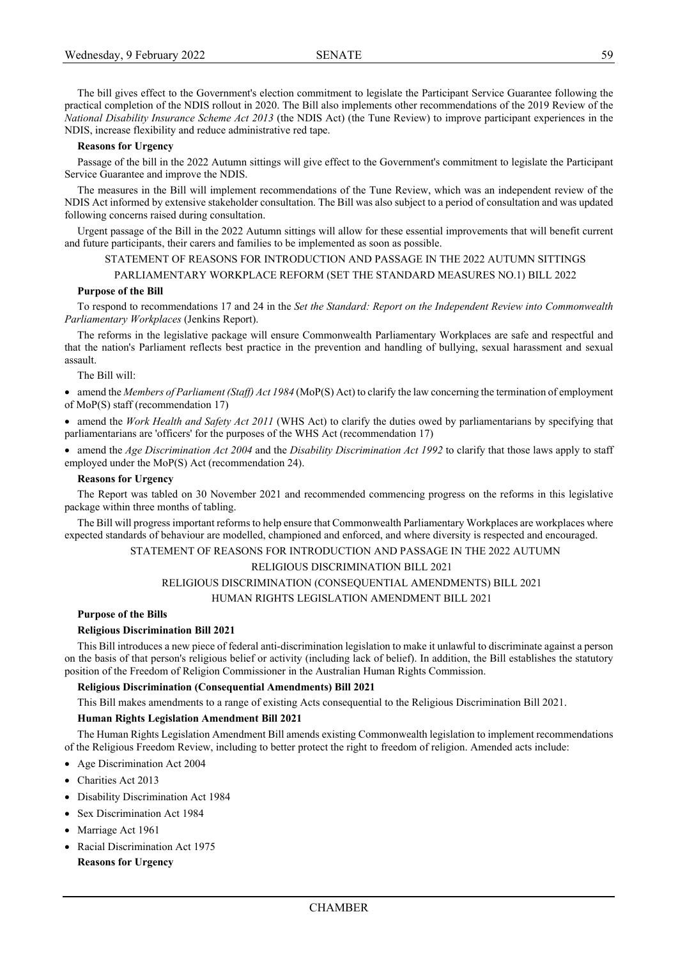The bill gives effect to the Government's election commitment to legislate the Participant Service Guarantee following the practical completion of the NDIS rollout in 2020. The Bill also implements other recommendations of the 2019 Review of the *National Disability Insurance Scheme Act 2013* (the NDIS Act) (the Tune Review) to improve participant experiences in the NDIS, increase flexibility and reduce administrative red tape.

#### **Reasons for Urgency**

Passage of the bill in the 2022 Autumn sittings will give effect to the Government's commitment to legislate the Participant Service Guarantee and improve the NDIS.

The measures in the Bill will implement recommendations of the Tune Review, which was an independent review of the NDIS Act informed by extensive stakeholder consultation. The Bill was also subject to a period of consultation and was updated following concerns raised during consultation.

Urgent passage of the Bill in the 2022 Autumn sittings will allow for these essential improvements that will benefit current and future participants, their carers and families to be implemented as soon as possible.

# STATEMENT OF REASONS FOR INTRODUCTION AND PASSAGE IN THE 2022 AUTUMN SITTINGS

#### PARLIAMENTARY WORKPLACE REFORM (SET THE STANDARD MEASURES NO.1) BILL 2022

#### **Purpose of the Bill**

To respond to recommendations 17 and 24 in the *Set the Standard: Report on the Independent Review into Commonwealth Parliamentary Workplaces* (Jenkins Report).

The reforms in the legislative package will ensure Commonwealth Parliamentary Workplaces are safe and respectful and that the nation's Parliament reflects best practice in the prevention and handling of bullying, sexual harassment and sexual assault.

The Bill will:

• amend the *Members of Parliament (Staff) Act 1984* (MoP(S) Act) to clarify the law concerning the termination of employment of MoP(S) staff (recommendation 17)

• amend the *Work Health and Safety Act 2011* (WHS Act) to clarify the duties owed by parliamentarians by specifying that parliamentarians are 'officers' for the purposes of the WHS Act (recommendation 17)

• amend the *Age Discrimination Act 2004* and the *Disability Discrimination Act 1992* to clarify that those laws apply to staff employed under the MoP(S) Act (recommendation 24).

#### **Reasons for Urgency**

The Report was tabled on 30 November 2021 and recommended commencing progress on the reforms in this legislative package within three months of tabling.

The Bill will progress important reforms to help ensure that Commonwealth Parliamentary Workplaces are workplaces where expected standards of behaviour are modelled, championed and enforced, and where diversity is respected and encouraged.

#### STATEMENT OF REASONS FOR INTRODUCTION AND PASSAGE IN THE 2022 AUTUMN

## RELIGIOUS DISCRIMINATION BILL 2021

## RELIGIOUS DISCRIMINATION (CONSEQUENTIAL AMENDMENTS) BILL 2021

#### HUMAN RIGHTS LEGISLATION AMENDMENT BILL 2021

#### **Purpose of the Bills**

#### **Religious Discrimination Bill 2021**

This Bill introduces a new piece of federal anti-discrimination legislation to make it unlawful to discriminate against a person on the basis of that person's religious belief or activity (including lack of belief). In addition, the Bill establishes the statutory position of the Freedom of Religion Commissioner in the Australian Human Rights Commission.

#### **Religious Discrimination (Consequential Amendments) Bill 2021**

This Bill makes amendments to a range of existing Acts consequential to the Religious Discrimination Bill 2021.

#### **Human Rights Legislation Amendment Bill 2021**

The Human Rights Legislation Amendment Bill amends existing Commonwealth legislation to implement recommendations of the Religious Freedom Review, including to better protect the right to freedom of religion. Amended acts include:

- Age Discrimination Act 2004
- Charities Act 2013
- Disability Discrimination Act 1984
- Sex Discrimination Act 1984
- Marriage Act 1961
- Racial Discrimination Act 1975 **Reasons for Urgency**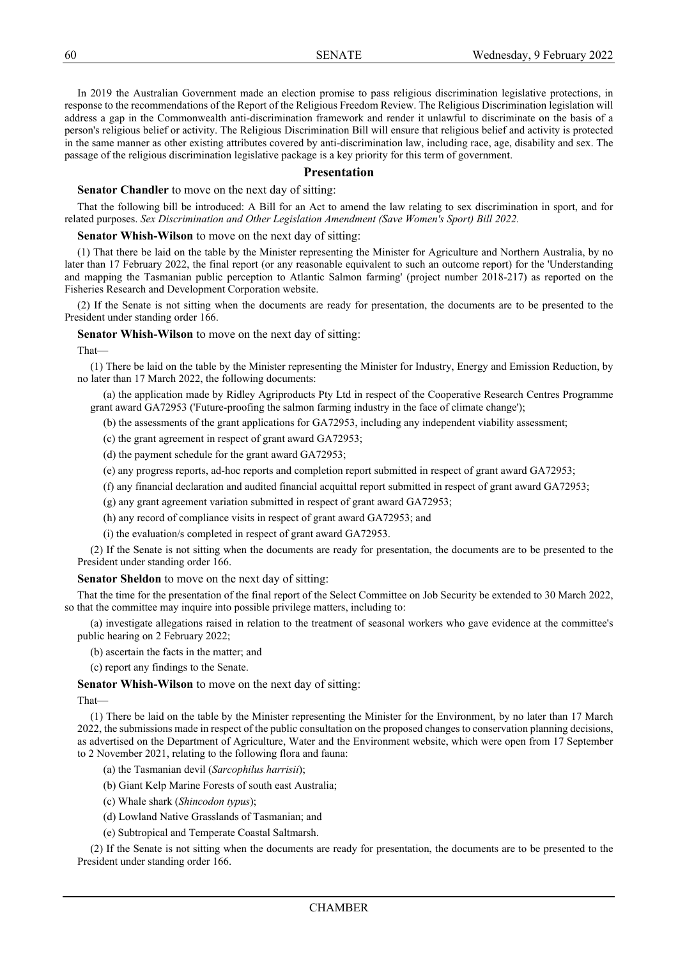In 2019 the Australian Government made an election promise to pass religious discrimination legislative protections, in response to the recommendations of the Report of the Religious Freedom Review. The Religious Discrimination legislation will address a gap in the Commonwealth anti-discrimination framework and render it unlawful to discriminate on the basis of a person's religious belief or activity. The Religious Discrimination Bill will ensure that religious belief and activity is protected in the same manner as other existing attributes covered by anti-discrimination law, including race, age, disability and sex. The passage of the religious discrimination legislative package is a key priority for this term of government.

#### **Presentation**

**Senator Chandler** to move on the next day of sitting:

That the following bill be introduced: A Bill for an Act to amend the law relating to sex discrimination in sport, and for related purposes. *Sex Discrimination and Other Legislation Amendment (Save Women's Sport) Bill 2022.*

#### **Senator Whish-Wilson** to move on the next day of sitting:

(1) That there be laid on the table by the Minister representing the Minister for Agriculture and Northern Australia, by no later than 17 February 2022, the final report (or any reasonable equivalent to such an outcome report) for the 'Understanding and mapping the Tasmanian public perception to Atlantic Salmon farming' (project number 2018-217) as reported on the Fisheries Research and Development Corporation website.

(2) If the Senate is not sitting when the documents are ready for presentation, the documents are to be presented to the President under standing order 166.

**Senator Whish-Wilson** to move on the next day of sitting:

That—

(1) There be laid on the table by the Minister representing the Minister for Industry, Energy and Emission Reduction, by no later than 17 March 2022, the following documents:

(a) the application made by Ridley Agriproducts Pty Ltd in respect of the Cooperative Research Centres Programme grant award GA72953 ('Future-proofing the salmon farming industry in the face of climate change');

(b) the assessments of the grant applications for GA72953, including any independent viability assessment;

(c) the grant agreement in respect of grant award GA72953;

(d) the payment schedule for the grant award GA72953;

(e) any progress reports, ad-hoc reports and completion report submitted in respect of grant award GA72953;

(f) any financial declaration and audited financial acquittal report submitted in respect of grant award GA72953;

(g) any grant agreement variation submitted in respect of grant award GA72953;

(h) any record of compliance visits in respect of grant award GA72953; and

(i) the evaluation/s completed in respect of grant award GA72953.

(2) If the Senate is not sitting when the documents are ready for presentation, the documents are to be presented to the President under standing order 166.

**Senator Sheldon** to move on the next day of sitting:

That the time for the presentation of the final report of the Select Committee on Job Security be extended to 30 March 2022, so that the committee may inquire into possible privilege matters, including to:

(a) investigate allegations raised in relation to the treatment of seasonal workers who gave evidence at the committee's public hearing on 2 February 2022;

(b) ascertain the facts in the matter; and

(c) report any findings to the Senate.

**Senator Whish-Wilson** to move on the next day of sitting:

That—

(1) There be laid on the table by the Minister representing the Minister for the Environment, by no later than 17 March 2022, the submissions made in respect of the public consultation on the proposed changes to conservation planning decisions, as advertised on the Department of Agriculture, Water and the Environment website, which were open from 17 September to 2 November 2021, relating to the following flora and fauna:

(a) the Tasmanian devil (*Sarcophilus harrisii*);

(b) Giant Kelp Marine Forests of south east Australia;

- (c) Whale shark (*Shincodon typus*);
- (d) Lowland Native Grasslands of Tasmanian; and
- (e) Subtropical and Temperate Coastal Saltmarsh.

(2) If the Senate is not sitting when the documents are ready for presentation, the documents are to be presented to the President under standing order 166.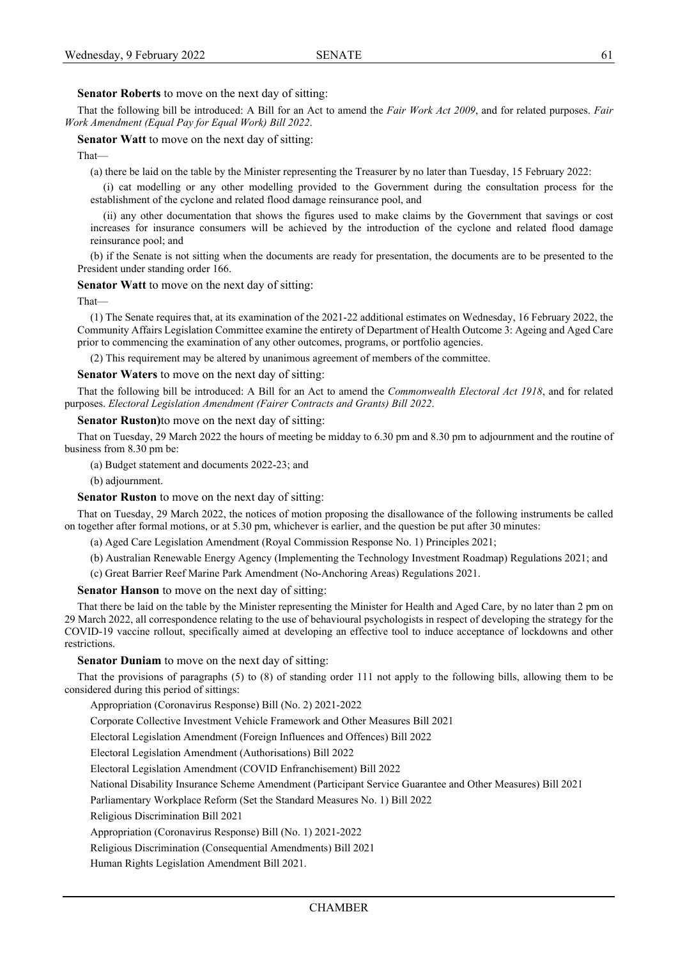# **Senator Roberts** to move on the next day of sitting:

That the following bill be introduced: A Bill for an Act to amend the *Fair Work Act 2009*, and for related purposes. *Fair Work Amendment (Equal Pay for Equal Work) Bill 2022*.

#### **Senator Watt** to move on the next day of sitting:

That—

(a) there be laid on the table by the Minister representing the Treasurer by no later than Tuesday, 15 February 2022:

(i) cat modelling or any other modelling provided to the Government during the consultation process for the establishment of the cyclone and related flood damage reinsurance pool, and

(ii) any other documentation that shows the figures used to make claims by the Government that savings or cost increases for insurance consumers will be achieved by the introduction of the cyclone and related flood damage reinsurance pool; and

(b) if the Senate is not sitting when the documents are ready for presentation, the documents are to be presented to the President under standing order 166.

#### **Senator Watt** to move on the next day of sitting:

That—

(1) The Senate requires that, at its examination of the 2021-22 additional estimates on Wednesday, 16 February 2022, the Community Affairs Legislation Committee examine the entirety of Department of Health Outcome 3: Ageing and Aged Care prior to commencing the examination of any other outcomes, programs, or portfolio agencies.

(2) This requirement may be altered by unanimous agreement of members of the committee.

#### **Senator Waters** to move on the next day of sitting:

That the following bill be introduced: A Bill for an Act to amend the *Commonwealth Electoral Act 1918*, and for related purposes. *Electoral Legislation Amendment (Fairer Contracts and Grants) Bill 2022*.

#### **Senator Ruston)**to move on the next day of sitting:

That on Tuesday, 29 March 2022 the hours of meeting be midday to 6.30 pm and 8.30 pm to adjournment and the routine of business from 8.30 pm be:

(a) Budget statement and documents 2022-23; and

(b) adjournment.

**Senator Ruston** to move on the next day of sitting:

That on Tuesday, 29 March 2022, the notices of motion proposing the disallowance of the following instruments be called on together after formal motions, or at 5.30 pm, whichever is earlier, and the question be put after 30 minutes:

(a) Aged Care Legislation Amendment (Royal Commission Response No. 1) Principles 2021;

(b) Australian Renewable Energy Agency (Implementing the Technology Investment Roadmap) Regulations 2021; and

(c) Great Barrier Reef Marine Park Amendment (No-Anchoring Areas) Regulations 2021.

**Senator Hanson** to move on the next day of sitting:

That there be laid on the table by the Minister representing the Minister for Health and Aged Care, by no later than 2 pm on 29 March 2022, all correspondence relating to the use of behavioural psychologists in respect of developing the strategy for the COVID-19 vaccine rollout, specifically aimed at developing an effective tool to induce acceptance of lockdowns and other restrictions.

## **Senator Duniam** to move on the next day of sitting:

That the provisions of paragraphs (5) to (8) of standing order 111 not apply to the following bills, allowing them to be considered during this period of sittings:

Appropriation (Coronavirus Response) Bill (No. 2) 2021-2022

Corporate Collective Investment Vehicle Framework and Other Measures Bill 2021

Electoral Legislation Amendment (Foreign Influences and Offences) Bill 2022

Electoral Legislation Amendment (Authorisations) Bill 2022

Electoral Legislation Amendment (COVID Enfranchisement) Bill 2022

National Disability Insurance Scheme Amendment (Participant Service Guarantee and Other Measures) Bill 2021

Parliamentary Workplace Reform (Set the Standard Measures No. 1) Bill 2022

Religious Discrimination Bill 2021

Appropriation (Coronavirus Response) Bill (No. 1) 2021-2022

Religious Discrimination (Consequential Amendments) Bill 2021

Human Rights Legislation Amendment Bill 2021.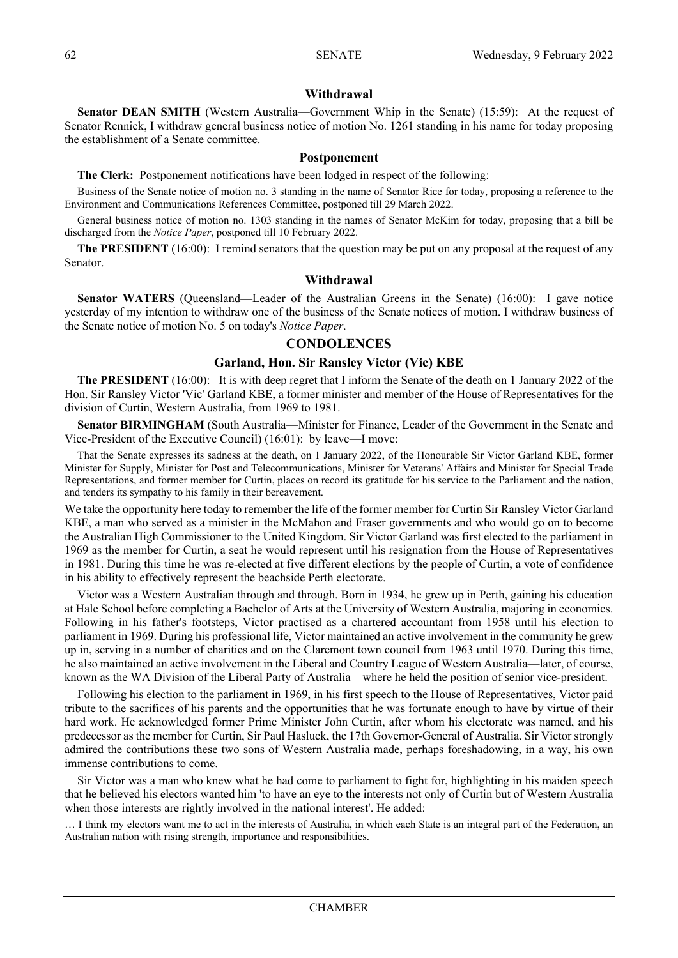# **Withdrawal**

**Senator DEAN SMITH** (Western Australia—Government Whip in the Senate) (15:59): At the request of Senator Rennick, I withdraw general business notice of motion No. 1261 standing in his name for today proposing the establishment of a Senate committee.

# **Postponement**

**The Clerk:** Postponement notifications have been lodged in respect of the following:

Business of the Senate notice of motion no. 3 standing in the name of Senator Rice for today, proposing a reference to the Environment and Communications References Committee, postponed till 29 March 2022.

General business notice of motion no. 1303 standing in the names of Senator McKim for today, proposing that a bill be discharged from the *Notice Paper*, postponed till 10 February 2022.

**The PRESIDENT** (16:00): I remind senators that the question may be put on any proposal at the request of any Senator.

# **Withdrawal**

**Senator WATERS** (Queensland—Leader of the Australian Greens in the Senate) (16:00): I gave notice yesterday of my intention to withdraw one of the business of the Senate notices of motion. I withdraw business of the Senate notice of motion No. 5 on today's *Notice Paper*.

# **CONDOLENCES**

# **Garland, Hon. Sir Ransley Victor (Vic) KBE**

**The PRESIDENT** (16:00): It is with deep regret that I inform the Senate of the death on 1 January 2022 of the Hon. Sir Ransley Victor 'Vic' Garland KBE, a former minister and member of the House of Representatives for the division of Curtin, Western Australia, from 1969 to 1981.

**Senator BIRMINGHAM** (South Australia—Minister for Finance, Leader of the Government in the Senate and Vice-President of the Executive Council) (16:01): by leave—I move:

That the Senate expresses its sadness at the death, on 1 January 2022, of the Honourable Sir Victor Garland KBE, former Minister for Supply, Minister for Post and Telecommunications, Minister for Veterans' Affairs and Minister for Special Trade Representations, and former member for Curtin, places on record its gratitude for his service to the Parliament and the nation, and tenders its sympathy to his family in their bereavement.

We take the opportunity here today to remember the life of the former member for Curtin Sir Ransley Victor Garland KBE, a man who served as a minister in the McMahon and Fraser governments and who would go on to become the Australian High Commissioner to the United Kingdom. Sir Victor Garland was first elected to the parliament in 1969 as the member for Curtin, a seat he would represent until his resignation from the House of Representatives in 1981. During this time he was re-elected at five different elections by the people of Curtin, a vote of confidence in his ability to effectively represent the beachside Perth electorate.

Victor was a Western Australian through and through. Born in 1934, he grew up in Perth, gaining his education at Hale School before completing a Bachelor of Arts at the University of Western Australia, majoring in economics. Following in his father's footsteps, Victor practised as a chartered accountant from 1958 until his election to parliament in 1969. During his professional life, Victor maintained an active involvement in the community he grew up in, serving in a number of charities and on the Claremont town council from 1963 until 1970. During this time, he also maintained an active involvement in the Liberal and Country League of Western Australia—later, of course, known as the WA Division of the Liberal Party of Australia—where he held the position of senior vice-president.

Following his election to the parliament in 1969, in his first speech to the House of Representatives, Victor paid tribute to the sacrifices of his parents and the opportunities that he was fortunate enough to have by virtue of their hard work. He acknowledged former Prime Minister John Curtin, after whom his electorate was named, and his predecessor as the member for Curtin, Sir Paul Hasluck, the 17th Governor-General of Australia. Sir Victor strongly admired the contributions these two sons of Western Australia made, perhaps foreshadowing, in a way, his own immense contributions to come.

Sir Victor was a man who knew what he had come to parliament to fight for, highlighting in his maiden speech that he believed his electors wanted him 'to have an eye to the interests not only of Curtin but of Western Australia when those interests are rightly involved in the national interest'. He added:

… I think my electors want me to act in the interests of Australia, in which each State is an integral part of the Federation, an Australian nation with rising strength, importance and responsibilities.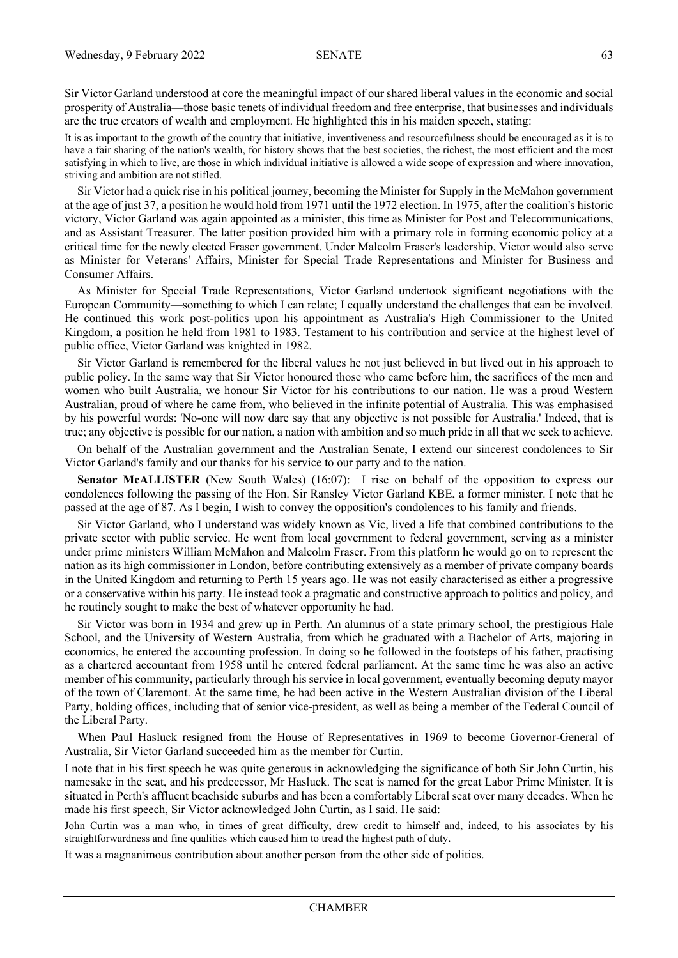Sir Victor Garland understood at core the meaningful impact of our shared liberal values in the economic and social prosperity of Australia—those basic tenets of individual freedom and free enterprise, that businesses and individuals are the true creators of wealth and employment. He highlighted this in his maiden speech, stating:

It is as important to the growth of the country that initiative, inventiveness and resourcefulness should be encouraged as it is to have a fair sharing of the nation's wealth, for history shows that the best societies, the richest, the most efficient and the most satisfying in which to live, are those in which individual initiative is allowed a wide scope of expression and where innovation, striving and ambition are not stifled.

Sir Victor had a quick rise in his political journey, becoming the Minister for Supply in the McMahon government at the age of just 37, a position he would hold from 1971 until the 1972 election. In 1975, after the coalition's historic victory, Victor Garland was again appointed as a minister, this time as Minister for Post and Telecommunications, and as Assistant Treasurer. The latter position provided him with a primary role in forming economic policy at a critical time for the newly elected Fraser government. Under Malcolm Fraser's leadership, Victor would also serve as Minister for Veterans' Affairs, Minister for Special Trade Representations and Minister for Business and Consumer Affairs.

As Minister for Special Trade Representations, Victor Garland undertook significant negotiations with the European Community—something to which I can relate; I equally understand the challenges that can be involved. He continued this work post-politics upon his appointment as Australia's High Commissioner to the United Kingdom, a position he held from 1981 to 1983. Testament to his contribution and service at the highest level of public office, Victor Garland was knighted in 1982.

Sir Victor Garland is remembered for the liberal values he not just believed in but lived out in his approach to public policy. In the same way that Sir Victor honoured those who came before him, the sacrifices of the men and women who built Australia, we honour Sir Victor for his contributions to our nation. He was a proud Western Australian, proud of where he came from, who believed in the infinite potential of Australia. This was emphasised by his powerful words: 'No-one will now dare say that any objective is not possible for Australia.' Indeed, that is true; any objective is possible for our nation, a nation with ambition and so much pride in all that we seek to achieve.

On behalf of the Australian government and the Australian Senate, I extend our sincerest condolences to Sir Victor Garland's family and our thanks for his service to our party and to the nation.

**Senator McALLISTER** (New South Wales) (16:07): I rise on behalf of the opposition to express our condolences following the passing of the Hon. Sir Ransley Victor Garland KBE, a former minister. I note that he passed at the age of 87. As I begin, I wish to convey the opposition's condolences to his family and friends.

Sir Victor Garland, who I understand was widely known as Vic, lived a life that combined contributions to the private sector with public service. He went from local government to federal government, serving as a minister under prime ministers William McMahon and Malcolm Fraser. From this platform he would go on to represent the nation as its high commissioner in London, before contributing extensively as a member of private company boards in the United Kingdom and returning to Perth 15 years ago. He was not easily characterised as either a progressive or a conservative within his party. He instead took a pragmatic and constructive approach to politics and policy, and he routinely sought to make the best of whatever opportunity he had.

Sir Victor was born in 1934 and grew up in Perth. An alumnus of a state primary school, the prestigious Hale School, and the University of Western Australia, from which he graduated with a Bachelor of Arts, majoring in economics, he entered the accounting profession. In doing so he followed in the footsteps of his father, practising as a chartered accountant from 1958 until he entered federal parliament. At the same time he was also an active member of his community, particularly through his service in local government, eventually becoming deputy mayor of the town of Claremont. At the same time, he had been active in the Western Australian division of the Liberal Party, holding offices, including that of senior vice-president, as well as being a member of the Federal Council of the Liberal Party.

When Paul Hasluck resigned from the House of Representatives in 1969 to become Governor-General of Australia, Sir Victor Garland succeeded him as the member for Curtin.

I note that in his first speech he was quite generous in acknowledging the significance of both Sir John Curtin, his namesake in the seat, and his predecessor, Mr Hasluck. The seat is named for the great Labor Prime Minister. It is situated in Perth's affluent beachside suburbs and has been a comfortably Liberal seat over many decades. When he made his first speech, Sir Victor acknowledged John Curtin, as I said. He said:

John Curtin was a man who, in times of great difficulty, drew credit to himself and, indeed, to his associates by his straightforwardness and fine qualities which caused him to tread the highest path of duty.

It was a magnanimous contribution about another person from the other side of politics.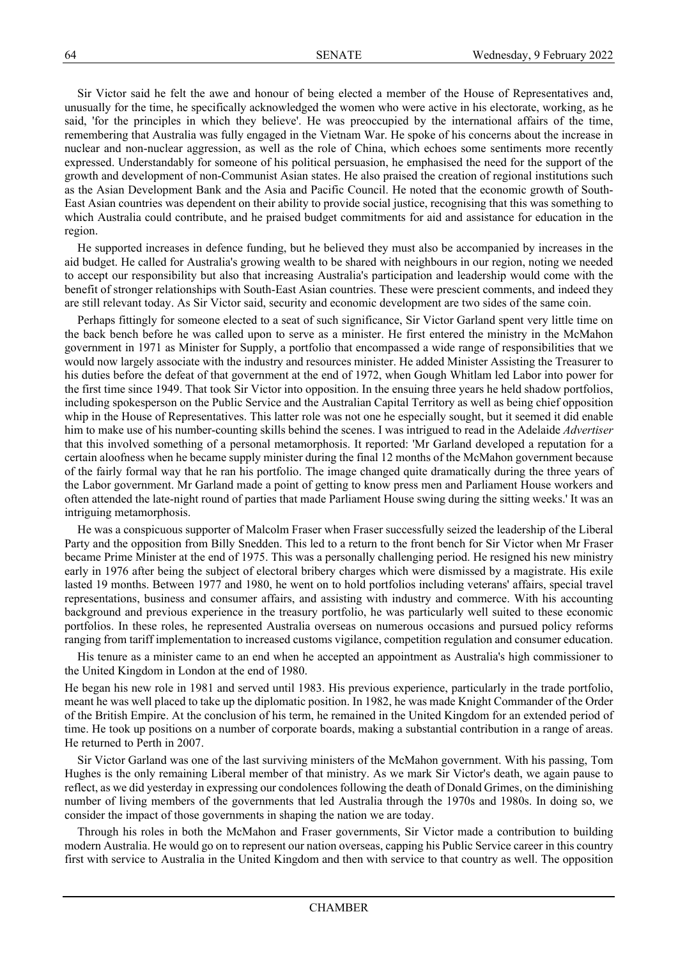Sir Victor said he felt the awe and honour of being elected a member of the House of Representatives and, unusually for the time, he specifically acknowledged the women who were active in his electorate, working, as he said, 'for the principles in which they believe'. He was preoccupied by the international affairs of the time, remembering that Australia was fully engaged in the Vietnam War. He spoke of his concerns about the increase in nuclear and non-nuclear aggression, as well as the role of China, which echoes some sentiments more recently expressed. Understandably for someone of his political persuasion, he emphasised the need for the support of the growth and development of non-Communist Asian states. He also praised the creation of regional institutions such as the Asian Development Bank and the Asia and Pacific Council. He noted that the economic growth of South-East Asian countries was dependent on their ability to provide social justice, recognising that this was something to which Australia could contribute, and he praised budget commitments for aid and assistance for education in the region.

He supported increases in defence funding, but he believed they must also be accompanied by increases in the aid budget. He called for Australia's growing wealth to be shared with neighbours in our region, noting we needed to accept our responsibility but also that increasing Australia's participation and leadership would come with the benefit of stronger relationships with South-East Asian countries. These were prescient comments, and indeed they are still relevant today. As Sir Victor said, security and economic development are two sides of the same coin.

Perhaps fittingly for someone elected to a seat of such significance, Sir Victor Garland spent very little time on the back bench before he was called upon to serve as a minister. He first entered the ministry in the McMahon government in 1971 as Minister for Supply, a portfolio that encompassed a wide range of responsibilities that we would now largely associate with the industry and resources minister. He added Minister Assisting the Treasurer to his duties before the defeat of that government at the end of 1972, when Gough Whitlam led Labor into power for the first time since 1949. That took Sir Victor into opposition. In the ensuing three years he held shadow portfolios, including spokesperson on the Public Service and the Australian Capital Territory as well as being chief opposition whip in the House of Representatives. This latter role was not one he especially sought, but it seemed it did enable him to make use of his number-counting skills behind the scenes. I was intrigued to read in the Adelaide *Advertiser* that this involved something of a personal metamorphosis. It reported: 'Mr Garland developed a reputation for a certain aloofness when he became supply minister during the final 12 months of the McMahon government because of the fairly formal way that he ran his portfolio. The image changed quite dramatically during the three years of the Labor government. Mr Garland made a point of getting to know press men and Parliament House workers and often attended the late-night round of parties that made Parliament House swing during the sitting weeks.' It was an intriguing metamorphosis.

He was a conspicuous supporter of Malcolm Fraser when Fraser successfully seized the leadership of the Liberal Party and the opposition from Billy Snedden. This led to a return to the front bench for Sir Victor when Mr Fraser became Prime Minister at the end of 1975. This was a personally challenging period. He resigned his new ministry early in 1976 after being the subject of electoral bribery charges which were dismissed by a magistrate. His exile lasted 19 months. Between 1977 and 1980, he went on to hold portfolios including veterans' affairs, special travel representations, business and consumer affairs, and assisting with industry and commerce. With his accounting background and previous experience in the treasury portfolio, he was particularly well suited to these economic portfolios. In these roles, he represented Australia overseas on numerous occasions and pursued policy reforms ranging from tariff implementation to increased customs vigilance, competition regulation and consumer education.

His tenure as a minister came to an end when he accepted an appointment as Australia's high commissioner to the United Kingdom in London at the end of 1980.

He began his new role in 1981 and served until 1983. His previous experience, particularly in the trade portfolio, meant he was well placed to take up the diplomatic position. In 1982, he was made Knight Commander of the Order of the British Empire. At the conclusion of his term, he remained in the United Kingdom for an extended period of time. He took up positions on a number of corporate boards, making a substantial contribution in a range of areas. He returned to Perth in 2007.

Sir Victor Garland was one of the last surviving ministers of the McMahon government. With his passing, Tom Hughes is the only remaining Liberal member of that ministry. As we mark Sir Victor's death, we again pause to reflect, as we did yesterday in expressing our condolences following the death of Donald Grimes, on the diminishing number of living members of the governments that led Australia through the 1970s and 1980s. In doing so, we consider the impact of those governments in shaping the nation we are today.

Through his roles in both the McMahon and Fraser governments, Sir Victor made a contribution to building modern Australia. He would go on to represent our nation overseas, capping his Public Service career in this country first with service to Australia in the United Kingdom and then with service to that country as well. The opposition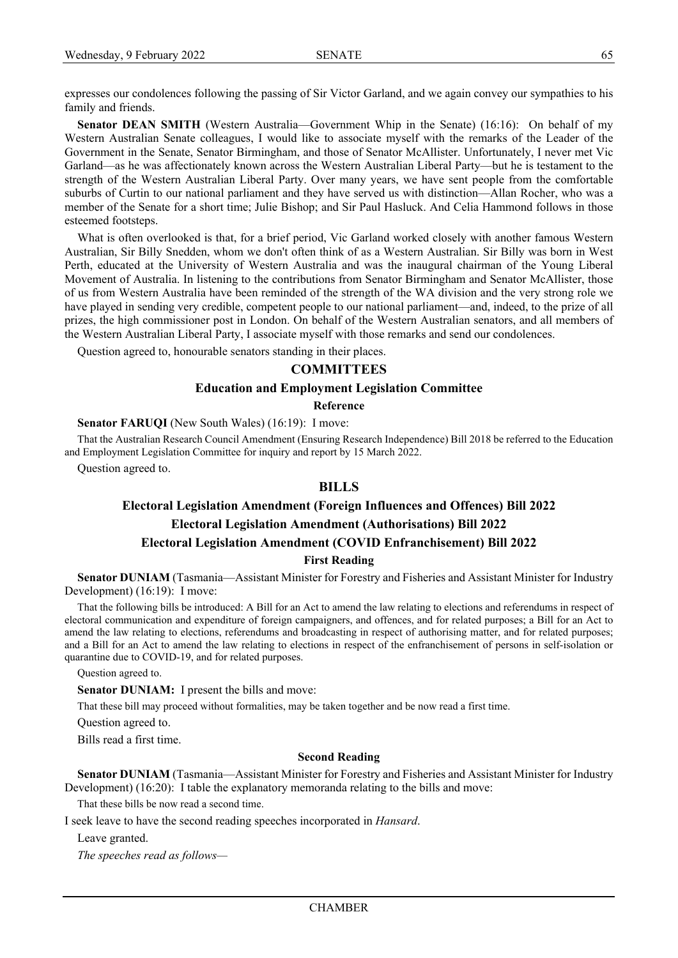expresses our condolences following the passing of Sir Victor Garland, and we again convey our sympathies to his family and friends.

**Senator DEAN SMITH** (Western Australia—Government Whip in the Senate) (16:16): On behalf of my Western Australian Senate colleagues, I would like to associate myself with the remarks of the Leader of the Government in the Senate, Senator Birmingham, and those of Senator McAllister. Unfortunately, I never met Vic Garland—as he was affectionately known across the Western Australian Liberal Party—but he is testament to the strength of the Western Australian Liberal Party. Over many years, we have sent people from the comfortable suburbs of Curtin to our national parliament and they have served us with distinction—Allan Rocher, who was a member of the Senate for a short time; Julie Bishop; and Sir Paul Hasluck. And Celia Hammond follows in those esteemed footsteps.

What is often overlooked is that, for a brief period, Vic Garland worked closely with another famous Western Australian, Sir Billy Snedden, whom we don't often think of as a Western Australian. Sir Billy was born in West Perth, educated at the University of Western Australia and was the inaugural chairman of the Young Liberal Movement of Australia. In listening to the contributions from Senator Birmingham and Senator McAllister, those of us from Western Australia have been reminded of the strength of the WA division and the very strong role we have played in sending very credible, competent people to our national parliament—and, indeed, to the prize of all prizes, the high commissioner post in London. On behalf of the Western Australian senators, and all members of the Western Australian Liberal Party, I associate myself with those remarks and send our condolences.

Question agreed to, honourable senators standing in their places.

# **COMMITTEES**

## **Education and Employment Legislation Committee**

#### **Reference**

#### **Senator FARUQI** (New South Wales) (16:19): I move:

That the Australian Research Council Amendment (Ensuring Research Independence) Bill 2018 be referred to the Education and Employment Legislation Committee for inquiry and report by 15 March 2022.

Question agreed to.

# **BILLS**

# **Electoral Legislation Amendment (Foreign Influences and Offences) Bill 2022 Electoral Legislation Amendment (Authorisations) Bill 2022 Electoral Legislation Amendment (COVID Enfranchisement) Bill 2022**

**First Reading**

**Senator DUNIAM** (Tasmania—Assistant Minister for Forestry and Fisheries and Assistant Minister for Industry Development) (16:19): I move:

That the following bills be introduced: A Bill for an Act to amend the law relating to elections and referendums in respect of electoral communication and expenditure of foreign campaigners, and offences, and for related purposes; a Bill for an Act to amend the law relating to elections, referendums and broadcasting in respect of authorising matter, and for related purposes; and a Bill for an Act to amend the law relating to elections in respect of the enfranchisement of persons in self-isolation or quarantine due to COVID-19, and for related purposes.

Question agreed to.

**Senator DUNIAM:** I present the bills and move:

That these bill may proceed without formalities, may be taken together and be now read a first time.

Question agreed to.

Bills read a first time.

#### **Second Reading**

**Senator DUNIAM** (Tasmania—Assistant Minister for Forestry and Fisheries and Assistant Minister for Industry Development) (16:20): I table the explanatory memoranda relating to the bills and move:

That these bills be now read a second time.

I seek leave to have the second reading speeches incorporated in *Hansard*.

Leave granted.

*The speeches read as follows—*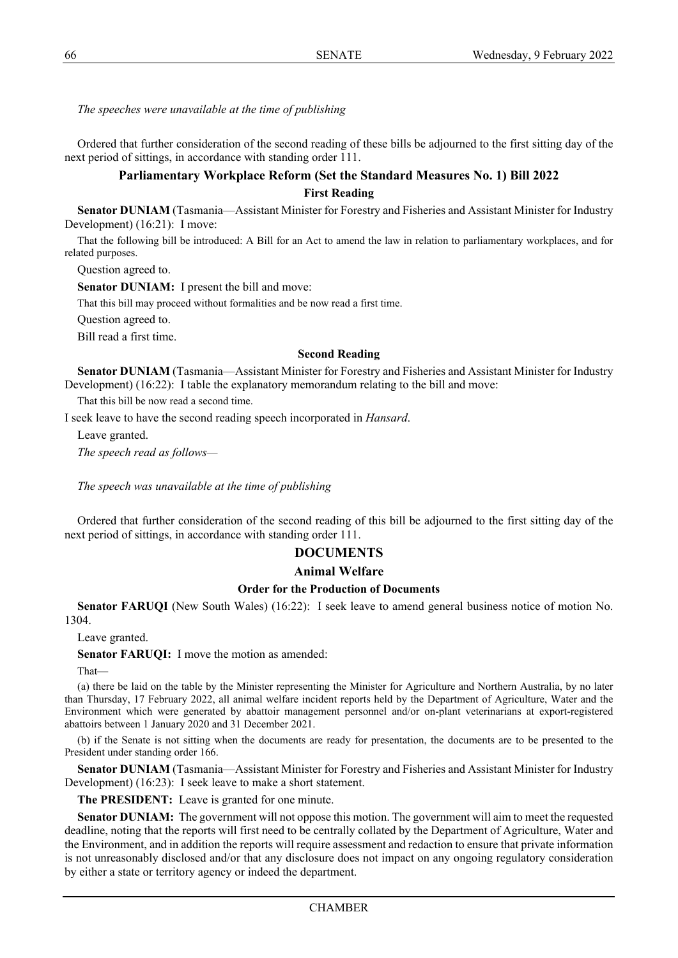*The speeches were unavailable at the time of publishing*

Ordered that further consideration of the second reading of these bills be adjourned to the first sitting day of the next period of sittings, in accordance with standing order 111.

# **Parliamentary Workplace Reform (Set the Standard Measures No. 1) Bill 2022 First Reading**

**Senator DUNIAM** (Tasmania—Assistant Minister for Forestry and Fisheries and Assistant Minister for Industry Development) (16:21): I move:

That the following bill be introduced: A Bill for an Act to amend the law in relation to parliamentary workplaces, and for related purposes.

Question agreed to.

**Senator DUNIAM:** I present the bill and move:

That this bill may proceed without formalities and be now read a first time.

Question agreed to.

Bill read a first time.

#### **Second Reading**

**Senator DUNIAM** (Tasmania—Assistant Minister for Forestry and Fisheries and Assistant Minister for Industry Development) (16:22): I table the explanatory memorandum relating to the bill and move:

That this bill be now read a second time.

I seek leave to have the second reading speech incorporated in *Hansard*.

Leave granted. *The speech read as follows—*

*The speech was unavailable at the time of publishing*

Ordered that further consideration of the second reading of this bill be adjourned to the first sitting day of the next period of sittings, in accordance with standing order 111.

# **DOCUMENTS**

## **Animal Welfare**

# **Order for the Production of Documents**

**Senator FARUQI** (New South Wales) (16:22): I seek leave to amend general business notice of motion No. 1304.

Leave granted.

**Senator FARUQI:** I move the motion as amended:

That—

(a) there be laid on the table by the Minister representing the Minister for Agriculture and Northern Australia, by no later than Thursday, 17 February 2022, all animal welfare incident reports held by the Department of Agriculture, Water and the Environment which were generated by abattoir management personnel and/or on-plant veterinarians at export-registered abattoirs between 1 January 2020 and 31 December 2021.

(b) if the Senate is not sitting when the documents are ready for presentation, the documents are to be presented to the President under standing order 166.

**Senator DUNIAM** (Tasmania—Assistant Minister for Forestry and Fisheries and Assistant Minister for Industry Development) (16:23): I seek leave to make a short statement.

**The PRESIDENT:** Leave is granted for one minute.

**Senator DUNIAM:** The government will not oppose this motion. The government will aim to meet the requested deadline, noting that the reports will first need to be centrally collated by the Department of Agriculture, Water and the Environment, and in addition the reports will require assessment and redaction to ensure that private information is not unreasonably disclosed and/or that any disclosure does not impact on any ongoing regulatory consideration by either a state or territory agency or indeed the department.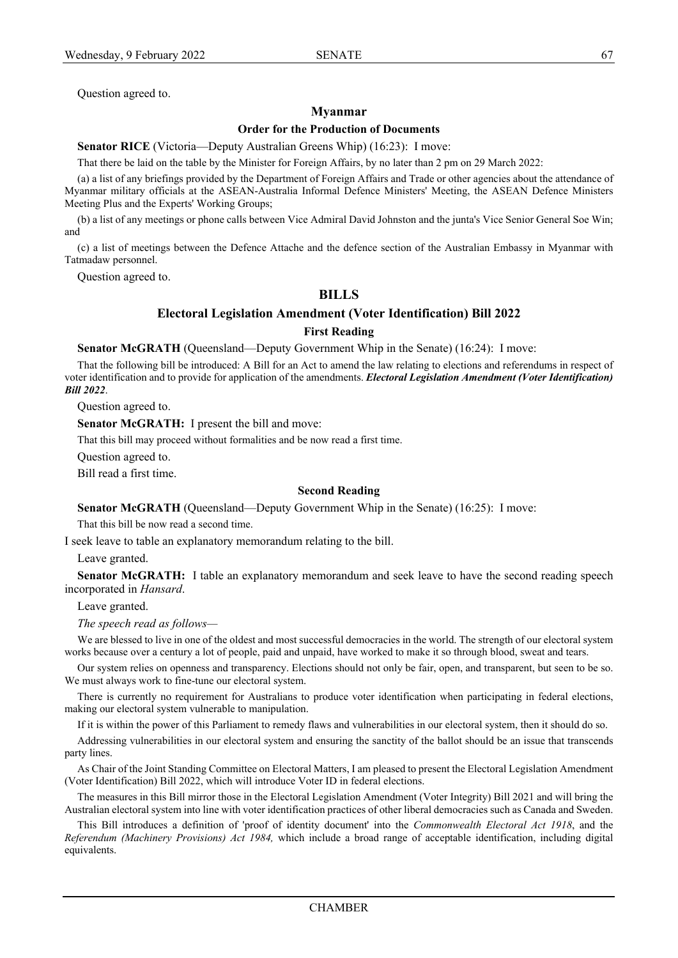# **Myanmar**

# **Order for the Production of Documents**

**Senator RICE** (Victoria—Deputy Australian Greens Whip) (16:23): I move:

That there be laid on the table by the Minister for Foreign Affairs, by no later than 2 pm on 29 March 2022:

(a) a list of any briefings provided by the Department of Foreign Affairs and Trade or other agencies about the attendance of Myanmar military officials at the ASEAN-Australia Informal Defence Ministers' Meeting, the ASEAN Defence Ministers Meeting Plus and the Experts' Working Groups;

(b) a list of any meetings or phone calls between Vice Admiral David Johnston and the junta's Vice Senior General Soe Win; and

(c) a list of meetings between the Defence Attache and the defence section of the Australian Embassy in Myanmar with Tatmadaw personnel.

Question agreed to.

# **BILLS**

# **Electoral Legislation Amendment (Voter Identification) Bill 2022**

**First Reading**

**Senator McGRATH** (Queensland—Deputy Government Whip in the Senate) (16:24): I move:

That the following bill be introduced: A Bill for an Act to amend the law relating to elections and referendums in respect of voter identification and to provide for application of the amendments. *Electoral Legislation Amendment (Voter Identification) Bill 2022*.

Question agreed to.

**Senator McGRATH:** I present the bill and move:

That this bill may proceed without formalities and be now read a first time.

Question agreed to.

Bill read a first time.

# **Second Reading**

**Senator McGRATH** (Queensland—Deputy Government Whip in the Senate) (16:25): I move:

That this bill be now read a second time.

I seek leave to table an explanatory memorandum relating to the bill.

Leave granted.

**Senator McGRATH:** I table an explanatory memorandum and seek leave to have the second reading speech incorporated in *Hansard*.

Leave granted.

*The speech read as follows—*

We are blessed to live in one of the oldest and most successful democracies in the world. The strength of our electoral system works because over a century a lot of people, paid and unpaid, have worked to make it so through blood, sweat and tears.

Our system relies on openness and transparency. Elections should not only be fair, open, and transparent, but seen to be so. We must always work to fine-tune our electoral system.

There is currently no requirement for Australians to produce voter identification when participating in federal elections, making our electoral system vulnerable to manipulation.

If it is within the power of this Parliament to remedy flaws and vulnerabilities in our electoral system, then it should do so.

Addressing vulnerabilities in our electoral system and ensuring the sanctity of the ballot should be an issue that transcends party lines.

As Chair of the Joint Standing Committee on Electoral Matters, I am pleased to present the Electoral Legislation Amendment (Voter Identification) Bill 2022, which will introduce Voter ID in federal elections.

The measures in this Bill mirror those in the Electoral Legislation Amendment (Voter Integrity) Bill 2021 and will bring the Australian electoral system into line with voter identification practices of other liberal democracies such as Canada and Sweden.

This Bill introduces a definition of 'proof of identity document' into the *Commonwealth Electoral Act 1918*, and the *Referendum (Machinery Provisions) Act 1984,* which include a broad range of acceptable identification, including digital equivalents.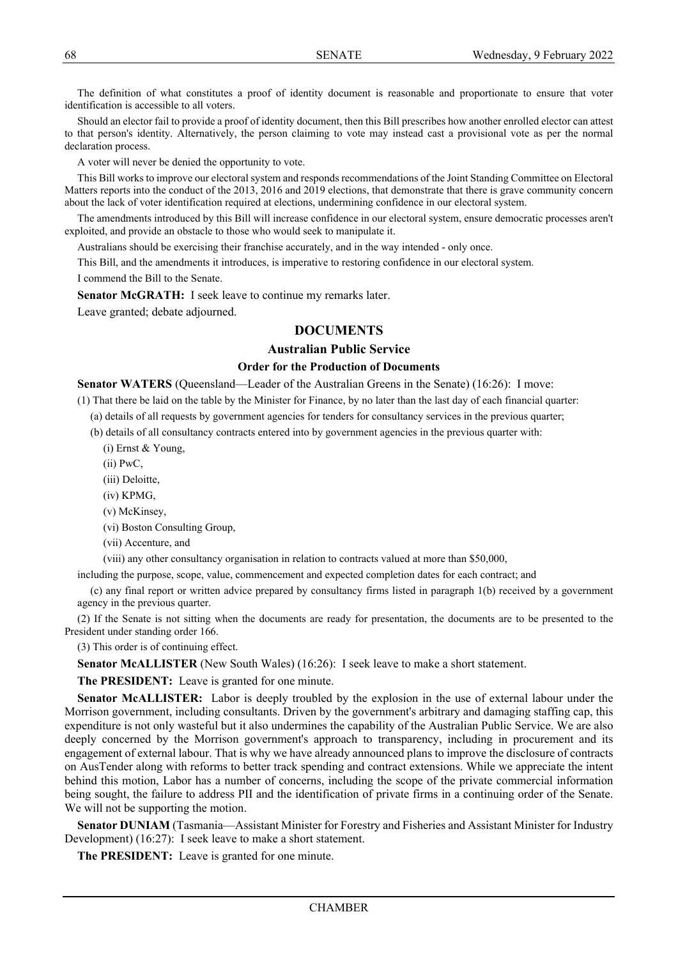The definition of what constitutes a proof of identity document is reasonable and proportionate to ensure that voter identification is accessible to all voters.

Should an elector fail to provide a proof of identity document, then this Bill prescribes how another enrolled elector can attest to that person's identity. Alternatively, the person claiming to vote may instead cast a provisional vote as per the normal declaration process.

A voter will never be denied the opportunity to vote.

This Bill works to improve our electoral system and responds recommendations of the Joint Standing Committee on Electoral Matters reports into the conduct of the 2013, 2016 and 2019 elections, that demonstrate that there is grave community concern about the lack of voter identification required at elections, undermining confidence in our electoral system.

The amendments introduced by this Bill will increase confidence in our electoral system, ensure democratic processes aren't exploited, and provide an obstacle to those who would seek to manipulate it.

Australians should be exercising their franchise accurately, and in the way intended - only once.

This Bill, and the amendments it introduces, is imperative to restoring confidence in our electoral system.

I commend the Bill to the Senate.

**Senator McGRATH:** I seek leave to continue my remarks later.

Leave granted; debate adjourned.

# **DOCUMENTS**

# **Australian Public Service**

## **Order for the Production of Documents**

**Senator WATERS** (Queensland—Leader of the Australian Greens in the Senate) (16:26): I move:

(1) That there be laid on the table by the Minister for Finance, by no later than the last day of each financial quarter:

(a) details of all requests by government agencies for tenders for consultancy services in the previous quarter;

(b) details of all consultancy contracts entered into by government agencies in the previous quarter with:

(i) Ernst & Young,

(ii) PwC,

(iii) Deloitte,

(iv) KPMG,

(v) McKinsey,

(vi) Boston Consulting Group,

(vii) Accenture, and

(viii) any other consultancy organisation in relation to contracts valued at more than \$50,000,

including the purpose, scope, value, commencement and expected completion dates for each contract; and

(c) any final report or written advice prepared by consultancy firms listed in paragraph 1(b) received by a government agency in the previous quarter.

(2) If the Senate is not sitting when the documents are ready for presentation, the documents are to be presented to the President under standing order 166.

(3) This order is of continuing effect.

**Senator McALLISTER** (New South Wales) (16:26): I seek leave to make a short statement.

**The PRESIDENT:** Leave is granted for one minute.

**Senator McALLISTER:** Labor is deeply troubled by the explosion in the use of external labour under the Morrison government, including consultants. Driven by the government's arbitrary and damaging staffing cap, this expenditure is not only wasteful but it also undermines the capability of the Australian Public Service. We are also deeply concerned by the Morrison government's approach to transparency, including in procurement and its engagement of external labour. That is why we have already announced plans to improve the disclosure of contracts on AusTender along with reforms to better track spending and contract extensions. While we appreciate the intent behind this motion, Labor has a number of concerns, including the scope of the private commercial information being sought, the failure to address PII and the identification of private firms in a continuing order of the Senate. We will not be supporting the motion.

**Senator DUNIAM** (Tasmania—Assistant Minister for Forestry and Fisheries and Assistant Minister for Industry Development) (16:27): I seek leave to make a short statement.

**The PRESIDENT:** Leave is granted for one minute.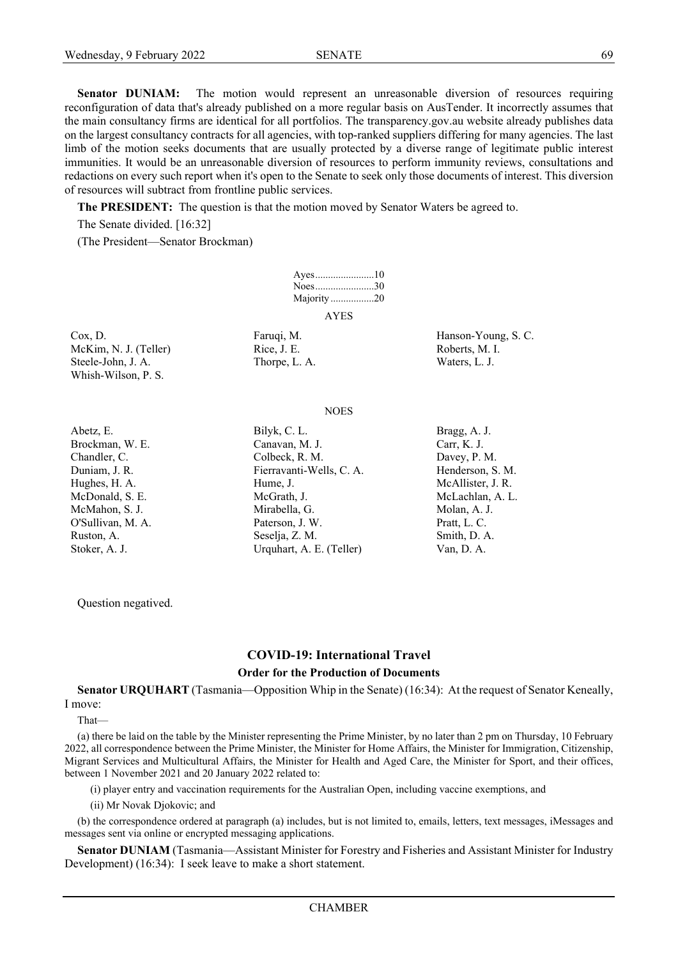**Senator DUNIAM:** The motion would represent an unreasonable diversion of resources requiring reconfiguration of data that's already published on a more regular basis on AusTender. It incorrectly assumes that the main consultancy firms are identical for all portfolios. The transparency.gov.au website already publishes data on the largest consultancy contracts for all agencies, with top-ranked suppliers differing for many agencies. The last limb of the motion seeks documents that are usually protected by a diverse range of legitimate public interest immunities. It would be an unreasonable diversion of resources to perform immunity reviews, consultations and redactions on every such report when it's open to the Senate to seek only those documents of interest. This diversion of resources will subtract from frontline public services.

**The PRESIDENT:** The question is that the motion moved by Senator Waters be agreed to.

The Senate divided. [16:32]

(The President—Senator Brockman)

| Noes30     |  |
|------------|--|
| Majority20 |  |
| AYES       |  |

McKim, N. J. (Teller) Rice, J. E. Roberts, M. I. Steele-John, J. A. Thorpe, L. A. Waters, L. J. Whish-Wilson, P. S.

Cox, D. Faruqi, M. Hanson-Young, S. C.

**NOES** 

Abetz, E. Bilyk, C. L. Bragg, A. J. Brockman, W. E. Canavan, M. J. Carr, K. J. Carr, K. J. Chandler, C. Colbeck, R. M. Davey, P. M. Davey, P. M. Duniam, J. R. Fierravanti-Wells, C. A. Henderson, S. M. Hughes, H. A. **Hume, J.** Hume, J. **McAllister**, J. R. McDonald, S. E. McGrath, J. McLachlan, A. L. McMahon, S. J. Mirabella, G. Mirabella, G. Molan, A. J. O'Sullivan, M. A. Paterson, J. W. Pratt, L. C. Ruston, A. Seselja, Z. M. Seselja, Z. M. Smith, D. A. Stoker, A. J. Van, D. A. Urquhart, A. E. (Teller) Van, D. A.

Question negatived.

# **COVID-19: International Travel**

#### **Order for the Production of Documents**

**Senator URQUHART** (Tasmania—Opposition Whip in the Senate) (16:34): At the request of Senator Keneally, I move:

That—

(a) there be laid on the table by the Minister representing the Prime Minister, by no later than 2 pm on Thursday, 10 February 2022, all correspondence between the Prime Minister, the Minister for Home Affairs, the Minister for Immigration, Citizenship, Migrant Services and Multicultural Affairs, the Minister for Health and Aged Care, the Minister for Sport, and their offices, between 1 November 2021 and 20 January 2022 related to:

(i) player entry and vaccination requirements for the Australian Open, including vaccine exemptions, and

(ii) Mr Novak Djokovic; and

(b) the correspondence ordered at paragraph (a) includes, but is not limited to, emails, letters, text messages, iMessages and messages sent via online or encrypted messaging applications.

**Senator DUNIAM** (Tasmania—Assistant Minister for Forestry and Fisheries and Assistant Minister for Industry Development) (16:34): I seek leave to make a short statement.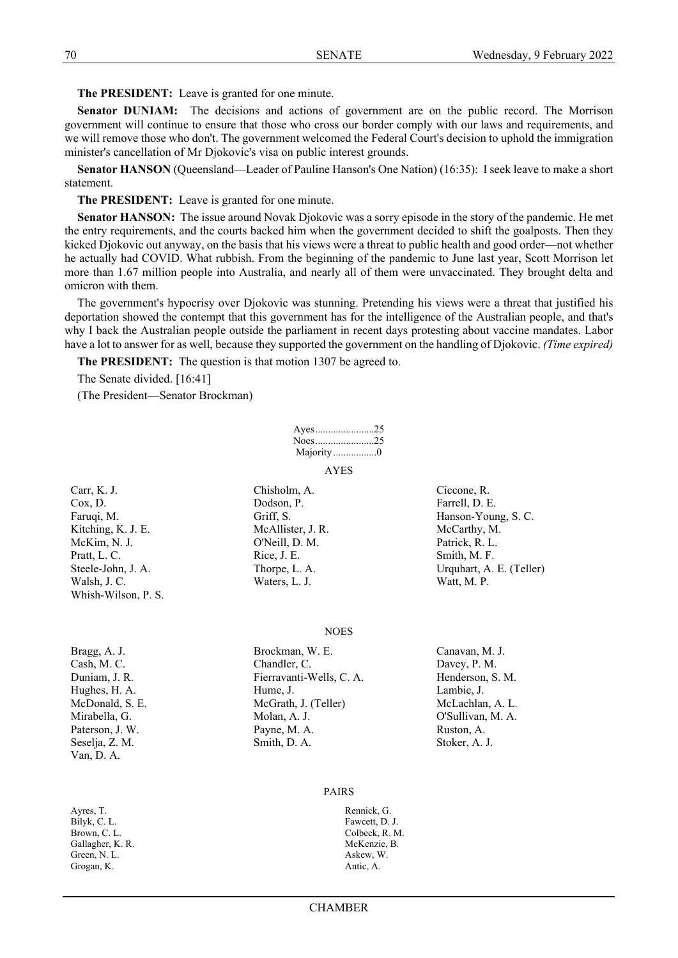**The PRESIDENT:** Leave is granted for one minute.

**Senator DUNIAM:** The decisions and actions of government are on the public record. The Morrison government will continue to ensure that those who cross our border comply with our laws and requirements, and we will remove those who don't. The government welcomed the Federal Court's decision to uphold the immigration minister's cancellation of Mr Djokovic's visa on public interest grounds.

**Senator HANSON** (Queensland—Leader of Pauline Hanson's One Nation) (16:35): I seek leave to make a short statement.

**The PRESIDENT:** Leave is granted for one minute.

**Senator HANSON:** The issue around Novak Djokovic was a sorry episode in the story of the pandemic. He met the entry requirements, and the courts backed him when the government decided to shift the goalposts. Then they kicked Djokovic out anyway, on the basis that his views were a threat to public health and good order—not whether he actually had COVID. What rubbish. From the beginning of the pandemic to June last year, Scott Morrison let more than 1.67 million people into Australia, and nearly all of them were unvaccinated. They brought delta and omicron with them.

The government's hypocrisy over Djokovic was stunning. Pretending his views were a threat that justified his deportation showed the contempt that this government has for the intelligence of the Australian people, and that's why I back the Australian people outside the parliament in recent days protesting about vaccine mandates. Labor have a lot to answer for as well, because they supported the government on the handling of Djokovic. *(Time expired)*

**The PRESIDENT:** The question is that motion 1307 be agreed to.

The Senate divided. [16:41]

(The President—Senator Brockman)

| Ayes25           |  |
|------------------|--|
| Noes $\ldots$ 25 |  |
| Majority 0       |  |
|                  |  |

AYES

Carr, K. J. Chisholm, A. Ciccone, R. Cox, D. Bodson, P. Farrell, D. E. Kitching, K. J. E. McAllister, J. R. McCarthy, M. McKim, N. J. O'Neill, D. M. Patrick, R. L. Pratt, L. C. Smith, M. F. Rice, J. E. Smith, M. F. Smith, M. F. Walsh, J. C. Waters, L. J. Waters, L. J. Watt, M. P. Whish-Wilson, P. S.

Faruqi, M. Griff, S. Griff, S. Hanson-Young, S. C. Steele-John, J. A. Thorpe, L. A. Urquhart, A. E. (Teller)

Van, D. A.

Ayres, T. Rennick, G. Bilyk, C. L. Fawcett, D. J. Brown, C. L. Colbeck, R. M. Gallagher, K. R. McKenzie, B. McKenzie, B. Green, N. L. Askew, W. Grogan, K. Antic, A.

**NOES** 

Bragg, A. J. Brockman, W. E. Canavan, M. J. Cash, M. C. Chandler, C. Davey, P. M. Duniam, J. R. Fierravanti-Wells, C. A. Henderson, S. M. Hughes, H. A. **Hume, H. Hume, J.** Lambie, J. **Lambie**, J. McDonald, S. E. McGrath, J. (Teller) McLachlan, A. L. Mirabella, G. Molan, A. J. O'Sullivan, M. A. Paterson, J. W. Payne, M. A. Ruston, A. Seselja, Z. M. Smith, D. A. Smith, D. A. Stoker, A. J.

#### PAIRS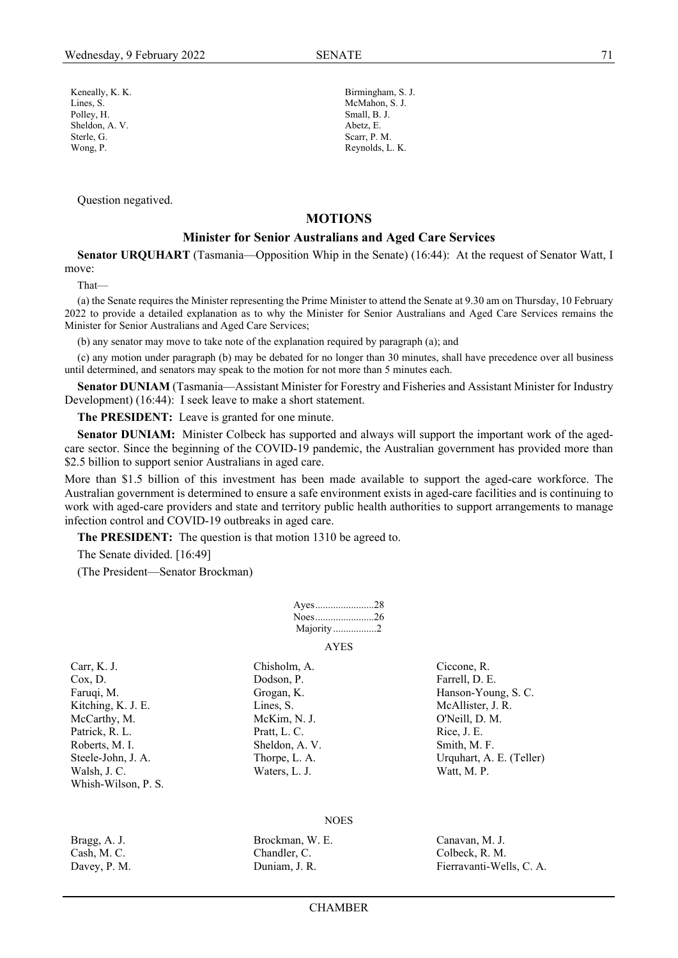Keneally, K. K. Birmingham, S. J. Lines, S. McMahon, S. J. Polley, H. Small, B. J. Sheldon, A. V. Abetz, E. Sterle, G. Scarr, P. M.

Question negatived.

# Wong, P. Reynolds, L. K.

# **MOTIONS**

# **Minister for Senior Australians and Aged Care Services**

**Senator URQUHART** (Tasmania—Opposition Whip in the Senate) (16:44): At the request of Senator Watt, I move:

That—

(a) the Senate requires the Minister representing the Prime Minister to attend the Senate at 9.30 am on Thursday, 10 February 2022 to provide a detailed explanation as to why the Minister for Senior Australians and Aged Care Services remains the Minister for Senior Australians and Aged Care Services;

(b) any senator may move to take note of the explanation required by paragraph (a); and

(c) any motion under paragraph (b) may be debated for no longer than 30 minutes, shall have precedence over all business until determined, and senators may speak to the motion for not more than 5 minutes each.

**Senator DUNIAM** (Tasmania—Assistant Minister for Forestry and Fisheries and Assistant Minister for Industry Development) (16:44): I seek leave to make a short statement.

**The PRESIDENT:** Leave is granted for one minute.

**Senator DUNIAM:** Minister Colbeck has supported and always will support the important work of the agedcare sector. Since the beginning of the COVID-19 pandemic, the Australian government has provided more than \$2.5 billion to support senior Australians in aged care.

More than \$1.5 billion of this investment has been made available to support the aged-care workforce. The Australian government is determined to ensure a safe environment exists in aged-care facilities and is continuing to work with aged-care providers and state and territory public health authorities to support arrangements to manage infection control and COVID-19 outbreaks in aged care.

**The PRESIDENT:** The question is that motion 1310 be agreed to.

The Senate divided. [16:49]

(The President—Senator Brockman)

| Ayes28      |  |
|-------------|--|
| Noes26      |  |
| Majority2   |  |
| <b>AYES</b> |  |

Carr, K. J. Chisholm, A. Ciccone, R. Cox, D. Cox, D. Dodson, P. Cox, D. Farrell, D. E. Kitching, K. J. E. Lines, S. Lines, S. McAllister, J. R. McCarthy, M. McKim, N. J. O'Neill, D. M. Patrick, R. L. Pratt, L. C. Rice, J. E. Roberts, M. I. Sheldon, A. V. Smith, M. F. Walsh, J. C. Waters, L. J. Waters, L. J. Watt, M. P. Whish-Wilson, P. S.

Faruqi, M. Grogan, K. Grogan, K. Hanson-Young, S. C. Steele-John, J. A. Thorpe, L. A. Urquhart, A. E. (Teller)

#### **NOES**

| Bragg, A. J. | Brockman, W. E. | Canavan, M. J.           |
|--------------|-----------------|--------------------------|
| Cash, M. C.  | Chandler, C.    | Colbeck, R. M.           |
| Davey, P. M. | Duniam, J. R.   | Fierravanti-Wells, C. A. |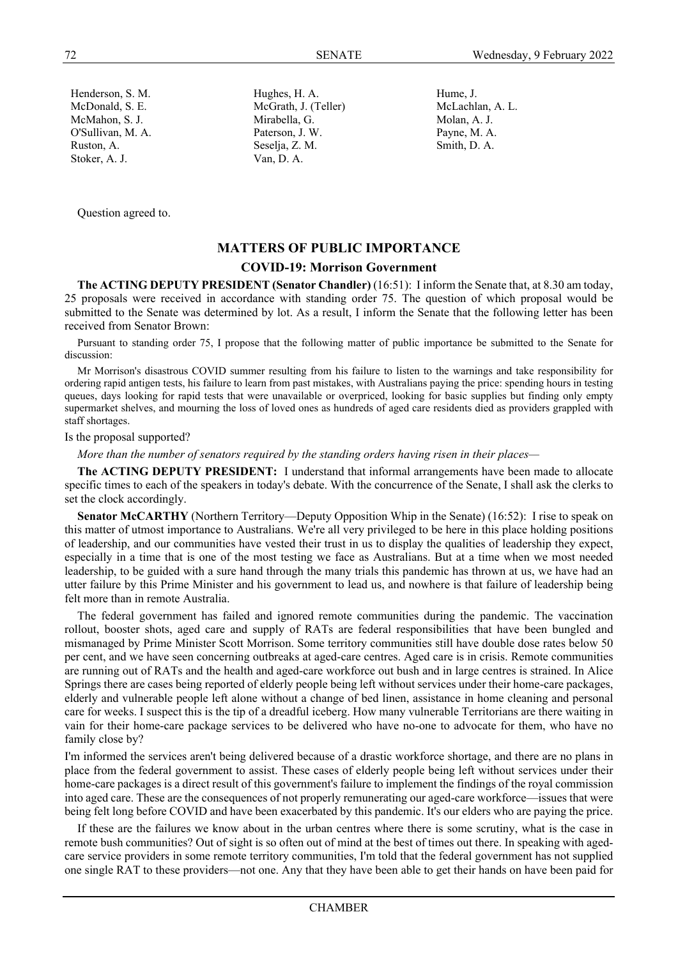Stoker, A. J. Van, D. A.

Henderson, S. M. Hughes, H. A. Hume, J. McDonald, S. E. McGrath, J. (Teller) McLachlan, A. L. McMahon, S. J. Mirabella, G. Molan, A. J. Molan, A. J. O'Sullivan, M. A. Paterson, J. W. Payne, M. A. Ruston, A. Seselja, Z. M. Smith, D. A.

Question agreed to.

# **MATTERS OF PUBLIC IMPORTANCE**

# **COVID-19: Morrison Government**

**The ACTING DEPUTY PRESIDENT (Senator Chandler)** (16:51): I inform the Senate that, at 8.30 am today, 25 proposals were received in accordance with standing order 75. The question of which proposal would be submitted to the Senate was determined by lot. As a result, I inform the Senate that the following letter has been received from Senator Brown:

Pursuant to standing order 75, I propose that the following matter of public importance be submitted to the Senate for discussion:

Mr Morrison's disastrous COVID summer resulting from his failure to listen to the warnings and take responsibility for ordering rapid antigen tests, his failure to learn from past mistakes, with Australians paying the price: spending hours in testing queues, days looking for rapid tests that were unavailable or overpriced, looking for basic supplies but finding only empty supermarket shelves, and mourning the loss of loved ones as hundreds of aged care residents died as providers grappled with staff shortages.

#### Is the proposal supported?

*More than the number of senators required by the standing orders having risen in their places—*

**The ACTING DEPUTY PRESIDENT:** I understand that informal arrangements have been made to allocate specific times to each of the speakers in today's debate. With the concurrence of the Senate, I shall ask the clerks to set the clock accordingly.

**Senator McCARTHY** (Northern Territory—Deputy Opposition Whip in the Senate) (16:52): I rise to speak on this matter of utmost importance to Australians. We're all very privileged to be here in this place holding positions of leadership, and our communities have vested their trust in us to display the qualities of leadership they expect, especially in a time that is one of the most testing we face as Australians. But at a time when we most needed leadership, to be guided with a sure hand through the many trials this pandemic has thrown at us, we have had an utter failure by this Prime Minister and his government to lead us, and nowhere is that failure of leadership being felt more than in remote Australia.

The federal government has failed and ignored remote communities during the pandemic. The vaccination rollout, booster shots, aged care and supply of RATs are federal responsibilities that have been bungled and mismanaged by Prime Minister Scott Morrison. Some territory communities still have double dose rates below 50 per cent, and we have seen concerning outbreaks at aged-care centres. Aged care is in crisis. Remote communities are running out of RATs and the health and aged-care workforce out bush and in large centres is strained. In Alice Springs there are cases being reported of elderly people being left without services under their home-care packages, elderly and vulnerable people left alone without a change of bed linen, assistance in home cleaning and personal care for weeks. I suspect this is the tip of a dreadful iceberg. How many vulnerable Territorians are there waiting in vain for their home-care package services to be delivered who have no-one to advocate for them, who have no family close by?

I'm informed the services aren't being delivered because of a drastic workforce shortage, and there are no plans in place from the federal government to assist. These cases of elderly people being left without services under their home-care packages is a direct result of this government's failure to implement the findings of the royal commission into aged care. These are the consequences of not properly remunerating our aged-care workforce—issues that were being felt long before COVID and have been exacerbated by this pandemic. It's our elders who are paying the price.

If these are the failures we know about in the urban centres where there is some scrutiny, what is the case in remote bush communities? Out of sight is so often out of mind at the best of times out there. In speaking with agedcare service providers in some remote territory communities, I'm told that the federal government has not supplied one single RAT to these providers—not one. Any that they have been able to get their hands on have been paid for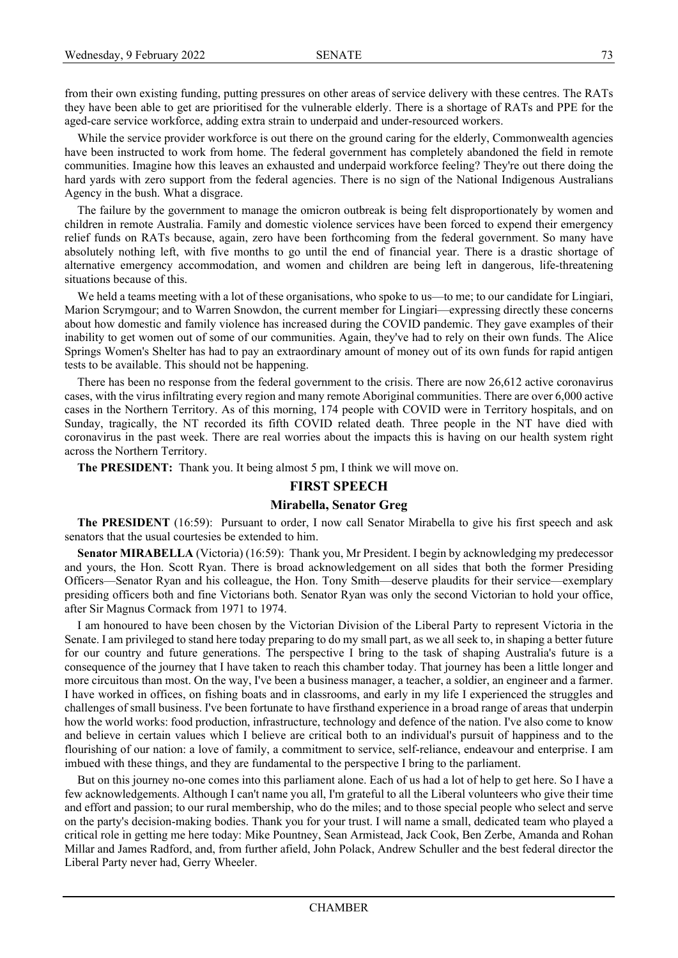from their own existing funding, putting pressures on other areas of service delivery with these centres. The RATs they have been able to get are prioritised for the vulnerable elderly. There is a shortage of RATs and PPE for the aged-care service workforce, adding extra strain to underpaid and under-resourced workers.

While the service provider workforce is out there on the ground caring for the elderly, Commonwealth agencies have been instructed to work from home. The federal government has completely abandoned the field in remote communities. Imagine how this leaves an exhausted and underpaid workforce feeling? They're out there doing the hard yards with zero support from the federal agencies. There is no sign of the National Indigenous Australians Agency in the bush. What a disgrace.

The failure by the government to manage the omicron outbreak is being felt disproportionately by women and children in remote Australia. Family and domestic violence services have been forced to expend their emergency relief funds on RATs because, again, zero have been forthcoming from the federal government. So many have absolutely nothing left, with five months to go until the end of financial year. There is a drastic shortage of alternative emergency accommodation, and women and children are being left in dangerous, life-threatening situations because of this.

We held a teams meeting with a lot of these organisations, who spoke to us—to me; to our candidate for Lingiari, Marion Scrymgour; and to Warren Snowdon, the current member for Lingiari—expressing directly these concerns about how domestic and family violence has increased during the COVID pandemic. They gave examples of their inability to get women out of some of our communities. Again, they've had to rely on their own funds. The Alice Springs Women's Shelter has had to pay an extraordinary amount of money out of its own funds for rapid antigen tests to be available. This should not be happening.

There has been no response from the federal government to the crisis. There are now 26,612 active coronavirus cases, with the virus infiltrating every region and many remote Aboriginal communities. There are over 6,000 active cases in the Northern Territory. As of this morning, 174 people with COVID were in Territory hospitals, and on Sunday, tragically, the NT recorded its fifth COVID related death. Three people in the NT have died with coronavirus in the past week. There are real worries about the impacts this is having on our health system right across the Northern Territory.

**The PRESIDENT:** Thank you. It being almost 5 pm, I think we will move on.

# **FIRST SPEECH**

## **Mirabella, Senator Greg**

**The PRESIDENT** (16:59): Pursuant to order, I now call Senator Mirabella to give his first speech and ask senators that the usual courtesies be extended to him.

**Senator MIRABELLA** (Victoria) (16:59): Thank you, Mr President. I begin by acknowledging my predecessor and yours, the Hon. Scott Ryan. There is broad acknowledgement on all sides that both the former Presiding Officers—Senator Ryan and his colleague, the Hon. Tony Smith—deserve plaudits for their service—exemplary presiding officers both and fine Victorians both. Senator Ryan was only the second Victorian to hold your office, after Sir Magnus Cormack from 1971 to 1974.

I am honoured to have been chosen by the Victorian Division of the Liberal Party to represent Victoria in the Senate. I am privileged to stand here today preparing to do my small part, as we all seek to, in shaping a better future for our country and future generations. The perspective I bring to the task of shaping Australia's future is a consequence of the journey that I have taken to reach this chamber today. That journey has been a little longer and more circuitous than most. On the way, I've been a business manager, a teacher, a soldier, an engineer and a farmer. I have worked in offices, on fishing boats and in classrooms, and early in my life I experienced the struggles and challenges of small business. I've been fortunate to have firsthand experience in a broad range of areas that underpin how the world works: food production, infrastructure, technology and defence of the nation. I've also come to know and believe in certain values which I believe are critical both to an individual's pursuit of happiness and to the flourishing of our nation: a love of family, a commitment to service, self-reliance, endeavour and enterprise. I am imbued with these things, and they are fundamental to the perspective I bring to the parliament.

But on this journey no-one comes into this parliament alone. Each of us had a lot of help to get here. So I have a few acknowledgements. Although I can't name you all, I'm grateful to all the Liberal volunteers who give their time and effort and passion; to our rural membership, who do the miles; and to those special people who select and serve on the party's decision-making bodies. Thank you for your trust. I will name a small, dedicated team who played a critical role in getting me here today: Mike Pountney, Sean Armistead, Jack Cook, Ben Zerbe, Amanda and Rohan Millar and James Radford, and, from further afield, John Polack, Andrew Schuller and the best federal director the Liberal Party never had, Gerry Wheeler.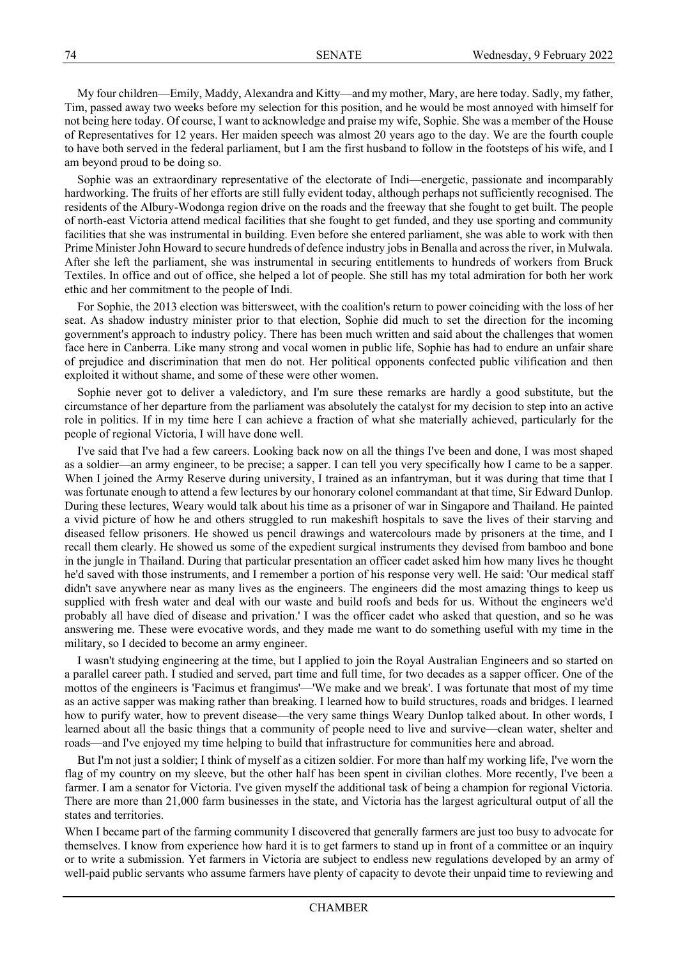My four children—Emily, Maddy, Alexandra and Kitty—and my mother, Mary, are here today. Sadly, my father, Tim, passed away two weeks before my selection for this position, and he would be most annoyed with himself for not being here today. Of course, I want to acknowledge and praise my wife, Sophie. She was a member of the House of Representatives for 12 years. Her maiden speech was almost 20 years ago to the day. We are the fourth couple to have both served in the federal parliament, but I am the first husband to follow in the footsteps of his wife, and I am beyond proud to be doing so.

Sophie was an extraordinary representative of the electorate of Indi—energetic, passionate and incomparably hardworking. The fruits of her efforts are still fully evident today, although perhaps not sufficiently recognised. The residents of the Albury-Wodonga region drive on the roads and the freeway that she fought to get built. The people of north-east Victoria attend medical facilities that she fought to get funded, and they use sporting and community facilities that she was instrumental in building. Even before she entered parliament, she was able to work with then Prime Minister John Howard to secure hundreds of defence industry jobs in Benalla and across the river, in Mulwala. After she left the parliament, she was instrumental in securing entitlements to hundreds of workers from Bruck Textiles. In office and out of office, she helped a lot of people. She still has my total admiration for both her work ethic and her commitment to the people of Indi.

For Sophie, the 2013 election was bittersweet, with the coalition's return to power coinciding with the loss of her seat. As shadow industry minister prior to that election, Sophie did much to set the direction for the incoming government's approach to industry policy. There has been much written and said about the challenges that women face here in Canberra. Like many strong and vocal women in public life, Sophie has had to endure an unfair share of prejudice and discrimination that men do not. Her political opponents confected public vilification and then exploited it without shame, and some of these were other women.

Sophie never got to deliver a valedictory, and I'm sure these remarks are hardly a good substitute, but the circumstance of her departure from the parliament was absolutely the catalyst for my decision to step into an active role in politics. If in my time here I can achieve a fraction of what she materially achieved, particularly for the people of regional Victoria, I will have done well.

I've said that I've had a few careers. Looking back now on all the things I've been and done, I was most shaped as a soldier—an army engineer, to be precise; a sapper. I can tell you very specifically how I came to be a sapper. When I joined the Army Reserve during university, I trained as an infantryman, but it was during that time that I was fortunate enough to attend a few lectures by our honorary colonel commandant at that time, Sir Edward Dunlop. During these lectures, Weary would talk about his time as a prisoner of war in Singapore and Thailand. He painted a vivid picture of how he and others struggled to run makeshift hospitals to save the lives of their starving and diseased fellow prisoners. He showed us pencil drawings and watercolours made by prisoners at the time, and I recall them clearly. He showed us some of the expedient surgical instruments they devised from bamboo and bone in the jungle in Thailand. During that particular presentation an officer cadet asked him how many lives he thought he'd saved with those instruments, and I remember a portion of his response very well. He said: 'Our medical staff didn't save anywhere near as many lives as the engineers. The engineers did the most amazing things to keep us supplied with fresh water and deal with our waste and build roofs and beds for us. Without the engineers we'd probably all have died of disease and privation.' I was the officer cadet who asked that question, and so he was answering me. These were evocative words, and they made me want to do something useful with my time in the military, so I decided to become an army engineer.

I wasn't studying engineering at the time, but I applied to join the Royal Australian Engineers and so started on a parallel career path. I studied and served, part time and full time, for two decades as a sapper officer. One of the mottos of the engineers is 'Facimus et frangimus'—'We make and we break'. I was fortunate that most of my time as an active sapper was making rather than breaking. I learned how to build structures, roads and bridges. I learned how to purify water, how to prevent disease—the very same things Weary Dunlop talked about. In other words, I learned about all the basic things that a community of people need to live and survive—clean water, shelter and roads—and I've enjoyed my time helping to build that infrastructure for communities here and abroad.

But I'm not just a soldier; I think of myself as a citizen soldier. For more than half my working life, I've worn the flag of my country on my sleeve, but the other half has been spent in civilian clothes. More recently, I've been a farmer. I am a senator for Victoria. I've given myself the additional task of being a champion for regional Victoria. There are more than 21,000 farm businesses in the state, and Victoria has the largest agricultural output of all the states and territories.

When I became part of the farming community I discovered that generally farmers are just too busy to advocate for themselves. I know from experience how hard it is to get farmers to stand up in front of a committee or an inquiry or to write a submission. Yet farmers in Victoria are subject to endless new regulations developed by an army of well-paid public servants who assume farmers have plenty of capacity to devote their unpaid time to reviewing and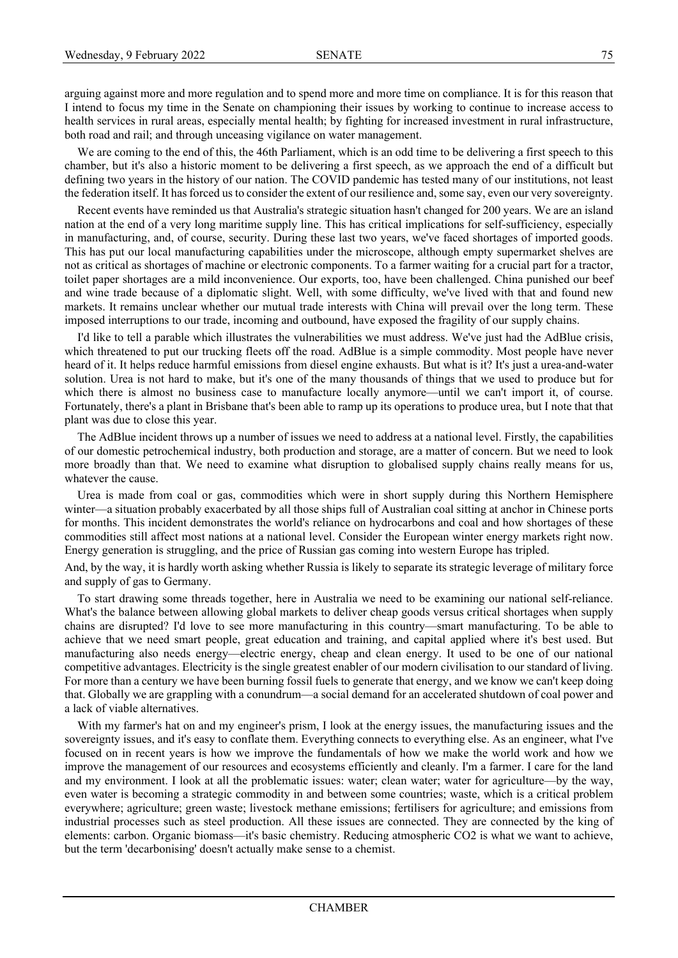arguing against more and more regulation and to spend more and more time on compliance. It is for this reason that I intend to focus my time in the Senate on championing their issues by working to continue to increase access to health services in rural areas, especially mental health; by fighting for increased investment in rural infrastructure, both road and rail; and through unceasing vigilance on water management.

We are coming to the end of this, the 46th Parliament, which is an odd time to be delivering a first speech to this chamber, but it's also a historic moment to be delivering a first speech, as we approach the end of a difficult but defining two years in the history of our nation. The COVID pandemic has tested many of our institutions, not least the federation itself. It has forced us to consider the extent of our resilience and, some say, even our very sovereignty.

Recent events have reminded us that Australia's strategic situation hasn't changed for 200 years. We are an island nation at the end of a very long maritime supply line. This has critical implications for self-sufficiency, especially in manufacturing, and, of course, security. During these last two years, we've faced shortages of imported goods. This has put our local manufacturing capabilities under the microscope, although empty supermarket shelves are not as critical as shortages of machine or electronic components. To a farmer waiting for a crucial part for a tractor, toilet paper shortages are a mild inconvenience. Our exports, too, have been challenged. China punished our beef and wine trade because of a diplomatic slight. Well, with some difficulty, we've lived with that and found new markets. It remains unclear whether our mutual trade interests with China will prevail over the long term. These imposed interruptions to our trade, incoming and outbound, have exposed the fragility of our supply chains.

I'd like to tell a parable which illustrates the vulnerabilities we must address. We've just had the AdBlue crisis, which threatened to put our trucking fleets off the road. AdBlue is a simple commodity. Most people have never heard of it. It helps reduce harmful emissions from diesel engine exhausts. But what is it? It's just a urea-and-water solution. Urea is not hard to make, but it's one of the many thousands of things that we used to produce but for which there is almost no business case to manufacture locally anymore—until we can't import it, of course. Fortunately, there's a plant in Brisbane that's been able to ramp up its operations to produce urea, but I note that that plant was due to close this year.

The AdBlue incident throws up a number of issues we need to address at a national level. Firstly, the capabilities of our domestic petrochemical industry, both production and storage, are a matter of concern. But we need to look more broadly than that. We need to examine what disruption to globalised supply chains really means for us, whatever the cause.

Urea is made from coal or gas, commodities which were in short supply during this Northern Hemisphere winter—a situation probably exacerbated by all those ships full of Australian coal sitting at anchor in Chinese ports for months. This incident demonstrates the world's reliance on hydrocarbons and coal and how shortages of these commodities still affect most nations at a national level. Consider the European winter energy markets right now. Energy generation is struggling, and the price of Russian gas coming into western Europe has tripled.

And, by the way, it is hardly worth asking whether Russia is likely to separate its strategic leverage of military force and supply of gas to Germany.

To start drawing some threads together, here in Australia we need to be examining our national self-reliance. What's the balance between allowing global markets to deliver cheap goods versus critical shortages when supply chains are disrupted? I'd love to see more manufacturing in this country—smart manufacturing. To be able to achieve that we need smart people, great education and training, and capital applied where it's best used. But manufacturing also needs energy—electric energy, cheap and clean energy. It used to be one of our national competitive advantages. Electricity is the single greatest enabler of our modern civilisation to our standard of living. For more than a century we have been burning fossil fuels to generate that energy, and we know we can't keep doing that. Globally we are grappling with a conundrum—a social demand for an accelerated shutdown of coal power and a lack of viable alternatives.

With my farmer's hat on and my engineer's prism, I look at the energy issues, the manufacturing issues and the sovereignty issues, and it's easy to conflate them. Everything connects to everything else. As an engineer, what I've focused on in recent years is how we improve the fundamentals of how we make the world work and how we improve the management of our resources and ecosystems efficiently and cleanly. I'm a farmer. I care for the land and my environment. I look at all the problematic issues: water; clean water; water for agriculture—by the way, even water is becoming a strategic commodity in and between some countries; waste, which is a critical problem everywhere; agriculture; green waste; livestock methane emissions; fertilisers for agriculture; and emissions from industrial processes such as steel production. All these issues are connected. They are connected by the king of elements: carbon. Organic biomass—it's basic chemistry. Reducing atmospheric CO2 is what we want to achieve, but the term 'decarbonising' doesn't actually make sense to a chemist.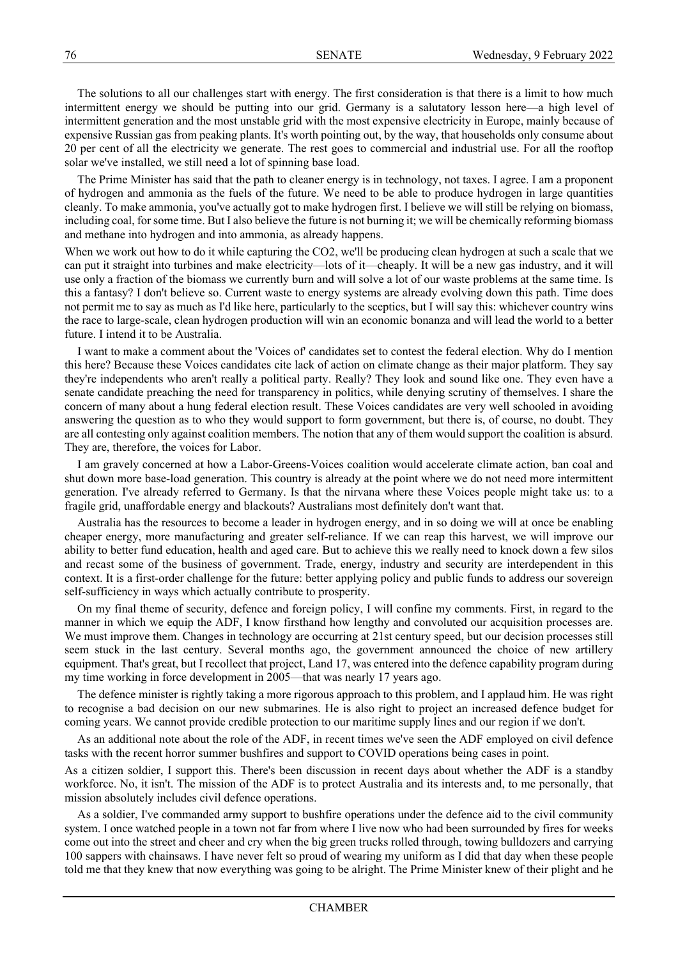The solutions to all our challenges start with energy. The first consideration is that there is a limit to how much intermittent energy we should be putting into our grid. Germany is a salutatory lesson here—a high level of intermittent generation and the most unstable grid with the most expensive electricity in Europe, mainly because of expensive Russian gas from peaking plants. It's worth pointing out, by the way, that households only consume about 20 per cent of all the electricity we generate. The rest goes to commercial and industrial use. For all the rooftop solar we've installed, we still need a lot of spinning base load.

The Prime Minister has said that the path to cleaner energy is in technology, not taxes. I agree. I am a proponent of hydrogen and ammonia as the fuels of the future. We need to be able to produce hydrogen in large quantities cleanly. To make ammonia, you've actually got to make hydrogen first. I believe we will still be relying on biomass, including coal, for some time. But I also believe the future is not burning it; we will be chemically reforming biomass and methane into hydrogen and into ammonia, as already happens.

When we work out how to do it while capturing the CO2, we'll be producing clean hydrogen at such a scale that we can put it straight into turbines and make electricity—lots of it—cheaply. It will be a new gas industry, and it will use only a fraction of the biomass we currently burn and will solve a lot of our waste problems at the same time. Is this a fantasy? I don't believe so. Current waste to energy systems are already evolving down this path. Time does not permit me to say as much as I'd like here, particularly to the sceptics, but I will say this: whichever country wins the race to large-scale, clean hydrogen production will win an economic bonanza and will lead the world to a better future. I intend it to be Australia.

I want to make a comment about the 'Voices of' candidates set to contest the federal election. Why do I mention this here? Because these Voices candidates cite lack of action on climate change as their major platform. They say they're independents who aren't really a political party. Really? They look and sound like one. They even have a senate candidate preaching the need for transparency in politics, while denying scrutiny of themselves. I share the concern of many about a hung federal election result. These Voices candidates are very well schooled in avoiding answering the question as to who they would support to form government, but there is, of course, no doubt. They are all contesting only against coalition members. The notion that any of them would support the coalition is absurd. They are, therefore, the voices for Labor.

I am gravely concerned at how a Labor-Greens-Voices coalition would accelerate climate action, ban coal and shut down more base-load generation. This country is already at the point where we do not need more intermittent generation. I've already referred to Germany. Is that the nirvana where these Voices people might take us: to a fragile grid, unaffordable energy and blackouts? Australians most definitely don't want that.

Australia has the resources to become a leader in hydrogen energy, and in so doing we will at once be enabling cheaper energy, more manufacturing and greater self-reliance. If we can reap this harvest, we will improve our ability to better fund education, health and aged care. But to achieve this we really need to knock down a few silos and recast some of the business of government. Trade, energy, industry and security are interdependent in this context. It is a first-order challenge for the future: better applying policy and public funds to address our sovereign self-sufficiency in ways which actually contribute to prosperity.

On my final theme of security, defence and foreign policy, I will confine my comments. First, in regard to the manner in which we equip the ADF, I know firsthand how lengthy and convoluted our acquisition processes are. We must improve them. Changes in technology are occurring at 21st century speed, but our decision processes still seem stuck in the last century. Several months ago, the government announced the choice of new artillery equipment. That's great, but I recollect that project, Land 17, was entered into the defence capability program during my time working in force development in 2005—that was nearly 17 years ago.

The defence minister is rightly taking a more rigorous approach to this problem, and I applaud him. He was right to recognise a bad decision on our new submarines. He is also right to project an increased defence budget for coming years. We cannot provide credible protection to our maritime supply lines and our region if we don't.

As an additional note about the role of the ADF, in recent times we've seen the ADF employed on civil defence tasks with the recent horror summer bushfires and support to COVID operations being cases in point.

As a citizen soldier, I support this. There's been discussion in recent days about whether the ADF is a standby workforce. No, it isn't. The mission of the ADF is to protect Australia and its interests and, to me personally, that mission absolutely includes civil defence operations.

As a soldier, I've commanded army support to bushfire operations under the defence aid to the civil community system. I once watched people in a town not far from where I live now who had been surrounded by fires for weeks come out into the street and cheer and cry when the big green trucks rolled through, towing bulldozers and carrying 100 sappers with chainsaws. I have never felt so proud of wearing my uniform as I did that day when these people told me that they knew that now everything was going to be alright. The Prime Minister knew of their plight and he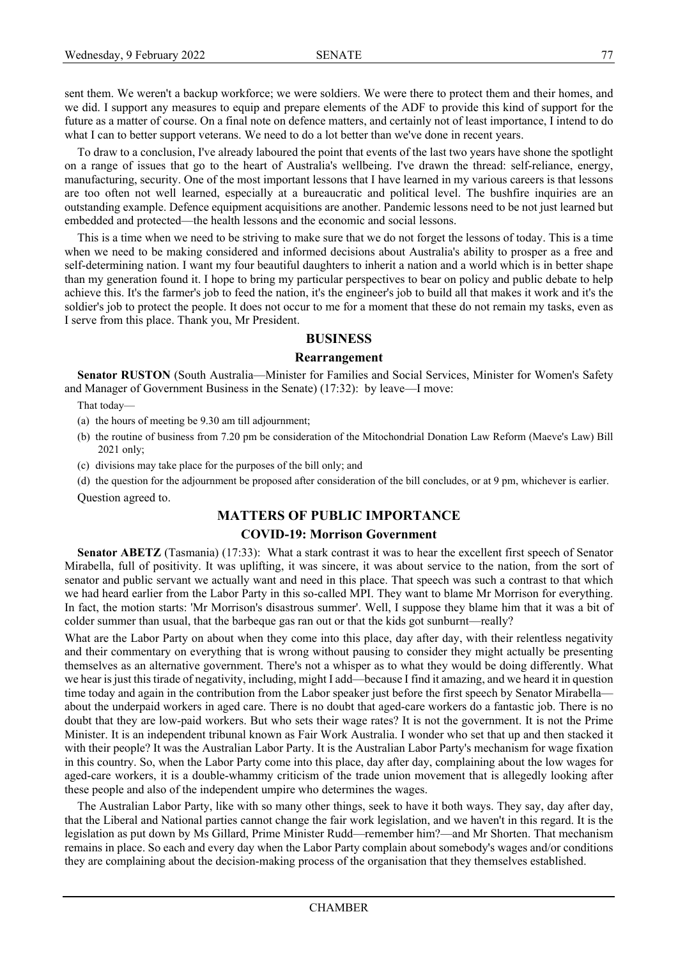sent them. We weren't a backup workforce; we were soldiers. We were there to protect them and their homes, and we did. I support any measures to equip and prepare elements of the ADF to provide this kind of support for the future as a matter of course. On a final note on defence matters, and certainly not of least importance, I intend to do what I can to better support veterans. We need to do a lot better than we've done in recent years.

To draw to a conclusion, I've already laboured the point that events of the last two years have shone the spotlight on a range of issues that go to the heart of Australia's wellbeing. I've drawn the thread: self-reliance, energy, manufacturing, security. One of the most important lessons that I have learned in my various careers is that lessons are too often not well learned, especially at a bureaucratic and political level. The bushfire inquiries are an outstanding example. Defence equipment acquisitions are another. Pandemic lessons need to be not just learned but embedded and protected—the health lessons and the economic and social lessons.

This is a time when we need to be striving to make sure that we do not forget the lessons of today. This is a time when we need to be making considered and informed decisions about Australia's ability to prosper as a free and self-determining nation. I want my four beautiful daughters to inherit a nation and a world which is in better shape than my generation found it. I hope to bring my particular perspectives to bear on policy and public debate to help achieve this. It's the farmer's job to feed the nation, it's the engineer's job to build all that makes it work and it's the soldier's job to protect the people. It does not occur to me for a moment that these do not remain my tasks, even as I serve from this place. Thank you, Mr President.

## **BUSINESS**

#### **Rearrangement**

**Senator RUSTON** (South Australia—Minister for Families and Social Services, Minister for Women's Safety and Manager of Government Business in the Senate) (17:32): by leave—I move:

That today—

- (a) the hours of meeting be 9.30 am till adjournment;
- (b) the routine of business from 7.20 pm be consideration of the Mitochondrial Donation Law Reform (Maeve's Law) Bill 2021 only;
- (c) divisions may take place for the purposes of the bill only; and

(d) the question for the adjournment be proposed after consideration of the bill concludes, or at 9 pm, whichever is earlier. Question agreed to.

# **MATTERS OF PUBLIC IMPORTANCE**

## **COVID-19: Morrison Government**

**Senator ABETZ** (Tasmania) (17:33): What a stark contrast it was to hear the excellent first speech of Senator Mirabella, full of positivity. It was uplifting, it was sincere, it was about service to the nation, from the sort of senator and public servant we actually want and need in this place. That speech was such a contrast to that which we had heard earlier from the Labor Party in this so-called MPI. They want to blame Mr Morrison for everything. In fact, the motion starts: 'Mr Morrison's disastrous summer'. Well, I suppose they blame him that it was a bit of colder summer than usual, that the barbeque gas ran out or that the kids got sunburnt—really?

What are the Labor Party on about when they come into this place, day after day, with their relentless negativity and their commentary on everything that is wrong without pausing to consider they might actually be presenting themselves as an alternative government. There's not a whisper as to what they would be doing differently. What we hear is just this tirade of negativity, including, might I add—because I find it amazing, and we heard it in question time today and again in the contribution from the Labor speaker just before the first speech by Senator Mirabella about the underpaid workers in aged care. There is no doubt that aged-care workers do a fantastic job. There is no doubt that they are low-paid workers. But who sets their wage rates? It is not the government. It is not the Prime Minister. It is an independent tribunal known as Fair Work Australia. I wonder who set that up and then stacked it with their people? It was the Australian Labor Party. It is the Australian Labor Party's mechanism for wage fixation in this country. So, when the Labor Party come into this place, day after day, complaining about the low wages for aged-care workers, it is a double-whammy criticism of the trade union movement that is allegedly looking after these people and also of the independent umpire who determines the wages.

The Australian Labor Party, like with so many other things, seek to have it both ways. They say, day after day, that the Liberal and National parties cannot change the fair work legislation, and we haven't in this regard. It is the legislation as put down by Ms Gillard, Prime Minister Rudd—remember him?—and Mr Shorten. That mechanism remains in place. So each and every day when the Labor Party complain about somebody's wages and/or conditions they are complaining about the decision-making process of the organisation that they themselves established.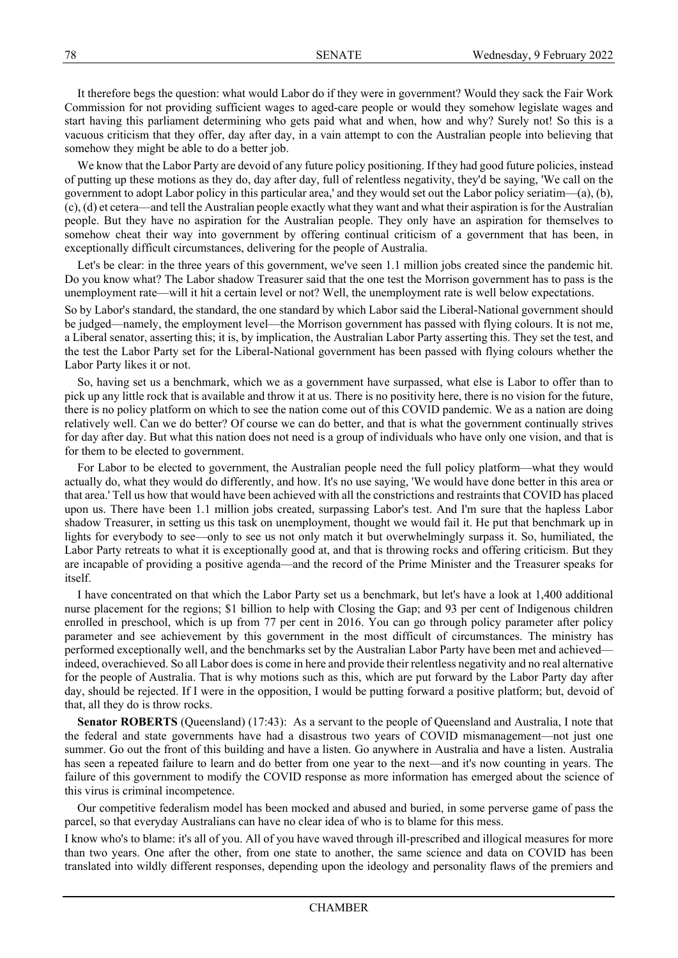It therefore begs the question: what would Labor do if they were in government? Would they sack the Fair Work Commission for not providing sufficient wages to aged-care people or would they somehow legislate wages and start having this parliament determining who gets paid what and when, how and why? Surely not! So this is a vacuous criticism that they offer, day after day, in a vain attempt to con the Australian people into believing that somehow they might be able to do a better job.

We know that the Labor Party are devoid of any future policy positioning. If they had good future policies, instead of putting up these motions as they do, day after day, full of relentless negativity, they'd be saying, 'We call on the government to adopt Labor policy in this particular area,' and they would set out the Labor policy seriatim—(a), (b), (c), (d) et cetera—and tell the Australian people exactly what they want and what their aspiration is for the Australian people. But they have no aspiration for the Australian people. They only have an aspiration for themselves to somehow cheat their way into government by offering continual criticism of a government that has been, in exceptionally difficult circumstances, delivering for the people of Australia.

Let's be clear: in the three years of this government, we've seen 1.1 million jobs created since the pandemic hit. Do you know what? The Labor shadow Treasurer said that the one test the Morrison government has to pass is the unemployment rate—will it hit a certain level or not? Well, the unemployment rate is well below expectations.

So by Labor's standard, the standard, the one standard by which Labor said the Liberal-National government should be judged—namely, the employment level—the Morrison government has passed with flying colours. It is not me, a Liberal senator, asserting this; it is, by implication, the Australian Labor Party asserting this. They set the test, and the test the Labor Party set for the Liberal-National government has been passed with flying colours whether the Labor Party likes it or not.

So, having set us a benchmark, which we as a government have surpassed, what else is Labor to offer than to pick up any little rock that is available and throw it at us. There is no positivity here, there is no vision for the future, there is no policy platform on which to see the nation come out of this COVID pandemic. We as a nation are doing relatively well. Can we do better? Of course we can do better, and that is what the government continually strives for day after day. But what this nation does not need is a group of individuals who have only one vision, and that is for them to be elected to government.

For Labor to be elected to government, the Australian people need the full policy platform—what they would actually do, what they would do differently, and how. It's no use saying, 'We would have done better in this area or that area.' Tell us how that would have been achieved with all the constrictions and restraints that COVID has placed upon us. There have been 1.1 million jobs created, surpassing Labor's test. And I'm sure that the hapless Labor shadow Treasurer, in setting us this task on unemployment, thought we would fail it. He put that benchmark up in lights for everybody to see—only to see us not only match it but overwhelmingly surpass it. So, humiliated, the Labor Party retreats to what it is exceptionally good at, and that is throwing rocks and offering criticism. But they are incapable of providing a positive agenda—and the record of the Prime Minister and the Treasurer speaks for itself.

I have concentrated on that which the Labor Party set us a benchmark, but let's have a look at 1,400 additional nurse placement for the regions; \$1 billion to help with Closing the Gap; and 93 per cent of Indigenous children enrolled in preschool, which is up from 77 per cent in 2016. You can go through policy parameter after policy parameter and see achievement by this government in the most difficult of circumstances. The ministry has performed exceptionally well, and the benchmarks set by the Australian Labor Party have been met and achieved indeed, overachieved. So all Labor does is come in here and provide their relentless negativity and no real alternative for the people of Australia. That is why motions such as this, which are put forward by the Labor Party day after day, should be rejected. If I were in the opposition, I would be putting forward a positive platform; but, devoid of that, all they do is throw rocks.

Senator ROBERTS (Queensland) (17:43): As a servant to the people of Queensland and Australia, I note that the federal and state governments have had a disastrous two years of COVID mismanagement—not just one summer. Go out the front of this building and have a listen. Go anywhere in Australia and have a listen. Australia has seen a repeated failure to learn and do better from one year to the next—and it's now counting in years. The failure of this government to modify the COVID response as more information has emerged about the science of this virus is criminal incompetence.

Our competitive federalism model has been mocked and abused and buried, in some perverse game of pass the parcel, so that everyday Australians can have no clear idea of who is to blame for this mess.

I know who's to blame: it's all of you. All of you have waved through ill-prescribed and illogical measures for more than two years. One after the other, from one state to another, the same science and data on COVID has been translated into wildly different responses, depending upon the ideology and personality flaws of the premiers and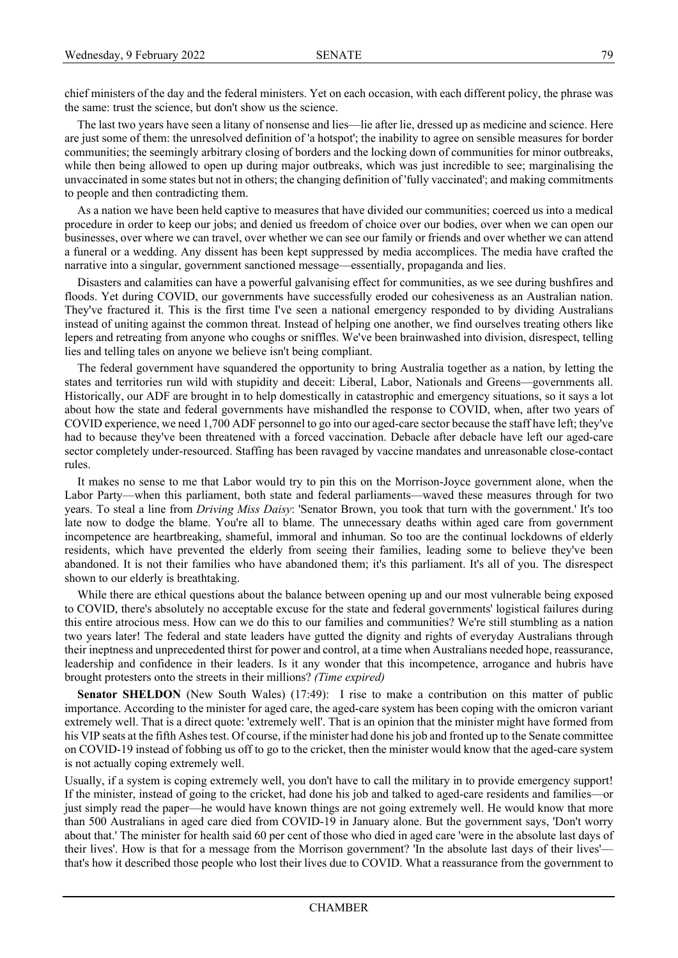chief ministers of the day and the federal ministers. Yet on each occasion, with each different policy, the phrase was the same: trust the science, but don't show us the science.

The last two years have seen a litany of nonsense and lies—lie after lie, dressed up as medicine and science. Here are just some of them: the unresolved definition of 'a hotspot'; the inability to agree on sensible measures for border communities; the seemingly arbitrary closing of borders and the locking down of communities for minor outbreaks, while then being allowed to open up during major outbreaks, which was just incredible to see; marginalising the unvaccinated in some states but not in others; the changing definition of 'fully vaccinated'; and making commitments to people and then contradicting them.

As a nation we have been held captive to measures that have divided our communities; coerced us into a medical procedure in order to keep our jobs; and denied us freedom of choice over our bodies, over when we can open our businesses, over where we can travel, over whether we can see our family or friends and over whether we can attend a funeral or a wedding. Any dissent has been kept suppressed by media accomplices. The media have crafted the narrative into a singular, government sanctioned message—essentially, propaganda and lies.

Disasters and calamities can have a powerful galvanising effect for communities, as we see during bushfires and floods. Yet during COVID, our governments have successfully eroded our cohesiveness as an Australian nation. They've fractured it. This is the first time I've seen a national emergency responded to by dividing Australians instead of uniting against the common threat. Instead of helping one another, we find ourselves treating others like lepers and retreating from anyone who coughs or sniffles. We've been brainwashed into division, disrespect, telling lies and telling tales on anyone we believe isn't being compliant.

The federal government have squandered the opportunity to bring Australia together as a nation, by letting the states and territories run wild with stupidity and deceit: Liberal, Labor, Nationals and Greens—governments all. Historically, our ADF are brought in to help domestically in catastrophic and emergency situations, so it says a lot about how the state and federal governments have mishandled the response to COVID, when, after two years of COVID experience, we need 1,700 ADF personnel to go into our aged-care sector because the staff have left; they've had to because they've been threatened with a forced vaccination. Debacle after debacle have left our aged-care sector completely under-resourced. Staffing has been ravaged by vaccine mandates and unreasonable close-contact rules.

It makes no sense to me that Labor would try to pin this on the Morrison-Joyce government alone, when the Labor Party—when this parliament, both state and federal parliaments—waved these measures through for two years. To steal a line from *Driving Miss Daisy*: 'Senator Brown, you took that turn with the government.' It's too late now to dodge the blame. You're all to blame. The unnecessary deaths within aged care from government incompetence are heartbreaking, shameful, immoral and inhuman. So too are the continual lockdowns of elderly residents, which have prevented the elderly from seeing their families, leading some to believe they've been abandoned. It is not their families who have abandoned them; it's this parliament. It's all of you. The disrespect shown to our elderly is breathtaking.

While there are ethical questions about the balance between opening up and our most vulnerable being exposed to COVID, there's absolutely no acceptable excuse for the state and federal governments' logistical failures during this entire atrocious mess. How can we do this to our families and communities? We're still stumbling as a nation two years later! The federal and state leaders have gutted the dignity and rights of everyday Australians through their ineptness and unprecedented thirst for power and control, at a time when Australians needed hope, reassurance, leadership and confidence in their leaders. Is it any wonder that this incompetence, arrogance and hubris have brought protesters onto the streets in their millions? *(Time expired)*

**Senator SHELDON** (New South Wales) (17:49): I rise to make a contribution on this matter of public importance. According to the minister for aged care, the aged-care system has been coping with the omicron variant extremely well. That is a direct quote: 'extremely well'. That is an opinion that the minister might have formed from his VIP seats at the fifth Ashes test. Of course, if the minister had done his job and fronted up to the Senate committee on COVID-19 instead of fobbing us off to go to the cricket, then the minister would know that the aged-care system is not actually coping extremely well.

Usually, if a system is coping extremely well, you don't have to call the military in to provide emergency support! If the minister, instead of going to the cricket, had done his job and talked to aged-care residents and families—or just simply read the paper—he would have known things are not going extremely well. He would know that more than 500 Australians in aged care died from COVID-19 in January alone. But the government says, 'Don't worry about that.' The minister for health said 60 per cent of those who died in aged care 'were in the absolute last days of their lives'. How is that for a message from the Morrison government? 'In the absolute last days of their lives' that's how it described those people who lost their lives due to COVID. What a reassurance from the government to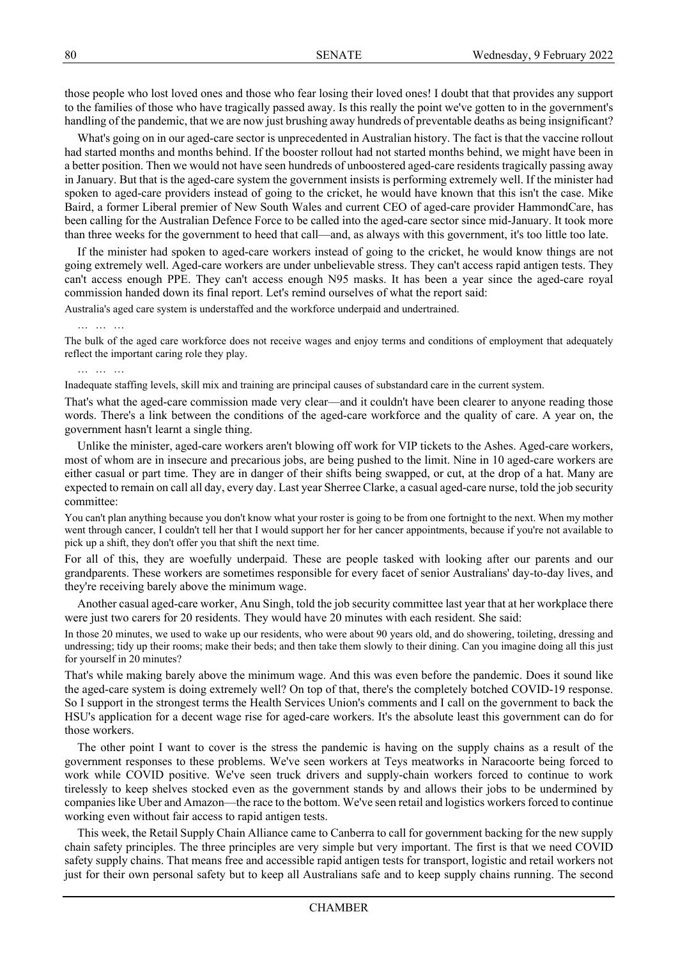those people who lost loved ones and those who fear losing their loved ones! I doubt that that provides any support to the families of those who have tragically passed away. Is this really the point we've gotten to in the government's handling of the pandemic, that we are now just brushing away hundreds of preventable deaths as being insignificant?

What's going on in our aged-care sector is unprecedented in Australian history. The fact is that the vaccine rollout had started months and months behind. If the booster rollout had not started months behind, we might have been in a better position. Then we would not have seen hundreds of unboostered aged-care residents tragically passing away in January. But that is the aged-care system the government insists is performing extremely well. If the minister had spoken to aged-care providers instead of going to the cricket, he would have known that this isn't the case. Mike Baird, a former Liberal premier of New South Wales and current CEO of aged-care provider HammondCare, has been calling for the Australian Defence Force to be called into the aged-care sector since mid-January. It took more than three weeks for the government to heed that call—and, as always with this government, it's too little too late.

If the minister had spoken to aged-care workers instead of going to the cricket, he would know things are not going extremely well. Aged-care workers are under unbelievable stress. They can't access rapid antigen tests. They can't access enough PPE. They can't access enough N95 masks. It has been a year since the aged-care royal commission handed down its final report. Let's remind ourselves of what the report said:

Australia's aged care system is understaffed and the workforce underpaid and undertrained.

… … …

The bulk of the aged care workforce does not receive wages and enjoy terms and conditions of employment that adequately reflect the important caring role they play.

… … …

Inadequate staffing levels, skill mix and training are principal causes of substandard care in the current system.

That's what the aged-care commission made very clear—and it couldn't have been clearer to anyone reading those words. There's a link between the conditions of the aged-care workforce and the quality of care. A year on, the government hasn't learnt a single thing.

Unlike the minister, aged-care workers aren't blowing off work for VIP tickets to the Ashes. Aged-care workers, most of whom are in insecure and precarious jobs, are being pushed to the limit. Nine in 10 aged-care workers are either casual or part time. They are in danger of their shifts being swapped, or cut, at the drop of a hat. Many are expected to remain on call all day, every day. Last year Sherree Clarke, a casual aged-care nurse, told the job security committee:

You can't plan anything because you don't know what your roster is going to be from one fortnight to the next. When my mother went through cancer, I couldn't tell her that I would support her for her cancer appointments, because if you're not available to pick up a shift, they don't offer you that shift the next time.

For all of this, they are woefully underpaid. These are people tasked with looking after our parents and our grandparents. These workers are sometimes responsible for every facet of senior Australians' day-to-day lives, and they're receiving barely above the minimum wage.

Another casual aged-care worker, Anu Singh, told the job security committee last year that at her workplace there were just two carers for 20 residents. They would have 20 minutes with each resident. She said:

In those 20 minutes, we used to wake up our residents, who were about 90 years old, and do showering, toileting, dressing and undressing; tidy up their rooms; make their beds; and then take them slowly to their dining. Can you imagine doing all this just for yourself in 20 minutes?

That's while making barely above the minimum wage. And this was even before the pandemic. Does it sound like the aged-care system is doing extremely well? On top of that, there's the completely botched COVID-19 response. So I support in the strongest terms the Health Services Union's comments and I call on the government to back the HSU's application for a decent wage rise for aged-care workers. It's the absolute least this government can do for those workers.

The other point I want to cover is the stress the pandemic is having on the supply chains as a result of the government responses to these problems. We've seen workers at Teys meatworks in Naracoorte being forced to work while COVID positive. We've seen truck drivers and supply-chain workers forced to continue to work tirelessly to keep shelves stocked even as the government stands by and allows their jobs to be undermined by companies like Uber and Amazon—the race to the bottom. We've seen retail and logistics workers forced to continue working even without fair access to rapid antigen tests.

This week, the Retail Supply Chain Alliance came to Canberra to call for government backing for the new supply chain safety principles. The three principles are very simple but very important. The first is that we need COVID safety supply chains. That means free and accessible rapid antigen tests for transport, logistic and retail workers not just for their own personal safety but to keep all Australians safe and to keep supply chains running. The second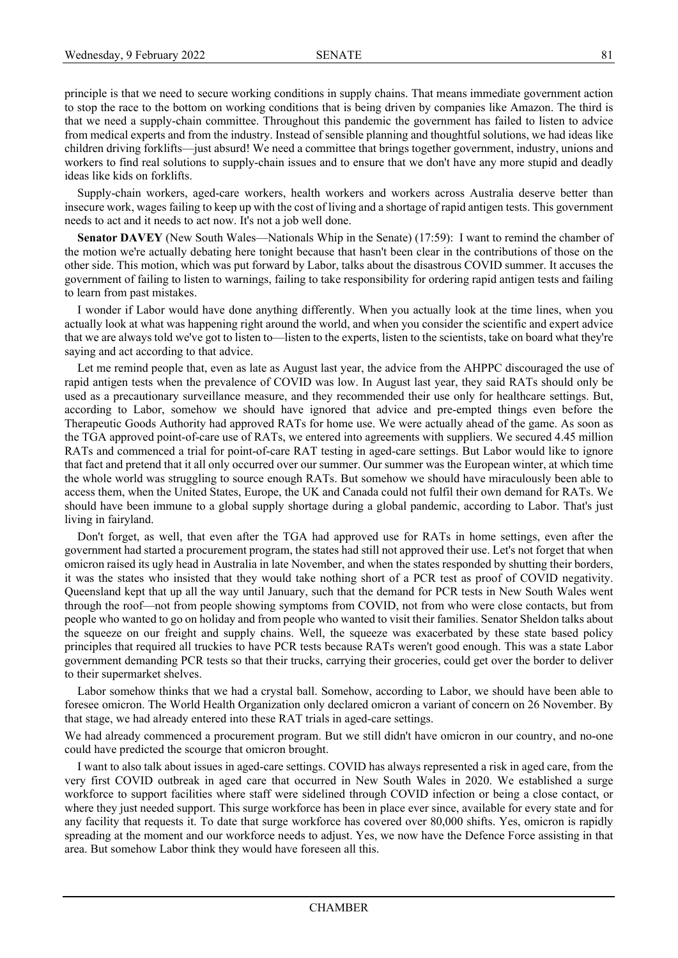principle is that we need to secure working conditions in supply chains. That means immediate government action to stop the race to the bottom on working conditions that is being driven by companies like Amazon. The third is that we need a supply-chain committee. Throughout this pandemic the government has failed to listen to advice from medical experts and from the industry. Instead of sensible planning and thoughtful solutions, we had ideas like children driving forklifts—just absurd! We need a committee that brings together government, industry, unions and workers to find real solutions to supply-chain issues and to ensure that we don't have any more stupid and deadly ideas like kids on forklifts.

Supply-chain workers, aged-care workers, health workers and workers across Australia deserve better than insecure work, wages failing to keep up with the cost of living and a shortage of rapid antigen tests. This government needs to act and it needs to act now. It's not a job well done.

**Senator DAVEY** (New South Wales—Nationals Whip in the Senate) (17:59): I want to remind the chamber of the motion we're actually debating here tonight because that hasn't been clear in the contributions of those on the other side. This motion, which was put forward by Labor, talks about the disastrous COVID summer. It accuses the government of failing to listen to warnings, failing to take responsibility for ordering rapid antigen tests and failing to learn from past mistakes.

I wonder if Labor would have done anything differently. When you actually look at the time lines, when you actually look at what was happening right around the world, and when you consider the scientific and expert advice that we are always told we've got to listen to—listen to the experts, listen to the scientists, take on board what they're saying and act according to that advice.

Let me remind people that, even as late as August last year, the advice from the AHPPC discouraged the use of rapid antigen tests when the prevalence of COVID was low. In August last year, they said RATs should only be used as a precautionary surveillance measure, and they recommended their use only for healthcare settings. But, according to Labor, somehow we should have ignored that advice and pre-empted things even before the Therapeutic Goods Authority had approved RATs for home use. We were actually ahead of the game. As soon as the TGA approved point-of-care use of RATs, we entered into agreements with suppliers. We secured 4.45 million RATs and commenced a trial for point-of-care RAT testing in aged-care settings. But Labor would like to ignore that fact and pretend that it all only occurred over our summer. Our summer was the European winter, at which time the whole world was struggling to source enough RATs. But somehow we should have miraculously been able to access them, when the United States, Europe, the UK and Canada could not fulfil their own demand for RATs. We should have been immune to a global supply shortage during a global pandemic, according to Labor. That's just living in fairyland.

Don't forget, as well, that even after the TGA had approved use for RATs in home settings, even after the government had started a procurement program, the states had still not approved their use. Let's not forget that when omicron raised its ugly head in Australia in late November, and when the states responded by shutting their borders, it was the states who insisted that they would take nothing short of a PCR test as proof of COVID negativity. Queensland kept that up all the way until January, such that the demand for PCR tests in New South Wales went through the roof—not from people showing symptoms from COVID, not from who were close contacts, but from people who wanted to go on holiday and from people who wanted to visit their families. Senator Sheldon talks about the squeeze on our freight and supply chains. Well, the squeeze was exacerbated by these state based policy principles that required all truckies to have PCR tests because RATs weren't good enough. This was a state Labor government demanding PCR tests so that their trucks, carrying their groceries, could get over the border to deliver to their supermarket shelves.

Labor somehow thinks that we had a crystal ball. Somehow, according to Labor, we should have been able to foresee omicron. The World Health Organization only declared omicron a variant of concern on 26 November. By that stage, we had already entered into these RAT trials in aged-care settings.

We had already commenced a procurement program. But we still didn't have omicron in our country, and no-one could have predicted the scourge that omicron brought.

I want to also talk about issues in aged-care settings. COVID has always represented a risk in aged care, from the very first COVID outbreak in aged care that occurred in New South Wales in 2020. We established a surge workforce to support facilities where staff were sidelined through COVID infection or being a close contact, or where they just needed support. This surge workforce has been in place ever since, available for every state and for any facility that requests it. To date that surge workforce has covered over 80,000 shifts. Yes, omicron is rapidly spreading at the moment and our workforce needs to adjust. Yes, we now have the Defence Force assisting in that area. But somehow Labor think they would have foreseen all this.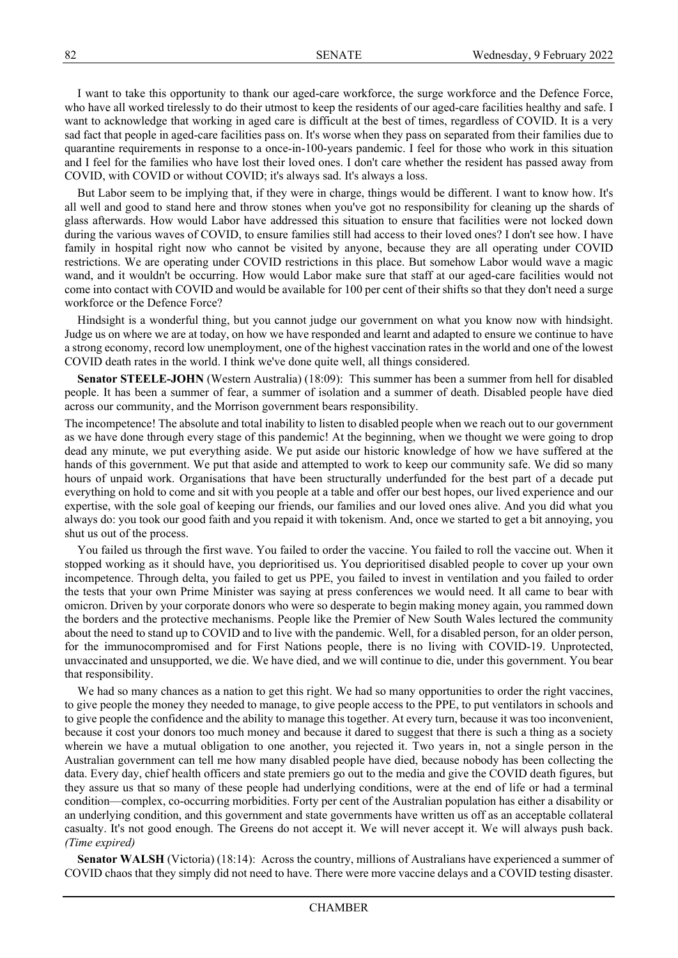I want to take this opportunity to thank our aged-care workforce, the surge workforce and the Defence Force, who have all worked tirelessly to do their utmost to keep the residents of our aged-care facilities healthy and safe. I want to acknowledge that working in aged care is difficult at the best of times, regardless of COVID. It is a very sad fact that people in aged-care facilities pass on. It's worse when they pass on separated from their families due to quarantine requirements in response to a once-in-100-years pandemic. I feel for those who work in this situation and I feel for the families who have lost their loved ones. I don't care whether the resident has passed away from COVID, with COVID or without COVID; it's always sad. It's always a loss.

But Labor seem to be implying that, if they were in charge, things would be different. I want to know how. It's all well and good to stand here and throw stones when you've got no responsibility for cleaning up the shards of glass afterwards. How would Labor have addressed this situation to ensure that facilities were not locked down during the various waves of COVID, to ensure families still had access to their loved ones? I don't see how. I have family in hospital right now who cannot be visited by anyone, because they are all operating under COVID restrictions. We are operating under COVID restrictions in this place. But somehow Labor would wave a magic wand, and it wouldn't be occurring. How would Labor make sure that staff at our aged-care facilities would not come into contact with COVID and would be available for 100 per cent of their shifts so that they don't need a surge workforce or the Defence Force?

Hindsight is a wonderful thing, but you cannot judge our government on what you know now with hindsight. Judge us on where we are at today, on how we have responded and learnt and adapted to ensure we continue to have a strong economy, record low unemployment, one of the highest vaccination rates in the world and one of the lowest COVID death rates in the world. I think we've done quite well, all things considered.

**Senator STEELE-JOHN** (Western Australia) (18:09): This summer has been a summer from hell for disabled people. It has been a summer of fear, a summer of isolation and a summer of death. Disabled people have died across our community, and the Morrison government bears responsibility.

The incompetence! The absolute and total inability to listen to disabled people when we reach out to our government as we have done through every stage of this pandemic! At the beginning, when we thought we were going to drop dead any minute, we put everything aside. We put aside our historic knowledge of how we have suffered at the hands of this government. We put that aside and attempted to work to keep our community safe. We did so many hours of unpaid work. Organisations that have been structurally underfunded for the best part of a decade put everything on hold to come and sit with you people at a table and offer our best hopes, our lived experience and our expertise, with the sole goal of keeping our friends, our families and our loved ones alive. And you did what you always do: you took our good faith and you repaid it with tokenism. And, once we started to get a bit annoying, you shut us out of the process.

You failed us through the first wave. You failed to order the vaccine. You failed to roll the vaccine out. When it stopped working as it should have, you deprioritised us. You deprioritised disabled people to cover up your own incompetence. Through delta, you failed to get us PPE, you failed to invest in ventilation and you failed to order the tests that your own Prime Minister was saying at press conferences we would need. It all came to bear with omicron. Driven by your corporate donors who were so desperate to begin making money again, you rammed down the borders and the protective mechanisms. People like the Premier of New South Wales lectured the community about the need to stand up to COVID and to live with the pandemic. Well, for a disabled person, for an older person, for the immunocompromised and for First Nations people, there is no living with COVID-19. Unprotected, unvaccinated and unsupported, we die. We have died, and we will continue to die, under this government. You bear that responsibility.

We had so many chances as a nation to get this right. We had so many opportunities to order the right vaccines, to give people the money they needed to manage, to give people access to the PPE, to put ventilators in schools and to give people the confidence and the ability to manage this together. At every turn, because it was too inconvenient, because it cost your donors too much money and because it dared to suggest that there is such a thing as a society wherein we have a mutual obligation to one another, you rejected it. Two years in, not a single person in the Australian government can tell me how many disabled people have died, because nobody has been collecting the data. Every day, chief health officers and state premiers go out to the media and give the COVID death figures, but they assure us that so many of these people had underlying conditions, were at the end of life or had a terminal condition—complex, co-occurring morbidities. Forty per cent of the Australian population has either a disability or an underlying condition, and this government and state governments have written us off as an acceptable collateral casualty. It's not good enough. The Greens do not accept it. We will never accept it. We will always push back. *(Time expired)*

**Senator WALSH** (Victoria) (18:14): Across the country, millions of Australians have experienced a summer of COVID chaos that they simply did not need to have. There were more vaccine delays and a COVID testing disaster.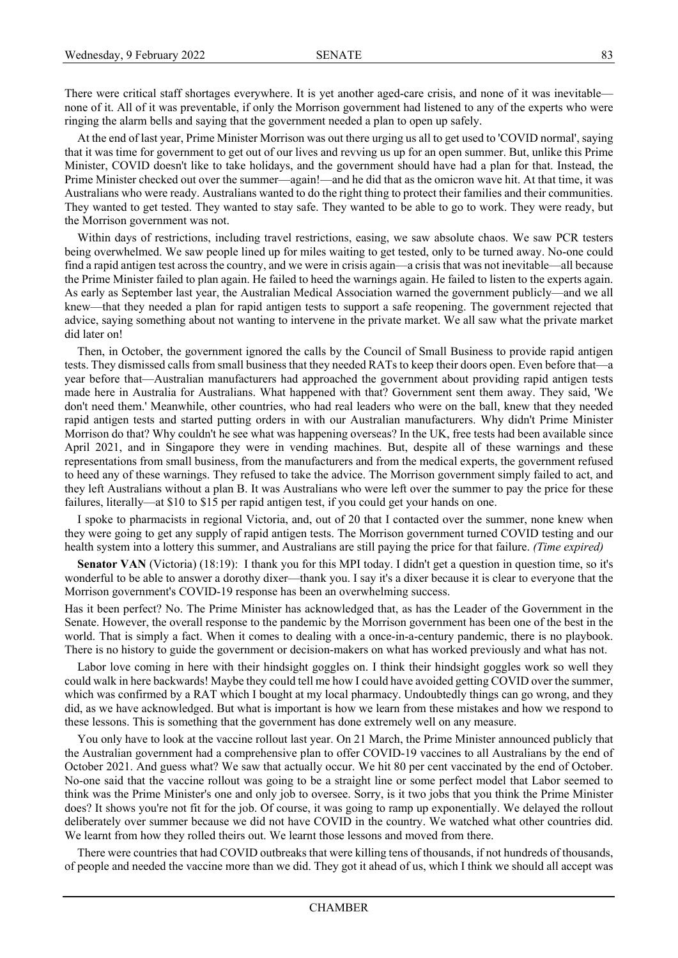There were critical staff shortages everywhere. It is yet another aged-care crisis, and none of it was inevitable none of it. All of it was preventable, if only the Morrison government had listened to any of the experts who were ringing the alarm bells and saying that the government needed a plan to open up safely.

At the end of last year, Prime Minister Morrison was out there urging us all to get used to 'COVID normal', saying that it was time for government to get out of our lives and revving us up for an open summer. But, unlike this Prime Minister, COVID doesn't like to take holidays, and the government should have had a plan for that. Instead, the Prime Minister checked out over the summer—again!—and he did that as the omicron wave hit. At that time, it was Australians who were ready. Australians wanted to do the right thing to protect their families and their communities. They wanted to get tested. They wanted to stay safe. They wanted to be able to go to work. They were ready, but the Morrison government was not.

Within days of restrictions, including travel restrictions, easing, we saw absolute chaos. We saw PCR testers being overwhelmed. We saw people lined up for miles waiting to get tested, only to be turned away. No-one could find a rapid antigen test across the country, and we were in crisis again—a crisis that was not inevitable—all because the Prime Minister failed to plan again. He failed to heed the warnings again. He failed to listen to the experts again. As early as September last year, the Australian Medical Association warned the government publicly—and we all knew—that they needed a plan for rapid antigen tests to support a safe reopening. The government rejected that advice, saying something about not wanting to intervene in the private market. We all saw what the private market did later on!

Then, in October, the government ignored the calls by the Council of Small Business to provide rapid antigen tests. They dismissed calls from small business that they needed RATs to keep their doors open. Even before that—a year before that—Australian manufacturers had approached the government about providing rapid antigen tests made here in Australia for Australians. What happened with that? Government sent them away. They said, 'We don't need them.' Meanwhile, other countries, who had real leaders who were on the ball, knew that they needed rapid antigen tests and started putting orders in with our Australian manufacturers. Why didn't Prime Minister Morrison do that? Why couldn't he see what was happening overseas? In the UK, free tests had been available since April 2021, and in Singapore they were in vending machines. But, despite all of these warnings and these representations from small business, from the manufacturers and from the medical experts, the government refused to heed any of these warnings. They refused to take the advice. The Morrison government simply failed to act, and they left Australians without a plan B. It was Australians who were left over the summer to pay the price for these failures, literally—at \$10 to \$15 per rapid antigen test, if you could get your hands on one.

I spoke to pharmacists in regional Victoria, and, out of 20 that I contacted over the summer, none knew when they were going to get any supply of rapid antigen tests. The Morrison government turned COVID testing and our health system into a lottery this summer, and Australians are still paying the price for that failure. *(Time expired)*

**Senator VAN** (Victoria) (18:19): I thank you for this MPI today. I didn't get a question in question time, so it's wonderful to be able to answer a dorothy dixer—thank you. I say it's a dixer because it is clear to everyone that the Morrison government's COVID-19 response has been an overwhelming success.

Has it been perfect? No. The Prime Minister has acknowledged that, as has the Leader of the Government in the Senate. However, the overall response to the pandemic by the Morrison government has been one of the best in the world. That is simply a fact. When it comes to dealing with a once-in-a-century pandemic, there is no playbook. There is no history to guide the government or decision-makers on what has worked previously and what has not.

Labor love coming in here with their hindsight goggles on. I think their hindsight goggles work so well they could walk in here backwards! Maybe they could tell me how I could have avoided getting COVID over the summer, which was confirmed by a RAT which I bought at my local pharmacy. Undoubtedly things can go wrong, and they did, as we have acknowledged. But what is important is how we learn from these mistakes and how we respond to these lessons. This is something that the government has done extremely well on any measure.

You only have to look at the vaccine rollout last year. On 21 March, the Prime Minister announced publicly that the Australian government had a comprehensive plan to offer COVID-19 vaccines to all Australians by the end of October 2021. And guess what? We saw that actually occur. We hit 80 per cent vaccinated by the end of October. No-one said that the vaccine rollout was going to be a straight line or some perfect model that Labor seemed to think was the Prime Minister's one and only job to oversee. Sorry, is it two jobs that you think the Prime Minister does? It shows you're not fit for the job. Of course, it was going to ramp up exponentially. We delayed the rollout deliberately over summer because we did not have COVID in the country. We watched what other countries did. We learnt from how they rolled theirs out. We learnt those lessons and moved from there.

There were countries that had COVID outbreaks that were killing tens of thousands, if not hundreds of thousands, of people and needed the vaccine more than we did. They got it ahead of us, which I think we should all accept was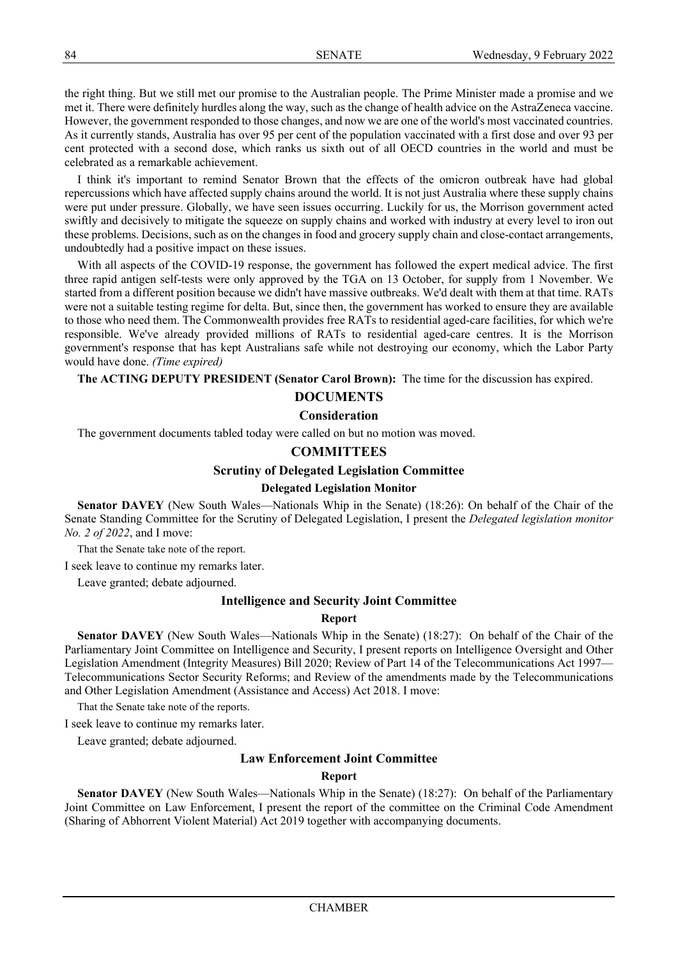the right thing. But we still met our promise to the Australian people. The Prime Minister made a promise and we met it. There were definitely hurdles along the way, such as the change of health advice on the AstraZeneca vaccine. However, the government responded to those changes, and now we are one of the world's most vaccinated countries. As it currently stands, Australia has over 95 per cent of the population vaccinated with a first dose and over 93 per cent protected with a second dose, which ranks us sixth out of all OECD countries in the world and must be celebrated as a remarkable achievement.

I think it's important to remind Senator Brown that the effects of the omicron outbreak have had global repercussions which have affected supply chains around the world. It is not just Australia where these supply chains were put under pressure. Globally, we have seen issues occurring. Luckily for us, the Morrison government acted swiftly and decisively to mitigate the squeeze on supply chains and worked with industry at every level to iron out these problems. Decisions, such as on the changes in food and grocery supply chain and close-contact arrangements, undoubtedly had a positive impact on these issues.

With all aspects of the COVID-19 response, the government has followed the expert medical advice. The first three rapid antigen self-tests were only approved by the TGA on 13 October, for supply from 1 November. We started from a different position because we didn't have massive outbreaks. We'd dealt with them at that time. RATs were not a suitable testing regime for delta. But, since then, the government has worked to ensure they are available to those who need them. The Commonwealth provides free RATs to residential aged-care facilities, for which we're responsible. We've already provided millions of RATs to residential aged-care centres. It is the Morrison government's response that has kept Australians safe while not destroying our economy, which the Labor Party would have done. *(Time expired)*

**The ACTING DEPUTY PRESIDENT (Senator Carol Brown):** The time for the discussion has expired.

# **DOCUMENTS**

# **Consideration**

The government documents tabled today were called on but no motion was moved.

# **COMMITTEES**

# **Scrutiny of Delegated Legislation Committee**

# **Delegated Legislation Monitor**

**Senator DAVEY** (New South Wales—Nationals Whip in the Senate) (18:26): On behalf of the Chair of the Senate Standing Committee for the Scrutiny of Delegated Legislation, I present the *Delegated legislation monitor No. 2 of 2022*, and I move:

That the Senate take note of the report.

I seek leave to continue my remarks later.

Leave granted; debate adjourned.

# **Intelligence and Security Joint Committee**

# **Report**

**Senator DAVEY** (New South Wales—Nationals Whip in the Senate) (18:27): On behalf of the Chair of the Parliamentary Joint Committee on Intelligence and Security, I present reports on Intelligence Oversight and Other Legislation Amendment (Integrity Measures) Bill 2020; Review of Part 14 of the Telecommunications Act 1997— Telecommunications Sector Security Reforms; and Review of the amendments made by the Telecommunications and Other Legislation Amendment (Assistance and Access) Act 2018. I move:

That the Senate take note of the reports.

I seek leave to continue my remarks later.

Leave granted; debate adjourned.

# **Law Enforcement Joint Committee**

# **Report**

**Senator DAVEY** (New South Wales—Nationals Whip in the Senate) (18:27): On behalf of the Parliamentary Joint Committee on Law Enforcement, I present the report of the committee on the Criminal Code Amendment (Sharing of Abhorrent Violent Material) Act 2019 together with accompanying documents.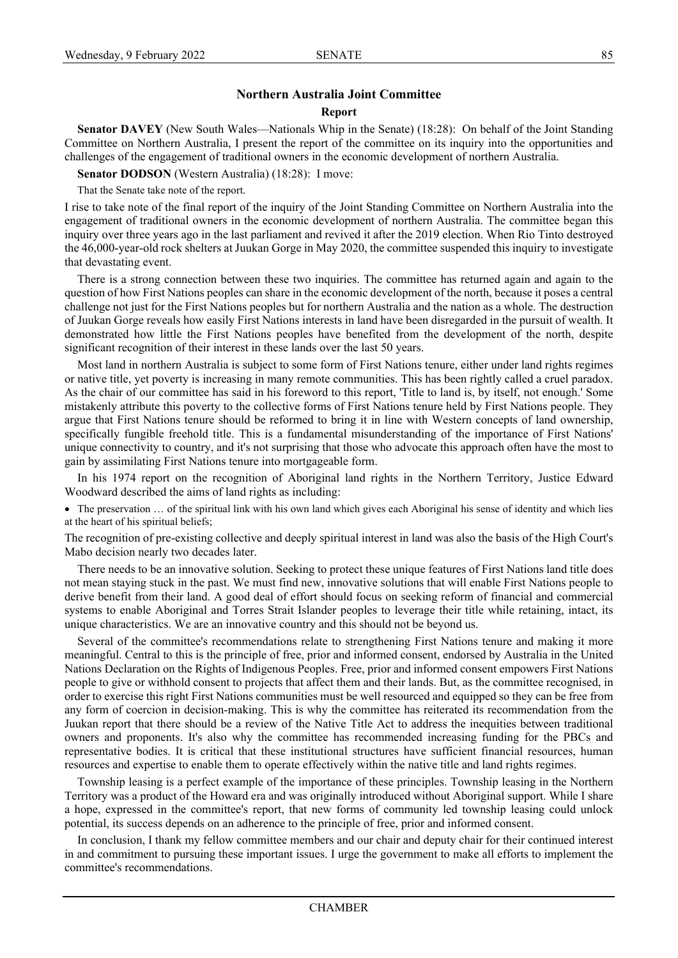# **Northern Australia Joint Committee**

#### **Report**

**Senator DAVEY** (New South Wales—Nationals Whip in the Senate) (18:28): On behalf of the Joint Standing Committee on Northern Australia, I present the report of the committee on its inquiry into the opportunities and challenges of the engagement of traditional owners in the economic development of northern Australia.

**Senator DODSON** (Western Australia) (18:28): I move:

That the Senate take note of the report.

I rise to take note of the final report of the inquiry of the Joint Standing Committee on Northern Australia into the engagement of traditional owners in the economic development of northern Australia. The committee began this inquiry over three years ago in the last parliament and revived it after the 2019 election. When Rio Tinto destroyed the 46,000-year-old rock shelters at Juukan Gorge in May 2020, the committee suspended this inquiry to investigate that devastating event.

There is a strong connection between these two inquiries. The committee has returned again and again to the question of how First Nations peoples can share in the economic development of the north, because it poses a central challenge not just for the First Nations peoples but for northern Australia and the nation as a whole. The destruction of Juukan Gorge reveals how easily First Nations interests in land have been disregarded in the pursuit of wealth. It demonstrated how little the First Nations peoples have benefited from the development of the north, despite significant recognition of their interest in these lands over the last 50 years.

Most land in northern Australia is subject to some form of First Nations tenure, either under land rights regimes or native title, yet poverty is increasing in many remote communities. This has been rightly called a cruel paradox. As the chair of our committee has said in his foreword to this report, 'Title to land is, by itself, not enough.' Some mistakenly attribute this poverty to the collective forms of First Nations tenure held by First Nations people. They argue that First Nations tenure should be reformed to bring it in line with Western concepts of land ownership, specifically fungible freehold title. This is a fundamental misunderstanding of the importance of First Nations' unique connectivity to country, and it's not surprising that those who advocate this approach often have the most to gain by assimilating First Nations tenure into mortgageable form.

In his 1974 report on the recognition of Aboriginal land rights in the Northern Territory, Justice Edward Woodward described the aims of land rights as including:

• The preservation ... of the spiritual link with his own land which gives each Aboriginal his sense of identity and which lies at the heart of his spiritual beliefs;

The recognition of pre-existing collective and deeply spiritual interest in land was also the basis of the High Court's Mabo decision nearly two decades later.

There needs to be an innovative solution. Seeking to protect these unique features of First Nations land title does not mean staying stuck in the past. We must find new, innovative solutions that will enable First Nations people to derive benefit from their land. A good deal of effort should focus on seeking reform of financial and commercial systems to enable Aboriginal and Torres Strait Islander peoples to leverage their title while retaining, intact, its unique characteristics. We are an innovative country and this should not be beyond us.

Several of the committee's recommendations relate to strengthening First Nations tenure and making it more meaningful. Central to this is the principle of free, prior and informed consent, endorsed by Australia in the United Nations Declaration on the Rights of Indigenous Peoples. Free, prior and informed consent empowers First Nations people to give or withhold consent to projects that affect them and their lands. But, as the committee recognised, in order to exercise this right First Nations communities must be well resourced and equipped so they can be free from any form of coercion in decision-making. This is why the committee has reiterated its recommendation from the Juukan report that there should be a review of the Native Title Act to address the inequities between traditional owners and proponents. It's also why the committee has recommended increasing funding for the PBCs and representative bodies. It is critical that these institutional structures have sufficient financial resources, human resources and expertise to enable them to operate effectively within the native title and land rights regimes.

Township leasing is a perfect example of the importance of these principles. Township leasing in the Northern Territory was a product of the Howard era and was originally introduced without Aboriginal support. While I share a hope, expressed in the committee's report, that new forms of community led township leasing could unlock potential, its success depends on an adherence to the principle of free, prior and informed consent.

In conclusion, I thank my fellow committee members and our chair and deputy chair for their continued interest in and commitment to pursuing these important issues. I urge the government to make all efforts to implement the committee's recommendations.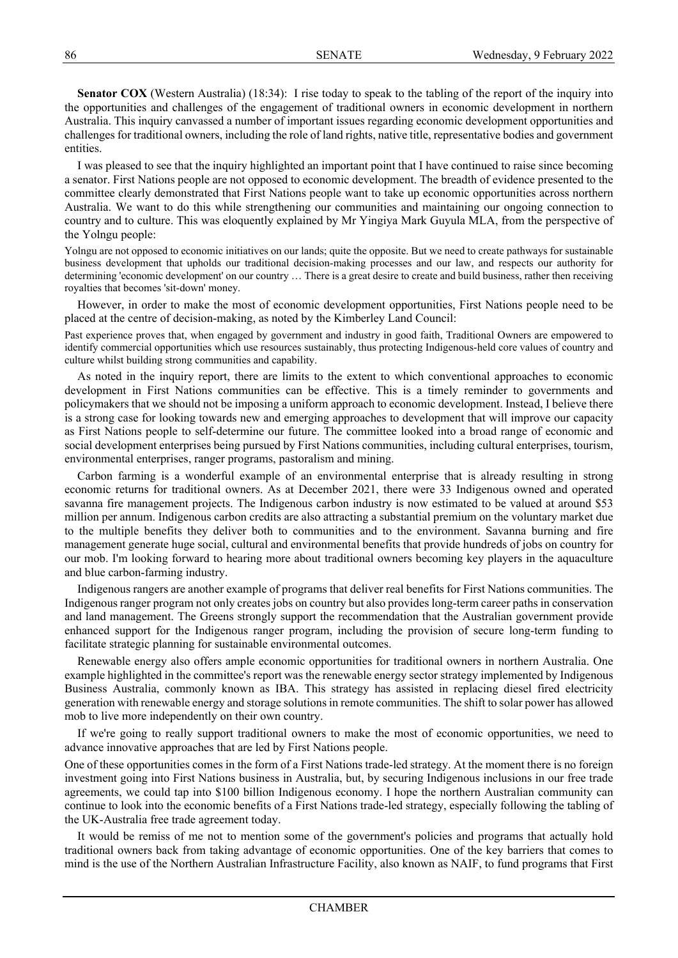**Senator COX** (Western Australia) (18:34): I rise today to speak to the tabling of the report of the inquiry into the opportunities and challenges of the engagement of traditional owners in economic development in northern Australia. This inquiry canvassed a number of important issues regarding economic development opportunities and challenges for traditional owners, including the role of land rights, native title, representative bodies and government entities.

I was pleased to see that the inquiry highlighted an important point that I have continued to raise since becoming a senator. First Nations people are not opposed to economic development. The breadth of evidence presented to the committee clearly demonstrated that First Nations people want to take up economic opportunities across northern Australia. We want to do this while strengthening our communities and maintaining our ongoing connection to country and to culture. This was eloquently explained by Mr Yingiya Mark Guyula MLA, from the perspective of the Yolngu people:

Yolngu are not opposed to economic initiatives on our lands; quite the opposite. But we need to create pathways for sustainable business development that upholds our traditional decision-making processes and our law, and respects our authority for determining 'economic development' on our country … There is a great desire to create and build business, rather then receiving royalties that becomes 'sit-down' money.

However, in order to make the most of economic development opportunities, First Nations people need to be placed at the centre of decision-making, as noted by the Kimberley Land Council:

Past experience proves that, when engaged by government and industry in good faith, Traditional Owners are empowered to identify commercial opportunities which use resources sustainably, thus protecting Indigenous-held core values of country and culture whilst building strong communities and capability.

As noted in the inquiry report, there are limits to the extent to which conventional approaches to economic development in First Nations communities can be effective. This is a timely reminder to governments and policymakers that we should not be imposing a uniform approach to economic development. Instead, I believe there is a strong case for looking towards new and emerging approaches to development that will improve our capacity as First Nations people to self-determine our future. The committee looked into a broad range of economic and social development enterprises being pursued by First Nations communities, including cultural enterprises, tourism, environmental enterprises, ranger programs, pastoralism and mining.

Carbon farming is a wonderful example of an environmental enterprise that is already resulting in strong economic returns for traditional owners. As at December 2021, there were 33 Indigenous owned and operated savanna fire management projects. The Indigenous carbon industry is now estimated to be valued at around \$53 million per annum. Indigenous carbon credits are also attracting a substantial premium on the voluntary market due to the multiple benefits they deliver both to communities and to the environment. Savanna burning and fire management generate huge social, cultural and environmental benefits that provide hundreds of jobs on country for our mob. I'm looking forward to hearing more about traditional owners becoming key players in the aquaculture and blue carbon-farming industry.

Indigenous rangers are another example of programs that deliver real benefits for First Nations communities. The Indigenous ranger program not only creates jobs on country but also provides long-term career paths in conservation and land management. The Greens strongly support the recommendation that the Australian government provide enhanced support for the Indigenous ranger program, including the provision of secure long-term funding to facilitate strategic planning for sustainable environmental outcomes.

Renewable energy also offers ample economic opportunities for traditional owners in northern Australia. One example highlighted in the committee's report was the renewable energy sector strategy implemented by Indigenous Business Australia, commonly known as IBA. This strategy has assisted in replacing diesel fired electricity generation with renewable energy and storage solutions in remote communities. The shift to solar power has allowed mob to live more independently on their own country.

If we're going to really support traditional owners to make the most of economic opportunities, we need to advance innovative approaches that are led by First Nations people.

One of these opportunities comes in the form of a First Nations trade-led strategy. At the moment there is no foreign investment going into First Nations business in Australia, but, by securing Indigenous inclusions in our free trade agreements, we could tap into \$100 billion Indigenous economy. I hope the northern Australian community can continue to look into the economic benefits of a First Nations trade-led strategy, especially following the tabling of the UK-Australia free trade agreement today.

It would be remiss of me not to mention some of the government's policies and programs that actually hold traditional owners back from taking advantage of economic opportunities. One of the key barriers that comes to mind is the use of the Northern Australian Infrastructure Facility, also known as NAIF, to fund programs that First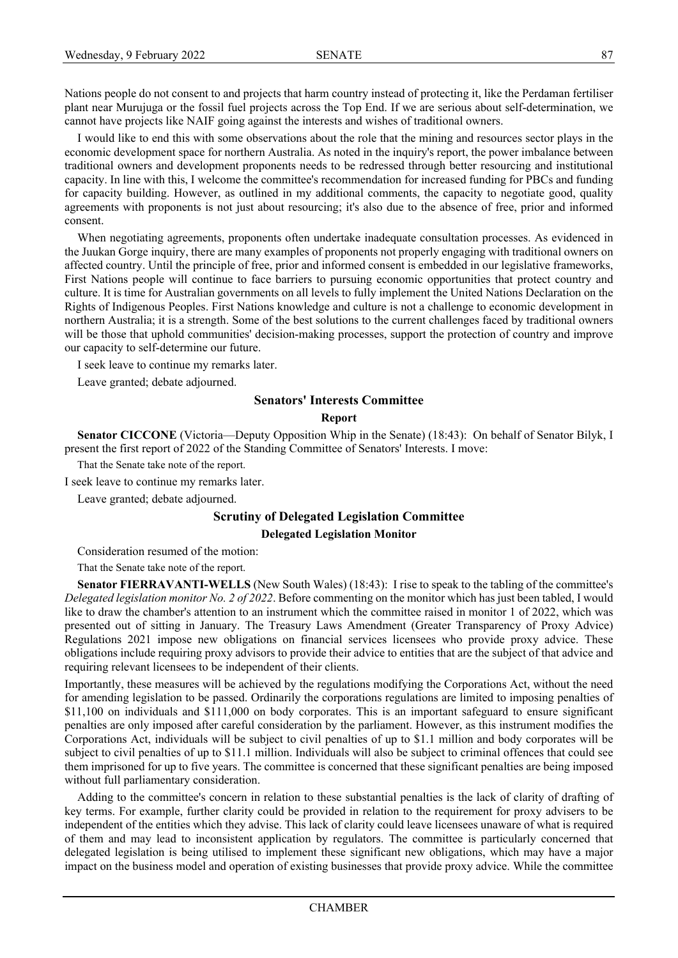Nations people do not consent to and projects that harm country instead of protecting it, like the Perdaman fertiliser plant near Murujuga or the fossil fuel projects across the Top End. If we are serious about self-determination, we cannot have projects like NAIF going against the interests and wishes of traditional owners.

I would like to end this with some observations about the role that the mining and resources sector plays in the economic development space for northern Australia. As noted in the inquiry's report, the power imbalance between traditional owners and development proponents needs to be redressed through better resourcing and institutional capacity. In line with this, I welcome the committee's recommendation for increased funding for PBCs and funding for capacity building. However, as outlined in my additional comments, the capacity to negotiate good, quality agreements with proponents is not just about resourcing; it's also due to the absence of free, prior and informed consent.

When negotiating agreements, proponents often undertake inadequate consultation processes. As evidenced in the Juukan Gorge inquiry, there are many examples of proponents not properly engaging with traditional owners on affected country. Until the principle of free, prior and informed consent is embedded in our legislative frameworks, First Nations people will continue to face barriers to pursuing economic opportunities that protect country and culture. It is time for Australian governments on all levels to fully implement the United Nations Declaration on the Rights of Indigenous Peoples. First Nations knowledge and culture is not a challenge to economic development in northern Australia; it is a strength. Some of the best solutions to the current challenges faced by traditional owners will be those that uphold communities' decision-making processes, support the protection of country and improve our capacity to self-determine our future.

I seek leave to continue my remarks later.

Leave granted; debate adjourned.

#### **Senators' Interests Committee**

#### **Report**

**Senator CICCONE** (Victoria—Deputy Opposition Whip in the Senate) (18:43): On behalf of Senator Bilyk, I present the first report of 2022 of the Standing Committee of Senators' Interests. I move:

That the Senate take note of the report.

I seek leave to continue my remarks later.

Leave granted; debate adjourned.

# **Scrutiny of Delegated Legislation Committee**

**Delegated Legislation Monitor**

Consideration resumed of the motion:

That the Senate take note of the report.

**Senator FIERRAVANTI-WELLS** (New South Wales) (18:43): I rise to speak to the tabling of the committee's *Delegated legislation monitor No. 2 of 2022*. Before commenting on the monitor which has just been tabled, I would like to draw the chamber's attention to an instrument which the committee raised in monitor 1 of 2022, which was presented out of sitting in January. The Treasury Laws Amendment (Greater Transparency of Proxy Advice) Regulations 2021 impose new obligations on financial services licensees who provide proxy advice. These obligations include requiring proxy advisors to provide their advice to entities that are the subject of that advice and requiring relevant licensees to be independent of their clients.

Importantly, these measures will be achieved by the regulations modifying the Corporations Act, without the need for amending legislation to be passed. Ordinarily the corporations regulations are limited to imposing penalties of \$11,100 on individuals and \$111,000 on body corporates. This is an important safeguard to ensure significant penalties are only imposed after careful consideration by the parliament. However, as this instrument modifies the Corporations Act, individuals will be subject to civil penalties of up to \$1.1 million and body corporates will be subject to civil penalties of up to \$11.1 million. Individuals will also be subject to criminal offences that could see them imprisoned for up to five years. The committee is concerned that these significant penalties are being imposed without full parliamentary consideration.

Adding to the committee's concern in relation to these substantial penalties is the lack of clarity of drafting of key terms. For example, further clarity could be provided in relation to the requirement for proxy advisers to be independent of the entities which they advise. This lack of clarity could leave licensees unaware of what is required of them and may lead to inconsistent application by regulators. The committee is particularly concerned that delegated legislation is being utilised to implement these significant new obligations, which may have a major impact on the business model and operation of existing businesses that provide proxy advice. While the committee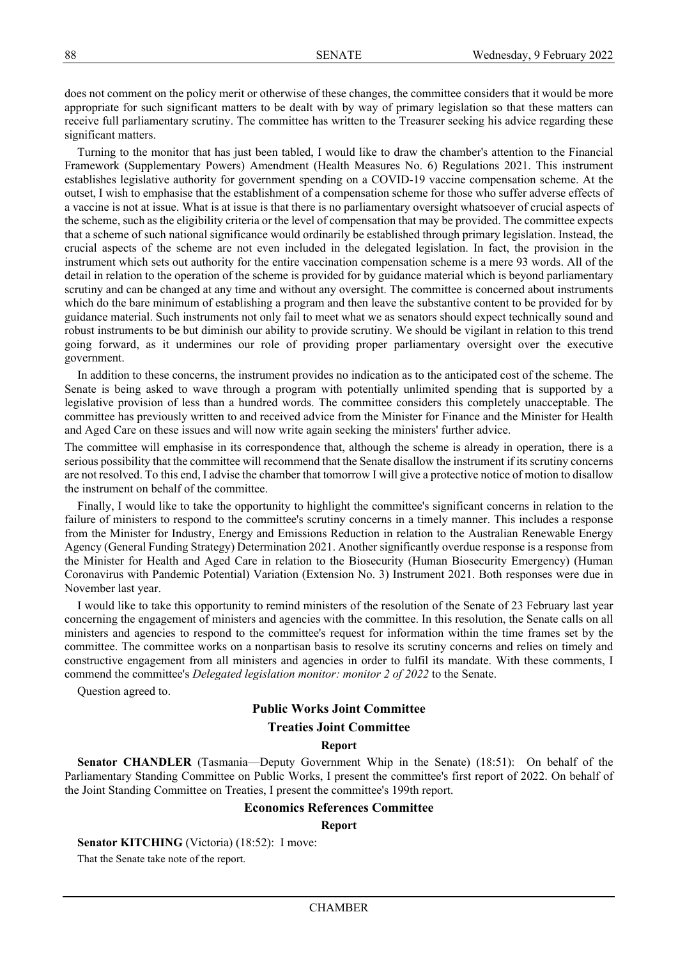does not comment on the policy merit or otherwise of these changes, the committee considers that it would be more appropriate for such significant matters to be dealt with by way of primary legislation so that these matters can receive full parliamentary scrutiny. The committee has written to the Treasurer seeking his advice regarding these significant matters.

Turning to the monitor that has just been tabled, I would like to draw the chamber's attention to the Financial Framework (Supplementary Powers) Amendment (Health Measures No. 6) Regulations 2021. This instrument establishes legislative authority for government spending on a COVID-19 vaccine compensation scheme. At the outset, I wish to emphasise that the establishment of a compensation scheme for those who suffer adverse effects of a vaccine is not at issue. What is at issue is that there is no parliamentary oversight whatsoever of crucial aspects of the scheme, such as the eligibility criteria or the level of compensation that may be provided. The committee expects that a scheme of such national significance would ordinarily be established through primary legislation. Instead, the crucial aspects of the scheme are not even included in the delegated legislation. In fact, the provision in the instrument which sets out authority for the entire vaccination compensation scheme is a mere 93 words. All of the detail in relation to the operation of the scheme is provided for by guidance material which is beyond parliamentary scrutiny and can be changed at any time and without any oversight. The committee is concerned about instruments which do the bare minimum of establishing a program and then leave the substantive content to be provided for by guidance material. Such instruments not only fail to meet what we as senators should expect technically sound and robust instruments to be but diminish our ability to provide scrutiny. We should be vigilant in relation to this trend going forward, as it undermines our role of providing proper parliamentary oversight over the executive government.

In addition to these concerns, the instrument provides no indication as to the anticipated cost of the scheme. The Senate is being asked to wave through a program with potentially unlimited spending that is supported by a legislative provision of less than a hundred words. The committee considers this completely unacceptable. The committee has previously written to and received advice from the Minister for Finance and the Minister for Health and Aged Care on these issues and will now write again seeking the ministers' further advice.

The committee will emphasise in its correspondence that, although the scheme is already in operation, there is a serious possibility that the committee will recommend that the Senate disallow the instrument if its scrutiny concerns are not resolved. To this end, I advise the chamber that tomorrow I will give a protective notice of motion to disallow the instrument on behalf of the committee.

Finally, I would like to take the opportunity to highlight the committee's significant concerns in relation to the failure of ministers to respond to the committee's scrutiny concerns in a timely manner. This includes a response from the Minister for Industry, Energy and Emissions Reduction in relation to the Australian Renewable Energy Agency (General Funding Strategy) Determination 2021. Another significantly overdue response is a response from the Minister for Health and Aged Care in relation to the Biosecurity (Human Biosecurity Emergency) (Human Coronavirus with Pandemic Potential) Variation (Extension No. 3) Instrument 2021. Both responses were due in November last year.

I would like to take this opportunity to remind ministers of the resolution of the Senate of 23 February last year concerning the engagement of ministers and agencies with the committee. In this resolution, the Senate calls on all ministers and agencies to respond to the committee's request for information within the time frames set by the committee. The committee works on a nonpartisan basis to resolve its scrutiny concerns and relies on timely and constructive engagement from all ministers and agencies in order to fulfil its mandate. With these comments, I commend the committee's *Delegated legislation monitor: monitor 2 of 2022* to the Senate.

Question agreed to.

# **Public Works Joint Committee**

# **Treaties Joint Committee**

#### **Report**

**Senator CHANDLER** (Tasmania—Deputy Government Whip in the Senate) (18:51): On behalf of the Parliamentary Standing Committee on Public Works, I present the committee's first report of 2022. On behalf of the Joint Standing Committee on Treaties, I present the committee's 199th report.

#### **Economics References Committee**

#### **Report**

**Senator KITCHING** (Victoria) (18:52): I move:

That the Senate take note of the report.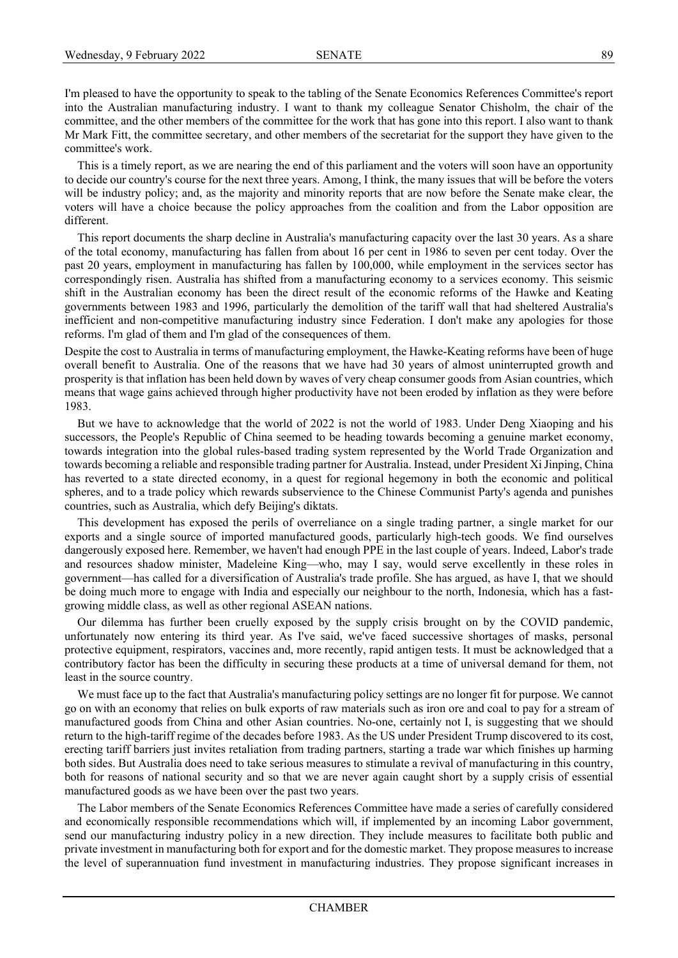I'm pleased to have the opportunity to speak to the tabling of the Senate Economics References Committee's report into the Australian manufacturing industry. I want to thank my colleague Senator Chisholm, the chair of the committee, and the other members of the committee for the work that has gone into this report. I also want to thank Mr Mark Fitt, the committee secretary, and other members of the secretariat for the support they have given to the committee's work.

This is a timely report, as we are nearing the end of this parliament and the voters will soon have an opportunity to decide our country's course for the next three years. Among, I think, the many issues that will be before the voters will be industry policy; and, as the majority and minority reports that are now before the Senate make clear, the voters will have a choice because the policy approaches from the coalition and from the Labor opposition are different.

This report documents the sharp decline in Australia's manufacturing capacity over the last 30 years. As a share of the total economy, manufacturing has fallen from about 16 per cent in 1986 to seven per cent today. Over the past 20 years, employment in manufacturing has fallen by 100,000, while employment in the services sector has correspondingly risen. Australia has shifted from a manufacturing economy to a services economy. This seismic shift in the Australian economy has been the direct result of the economic reforms of the Hawke and Keating governments between 1983 and 1996, particularly the demolition of the tariff wall that had sheltered Australia's inefficient and non-competitive manufacturing industry since Federation. I don't make any apologies for those reforms. I'm glad of them and I'm glad of the consequences of them.

Despite the cost to Australia in terms of manufacturing employment, the Hawke-Keating reforms have been of huge overall benefit to Australia. One of the reasons that we have had 30 years of almost uninterrupted growth and prosperity is that inflation has been held down by waves of very cheap consumer goods from Asian countries, which means that wage gains achieved through higher productivity have not been eroded by inflation as they were before 1983.

But we have to acknowledge that the world of 2022 is not the world of 1983. Under Deng Xiaoping and his successors, the People's Republic of China seemed to be heading towards becoming a genuine market economy, towards integration into the global rules-based trading system represented by the World Trade Organization and towards becoming a reliable and responsible trading partner for Australia. Instead, under President Xi Jinping, China has reverted to a state directed economy, in a quest for regional hegemony in both the economic and political spheres, and to a trade policy which rewards subservience to the Chinese Communist Party's agenda and punishes countries, such as Australia, which defy Beijing's diktats.

This development has exposed the perils of overreliance on a single trading partner, a single market for our exports and a single source of imported manufactured goods, particularly high-tech goods. We find ourselves dangerously exposed here. Remember, we haven't had enough PPE in the last couple of years. Indeed, Labor's trade and resources shadow minister, Madeleine King—who, may I say, would serve excellently in these roles in government—has called for a diversification of Australia's trade profile. She has argued, as have I, that we should be doing much more to engage with India and especially our neighbour to the north, Indonesia, which has a fastgrowing middle class, as well as other regional ASEAN nations.

Our dilemma has further been cruelly exposed by the supply crisis brought on by the COVID pandemic, unfortunately now entering its third year. As I've said, we've faced successive shortages of masks, personal protective equipment, respirators, vaccines and, more recently, rapid antigen tests. It must be acknowledged that a contributory factor has been the difficulty in securing these products at a time of universal demand for them, not least in the source country.

We must face up to the fact that Australia's manufacturing policy settings are no longer fit for purpose. We cannot go on with an economy that relies on bulk exports of raw materials such as iron ore and coal to pay for a stream of manufactured goods from China and other Asian countries. No-one, certainly not I, is suggesting that we should return to the high-tariff regime of the decades before 1983. As the US under President Trump discovered to its cost, erecting tariff barriers just invites retaliation from trading partners, starting a trade war which finishes up harming both sides. But Australia does need to take serious measures to stimulate a revival of manufacturing in this country, both for reasons of national security and so that we are never again caught short by a supply crisis of essential manufactured goods as we have been over the past two years.

The Labor members of the Senate Economics References Committee have made a series of carefully considered and economically responsible recommendations which will, if implemented by an incoming Labor government, send our manufacturing industry policy in a new direction. They include measures to facilitate both public and private investment in manufacturing both for export and for the domestic market. They propose measures to increase the level of superannuation fund investment in manufacturing industries. They propose significant increases in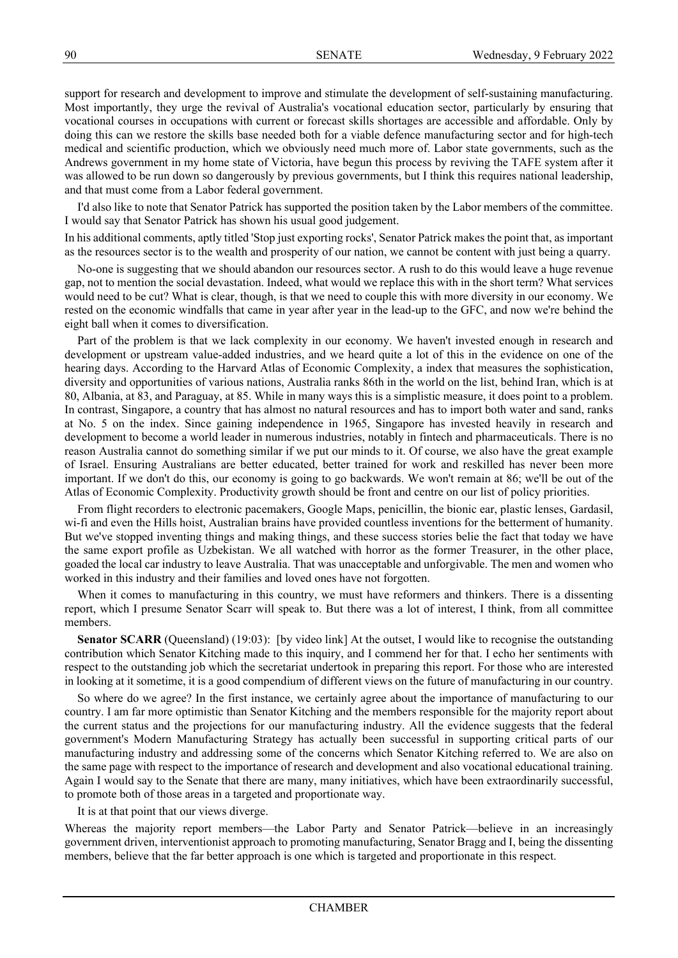support for research and development to improve and stimulate the development of self-sustaining manufacturing. Most importantly, they urge the revival of Australia's vocational education sector, particularly by ensuring that vocational courses in occupations with current or forecast skills shortages are accessible and affordable. Only by doing this can we restore the skills base needed both for a viable defence manufacturing sector and for high-tech medical and scientific production, which we obviously need much more of. Labor state governments, such as the Andrews government in my home state of Victoria, have begun this process by reviving the TAFE system after it was allowed to be run down so dangerously by previous governments, but I think this requires national leadership, and that must come from a Labor federal government.

I'd also like to note that Senator Patrick has supported the position taken by the Labor members of the committee. I would say that Senator Patrick has shown his usual good judgement.

In his additional comments, aptly titled 'Stop just exporting rocks', Senator Patrick makes the point that, as important as the resources sector is to the wealth and prosperity of our nation, we cannot be content with just being a quarry.

No-one is suggesting that we should abandon our resources sector. A rush to do this would leave a huge revenue gap, not to mention the social devastation. Indeed, what would we replace this with in the short term? What services would need to be cut? What is clear, though, is that we need to couple this with more diversity in our economy. We rested on the economic windfalls that came in year after year in the lead-up to the GFC, and now we're behind the eight ball when it comes to diversification.

Part of the problem is that we lack complexity in our economy. We haven't invested enough in research and development or upstream value-added industries, and we heard quite a lot of this in the evidence on one of the hearing days. According to the Harvard Atlas of Economic Complexity, a index that measures the sophistication, diversity and opportunities of various nations, Australia ranks 86th in the world on the list, behind Iran, which is at 80, Albania, at 83, and Paraguay, at 85. While in many ways this is a simplistic measure, it does point to a problem. In contrast, Singapore, a country that has almost no natural resources and has to import both water and sand, ranks at No. 5 on the index. Since gaining independence in 1965, Singapore has invested heavily in research and development to become a world leader in numerous industries, notably in fintech and pharmaceuticals. There is no reason Australia cannot do something similar if we put our minds to it. Of course, we also have the great example of Israel. Ensuring Australians are better educated, better trained for work and reskilled has never been more important. If we don't do this, our economy is going to go backwards. We won't remain at 86; we'll be out of the Atlas of Economic Complexity. Productivity growth should be front and centre on our list of policy priorities.

From flight recorders to electronic pacemakers, Google Maps, penicillin, the bionic ear, plastic lenses, Gardasil, wi-fi and even the Hills hoist, Australian brains have provided countless inventions for the betterment of humanity. But we've stopped inventing things and making things, and these success stories belie the fact that today we have the same export profile as Uzbekistan. We all watched with horror as the former Treasurer, in the other place, goaded the local car industry to leave Australia. That was unacceptable and unforgivable. The men and women who worked in this industry and their families and loved ones have not forgotten.

When it comes to manufacturing in this country, we must have reformers and thinkers. There is a dissenting report, which I presume Senator Scarr will speak to. But there was a lot of interest, I think, from all committee members.

**Senator SCARR** (Queensland) (19:03): [by video link] At the outset, I would like to recognise the outstanding contribution which Senator Kitching made to this inquiry, and I commend her for that. I echo her sentiments with respect to the outstanding job which the secretariat undertook in preparing this report. For those who are interested in looking at it sometime, it is a good compendium of different views on the future of manufacturing in our country.

So where do we agree? In the first instance, we certainly agree about the importance of manufacturing to our country. I am far more optimistic than Senator Kitching and the members responsible for the majority report about the current status and the projections for our manufacturing industry. All the evidence suggests that the federal government's Modern Manufacturing Strategy has actually been successful in supporting critical parts of our manufacturing industry and addressing some of the concerns which Senator Kitching referred to. We are also on the same page with respect to the importance of research and development and also vocational educational training. Again I would say to the Senate that there are many, many initiatives, which have been extraordinarily successful, to promote both of those areas in a targeted and proportionate way.

It is at that point that our views diverge.

Whereas the majority report members—the Labor Party and Senator Patrick—believe in an increasingly government driven, interventionist approach to promoting manufacturing, Senator Bragg and I, being the dissenting members, believe that the far better approach is one which is targeted and proportionate in this respect.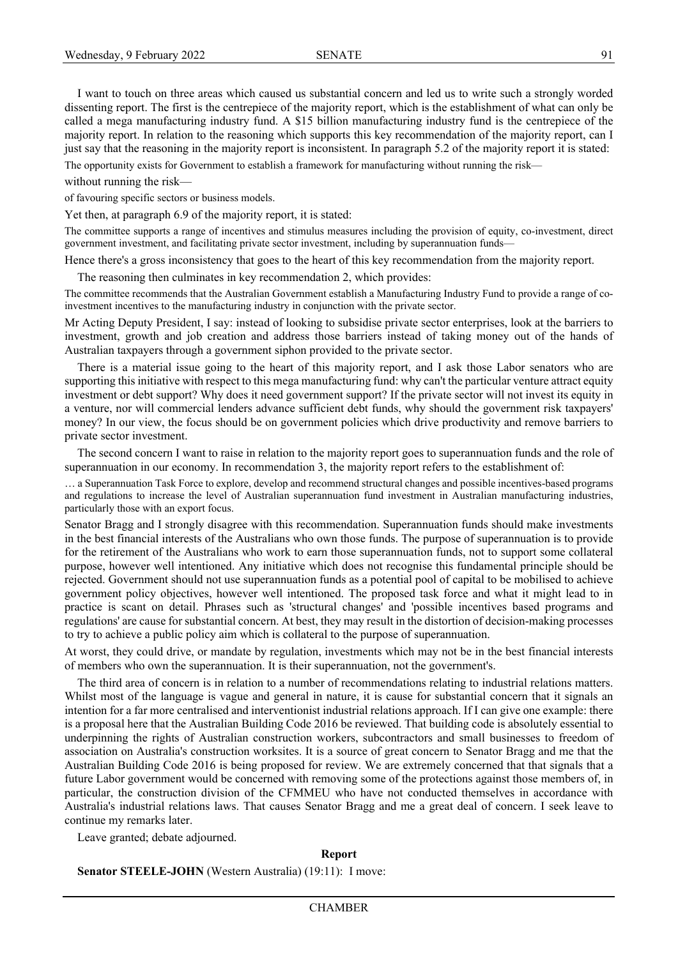I want to touch on three areas which caused us substantial concern and led us to write such a strongly worded dissenting report. The first is the centrepiece of the majority report, which is the establishment of what can only be called a mega manufacturing industry fund. A \$15 billion manufacturing industry fund is the centrepiece of the majority report. In relation to the reasoning which supports this key recommendation of the majority report, can I just say that the reasoning in the majority report is inconsistent. In paragraph 5.2 of the majority report it is stated:

The opportunity exists for Government to establish a framework for manufacturing without running the risk—

without running the risk—

of favouring specific sectors or business models.

Yet then, at paragraph 6.9 of the majority report, it is stated:

The committee supports a range of incentives and stimulus measures including the provision of equity, co-investment, direct government investment, and facilitating private sector investment, including by superannuation funds—

Hence there's a gross inconsistency that goes to the heart of this key recommendation from the majority report.

The reasoning then culminates in key recommendation 2, which provides:

The committee recommends that the Australian Government establish a Manufacturing Industry Fund to provide a range of coinvestment incentives to the manufacturing industry in conjunction with the private sector.

Mr Acting Deputy President, I say: instead of looking to subsidise private sector enterprises, look at the barriers to investment, growth and job creation and address those barriers instead of taking money out of the hands of Australian taxpayers through a government siphon provided to the private sector.

There is a material issue going to the heart of this majority report, and I ask those Labor senators who are supporting this initiative with respect to this mega manufacturing fund: why can't the particular venture attract equity investment or debt support? Why does it need government support? If the private sector will not invest its equity in a venture, nor will commercial lenders advance sufficient debt funds, why should the government risk taxpayers' money? In our view, the focus should be on government policies which drive productivity and remove barriers to private sector investment.

The second concern I want to raise in relation to the majority report goes to superannuation funds and the role of superannuation in our economy. In recommendation 3, the majority report refers to the establishment of:

… a Superannuation Task Force to explore, develop and recommend structural changes and possible incentives-based programs and regulations to increase the level of Australian superannuation fund investment in Australian manufacturing industries, particularly those with an export focus.

Senator Bragg and I strongly disagree with this recommendation. Superannuation funds should make investments in the best financial interests of the Australians who own those funds. The purpose of superannuation is to provide for the retirement of the Australians who work to earn those superannuation funds, not to support some collateral purpose, however well intentioned. Any initiative which does not recognise this fundamental principle should be rejected. Government should not use superannuation funds as a potential pool of capital to be mobilised to achieve government policy objectives, however well intentioned. The proposed task force and what it might lead to in practice is scant on detail. Phrases such as 'structural changes' and 'possible incentives based programs and regulations' are cause for substantial concern. At best, they may result in the distortion of decision-making processes to try to achieve a public policy aim which is collateral to the purpose of superannuation.

At worst, they could drive, or mandate by regulation, investments which may not be in the best financial interests of members who own the superannuation. It is their superannuation, not the government's.

The third area of concern is in relation to a number of recommendations relating to industrial relations matters. Whilst most of the language is vague and general in nature, it is cause for substantial concern that it signals an intention for a far more centralised and interventionist industrial relations approach. If I can give one example: there is a proposal here that the Australian Building Code 2016 be reviewed. That building code is absolutely essential to underpinning the rights of Australian construction workers, subcontractors and small businesses to freedom of association on Australia's construction worksites. It is a source of great concern to Senator Bragg and me that the Australian Building Code 2016 is being proposed for review. We are extremely concerned that that signals that a future Labor government would be concerned with removing some of the protections against those members of, in particular, the construction division of the CFMMEU who have not conducted themselves in accordance with Australia's industrial relations laws. That causes Senator Bragg and me a great deal of concern. I seek leave to continue my remarks later.

Leave granted; debate adjourned.

**Report**

**Senator STEELE-JOHN** (Western Australia) (19:11): I move: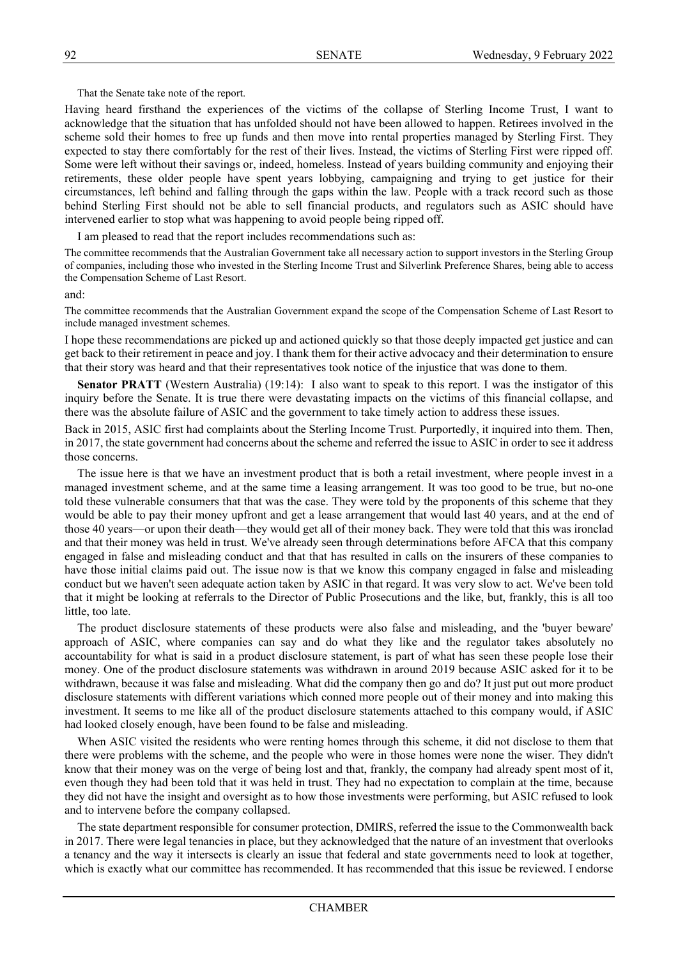That the Senate take note of the report.

Having heard firsthand the experiences of the victims of the collapse of Sterling Income Trust, I want to acknowledge that the situation that has unfolded should not have been allowed to happen. Retirees involved in the scheme sold their homes to free up funds and then move into rental properties managed by Sterling First. They expected to stay there comfortably for the rest of their lives. Instead, the victims of Sterling First were ripped off. Some were left without their savings or, indeed, homeless. Instead of years building community and enjoying their retirements, these older people have spent years lobbying, campaigning and trying to get justice for their circumstances, left behind and falling through the gaps within the law. People with a track record such as those behind Sterling First should not be able to sell financial products, and regulators such as ASIC should have intervened earlier to stop what was happening to avoid people being ripped off.

I am pleased to read that the report includes recommendations such as:

The committee recommends that the Australian Government take all necessary action to support investors in the Sterling Group of companies, including those who invested in the Sterling Income Trust and Silverlink Preference Shares, being able to access the Compensation Scheme of Last Resort.

and:

The committee recommends that the Australian Government expand the scope of the Compensation Scheme of Last Resort to include managed investment schemes.

I hope these recommendations are picked up and actioned quickly so that those deeply impacted get justice and can get back to their retirement in peace and joy. I thank them for their active advocacy and their determination to ensure that their story was heard and that their representatives took notice of the injustice that was done to them.

**Senator PRATT** (Western Australia) (19:14): I also want to speak to this report. I was the instigator of this inquiry before the Senate. It is true there were devastating impacts on the victims of this financial collapse, and there was the absolute failure of ASIC and the government to take timely action to address these issues.

Back in 2015, ASIC first had complaints about the Sterling Income Trust. Purportedly, it inquired into them. Then, in 2017, the state government had concerns about the scheme and referred the issue to ASIC in order to see it address those concerns.

The issue here is that we have an investment product that is both a retail investment, where people invest in a managed investment scheme, and at the same time a leasing arrangement. It was too good to be true, but no-one told these vulnerable consumers that that was the case. They were told by the proponents of this scheme that they would be able to pay their money upfront and get a lease arrangement that would last 40 years, and at the end of those 40 years—or upon their death—they would get all of their money back. They were told that this was ironclad and that their money was held in trust. We've already seen through determinations before AFCA that this company engaged in false and misleading conduct and that that has resulted in calls on the insurers of these companies to have those initial claims paid out. The issue now is that we know this company engaged in false and misleading conduct but we haven't seen adequate action taken by ASIC in that regard. It was very slow to act. We've been told that it might be looking at referrals to the Director of Public Prosecutions and the like, but, frankly, this is all too little, too late.

The product disclosure statements of these products were also false and misleading, and the 'buyer beware' approach of ASIC, where companies can say and do what they like and the regulator takes absolutely no accountability for what is said in a product disclosure statement, is part of what has seen these people lose their money. One of the product disclosure statements was withdrawn in around 2019 because ASIC asked for it to be withdrawn, because it was false and misleading. What did the company then go and do? It just put out more product disclosure statements with different variations which conned more people out of their money and into making this investment. It seems to me like all of the product disclosure statements attached to this company would, if ASIC had looked closely enough, have been found to be false and misleading.

When ASIC visited the residents who were renting homes through this scheme, it did not disclose to them that there were problems with the scheme, and the people who were in those homes were none the wiser. They didn't know that their money was on the verge of being lost and that, frankly, the company had already spent most of it, even though they had been told that it was held in trust. They had no expectation to complain at the time, because they did not have the insight and oversight as to how those investments were performing, but ASIC refused to look and to intervene before the company collapsed.

The state department responsible for consumer protection, DMIRS, referred the issue to the Commonwealth back in 2017. There were legal tenancies in place, but they acknowledged that the nature of an investment that overlooks a tenancy and the way it intersects is clearly an issue that federal and state governments need to look at together, which is exactly what our committee has recommended. It has recommended that this issue be reviewed. I endorse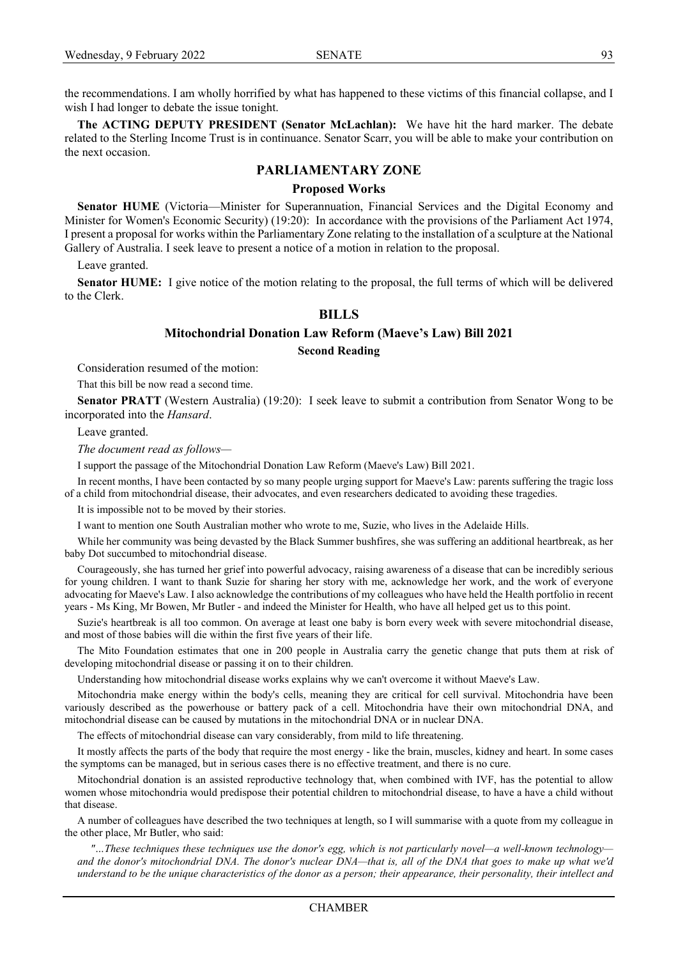the recommendations. I am wholly horrified by what has happened to these victims of this financial collapse, and I wish I had longer to debate the issue tonight.

**The ACTING DEPUTY PRESIDENT (Senator McLachlan):** We have hit the hard marker. The debate related to the Sterling Income Trust is in continuance. Senator Scarr, you will be able to make your contribution on the next occasion.

## **PARLIAMENTARY ZONE**

### **Proposed Works**

**Senator HUME** (Victoria—Minister for Superannuation, Financial Services and the Digital Economy and Minister for Women's Economic Security) (19:20): In accordance with the provisions of the Parliament Act 1974, I present a proposal for works within the Parliamentary Zone relating to the installation of a sculpture at the National Gallery of Australia. I seek leave to present a notice of a motion in relation to the proposal.

Leave granted.

**Senator HUME:** I give notice of the motion relating to the proposal, the full terms of which will be delivered to the Clerk.

## **BILLS**

## **Mitochondrial Donation Law Reform (Maeve's Law) Bill 2021**

### **Second Reading**

Consideration resumed of the motion:

That this bill be now read a second time.

**Senator PRATT** (Western Australia) (19:20): I seek leave to submit a contribution from Senator Wong to be incorporated into the *Hansard*.

Leave granted.

*The document read as follows—*

I support the passage of the Mitochondrial Donation Law Reform (Maeve's Law) Bill 2021.

In recent months, I have been contacted by so many people urging support for Maeve's Law: parents suffering the tragic loss of a child from mitochondrial disease, their advocates, and even researchers dedicated to avoiding these tragedies.

It is impossible not to be moved by their stories.

I want to mention one South Australian mother who wrote to me, Suzie, who lives in the Adelaide Hills.

While her community was being devasted by the Black Summer bushfires, she was suffering an additional heartbreak, as her baby Dot succumbed to mitochondrial disease.

Courageously, she has turned her grief into powerful advocacy, raising awareness of a disease that can be incredibly serious for young children. I want to thank Suzie for sharing her story with me, acknowledge her work, and the work of everyone advocating for Maeve's Law. I also acknowledge the contributions of my colleagues who have held the Health portfolio in recent years - Ms King, Mr Bowen, Mr Butler - and indeed the Minister for Health, who have all helped get us to this point.

Suzie's heartbreak is all too common. On average at least one baby is born every week with severe mitochondrial disease, and most of those babies will die within the first five years of their life.

The Mito Foundation estimates that one in 200 people in Australia carry the genetic change that puts them at risk of developing mitochondrial disease or passing it on to their children.

Understanding how mitochondrial disease works explains why we can't overcome it without Maeve's Law.

Mitochondria make energy within the body's cells, meaning they are critical for cell survival. Mitochondria have been variously described as the powerhouse or battery pack of a cell. Mitochondria have their own mitochondrial DNA, and mitochondrial disease can be caused by mutations in the mitochondrial DNA or in nuclear DNA.

The effects of mitochondrial disease can vary considerably, from mild to life threatening.

It mostly affects the parts of the body that require the most energy - like the brain, muscles, kidney and heart. In some cases the symptoms can be managed, but in serious cases there is no effective treatment, and there is no cure.

Mitochondrial donation is an assisted reproductive technology that, when combined with IVF, has the potential to allow women whose mitochondria would predispose their potential children to mitochondrial disease, to have a have a child without that disease.

A number of colleagues have described the two techniques at length, so I will summarise with a quote from my colleague in the other place, Mr Butler, who said:

*"…These techniques these techniques use the donor's egg, which is not particularly novel—a well-known technology* and the donor's mitochondrial DNA. The donor's nuclear DNA—that is, all of the DNA that goes to make up what we'd *understand to be the unique characteristics of the donor as a person; their appearance, their personality, their intellect and*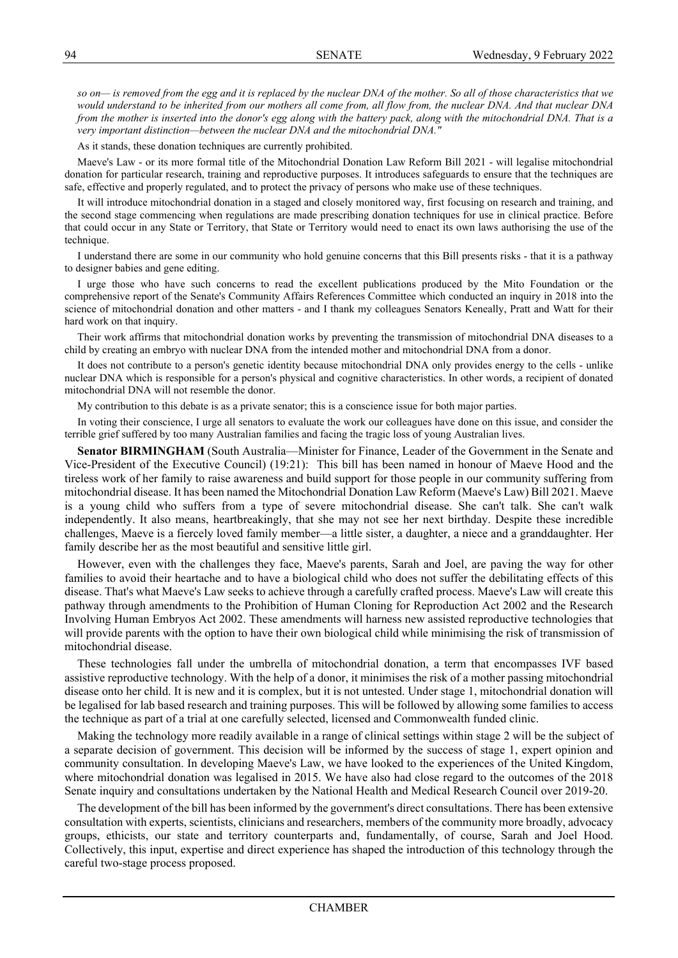*so on— is removed from the egg and it is replaced by the nuclear DNA of the mother. So all of those characteristics that we would understand to be inherited from our mothers all come from, all flow from, the nuclear DNA. And that nuclear DNA from the mother is inserted into the donor's egg along with the battery pack, along with the mitochondrial DNA. That is a very important distinction—between the nuclear DNA and the mitochondrial DNA."*

As it stands, these donation techniques are currently prohibited.

Maeve's Law - or its more formal title of the Mitochondrial Donation Law Reform Bill 2021 - will legalise mitochondrial donation for particular research, training and reproductive purposes. It introduces safeguards to ensure that the techniques are safe, effective and properly regulated, and to protect the privacy of persons who make use of these techniques.

It will introduce mitochondrial donation in a staged and closely monitored way, first focusing on research and training, and the second stage commencing when regulations are made prescribing donation techniques for use in clinical practice. Before that could occur in any State or Territory, that State or Territory would need to enact its own laws authorising the use of the technique.

I understand there are some in our community who hold genuine concerns that this Bill presents risks - that it is a pathway to designer babies and gene editing.

I urge those who have such concerns to read the excellent publications produced by the Mito Foundation or the comprehensive report of the Senate's Community Affairs References Committee which conducted an inquiry in 2018 into the science of mitochondrial donation and other matters - and I thank my colleagues Senators Keneally, Pratt and Watt for their hard work on that inquiry.

Their work affirms that mitochondrial donation works by preventing the transmission of mitochondrial DNA diseases to a child by creating an embryo with nuclear DNA from the intended mother and mitochondrial DNA from a donor.

It does not contribute to a person's genetic identity because mitochondrial DNA only provides energy to the cells - unlike nuclear DNA which is responsible for a person's physical and cognitive characteristics. In other words, a recipient of donated mitochondrial DNA will not resemble the donor.

My contribution to this debate is as a private senator; this is a conscience issue for both major parties.

In voting their conscience, I urge all senators to evaluate the work our colleagues have done on this issue, and consider the terrible grief suffered by too many Australian families and facing the tragic loss of young Australian lives.

**Senator BIRMINGHAM** (South Australia—Minister for Finance, Leader of the Government in the Senate and Vice-President of the Executive Council) (19:21): This bill has been named in honour of Maeve Hood and the tireless work of her family to raise awareness and build support for those people in our community suffering from mitochondrial disease. It has been named the Mitochondrial Donation Law Reform (Maeve's Law) Bill 2021. Maeve is a young child who suffers from a type of severe mitochondrial disease. She can't talk. She can't walk independently. It also means, heartbreakingly, that she may not see her next birthday. Despite these incredible challenges, Maeve is a fiercely loved family member—a little sister, a daughter, a niece and a granddaughter. Her family describe her as the most beautiful and sensitive little girl.

However, even with the challenges they face, Maeve's parents, Sarah and Joel, are paving the way for other families to avoid their heartache and to have a biological child who does not suffer the debilitating effects of this disease. That's what Maeve's Law seeks to achieve through a carefully crafted process. Maeve's Law will create this pathway through amendments to the Prohibition of Human Cloning for Reproduction Act 2002 and the Research Involving Human Embryos Act 2002. These amendments will harness new assisted reproductive technologies that will provide parents with the option to have their own biological child while minimising the risk of transmission of mitochondrial disease.

These technologies fall under the umbrella of mitochondrial donation, a term that encompasses IVF based assistive reproductive technology. With the help of a donor, it minimises the risk of a mother passing mitochondrial disease onto her child. It is new and it is complex, but it is not untested. Under stage 1, mitochondrial donation will be legalised for lab based research and training purposes. This will be followed by allowing some families to access the technique as part of a trial at one carefully selected, licensed and Commonwealth funded clinic.

Making the technology more readily available in a range of clinical settings within stage 2 will be the subject of a separate decision of government. This decision will be informed by the success of stage 1, expert opinion and community consultation. In developing Maeve's Law, we have looked to the experiences of the United Kingdom, where mitochondrial donation was legalised in 2015. We have also had close regard to the outcomes of the 2018 Senate inquiry and consultations undertaken by the National Health and Medical Research Council over 2019-20.

The development of the bill has been informed by the government's direct consultations. There has been extensive consultation with experts, scientists, clinicians and researchers, members of the community more broadly, advocacy groups, ethicists, our state and territory counterparts and, fundamentally, of course, Sarah and Joel Hood. Collectively, this input, expertise and direct experience has shaped the introduction of this technology through the careful two-stage process proposed.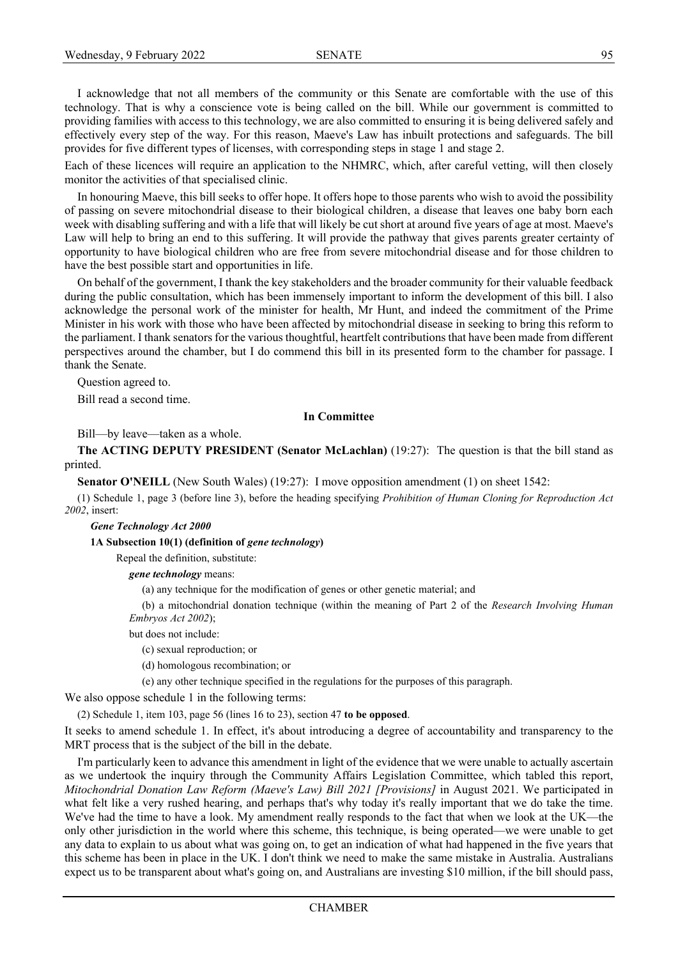I acknowledge that not all members of the community or this Senate are comfortable with the use of this technology. That is why a conscience vote is being called on the bill. While our government is committed to providing families with access to this technology, we are also committed to ensuring it is being delivered safely and effectively every step of the way. For this reason, Maeve's Law has inbuilt protections and safeguards. The bill provides for five different types of licenses, with corresponding steps in stage 1 and stage 2.

Each of these licences will require an application to the NHMRC, which, after careful vetting, will then closely monitor the activities of that specialised clinic.

In honouring Maeve, this bill seeks to offer hope. It offers hope to those parents who wish to avoid the possibility of passing on severe mitochondrial disease to their biological children, a disease that leaves one baby born each week with disabling suffering and with a life that will likely be cut short at around five years of age at most. Maeve's Law will help to bring an end to this suffering. It will provide the pathway that gives parents greater certainty of opportunity to have biological children who are free from severe mitochondrial disease and for those children to have the best possible start and opportunities in life.

On behalf of the government, I thank the key stakeholders and the broader community for their valuable feedback during the public consultation, which has been immensely important to inform the development of this bill. I also acknowledge the personal work of the minister for health, Mr Hunt, and indeed the commitment of the Prime Minister in his work with those who have been affected by mitochondrial disease in seeking to bring this reform to the parliament. I thank senators for the various thoughtful, heartfelt contributions that have been made from different perspectives around the chamber, but I do commend this bill in its presented form to the chamber for passage. I thank the Senate.

Question agreed to.

Bill read a second time.

#### **In Committee**

Bill—by leave—taken as a whole.

**The ACTING DEPUTY PRESIDENT (Senator McLachlan)** (19:27): The question is that the bill stand as printed.

**Senator O'NEILL** (New South Wales) (19:27): I move opposition amendment (1) on sheet 1542:

(1) Schedule 1, page 3 (before line 3), before the heading specifying *Prohibition of Human Cloning for Reproduction Act 2002*, insert:

*Gene Technology Act 2000*

**1A Subsection 10(1) (definition of** *gene technology***)**

Repeal the definition, substitute:

*gene technology* means:

(a) any technique for the modification of genes or other genetic material; and

(b) a mitochondrial donation technique (within the meaning of Part 2 of the *Research Involving Human Embryos Act 2002*);

but does not include:

(c) sexual reproduction; or

(d) homologous recombination; or

(e) any other technique specified in the regulations for the purposes of this paragraph.

We also oppose schedule 1 in the following terms:

(2) Schedule 1, item 103, page 56 (lines 16 to 23), section 47 **to be opposed**.

It seeks to amend schedule 1. In effect, it's about introducing a degree of accountability and transparency to the MRT process that is the subject of the bill in the debate.

I'm particularly keen to advance this amendment in light of the evidence that we were unable to actually ascertain as we undertook the inquiry through the Community Affairs Legislation Committee, which tabled this report, *Mitochondrial Donation Law Reform (Maeve's Law) Bill 2021 [Provisions]* in August 2021. We participated in what felt like a very rushed hearing, and perhaps that's why today it's really important that we do take the time. We've had the time to have a look. My amendment really responds to the fact that when we look at the UK—the only other jurisdiction in the world where this scheme, this technique, is being operated—we were unable to get any data to explain to us about what was going on, to get an indication of what had happened in the five years that this scheme has been in place in the UK. I don't think we need to make the same mistake in Australia. Australians expect us to be transparent about what's going on, and Australians are investing \$10 million, if the bill should pass,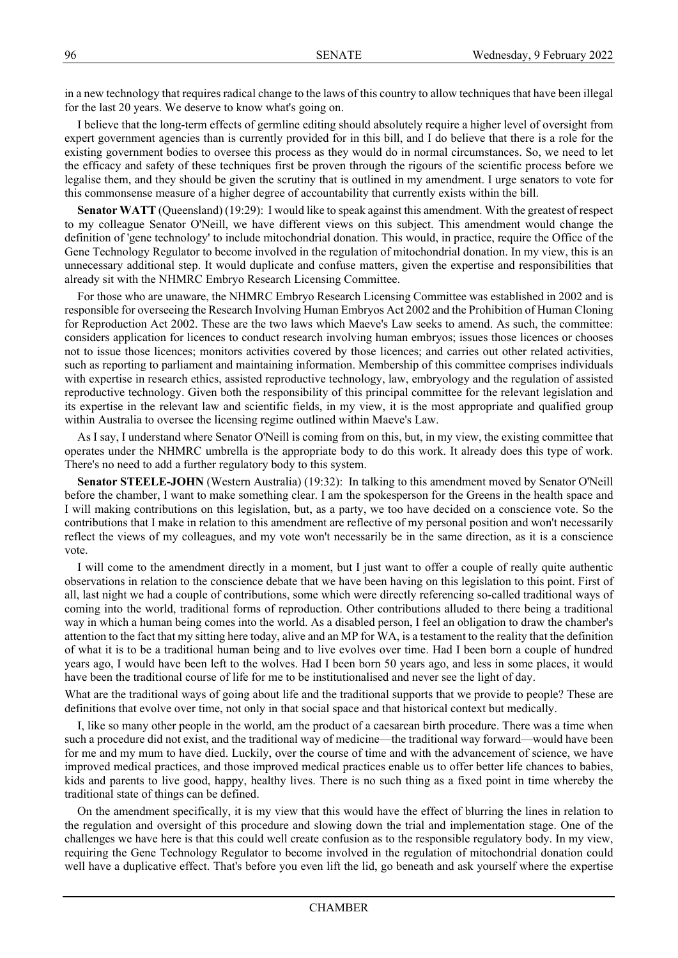in a new technology that requires radical change to the laws of this country to allow techniques that have been illegal for the last 20 years. We deserve to know what's going on.

I believe that the long-term effects of germline editing should absolutely require a higher level of oversight from expert government agencies than is currently provided for in this bill, and I do believe that there is a role for the existing government bodies to oversee this process as they would do in normal circumstances. So, we need to let the efficacy and safety of these techniques first be proven through the rigours of the scientific process before we legalise them, and they should be given the scrutiny that is outlined in my amendment. I urge senators to vote for this commonsense measure of a higher degree of accountability that currently exists within the bill.

**Senator WATT** (Queensland) (19:29): I would like to speak against this amendment. With the greatest of respect to my colleague Senator O'Neill, we have different views on this subject. This amendment would change the definition of 'gene technology' to include mitochondrial donation. This would, in practice, require the Office of the Gene Technology Regulator to become involved in the regulation of mitochondrial donation. In my view, this is an unnecessary additional step. It would duplicate and confuse matters, given the expertise and responsibilities that already sit with the NHMRC Embryo Research Licensing Committee.

For those who are unaware, the NHMRC Embryo Research Licensing Committee was established in 2002 and is responsible for overseeing the Research Involving Human Embryos Act 2002 and the Prohibition of Human Cloning for Reproduction Act 2002. These are the two laws which Maeve's Law seeks to amend. As such, the committee: considers application for licences to conduct research involving human embryos; issues those licences or chooses not to issue those licences; monitors activities covered by those licences; and carries out other related activities, such as reporting to parliament and maintaining information. Membership of this committee comprises individuals with expertise in research ethics, assisted reproductive technology, law, embryology and the regulation of assisted reproductive technology. Given both the responsibility of this principal committee for the relevant legislation and its expertise in the relevant law and scientific fields, in my view, it is the most appropriate and qualified group within Australia to oversee the licensing regime outlined within Maeve's Law.

As I say, I understand where Senator O'Neill is coming from on this, but, in my view, the existing committee that operates under the NHMRC umbrella is the appropriate body to do this work. It already does this type of work. There's no need to add a further regulatory body to this system.

**Senator STEELE-JOHN** (Western Australia) (19:32): In talking to this amendment moved by Senator O'Neill before the chamber, I want to make something clear. I am the spokesperson for the Greens in the health space and I will making contributions on this legislation, but, as a party, we too have decided on a conscience vote. So the contributions that I make in relation to this amendment are reflective of my personal position and won't necessarily reflect the views of my colleagues, and my vote won't necessarily be in the same direction, as it is a conscience vote.

I will come to the amendment directly in a moment, but I just want to offer a couple of really quite authentic observations in relation to the conscience debate that we have been having on this legislation to this point. First of all, last night we had a couple of contributions, some which were directly referencing so-called traditional ways of coming into the world, traditional forms of reproduction. Other contributions alluded to there being a traditional way in which a human being comes into the world. As a disabled person, I feel an obligation to draw the chamber's attention to the fact that my sitting here today, alive and an MP for WA, is a testament to the reality that the definition of what it is to be a traditional human being and to live evolves over time. Had I been born a couple of hundred years ago, I would have been left to the wolves. Had I been born 50 years ago, and less in some places, it would have been the traditional course of life for me to be institutionalised and never see the light of day.

What are the traditional ways of going about life and the traditional supports that we provide to people? These are definitions that evolve over time, not only in that social space and that historical context but medically.

I, like so many other people in the world, am the product of a caesarean birth procedure. There was a time when such a procedure did not exist, and the traditional way of medicine—the traditional way forward—would have been for me and my mum to have died. Luckily, over the course of time and with the advancement of science, we have improved medical practices, and those improved medical practices enable us to offer better life chances to babies, kids and parents to live good, happy, healthy lives. There is no such thing as a fixed point in time whereby the traditional state of things can be defined.

On the amendment specifically, it is my view that this would have the effect of blurring the lines in relation to the regulation and oversight of this procedure and slowing down the trial and implementation stage. One of the challenges we have here is that this could well create confusion as to the responsible regulatory body. In my view, requiring the Gene Technology Regulator to become involved in the regulation of mitochondrial donation could well have a duplicative effect. That's before you even lift the lid, go beneath and ask yourself where the expertise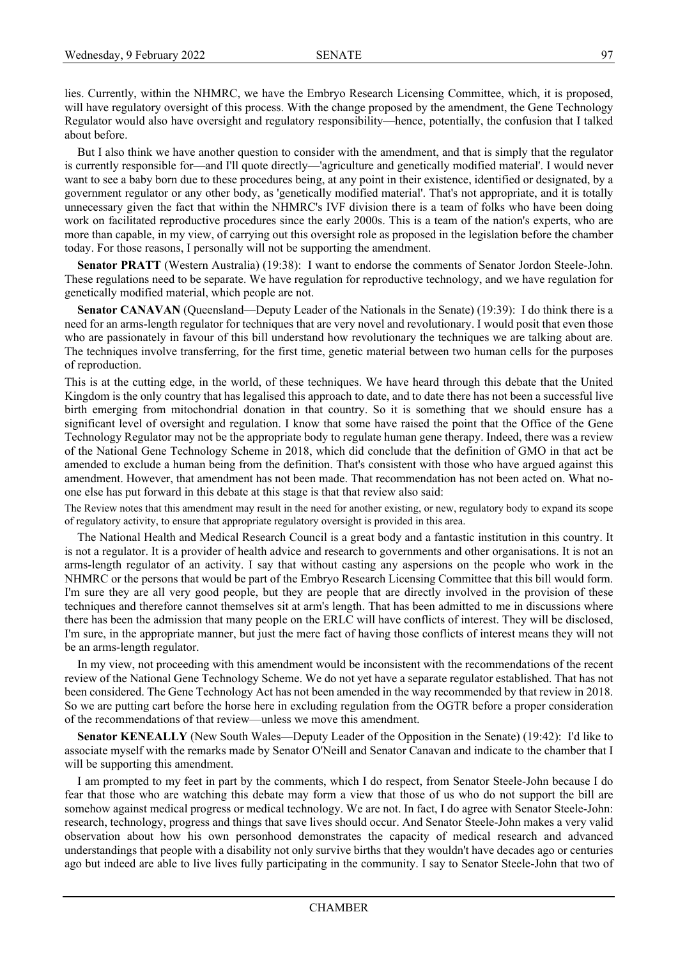lies. Currently, within the NHMRC, we have the Embryo Research Licensing Committee, which, it is proposed, will have regulatory oversight of this process. With the change proposed by the amendment, the Gene Technology Regulator would also have oversight and regulatory responsibility—hence, potentially, the confusion that I talked about before.

But I also think we have another question to consider with the amendment, and that is simply that the regulator is currently responsible for—and I'll quote directly—'agriculture and genetically modified material'. I would never want to see a baby born due to these procedures being, at any point in their existence, identified or designated, by a government regulator or any other body, as 'genetically modified material'. That's not appropriate, and it is totally unnecessary given the fact that within the NHMRC's IVF division there is a team of folks who have been doing work on facilitated reproductive procedures since the early 2000s. This is a team of the nation's experts, who are more than capable, in my view, of carrying out this oversight role as proposed in the legislation before the chamber today. For those reasons, I personally will not be supporting the amendment.

**Senator PRATT** (Western Australia) (19:38): I want to endorse the comments of Senator Jordon Steele-John. These regulations need to be separate. We have regulation for reproductive technology, and we have regulation for genetically modified material, which people are not.

**Senator CANAVAN** (Queensland—Deputy Leader of the Nationals in the Senate) (19:39): I do think there is a need for an arms-length regulator for techniques that are very novel and revolutionary. I would posit that even those who are passionately in favour of this bill understand how revolutionary the techniques we are talking about are. The techniques involve transferring, for the first time, genetic material between two human cells for the purposes of reproduction.

This is at the cutting edge, in the world, of these techniques. We have heard through this debate that the United Kingdom is the only country that has legalised this approach to date, and to date there has not been a successful live birth emerging from mitochondrial donation in that country. So it is something that we should ensure has a significant level of oversight and regulation. I know that some have raised the point that the Office of the Gene Technology Regulator may not be the appropriate body to regulate human gene therapy. Indeed, there was a review of the National Gene Technology Scheme in 2018, which did conclude that the definition of GMO in that act be amended to exclude a human being from the definition. That's consistent with those who have argued against this amendment. However, that amendment has not been made. That recommendation has not been acted on. What noone else has put forward in this debate at this stage is that that review also said:

The Review notes that this amendment may result in the need for another existing, or new, regulatory body to expand its scope of regulatory activity, to ensure that appropriate regulatory oversight is provided in this area.

The National Health and Medical Research Council is a great body and a fantastic institution in this country. It is not a regulator. It is a provider of health advice and research to governments and other organisations. It is not an arms-length regulator of an activity. I say that without casting any aspersions on the people who work in the NHMRC or the persons that would be part of the Embryo Research Licensing Committee that this bill would form. I'm sure they are all very good people, but they are people that are directly involved in the provision of these techniques and therefore cannot themselves sit at arm's length. That has been admitted to me in discussions where there has been the admission that many people on the ERLC will have conflicts of interest. They will be disclosed, I'm sure, in the appropriate manner, but just the mere fact of having those conflicts of interest means they will not be an arms-length regulator.

In my view, not proceeding with this amendment would be inconsistent with the recommendations of the recent review of the National Gene Technology Scheme. We do not yet have a separate regulator established. That has not been considered. The Gene Technology Act has not been amended in the way recommended by that review in 2018. So we are putting cart before the horse here in excluding regulation from the OGTR before a proper consideration of the recommendations of that review—unless we move this amendment.

**Senator KENEALLY** (New South Wales—Deputy Leader of the Opposition in the Senate) (19:42): I'd like to associate myself with the remarks made by Senator O'Neill and Senator Canavan and indicate to the chamber that I will be supporting this amendment.

I am prompted to my feet in part by the comments, which I do respect, from Senator Steele-John because I do fear that those who are watching this debate may form a view that those of us who do not support the bill are somehow against medical progress or medical technology. We are not. In fact, I do agree with Senator Steele-John: research, technology, progress and things that save lives should occur. And Senator Steele-John makes a very valid observation about how his own personhood demonstrates the capacity of medical research and advanced understandings that people with a disability not only survive births that they wouldn't have decades ago or centuries ago but indeed are able to live lives fully participating in the community. I say to Senator Steele-John that two of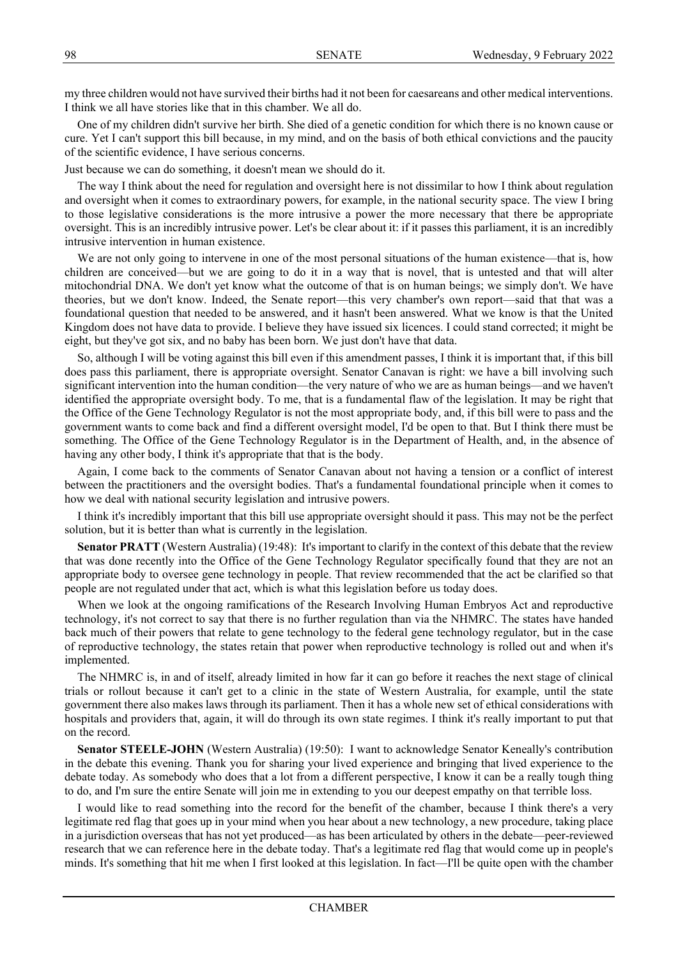my three children would not have survived their births had it not been for caesareans and other medical interventions. I think we all have stories like that in this chamber. We all do.

One of my children didn't survive her birth. She died of a genetic condition for which there is no known cause or cure. Yet I can't support this bill because, in my mind, and on the basis of both ethical convictions and the paucity of the scientific evidence, I have serious concerns.

Just because we can do something, it doesn't mean we should do it.

The way I think about the need for regulation and oversight here is not dissimilar to how I think about regulation and oversight when it comes to extraordinary powers, for example, in the national security space. The view I bring to those legislative considerations is the more intrusive a power the more necessary that there be appropriate oversight. This is an incredibly intrusive power. Let's be clear about it: if it passes this parliament, it is an incredibly intrusive intervention in human existence.

We are not only going to intervene in one of the most personal situations of the human existence—that is, how children are conceived—but we are going to do it in a way that is novel, that is untested and that will alter mitochondrial DNA. We don't yet know what the outcome of that is on human beings; we simply don't. We have theories, but we don't know. Indeed, the Senate report—this very chamber's own report—said that that was a foundational question that needed to be answered, and it hasn't been answered. What we know is that the United Kingdom does not have data to provide. I believe they have issued six licences. I could stand corrected; it might be eight, but they've got six, and no baby has been born. We just don't have that data.

So, although I will be voting against this bill even if this amendment passes, I think it is important that, if this bill does pass this parliament, there is appropriate oversight. Senator Canavan is right: we have a bill involving such significant intervention into the human condition—the very nature of who we are as human beings—and we haven't identified the appropriate oversight body. To me, that is a fundamental flaw of the legislation. It may be right that the Office of the Gene Technology Regulator is not the most appropriate body, and, if this bill were to pass and the government wants to come back and find a different oversight model, I'd be open to that. But I think there must be something. The Office of the Gene Technology Regulator is in the Department of Health, and, in the absence of having any other body, I think it's appropriate that that is the body.

Again, I come back to the comments of Senator Canavan about not having a tension or a conflict of interest between the practitioners and the oversight bodies. That's a fundamental foundational principle when it comes to how we deal with national security legislation and intrusive powers.

I think it's incredibly important that this bill use appropriate oversight should it pass. This may not be the perfect solution, but it is better than what is currently in the legislation.

**Senator PRATT** (Western Australia) (19:48): It's important to clarify in the context of this debate that the review that was done recently into the Office of the Gene Technology Regulator specifically found that they are not an appropriate body to oversee gene technology in people. That review recommended that the act be clarified so that people are not regulated under that act, which is what this legislation before us today does.

When we look at the ongoing ramifications of the Research Involving Human Embryos Act and reproductive technology, it's not correct to say that there is no further regulation than via the NHMRC. The states have handed back much of their powers that relate to gene technology to the federal gene technology regulator, but in the case of reproductive technology, the states retain that power when reproductive technology is rolled out and when it's implemented.

The NHMRC is, in and of itself, already limited in how far it can go before it reaches the next stage of clinical trials or rollout because it can't get to a clinic in the state of Western Australia, for example, until the state government there also makes laws through its parliament. Then it has a whole new set of ethical considerations with hospitals and providers that, again, it will do through its own state regimes. I think it's really important to put that on the record.

**Senator STEELE-JOHN** (Western Australia) (19:50): I want to acknowledge Senator Keneally's contribution in the debate this evening. Thank you for sharing your lived experience and bringing that lived experience to the debate today. As somebody who does that a lot from a different perspective, I know it can be a really tough thing to do, and I'm sure the entire Senate will join me in extending to you our deepest empathy on that terrible loss.

I would like to read something into the record for the benefit of the chamber, because I think there's a very legitimate red flag that goes up in your mind when you hear about a new technology, a new procedure, taking place in a jurisdiction overseas that has not yet produced—as has been articulated by others in the debate—peer-reviewed research that we can reference here in the debate today. That's a legitimate red flag that would come up in people's minds. It's something that hit me when I first looked at this legislation. In fact—I'll be quite open with the chamber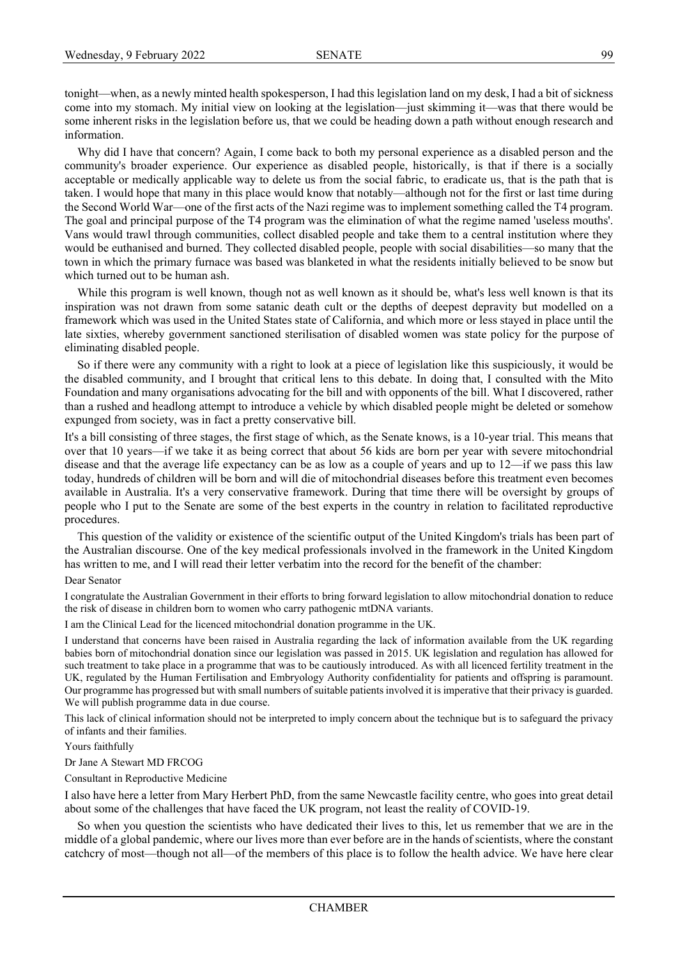tonight—when, as a newly minted health spokesperson, I had this legislation land on my desk, I had a bit of sickness come into my stomach. My initial view on looking at the legislation—just skimming it—was that there would be some inherent risks in the legislation before us, that we could be heading down a path without enough research and information.

Why did I have that concern? Again, I come back to both my personal experience as a disabled person and the community's broader experience. Our experience as disabled people, historically, is that if there is a socially acceptable or medically applicable way to delete us from the social fabric, to eradicate us, that is the path that is taken. I would hope that many in this place would know that notably—although not for the first or last time during the Second World War—one of the first acts of the Nazi regime was to implement something called the T4 program. The goal and principal purpose of the T4 program was the elimination of what the regime named 'useless mouths'. Vans would trawl through communities, collect disabled people and take them to a central institution where they would be euthanised and burned. They collected disabled people, people with social disabilities—so many that the town in which the primary furnace was based was blanketed in what the residents initially believed to be snow but which turned out to be human ash.

While this program is well known, though not as well known as it should be, what's less well known is that its inspiration was not drawn from some satanic death cult or the depths of deepest depravity but modelled on a framework which was used in the United States state of California, and which more or less stayed in place until the late sixties, whereby government sanctioned sterilisation of disabled women was state policy for the purpose of eliminating disabled people.

So if there were any community with a right to look at a piece of legislation like this suspiciously, it would be the disabled community, and I brought that critical lens to this debate. In doing that, I consulted with the Mito Foundation and many organisations advocating for the bill and with opponents of the bill. What I discovered, rather than a rushed and headlong attempt to introduce a vehicle by which disabled people might be deleted or somehow expunged from society, was in fact a pretty conservative bill.

It's a bill consisting of three stages, the first stage of which, as the Senate knows, is a 10-year trial. This means that over that 10 years—if we take it as being correct that about 56 kids are born per year with severe mitochondrial disease and that the average life expectancy can be as low as a couple of years and up to 12—if we pass this law today, hundreds of children will be born and will die of mitochondrial diseases before this treatment even becomes available in Australia. It's a very conservative framework. During that time there will be oversight by groups of people who I put to the Senate are some of the best experts in the country in relation to facilitated reproductive procedures.

This question of the validity or existence of the scientific output of the United Kingdom's trials has been part of the Australian discourse. One of the key medical professionals involved in the framework in the United Kingdom has written to me, and I will read their letter verbatim into the record for the benefit of the chamber:

### Dear Senator

I congratulate the Australian Government in their efforts to bring forward legislation to allow mitochondrial donation to reduce the risk of disease in children born to women who carry pathogenic mtDNA variants.

I am the Clinical Lead for the licenced mitochondrial donation programme in the UK.

I understand that concerns have been raised in Australia regarding the lack of information available from the UK regarding babies born of mitochondrial donation since our legislation was passed in 2015. UK legislation and regulation has allowed for such treatment to take place in a programme that was to be cautiously introduced. As with all licenced fertility treatment in the UK, regulated by the Human Fertilisation and Embryology Authority confidentiality for patients and offspring is paramount. Our programme has progressed but with small numbers of suitable patients involved it is imperative that their privacy is guarded. We will publish programme data in due course.

This lack of clinical information should not be interpreted to imply concern about the technique but is to safeguard the privacy of infants and their families.

### Yours faithfully

Dr Jane A Stewart MD FRCOG

Consultant in Reproductive Medicine

I also have here a letter from Mary Herbert PhD, from the same Newcastle facility centre, who goes into great detail about some of the challenges that have faced the UK program, not least the reality of COVID-19.

So when you question the scientists who have dedicated their lives to this, let us remember that we are in the middle of a global pandemic, where our lives more than ever before are in the hands of scientists, where the constant catchcry of most—though not all—of the members of this place is to follow the health advice. We have here clear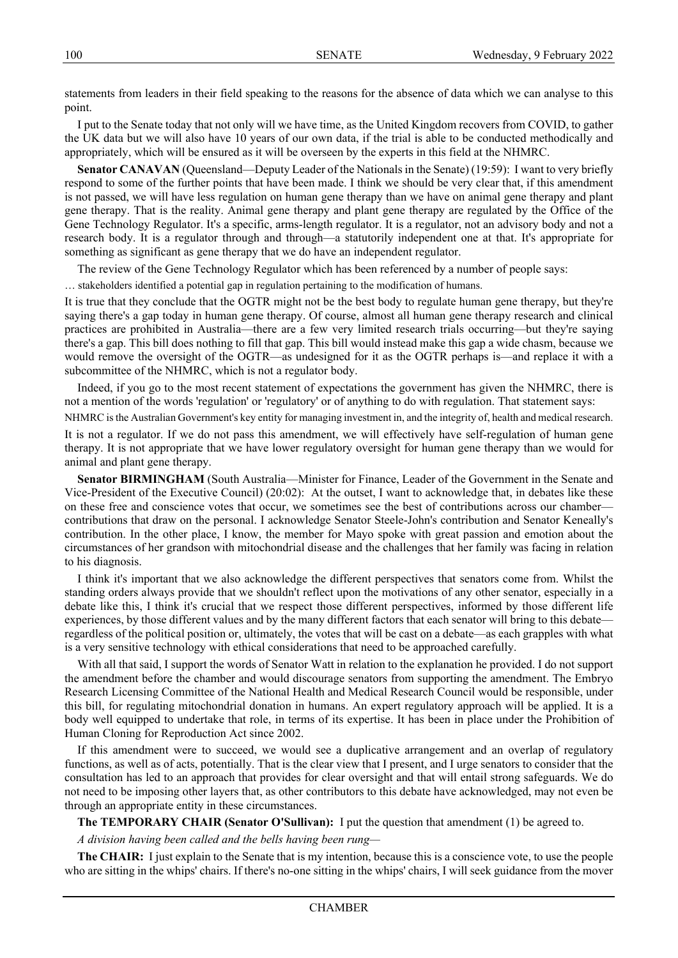statements from leaders in their field speaking to the reasons for the absence of data which we can analyse to this point.

I put to the Senate today that not only will we have time, as the United Kingdom recovers from COVID, to gather the UK data but we will also have 10 years of our own data, if the trial is able to be conducted methodically and appropriately, which will be ensured as it will be overseen by the experts in this field at the NHMRC.

**Senator CANAVAN** (Queensland—Deputy Leader of the Nationals in the Senate) (19:59): I want to very briefly respond to some of the further points that have been made. I think we should be very clear that, if this amendment is not passed, we will have less regulation on human gene therapy than we have on animal gene therapy and plant gene therapy. That is the reality. Animal gene therapy and plant gene therapy are regulated by the Office of the Gene Technology Regulator. It's a specific, arms-length regulator. It is a regulator, not an advisory body and not a research body. It is a regulator through and through—a statutorily independent one at that. It's appropriate for something as significant as gene therapy that we do have an independent regulator.

The review of the Gene Technology Regulator which has been referenced by a number of people says:

… stakeholders identified a potential gap in regulation pertaining to the modification of humans.

It is true that they conclude that the OGTR might not be the best body to regulate human gene therapy, but they're saying there's a gap today in human gene therapy. Of course, almost all human gene therapy research and clinical practices are prohibited in Australia—there are a few very limited research trials occurring—but they're saying there's a gap. This bill does nothing to fill that gap. This bill would instead make this gap a wide chasm, because we would remove the oversight of the OGTR—as undesigned for it as the OGTR perhaps is—and replace it with a subcommittee of the NHMRC, which is not a regulator body.

Indeed, if you go to the most recent statement of expectations the government has given the NHMRC, there is not a mention of the words 'regulation' or 'regulatory' or of anything to do with regulation. That statement says:

NHMRC is the Australian Government's key entity for managing investment in, and the integrity of, health and medical research.

It is not a regulator. If we do not pass this amendment, we will effectively have self-regulation of human gene therapy. It is not appropriate that we have lower regulatory oversight for human gene therapy than we would for animal and plant gene therapy.

**Senator BIRMINGHAM** (South Australia—Minister for Finance, Leader of the Government in the Senate and Vice-President of the Executive Council) (20:02): At the outset, I want to acknowledge that, in debates like these on these free and conscience votes that occur, we sometimes see the best of contributions across our chamber contributions that draw on the personal. I acknowledge Senator Steele-John's contribution and Senator Keneally's contribution. In the other place, I know, the member for Mayo spoke with great passion and emotion about the circumstances of her grandson with mitochondrial disease and the challenges that her family was facing in relation to his diagnosis.

I think it's important that we also acknowledge the different perspectives that senators come from. Whilst the standing orders always provide that we shouldn't reflect upon the motivations of any other senator, especially in a debate like this, I think it's crucial that we respect those different perspectives, informed by those different life experiences, by those different values and by the many different factors that each senator will bring to this debate regardless of the political position or, ultimately, the votes that will be cast on a debate—as each grapples with what is a very sensitive technology with ethical considerations that need to be approached carefully.

With all that said, I support the words of Senator Watt in relation to the explanation he provided. I do not support the amendment before the chamber and would discourage senators from supporting the amendment. The Embryo Research Licensing Committee of the National Health and Medical Research Council would be responsible, under this bill, for regulating mitochondrial donation in humans. An expert regulatory approach will be applied. It is a body well equipped to undertake that role, in terms of its expertise. It has been in place under the Prohibition of Human Cloning for Reproduction Act since 2002.

If this amendment were to succeed, we would see a duplicative arrangement and an overlap of regulatory functions, as well as of acts, potentially. That is the clear view that I present, and I urge senators to consider that the consultation has led to an approach that provides for clear oversight and that will entail strong safeguards. We do not need to be imposing other layers that, as other contributors to this debate have acknowledged, may not even be through an appropriate entity in these circumstances.

**The TEMPORARY CHAIR (Senator O'Sullivan):** I put the question that amendment (1) be agreed to.

*A division having been called and the bells having been rung—*

**The CHAIR:** I just explain to the Senate that is my intention, because this is a conscience vote, to use the people who are sitting in the whips' chairs. If there's no-one sitting in the whips' chairs, I will seek guidance from the mover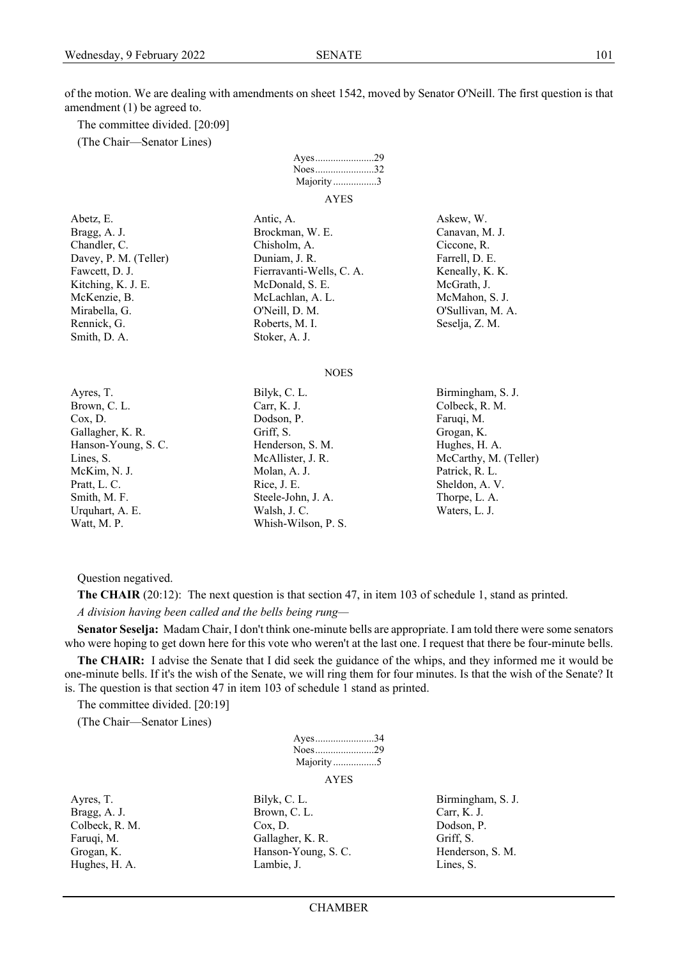of the motion. We are dealing with amendments on sheet 1542, moved by Senator O'Neill. The first question is that amendment (1) be agreed to.

The committee divided. [20:09]

(The Chair—Senator Lines)



- Smith, D. A. Stoker, A. J.
- Watt, M. P. Whish-Wilson, P. S.
- Abetz, E. Antic, A. Antic, A. Askew, W. Bragg, A. J. Brockman, W. E. Canavan, M. J. Chandler, C. Chisholm, A. Ciccone, R. Ciccone, R. Davey, P. M. (Teller) Duniam, J. R. Farrell, D. E. Fawcett, D. J. Fierravanti-Wells, C. A. Keneally, K. K. Kitching, K. J. E. McDonald, S. E. McGrath, J. McKenzie, B. McLachlan, A. L. McMahon, S. J. Mirabella, G. O'Neill, D. M. O'Sullivan, M. A. Rennick, G. Roberts, M. I. Seselja, Z. M.

#### **NOES**

- Brown, C. L. Carr, K. J. Carr, K. J. Colbeck, R. M. Cox, D. Dodson, P. Faruqi, M. Gallagher, K. R. Grogan, K. Grogan, K. Grogan, K. Grogan, K. Hanson-Young, S. C. Henderson, S. M. Hughes, H. A. McKim, N. J. **Molan, A. J.** Molan, A. J. **Patrick, R. L.** Pratt, L. C. Rice, J. E. Sheldon, A. V. Smith, M. F. Steele-John, J. A. Thorpe, L. A. Urquhart, A. E. Walsh, J. C. Walsh, J. C. Waters, L. J.
- 
- Ayres, T. Bilyk, C. L. Bilyk, C. L. Birmingham, S. J. Lines, S. McAllister, J. R. McCarthy, M. (Teller)

Question negatived.

**The CHAIR** (20:12): The next question is that section 47, in item 103 of schedule 1, stand as printed. *A division having been called and the bells being rung—*

**Senator Seselja:** Madam Chair, I don't think one-minute bells are appropriate. I am told there were some senators who were hoping to get down here for this vote who weren't at the last one. I request that there be four-minute bells.

**The CHAIR:** I advise the Senate that I did seek the guidance of the whips, and they informed me it would be one-minute bells. If it's the wish of the Senate, we will ring them for four minutes. Is that the wish of the Senate? It is. The question is that section 47 in item 103 of schedule 1 stand as printed.

The committee divided. [20:19]

(The Chair—Senator Lines)

| Ayes34      |  |
|-------------|--|
|             |  |
| Majority5   |  |
| <b>AYES</b> |  |

Ayres, T. Bilyk, C. L. Bilyk, C. L. Birmingham, S. J. Bragg, A. J. Brown, C. L. Carr, K. J. Carr, K. J. Colbeck, R. M. Cox, D. Dodson, P. Faruqi, M. Gallagher, K. R. Griff, S. Grogan, K. **Hanson-Young, S. C.** Henderson, S. M. Hughes, H. A. Lambie, J. Lambie, J. Lines, S.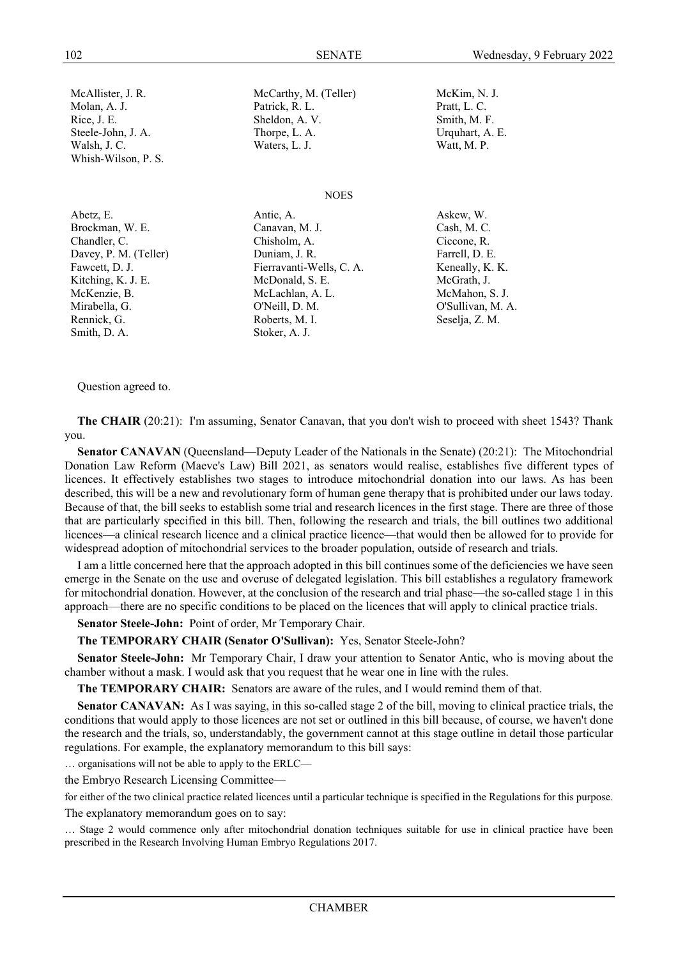Whish-Wilson, P. S.

Smith, D. A. Stoker, A. J.

McAllister, J. R. McCarthy, M. (Teller) McKim, N. J. Molan, A. J. Patrick, R. L. Patrick, R. L. Pratt, L. C. Rice, J. E. Sheldon, A. V. Sheldon, A. V. Smith, M. F. Steele-John, J. A. Thorpe, L. A. Urquhart, A. E. Walsh, J. C. Waters, L. J. Waters, L. J. Watt, M. P.

### **NOES**

Abetz, E. Antic, A. Antic, A. Askew, W. Brockman, W. E. Canavan, M. J. Cash, M. C. Chandler, C. Chisholm, A. Ciccone, R. Davey, P. M. (Teller) Duniam, J. R. Farrell, D. E. Fawcett, D. J. Fierravanti-Wells, C. A. Keneally, K. K. Kitching, K. J. E. McDonald, S. E. McGrath, J. McKenzie, B. McLachlan, A. L. McMahon, S. J. Mirabella, G. O'Neill, D. M. O'Sullivan, M. A. Rennick, G. **Roberts, M. I.** Seselja, Z. M.

### Question agreed to.

**The CHAIR** (20:21): I'm assuming, Senator Canavan, that you don't wish to proceed with sheet 1543? Thank you.

**Senator CANAVAN** (Queensland—Deputy Leader of the Nationals in the Senate) (20:21): The Mitochondrial Donation Law Reform (Maeve's Law) Bill 2021, as senators would realise, establishes five different types of licences. It effectively establishes two stages to introduce mitochondrial donation into our laws. As has been described, this will be a new and revolutionary form of human gene therapy that is prohibited under our laws today. Because of that, the bill seeks to establish some trial and research licences in the first stage. There are three of those that are particularly specified in this bill. Then, following the research and trials, the bill outlines two additional licences—a clinical research licence and a clinical practice licence—that would then be allowed for to provide for widespread adoption of mitochondrial services to the broader population, outside of research and trials.

I am a little concerned here that the approach adopted in this bill continues some of the deficiencies we have seen emerge in the Senate on the use and overuse of delegated legislation. This bill establishes a regulatory framework for mitochondrial donation. However, at the conclusion of the research and trial phase—the so-called stage 1 in this approach—there are no specific conditions to be placed on the licences that will apply to clinical practice trials.

**Senator Steele-John:** Point of order, Mr Temporary Chair.

**The TEMPORARY CHAIR (Senator O'Sullivan):** Yes, Senator Steele-John?

**Senator Steele-John:** Mr Temporary Chair, I draw your attention to Senator Antic, who is moving about the chamber without a mask. I would ask that you request that he wear one in line with the rules.

**The TEMPORARY CHAIR:** Senators are aware of the rules, and I would remind them of that.

**Senator CANAVAN:** As I was saying, in this so-called stage 2 of the bill, moving to clinical practice trials, the conditions that would apply to those licences are not set or outlined in this bill because, of course, we haven't done the research and the trials, so, understandably, the government cannot at this stage outline in detail those particular regulations. For example, the explanatory memorandum to this bill says:

… organisations will not be able to apply to the ERLC—

the Embryo Research Licensing Committee—

for either of the two clinical practice related licences until a particular technique is specified in the Regulations for this purpose. The explanatory memorandum goes on to say:

… Stage 2 would commence only after mitochondrial donation techniques suitable for use in clinical practice have been prescribed in the Research Involving Human Embryo Regulations 2017.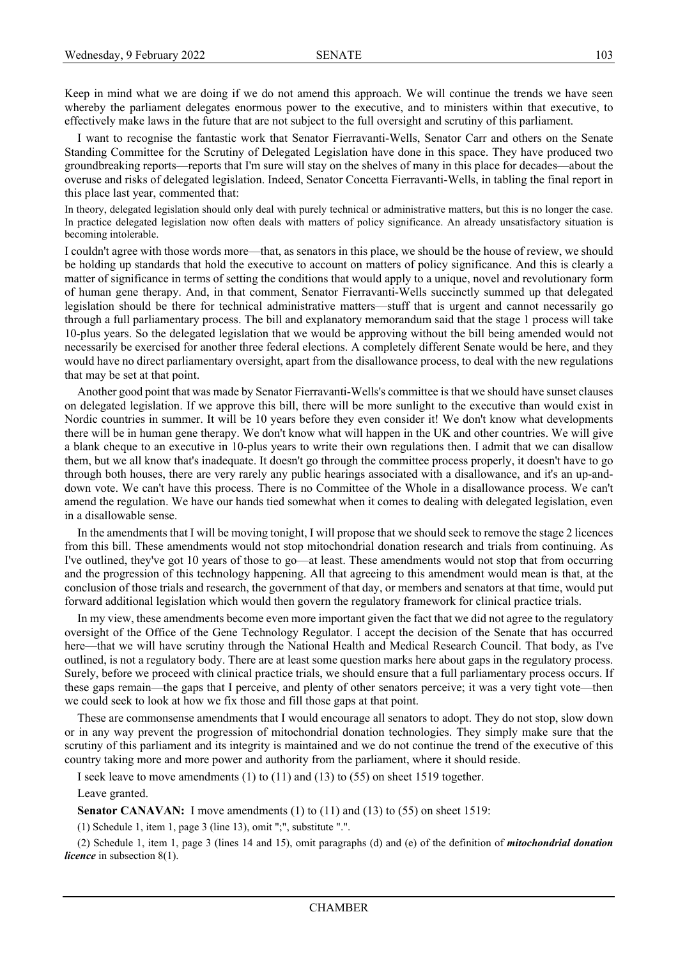Keep in mind what we are doing if we do not amend this approach. We will continue the trends we have seen whereby the parliament delegates enormous power to the executive, and to ministers within that executive, to effectively make laws in the future that are not subject to the full oversight and scrutiny of this parliament.

I want to recognise the fantastic work that Senator Fierravanti-Wells, Senator Carr and others on the Senate Standing Committee for the Scrutiny of Delegated Legislation have done in this space. They have produced two groundbreaking reports—reports that I'm sure will stay on the shelves of many in this place for decades—about the overuse and risks of delegated legislation. Indeed, Senator Concetta Fierravanti-Wells, in tabling the final report in this place last year, commented that:

In theory, delegated legislation should only deal with purely technical or administrative matters, but this is no longer the case. In practice delegated legislation now often deals with matters of policy significance. An already unsatisfactory situation is becoming intolerable.

I couldn't agree with those words more—that, as senators in this place, we should be the house of review, we should be holding up standards that hold the executive to account on matters of policy significance. And this is clearly a matter of significance in terms of setting the conditions that would apply to a unique, novel and revolutionary form of human gene therapy. And, in that comment, Senator Fierravanti-Wells succinctly summed up that delegated legislation should be there for technical administrative matters—stuff that is urgent and cannot necessarily go through a full parliamentary process. The bill and explanatory memorandum said that the stage 1 process will take 10-plus years. So the delegated legislation that we would be approving without the bill being amended would not necessarily be exercised for another three federal elections. A completely different Senate would be here, and they would have no direct parliamentary oversight, apart from the disallowance process, to deal with the new regulations that may be set at that point.

Another good point that was made by Senator Fierravanti-Wells's committee is that we should have sunset clauses on delegated legislation. If we approve this bill, there will be more sunlight to the executive than would exist in Nordic countries in summer. It will be 10 years before they even consider it! We don't know what developments there will be in human gene therapy. We don't know what will happen in the UK and other countries. We will give a blank cheque to an executive in 10-plus years to write their own regulations then. I admit that we can disallow them, but we all know that's inadequate. It doesn't go through the committee process properly, it doesn't have to go through both houses, there are very rarely any public hearings associated with a disallowance, and it's an up-anddown vote. We can't have this process. There is no Committee of the Whole in a disallowance process. We can't amend the regulation. We have our hands tied somewhat when it comes to dealing with delegated legislation, even in a disallowable sense.

In the amendments that I will be moving tonight, I will propose that we should seek to remove the stage 2 licences from this bill. These amendments would not stop mitochondrial donation research and trials from continuing. As I've outlined, they've got 10 years of those to go—at least. These amendments would not stop that from occurring and the progression of this technology happening. All that agreeing to this amendment would mean is that, at the conclusion of those trials and research, the government of that day, or members and senators at that time, would put forward additional legislation which would then govern the regulatory framework for clinical practice trials.

In my view, these amendments become even more important given the fact that we did not agree to the regulatory oversight of the Office of the Gene Technology Regulator. I accept the decision of the Senate that has occurred here—that we will have scrutiny through the National Health and Medical Research Council. That body, as I've outlined, is not a regulatory body. There are at least some question marks here about gaps in the regulatory process. Surely, before we proceed with clinical practice trials, we should ensure that a full parliamentary process occurs. If these gaps remain—the gaps that I perceive, and plenty of other senators perceive; it was a very tight vote—then we could seek to look at how we fix those and fill those gaps at that point.

These are commonsense amendments that I would encourage all senators to adopt. They do not stop, slow down or in any way prevent the progression of mitochondrial donation technologies. They simply make sure that the scrutiny of this parliament and its integrity is maintained and we do not continue the trend of the executive of this country taking more and more power and authority from the parliament, where it should reside.

I seek leave to move amendments (1) to (11) and (13) to (55) on sheet 1519 together.

### Leave granted.

**Senator CANAVAN:** I move amendments (1) to (11) and (13) to (55) on sheet 1519:

(1) Schedule 1, item 1, page 3 (line 13), omit ";", substitute ".".

(2) Schedule 1, item 1, page 3 (lines 14 and 15), omit paragraphs (d) and (e) of the definition of *mitochondrial donation licence* in subsection 8(1).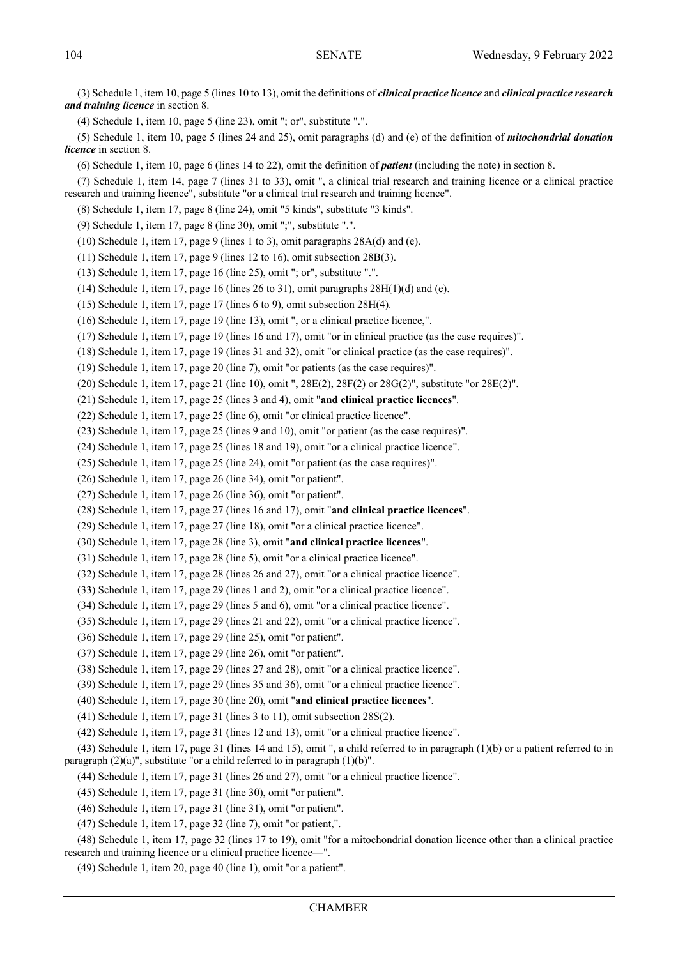(3) Schedule 1, item 10, page 5 (lines 10 to 13), omit the definitions of *clinical practice licence* and *clinical practice research and training licence* in section 8.

(4) Schedule 1, item 10, page 5 (line 23), omit "; or", substitute ".".

(5) Schedule 1, item 10, page 5 (lines 24 and 25), omit paragraphs (d) and (e) of the definition of *mitochondrial donation licence* in section 8.

(6) Schedule 1, item 10, page 6 (lines 14 to 22), omit the definition of *patient* (including the note) in section 8.

(7) Schedule 1, item 14, page 7 (lines 31 to 33), omit ", a clinical trial research and training licence or a clinical practice research and training licence", substitute "or a clinical trial research and training licence".

(8) Schedule 1, item 17, page 8 (line 24), omit "5 kinds", substitute "3 kinds".

(9) Schedule 1, item 17, page 8 (line 30), omit ";", substitute ".".

(10) Schedule 1, item 17, page 9 (lines 1 to 3), omit paragraphs 28A(d) and (e).

(11) Schedule 1, item 17, page 9 (lines 12 to 16), omit subsection 28B(3).

(13) Schedule 1, item 17, page 16 (line 25), omit "; or", substitute ".".

(14) Schedule 1, item 17, page 16 (lines 26 to 31), omit paragraphs  $28H(1)(d)$  and (e).

(15) Schedule 1, item 17, page 17 (lines 6 to 9), omit subsection 28H(4).

(16) Schedule 1, item 17, page 19 (line 13), omit ", or a clinical practice licence,".

(17) Schedule 1, item 17, page 19 (lines 16 and 17), omit "or in clinical practice (as the case requires)".

(18) Schedule 1, item 17, page 19 (lines 31 and 32), omit "or clinical practice (as the case requires)".

(19) Schedule 1, item 17, page 20 (line 7), omit "or patients (as the case requires)".

(20) Schedule 1, item 17, page 21 (line 10), omit ", 28E(2), 28F(2) or 28G(2)", substitute "or 28E(2)".

(21) Schedule 1, item 17, page 25 (lines 3 and 4), omit "**and clinical practice licences**".

(22) Schedule 1, item 17, page 25 (line 6), omit "or clinical practice licence".

(23) Schedule 1, item 17, page 25 (lines 9 and 10), omit "or patient (as the case requires)".

(24) Schedule 1, item 17, page 25 (lines 18 and 19), omit "or a clinical practice licence".

(25) Schedule 1, item 17, page 25 (line 24), omit "or patient (as the case requires)".

(26) Schedule 1, item 17, page 26 (line 34), omit "or patient".

(27) Schedule 1, item 17, page 26 (line 36), omit "or patient".

(28) Schedule 1, item 17, page 27 (lines 16 and 17), omit "**and clinical practice licences**".

(29) Schedule 1, item 17, page 27 (line 18), omit "or a clinical practice licence".

(30) Schedule 1, item 17, page 28 (line 3), omit "**and clinical practice licences**".

(31) Schedule 1, item 17, page 28 (line 5), omit "or a clinical practice licence".

(32) Schedule 1, item 17, page 28 (lines 26 and 27), omit "or a clinical practice licence".

(33) Schedule 1, item 17, page 29 (lines 1 and 2), omit "or a clinical practice licence".

(34) Schedule 1, item 17, page 29 (lines 5 and 6), omit "or a clinical practice licence".

(35) Schedule 1, item 17, page 29 (lines 21 and 22), omit "or a clinical practice licence".

(36) Schedule 1, item 17, page 29 (line 25), omit "or patient".

(37) Schedule 1, item 17, page 29 (line 26), omit "or patient".

(38) Schedule 1, item 17, page 29 (lines 27 and 28), omit "or a clinical practice licence".

(39) Schedule 1, item 17, page 29 (lines 35 and 36), omit "or a clinical practice licence".

(40) Schedule 1, item 17, page 30 (line 20), omit "**and clinical practice licences**".

(41) Schedule 1, item 17, page 31 (lines 3 to 11), omit subsection 28S(2).

(42) Schedule 1, item 17, page 31 (lines 12 and 13), omit "or a clinical practice licence".

(43) Schedule 1, item 17, page 31 (lines 14 and 15), omit ", a child referred to in paragraph (1)(b) or a patient referred to in paragraph  $(2)(a)$ ", substitute "or a child referred to in paragraph  $(1)(b)$ ".

(44) Schedule 1, item 17, page 31 (lines 26 and 27), omit "or a clinical practice licence".

(45) Schedule 1, item 17, page 31 (line 30), omit "or patient".

(46) Schedule 1, item 17, page 31 (line 31), omit "or patient".

(47) Schedule 1, item 17, page 32 (line 7), omit "or patient,".

(48) Schedule 1, item 17, page 32 (lines 17 to 19), omit "for a mitochondrial donation licence other than a clinical practice research and training licence or a clinical practice licence—".

(49) Schedule 1, item 20, page 40 (line 1), omit "or a patient".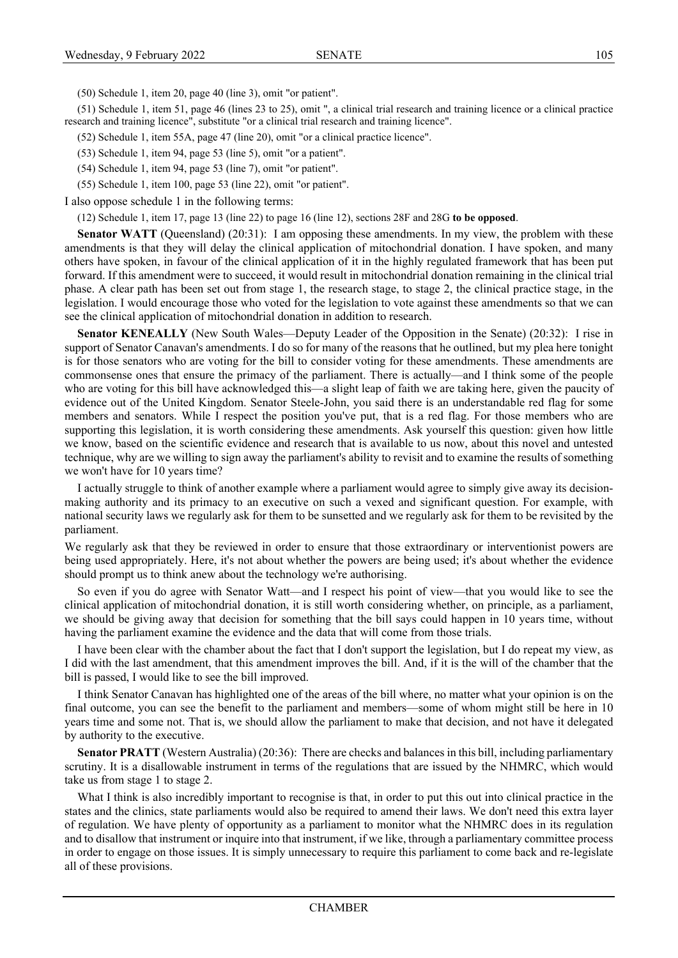(50) Schedule 1, item 20, page 40 (line 3), omit "or patient".

(51) Schedule 1, item 51, page 46 (lines 23 to 25), omit ", a clinical trial research and training licence or a clinical practice research and training licence", substitute "or a clinical trial research and training licence".

(52) Schedule 1, item 55A, page 47 (line 20), omit "or a clinical practice licence".

(53) Schedule 1, item 94, page 53 (line 5), omit "or a patient".

(54) Schedule 1, item 94, page 53 (line 7), omit "or patient".

(55) Schedule 1, item 100, page 53 (line 22), omit "or patient".

I also oppose schedule 1 in the following terms:

(12) Schedule 1, item 17, page 13 (line 22) to page 16 (line 12), sections 28F and 28G **to be opposed**.

**Senator WATT** (Queensland) (20:31): I am opposing these amendments. In my view, the problem with these amendments is that they will delay the clinical application of mitochondrial donation. I have spoken, and many others have spoken, in favour of the clinical application of it in the highly regulated framework that has been put forward. If this amendment were to succeed, it would result in mitochondrial donation remaining in the clinical trial phase. A clear path has been set out from stage 1, the research stage, to stage 2, the clinical practice stage, in the legislation. I would encourage those who voted for the legislation to vote against these amendments so that we can see the clinical application of mitochondrial donation in addition to research.

**Senator KENEALLY** (New South Wales—Deputy Leader of the Opposition in the Senate) (20:32): I rise in support of Senator Canavan's amendments. I do so for many of the reasons that he outlined, but my plea here tonight is for those senators who are voting for the bill to consider voting for these amendments. These amendments are commonsense ones that ensure the primacy of the parliament. There is actually—and I think some of the people who are voting for this bill have acknowledged this—a slight leap of faith we are taking here, given the paucity of evidence out of the United Kingdom. Senator Steele-John, you said there is an understandable red flag for some members and senators. While I respect the position you've put, that is a red flag. For those members who are supporting this legislation, it is worth considering these amendments. Ask yourself this question: given how little we know, based on the scientific evidence and research that is available to us now, about this novel and untested technique, why are we willing to sign away the parliament's ability to revisit and to examine the results of something we won't have for 10 years time?

I actually struggle to think of another example where a parliament would agree to simply give away its decisionmaking authority and its primacy to an executive on such a vexed and significant question. For example, with national security laws we regularly ask for them to be sunsetted and we regularly ask for them to be revisited by the parliament.

We regularly ask that they be reviewed in order to ensure that those extraordinary or interventionist powers are being used appropriately. Here, it's not about whether the powers are being used; it's about whether the evidence should prompt us to think anew about the technology we're authorising.

So even if you do agree with Senator Watt—and I respect his point of view—that you would like to see the clinical application of mitochondrial donation, it is still worth considering whether, on principle, as a parliament, we should be giving away that decision for something that the bill says could happen in 10 years time, without having the parliament examine the evidence and the data that will come from those trials.

I have been clear with the chamber about the fact that I don't support the legislation, but I do repeat my view, as I did with the last amendment, that this amendment improves the bill. And, if it is the will of the chamber that the bill is passed, I would like to see the bill improved.

I think Senator Canavan has highlighted one of the areas of the bill where, no matter what your opinion is on the final outcome, you can see the benefit to the parliament and members—some of whom might still be here in 10 years time and some not. That is, we should allow the parliament to make that decision, and not have it delegated by authority to the executive.

**Senator PRATT** (Western Australia) (20:36): There are checks and balances in this bill, including parliamentary scrutiny. It is a disallowable instrument in terms of the regulations that are issued by the NHMRC, which would take us from stage 1 to stage 2.

What I think is also incredibly important to recognise is that, in order to put this out into clinical practice in the states and the clinics, state parliaments would also be required to amend their laws. We don't need this extra layer of regulation. We have plenty of opportunity as a parliament to monitor what the NHMRC does in its regulation and to disallow that instrument or inquire into that instrument, if we like, through a parliamentary committee process in order to engage on those issues. It is simply unnecessary to require this parliament to come back and re-legislate all of these provisions.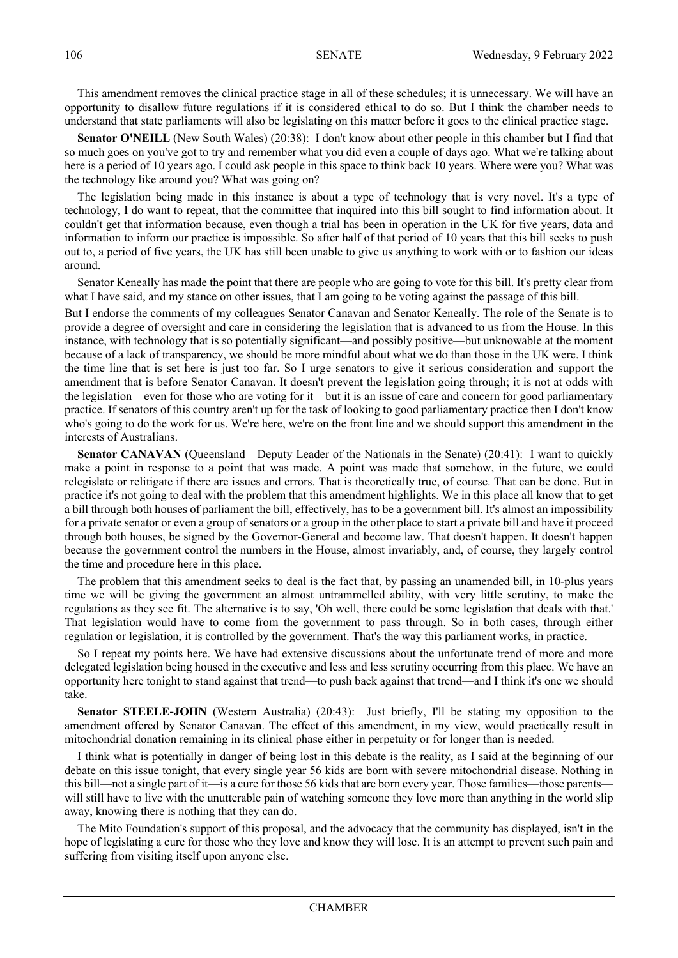This amendment removes the clinical practice stage in all of these schedules; it is unnecessary. We will have an opportunity to disallow future regulations if it is considered ethical to do so. But I think the chamber needs to understand that state parliaments will also be legislating on this matter before it goes to the clinical practice stage.

**Senator O'NEILL** (New South Wales) (20:38): I don't know about other people in this chamber but I find that so much goes on you've got to try and remember what you did even a couple of days ago. What we're talking about here is a period of 10 years ago. I could ask people in this space to think back 10 years. Where were you? What was the technology like around you? What was going on?

The legislation being made in this instance is about a type of technology that is very novel. It's a type of technology, I do want to repeat, that the committee that inquired into this bill sought to find information about. It couldn't get that information because, even though a trial has been in operation in the UK for five years, data and information to inform our practice is impossible. So after half of that period of 10 years that this bill seeks to push out to, a period of five years, the UK has still been unable to give us anything to work with or to fashion our ideas around.

Senator Keneally has made the point that there are people who are going to vote for this bill. It's pretty clear from what I have said, and my stance on other issues, that I am going to be voting against the passage of this bill.

But I endorse the comments of my colleagues Senator Canavan and Senator Keneally. The role of the Senate is to provide a degree of oversight and care in considering the legislation that is advanced to us from the House. In this instance, with technology that is so potentially significant—and possibly positive—but unknowable at the moment because of a lack of transparency, we should be more mindful about what we do than those in the UK were. I think the time line that is set here is just too far. So I urge senators to give it serious consideration and support the amendment that is before Senator Canavan. It doesn't prevent the legislation going through; it is not at odds with the legislation—even for those who are voting for it—but it is an issue of care and concern for good parliamentary practice. If senators of this country aren't up for the task of looking to good parliamentary practice then I don't know who's going to do the work for us. We're here, we're on the front line and we should support this amendment in the interests of Australians.

**Senator CANAVAN** (Queensland—Deputy Leader of the Nationals in the Senate) (20:41): I want to quickly make a point in response to a point that was made. A point was made that somehow, in the future, we could relegislate or relitigate if there are issues and errors. That is theoretically true, of course. That can be done. But in practice it's not going to deal with the problem that this amendment highlights. We in this place all know that to get a bill through both houses of parliament the bill, effectively, has to be a government bill. It's almost an impossibility for a private senator or even a group of senators or a group in the other place to start a private bill and have it proceed through both houses, be signed by the Governor-General and become law. That doesn't happen. It doesn't happen because the government control the numbers in the House, almost invariably, and, of course, they largely control the time and procedure here in this place.

The problem that this amendment seeks to deal is the fact that, by passing an unamended bill, in 10-plus years time we will be giving the government an almost untrammelled ability, with very little scrutiny, to make the regulations as they see fit. The alternative is to say, 'Oh well, there could be some legislation that deals with that.' That legislation would have to come from the government to pass through. So in both cases, through either regulation or legislation, it is controlled by the government. That's the way this parliament works, in practice.

So I repeat my points here. We have had extensive discussions about the unfortunate trend of more and more delegated legislation being housed in the executive and less and less scrutiny occurring from this place. We have an opportunity here tonight to stand against that trend—to push back against that trend—and I think it's one we should take.

**Senator STEELE-JOHN** (Western Australia) (20:43): Just briefly, I'll be stating my opposition to the amendment offered by Senator Canavan. The effect of this amendment, in my view, would practically result in mitochondrial donation remaining in its clinical phase either in perpetuity or for longer than is needed.

I think what is potentially in danger of being lost in this debate is the reality, as I said at the beginning of our debate on this issue tonight, that every single year 56 kids are born with severe mitochondrial disease. Nothing in this bill—not a single part of it—is a cure for those 56 kids that are born every year. Those families—those parents will still have to live with the unutterable pain of watching someone they love more than anything in the world slip away, knowing there is nothing that they can do.

The Mito Foundation's support of this proposal, and the advocacy that the community has displayed, isn't in the hope of legislating a cure for those who they love and know they will lose. It is an attempt to prevent such pain and suffering from visiting itself upon anyone else.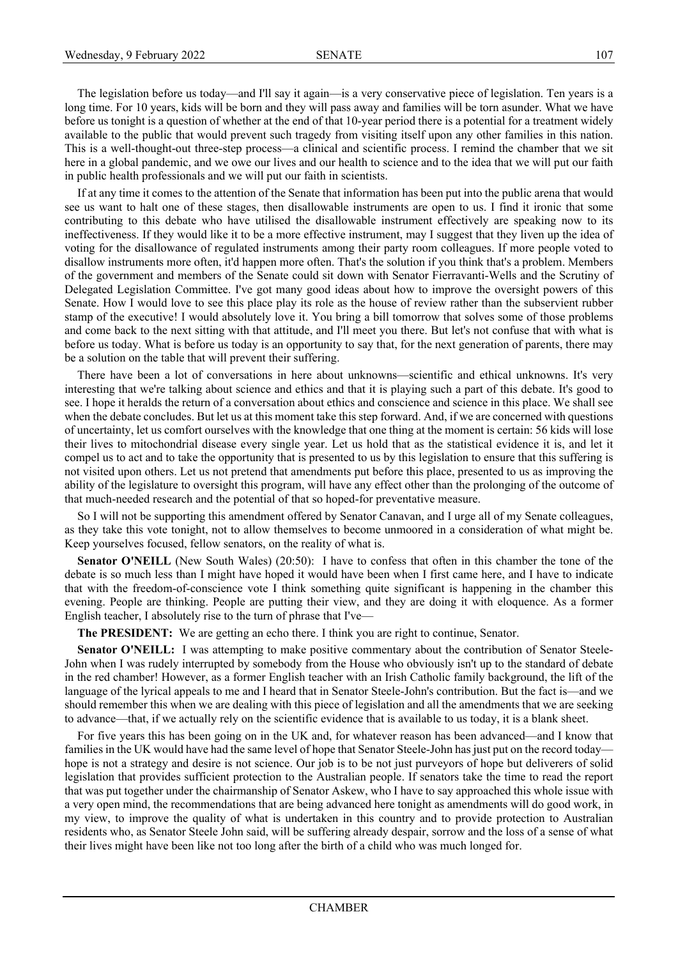The legislation before us today—and I'll say it again—is a very conservative piece of legislation. Ten years is a long time. For 10 years, kids will be born and they will pass away and families will be torn asunder. What we have before us tonight is a question of whether at the end of that 10-year period there is a potential for a treatment widely available to the public that would prevent such tragedy from visiting itself upon any other families in this nation. This is a well-thought-out three-step process—a clinical and scientific process. I remind the chamber that we sit here in a global pandemic, and we owe our lives and our health to science and to the idea that we will put our faith in public health professionals and we will put our faith in scientists.

If at any time it comes to the attention of the Senate that information has been put into the public arena that would see us want to halt one of these stages, then disallowable instruments are open to us. I find it ironic that some contributing to this debate who have utilised the disallowable instrument effectively are speaking now to its ineffectiveness. If they would like it to be a more effective instrument, may I suggest that they liven up the idea of voting for the disallowance of regulated instruments among their party room colleagues. If more people voted to disallow instruments more often, it'd happen more often. That's the solution if you think that's a problem. Members of the government and members of the Senate could sit down with Senator Fierravanti-Wells and the Scrutiny of Delegated Legislation Committee. I've got many good ideas about how to improve the oversight powers of this Senate. How I would love to see this place play its role as the house of review rather than the subservient rubber stamp of the executive! I would absolutely love it. You bring a bill tomorrow that solves some of those problems and come back to the next sitting with that attitude, and I'll meet you there. But let's not confuse that with what is before us today. What is before us today is an opportunity to say that, for the next generation of parents, there may be a solution on the table that will prevent their suffering.

There have been a lot of conversations in here about unknowns—scientific and ethical unknowns. It's very interesting that we're talking about science and ethics and that it is playing such a part of this debate. It's good to see. I hope it heralds the return of a conversation about ethics and conscience and science in this place. We shall see when the debate concludes. But let us at this moment take this step forward. And, if we are concerned with questions of uncertainty, let us comfort ourselves with the knowledge that one thing at the moment is certain: 56 kids will lose their lives to mitochondrial disease every single year. Let us hold that as the statistical evidence it is, and let it compel us to act and to take the opportunity that is presented to us by this legislation to ensure that this suffering is not visited upon others. Let us not pretend that amendments put before this place, presented to us as improving the ability of the legislature to oversight this program, will have any effect other than the prolonging of the outcome of that much-needed research and the potential of that so hoped-for preventative measure.

So I will not be supporting this amendment offered by Senator Canavan, and I urge all of my Senate colleagues, as they take this vote tonight, not to allow themselves to become unmoored in a consideration of what might be. Keep yourselves focused, fellow senators, on the reality of what is.

**Senator O'NEILL** (New South Wales) (20:50): I have to confess that often in this chamber the tone of the debate is so much less than I might have hoped it would have been when I first came here, and I have to indicate that with the freedom-of-conscience vote I think something quite significant is happening in the chamber this evening. People are thinking. People are putting their view, and they are doing it with eloquence. As a former English teacher, I absolutely rise to the turn of phrase that I've—

**The PRESIDENT:** We are getting an echo there. I think you are right to continue, Senator.

**Senator O'NEILL:** I was attempting to make positive commentary about the contribution of Senator Steele-John when I was rudely interrupted by somebody from the House who obviously isn't up to the standard of debate in the red chamber! However, as a former English teacher with an Irish Catholic family background, the lift of the language of the lyrical appeals to me and I heard that in Senator Steele-John's contribution. But the fact is—and we should remember this when we are dealing with this piece of legislation and all the amendments that we are seeking to advance—that, if we actually rely on the scientific evidence that is available to us today, it is a blank sheet.

For five years this has been going on in the UK and, for whatever reason has been advanced—and I know that families in the UK would have had the same level of hope that Senator Steele-John has just put on the record today hope is not a strategy and desire is not science. Our job is to be not just purveyors of hope but deliverers of solid legislation that provides sufficient protection to the Australian people. If senators take the time to read the report that was put together under the chairmanship of Senator Askew, who I have to say approached this whole issue with a very open mind, the recommendations that are being advanced here tonight as amendments will do good work, in my view, to improve the quality of what is undertaken in this country and to provide protection to Australian residents who, as Senator Steele John said, will be suffering already despair, sorrow and the loss of a sense of what their lives might have been like not too long after the birth of a child who was much longed for.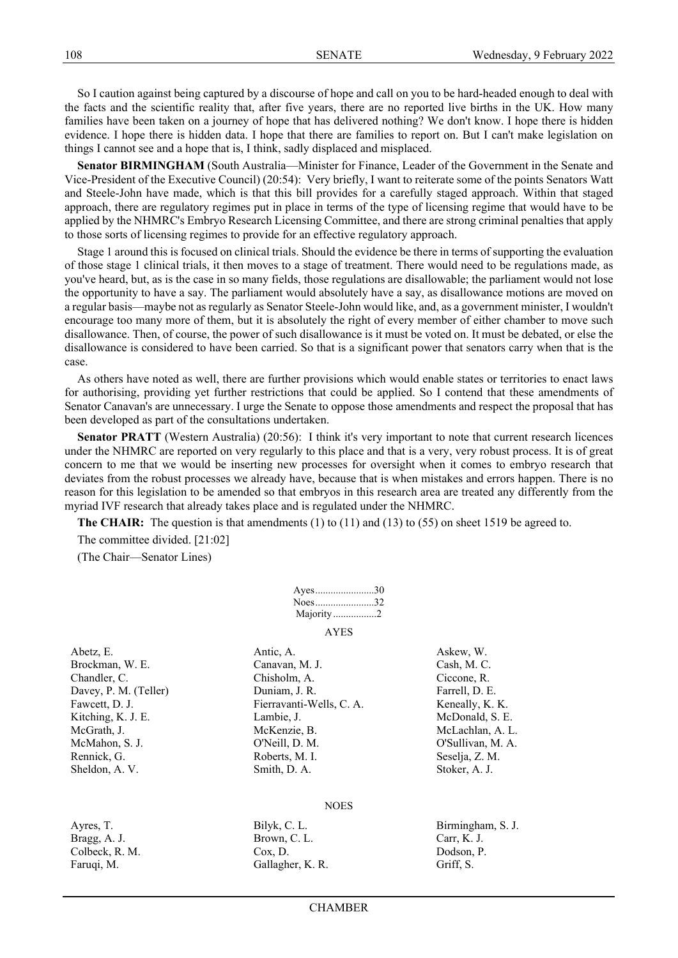So I caution against being captured by a discourse of hope and call on you to be hard-headed enough to deal with the facts and the scientific reality that, after five years, there are no reported live births in the UK. How many families have been taken on a journey of hope that has delivered nothing? We don't know. I hope there is hidden evidence. I hope there is hidden data. I hope that there are families to report on. But I can't make legislation on things I cannot see and a hope that is, I think, sadly displaced and misplaced.

**Senator BIRMINGHAM** (South Australia—Minister for Finance, Leader of the Government in the Senate and Vice-President of the Executive Council) (20:54): Very briefly, I want to reiterate some of the points Senators Watt and Steele-John have made, which is that this bill provides for a carefully staged approach. Within that staged approach, there are regulatory regimes put in place in terms of the type of licensing regime that would have to be applied by the NHMRC's Embryo Research Licensing Committee, and there are strong criminal penalties that apply to those sorts of licensing regimes to provide for an effective regulatory approach.

Stage 1 around this is focused on clinical trials. Should the evidence be there in terms of supporting the evaluation of those stage 1 clinical trials, it then moves to a stage of treatment. There would need to be regulations made, as you've heard, but, as is the case in so many fields, those regulations are disallowable; the parliament would not lose the opportunity to have a say. The parliament would absolutely have a say, as disallowance motions are moved on a regular basis—maybe not as regularly as Senator Steele-John would like, and, as a government minister, I wouldn't encourage too many more of them, but it is absolutely the right of every member of either chamber to move such disallowance. Then, of course, the power of such disallowance is it must be voted on. It must be debated, or else the disallowance is considered to have been carried. So that is a significant power that senators carry when that is the case.

As others have noted as well, there are further provisions which would enable states or territories to enact laws for authorising, providing yet further restrictions that could be applied. So I contend that these amendments of Senator Canavan's are unnecessary. I urge the Senate to oppose those amendments and respect the proposal that has been developed as part of the consultations undertaken.

**Senator PRATT** (Western Australia) (20:56): I think it's very important to note that current research licences under the NHMRC are reported on very regularly to this place and that is a very, very robust process. It is of great concern to me that we would be inserting new processes for oversight when it comes to embryo research that deviates from the robust processes we already have, because that is when mistakes and errors happen. There is no reason for this legislation to be amended so that embryos in this research area are treated any differently from the myriad IVF research that already takes place and is regulated under the NHMRC.

**The CHAIR:** The question is that amendments (1) to (11) and (13) to (55) on sheet 1519 be agreed to.

The committee divided. [21:02]

(The Chair—Senator Lines)

| Ayes30    |  |
|-----------|--|
| Noes32    |  |
| Majority2 |  |
| AYES      |  |

Abetz, E. **Antich, A. A. Askew, W. Askew, W.** Askew, W. Brockman, W. E. Canavan, M. J. Cash, M. C. Cash, M. C. Chandler, C. Chisholm, A. Ciccone, R. Chisholm, A. Ciccone, R. Davey, P. M. (Teller) Duniam, J. R. Farrell, D. E. Fawcett, D. J. Fierravanti-Wells, C. A. Keneally, K. K. Kitching, K. J. E. Lambie, J. Lambie, J. McDonald, S. E. McGrath, J. McKenzie, B. McLachlan, A. L. McMahon, S. J. O'Neill, D. M. O'Sullivan, M. A. Rennick, G. Roberts, M. I. Seselja, Z. M. Sheldon, A. V. Smith, D. A. Smith, D. A. Stoker, A. J.

#### **NOES**

| Ayres, T.      | Bilyk, C. L.     | Birmingham, S. J. |
|----------------|------------------|-------------------|
| Bragg, A. J.   | Brown, C. L.     | Carr, K. J.       |
| Colbeck, R. M. | Cox. D.          | Dodson, P.        |
| Faruqi, M.     | Gallagher, K. R. | Griff, S.         |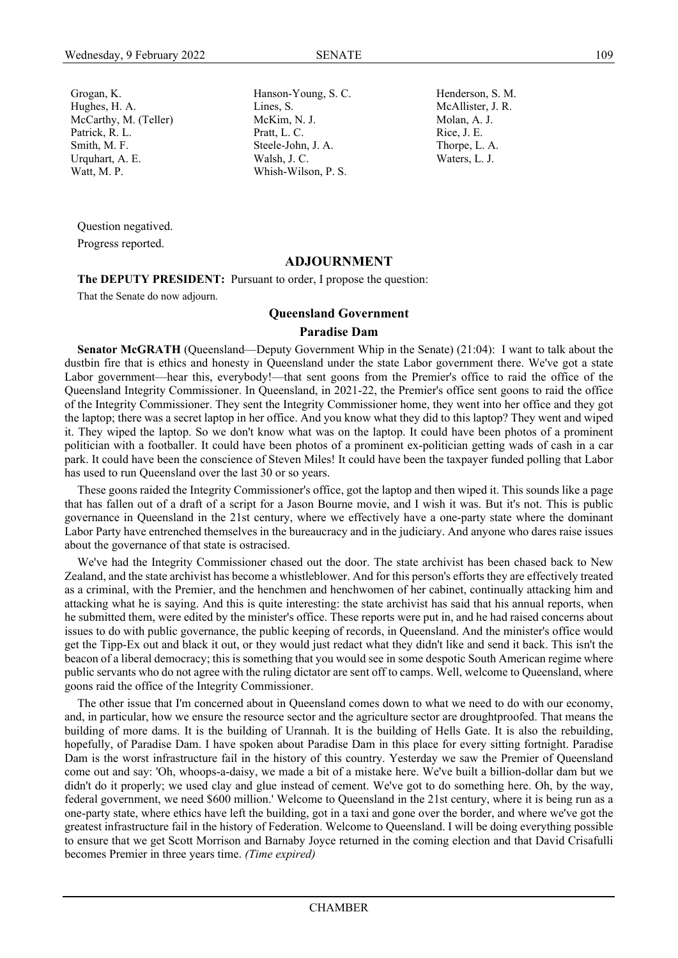Grogan, K. Hanson-Young, S. C. Henderson, S. M.

Question negatived. Progress reported.

### **ADJOURNMENT**

**The DEPUTY PRESIDENT:** Pursuant to order, I propose the question:

That the Senate do now adjourn.

### **Queensland Government**

## **Paradise Dam**

**Senator McGRATH** (Queensland—Deputy Government Whip in the Senate) (21:04): I want to talk about the dustbin fire that is ethics and honesty in Queensland under the state Labor government there. We've got a state Labor government—hear this, everybody!—that sent goons from the Premier's office to raid the office of the Queensland Integrity Commissioner. In Queensland, in 2021-22, the Premier's office sent goons to raid the office of the Integrity Commissioner. They sent the Integrity Commissioner home, they went into her office and they got the laptop; there was a secret laptop in her office. And you know what they did to this laptop? They went and wiped it. They wiped the laptop. So we don't know what was on the laptop. It could have been photos of a prominent politician with a footballer. It could have been photos of a prominent ex-politician getting wads of cash in a car park. It could have been the conscience of Steven Miles! It could have been the taxpayer funded polling that Labor has used to run Queensland over the last 30 or so years.

These goons raided the Integrity Commissioner's office, got the laptop and then wiped it. This sounds like a page that has fallen out of a draft of a script for a Jason Bourne movie, and I wish it was. But it's not. This is public governance in Queensland in the 21st century, where we effectively have a one-party state where the dominant Labor Party have entrenched themselves in the bureaucracy and in the judiciary. And anyone who dares raise issues about the governance of that state is ostracised.

We've had the Integrity Commissioner chased out the door. The state archivist has been chased back to New Zealand, and the state archivist has become a whistleblower. And for this person's efforts they are effectively treated as a criminal, with the Premier, and the henchmen and henchwomen of her cabinet, continually attacking him and attacking what he is saying. And this is quite interesting: the state archivist has said that his annual reports, when he submitted them, were edited by the minister's office. These reports were put in, and he had raised concerns about issues to do with public governance, the public keeping of records, in Queensland. And the minister's office would get the Tipp-Ex out and black it out, or they would just redact what they didn't like and send it back. This isn't the beacon of a liberal democracy; this is something that you would see in some despotic South American regime where public servants who do not agree with the ruling dictator are sent off to camps. Well, welcome to Queensland, where goons raid the office of the Integrity Commissioner.

The other issue that I'm concerned about in Queensland comes down to what we need to do with our economy, and, in particular, how we ensure the resource sector and the agriculture sector are droughtproofed. That means the building of more dams. It is the building of Urannah. It is the building of Hells Gate. It is also the rebuilding, hopefully, of Paradise Dam. I have spoken about Paradise Dam in this place for every sitting fortnight. Paradise Dam is the worst infrastructure fail in the history of this country. Yesterday we saw the Premier of Queensland come out and say: 'Oh, whoops-a-daisy, we made a bit of a mistake here. We've built a billion-dollar dam but we didn't do it properly; we used clay and glue instead of cement. We've got to do something here. Oh, by the way, federal government, we need \$600 million.' Welcome to Queensland in the 21st century, where it is being run as a one-party state, where ethics have left the building, got in a taxi and gone over the border, and where we've got the greatest infrastructure fail in the history of Federation. Welcome to Queensland. I will be doing everything possible to ensure that we get Scott Morrison and Barnaby Joyce returned in the coming election and that David Crisafulli becomes Premier in three years time. *(Time expired)*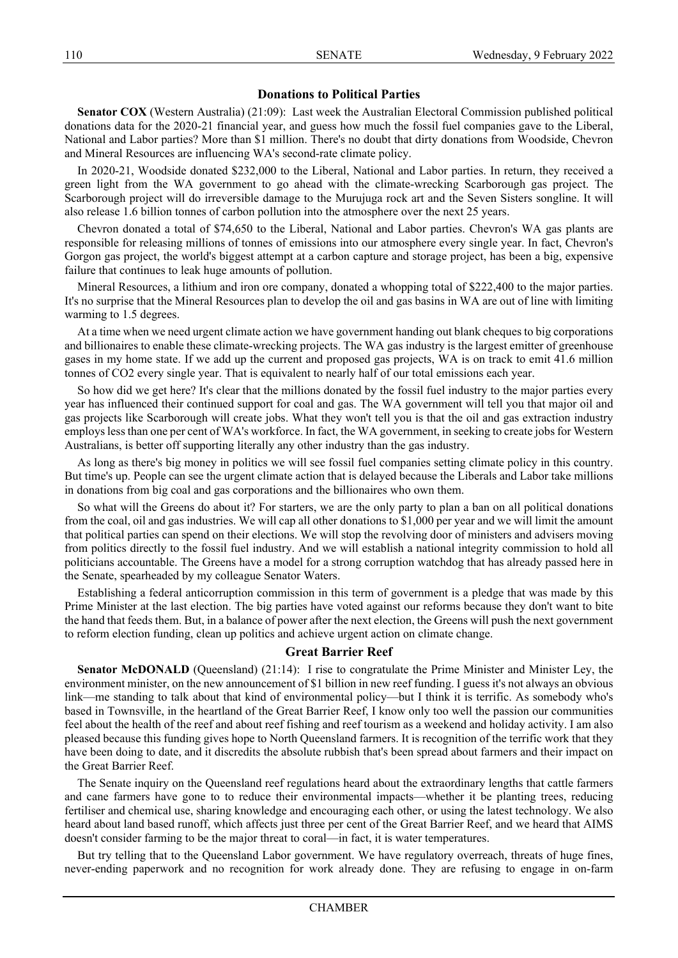# **Donations to Political Parties**

**Senator COX** (Western Australia) (21:09): Last week the Australian Electoral Commission published political donations data for the 2020-21 financial year, and guess how much the fossil fuel companies gave to the Liberal, National and Labor parties? More than \$1 million. There's no doubt that dirty donations from Woodside, Chevron and Mineral Resources are influencing WA's second-rate climate policy.

In 2020-21, Woodside donated \$232,000 to the Liberal, National and Labor parties. In return, they received a green light from the WA government to go ahead with the climate-wrecking Scarborough gas project. The Scarborough project will do irreversible damage to the Murujuga rock art and the Seven Sisters songline. It will also release 1.6 billion tonnes of carbon pollution into the atmosphere over the next 25 years.

Chevron donated a total of \$74,650 to the Liberal, National and Labor parties. Chevron's WA gas plants are responsible for releasing millions of tonnes of emissions into our atmosphere every single year. In fact, Chevron's Gorgon gas project, the world's biggest attempt at a carbon capture and storage project, has been a big, expensive failure that continues to leak huge amounts of pollution.

Mineral Resources, a lithium and iron ore company, donated a whopping total of \$222,400 to the major parties. It's no surprise that the Mineral Resources plan to develop the oil and gas basins in WA are out of line with limiting warming to 1.5 degrees.

At a time when we need urgent climate action we have government handing out blank cheques to big corporations and billionaires to enable these climate-wrecking projects. The WA gas industry is the largest emitter of greenhouse gases in my home state. If we add up the current and proposed gas projects, WA is on track to emit 41.6 million tonnes of CO2 every single year. That is equivalent to nearly half of our total emissions each year.

So how did we get here? It's clear that the millions donated by the fossil fuel industry to the major parties every year has influenced their continued support for coal and gas. The WA government will tell you that major oil and gas projects like Scarborough will create jobs. What they won't tell you is that the oil and gas extraction industry employs less than one per cent of WA's workforce. In fact, the WA government, in seeking to create jobs for Western Australians, is better off supporting literally any other industry than the gas industry.

As long as there's big money in politics we will see fossil fuel companies setting climate policy in this country. But time's up. People can see the urgent climate action that is delayed because the Liberals and Labor take millions in donations from big coal and gas corporations and the billionaires who own them.

So what will the Greens do about it? For starters, we are the only party to plan a ban on all political donations from the coal, oil and gas industries. We will cap all other donations to \$1,000 per year and we will limit the amount that political parties can spend on their elections. We will stop the revolving door of ministers and advisers moving from politics directly to the fossil fuel industry. And we will establish a national integrity commission to hold all politicians accountable. The Greens have a model for a strong corruption watchdog that has already passed here in the Senate, spearheaded by my colleague Senator Waters.

Establishing a federal anticorruption commission in this term of government is a pledge that was made by this Prime Minister at the last election. The big parties have voted against our reforms because they don't want to bite the hand that feeds them. But, in a balance of power after the next election, the Greens will push the next government to reform election funding, clean up politics and achieve urgent action on climate change.

### **Great Barrier Reef**

**Senator McDONALD** (Queensland) (21:14): I rise to congratulate the Prime Minister and Minister Ley, the environment minister, on the new announcement of \$1 billion in new reef funding. I guess it's not always an obvious link—me standing to talk about that kind of environmental policy—but I think it is terrific. As somebody who's based in Townsville, in the heartland of the Great Barrier Reef, I know only too well the passion our communities feel about the health of the reef and about reef fishing and reef tourism as a weekend and holiday activity. I am also pleased because this funding gives hope to North Queensland farmers. It is recognition of the terrific work that they have been doing to date, and it discredits the absolute rubbish that's been spread about farmers and their impact on the Great Barrier Reef.

The Senate inquiry on the Queensland reef regulations heard about the extraordinary lengths that cattle farmers and cane farmers have gone to to reduce their environmental impacts—whether it be planting trees, reducing fertiliser and chemical use, sharing knowledge and encouraging each other, or using the latest technology. We also heard about land based runoff, which affects just three per cent of the Great Barrier Reef, and we heard that AIMS doesn't consider farming to be the major threat to coral—in fact, it is water temperatures.

But try telling that to the Queensland Labor government. We have regulatory overreach, threats of huge fines, never-ending paperwork and no recognition for work already done. They are refusing to engage in on-farm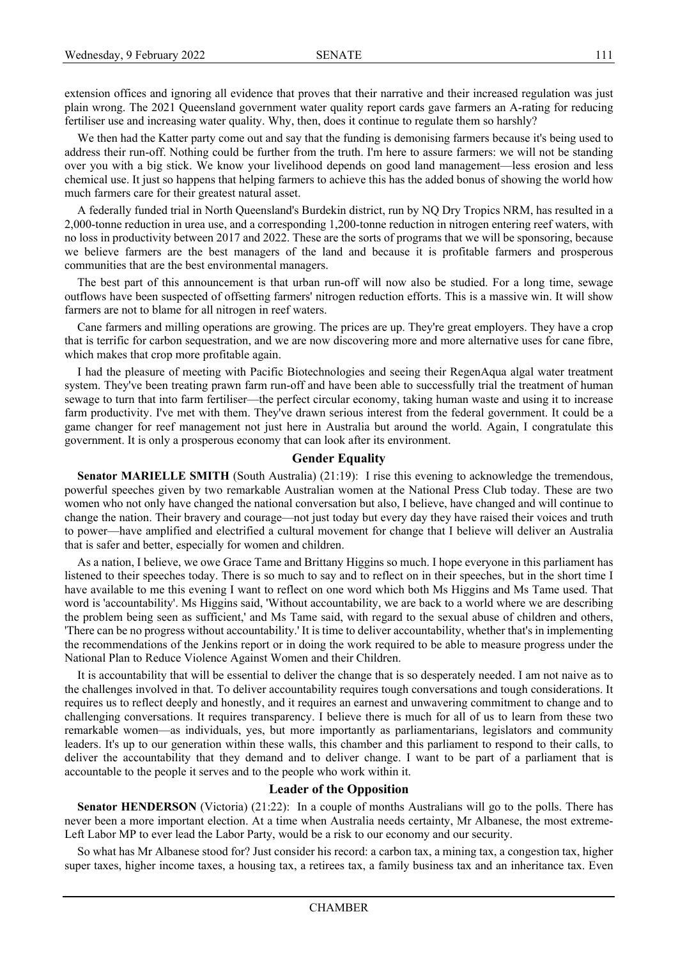extension offices and ignoring all evidence that proves that their narrative and their increased regulation was just plain wrong. The 2021 Queensland government water quality report cards gave farmers an A-rating for reducing fertiliser use and increasing water quality. Why, then, does it continue to regulate them so harshly?

We then had the Katter party come out and say that the funding is demonising farmers because it's being used to address their run-off. Nothing could be further from the truth. I'm here to assure farmers: we will not be standing over you with a big stick. We know your livelihood depends on good land management—less erosion and less chemical use. It just so happens that helping farmers to achieve this has the added bonus of showing the world how much farmers care for their greatest natural asset.

A federally funded trial in North Queensland's Burdekin district, run by NQ Dry Tropics NRM, has resulted in a 2,000-tonne reduction in urea use, and a corresponding 1,200-tonne reduction in nitrogen entering reef waters, with no loss in productivity between 2017 and 2022. These are the sorts of programs that we will be sponsoring, because we believe farmers are the best managers of the land and because it is profitable farmers and prosperous communities that are the best environmental managers.

The best part of this announcement is that urban run-off will now also be studied. For a long time, sewage outflows have been suspected of offsetting farmers' nitrogen reduction efforts. This is a massive win. It will show farmers are not to blame for all nitrogen in reef waters.

Cane farmers and milling operations are growing. The prices are up. They're great employers. They have a crop that is terrific for carbon sequestration, and we are now discovering more and more alternative uses for cane fibre, which makes that crop more profitable again.

I had the pleasure of meeting with Pacific Biotechnologies and seeing their RegenAqua algal water treatment system. They've been treating prawn farm run-off and have been able to successfully trial the treatment of human sewage to turn that into farm fertiliser—the perfect circular economy, taking human waste and using it to increase farm productivity. I've met with them. They've drawn serious interest from the federal government. It could be a game changer for reef management not just here in Australia but around the world. Again, I congratulate this government. It is only a prosperous economy that can look after its environment.

### **Gender Equality**

**Senator MARIELLE SMITH** (South Australia) (21:19): I rise this evening to acknowledge the tremendous, powerful speeches given by two remarkable Australian women at the National Press Club today. These are two women who not only have changed the national conversation but also, I believe, have changed and will continue to change the nation. Their bravery and courage—not just today but every day they have raised their voices and truth to power—have amplified and electrified a cultural movement for change that I believe will deliver an Australia that is safer and better, especially for women and children.

As a nation, I believe, we owe Grace Tame and Brittany Higgins so much. I hope everyone in this parliament has listened to their speeches today. There is so much to say and to reflect on in their speeches, but in the short time I have available to me this evening I want to reflect on one word which both Ms Higgins and Ms Tame used. That word is 'accountability'. Ms Higgins said, 'Without accountability, we are back to a world where we are describing the problem being seen as sufficient,' and Ms Tame said, with regard to the sexual abuse of children and others, 'There can be no progress without accountability.' It is time to deliver accountability, whether that's in implementing the recommendations of the Jenkins report or in doing the work required to be able to measure progress under the National Plan to Reduce Violence Against Women and their Children.

It is accountability that will be essential to deliver the change that is so desperately needed. I am not naive as to the challenges involved in that. To deliver accountability requires tough conversations and tough considerations. It requires us to reflect deeply and honestly, and it requires an earnest and unwavering commitment to change and to challenging conversations. It requires transparency. I believe there is much for all of us to learn from these two remarkable women—as individuals, yes, but more importantly as parliamentarians, legislators and community leaders. It's up to our generation within these walls, this chamber and this parliament to respond to their calls, to deliver the accountability that they demand and to deliver change. I want to be part of a parliament that is accountable to the people it serves and to the people who work within it.

### **Leader of the Opposition**

**Senator HENDERSON** (Victoria) (21:22): In a couple of months Australians will go to the polls. There has never been a more important election. At a time when Australia needs certainty, Mr Albanese, the most extreme-Left Labor MP to ever lead the Labor Party, would be a risk to our economy and our security.

So what has Mr Albanese stood for? Just consider his record: a carbon tax, a mining tax, a congestion tax, higher super taxes, higher income taxes, a housing tax, a retirees tax, a family business tax and an inheritance tax. Even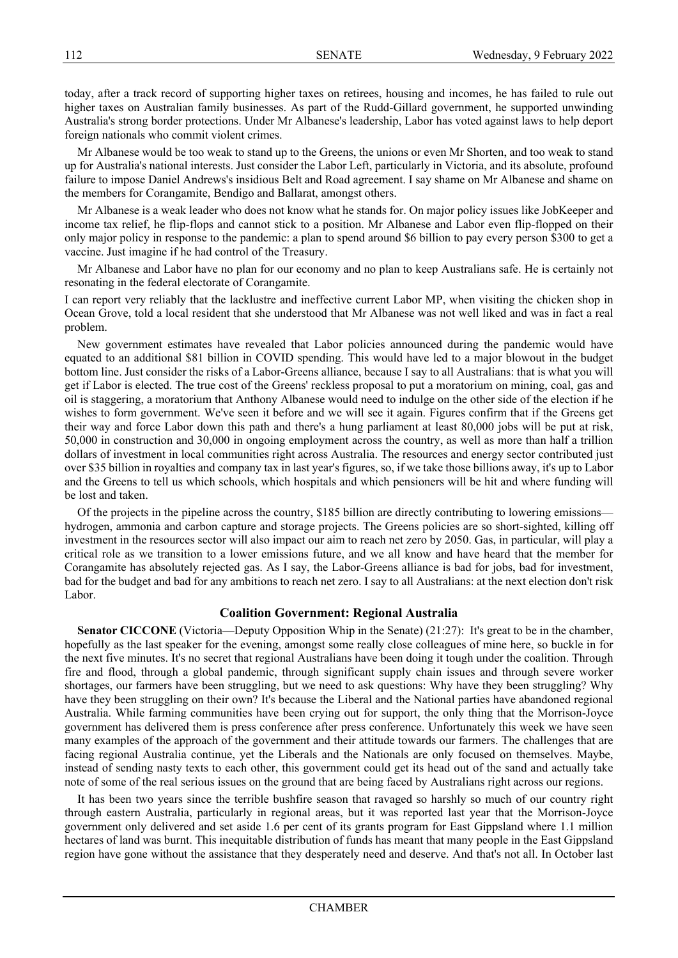today, after a track record of supporting higher taxes on retirees, housing and incomes, he has failed to rule out higher taxes on Australian family businesses. As part of the Rudd-Gillard government, he supported unwinding Australia's strong border protections. Under Mr Albanese's leadership, Labor has voted against laws to help deport foreign nationals who commit violent crimes.

Mr Albanese would be too weak to stand up to the Greens, the unions or even Mr Shorten, and too weak to stand up for Australia's national interests. Just consider the Labor Left, particularly in Victoria, and its absolute, profound failure to impose Daniel Andrews's insidious Belt and Road agreement. I say shame on Mr Albanese and shame on the members for Corangamite, Bendigo and Ballarat, amongst others.

Mr Albanese is a weak leader who does not know what he stands for. On major policy issues like JobKeeper and income tax relief, he flip-flops and cannot stick to a position. Mr Albanese and Labor even flip-flopped on their only major policy in response to the pandemic: a plan to spend around \$6 billion to pay every person \$300 to get a vaccine. Just imagine if he had control of the Treasury.

Mr Albanese and Labor have no plan for our economy and no plan to keep Australians safe. He is certainly not resonating in the federal electorate of Corangamite.

I can report very reliably that the lacklustre and ineffective current Labor MP, when visiting the chicken shop in Ocean Grove, told a local resident that she understood that Mr Albanese was not well liked and was in fact a real problem.

New government estimates have revealed that Labor policies announced during the pandemic would have equated to an additional \$81 billion in COVID spending. This would have led to a major blowout in the budget bottom line. Just consider the risks of a Labor-Greens alliance, because I say to all Australians: that is what you will get if Labor is elected. The true cost of the Greens' reckless proposal to put a moratorium on mining, coal, gas and oil is staggering, a moratorium that Anthony Albanese would need to indulge on the other side of the election if he wishes to form government. We've seen it before and we will see it again. Figures confirm that if the Greens get their way and force Labor down this path and there's a hung parliament at least 80,000 jobs will be put at risk, 50,000 in construction and 30,000 in ongoing employment across the country, as well as more than half a trillion dollars of investment in local communities right across Australia. The resources and energy sector contributed just over \$35 billion in royalties and company tax in last year's figures, so, if we take those billions away, it's up to Labor and the Greens to tell us which schools, which hospitals and which pensioners will be hit and where funding will be lost and taken.

Of the projects in the pipeline across the country, \$185 billion are directly contributing to lowering emissions hydrogen, ammonia and carbon capture and storage projects. The Greens policies are so short-sighted, killing off investment in the resources sector will also impact our aim to reach net zero by 2050. Gas, in particular, will play a critical role as we transition to a lower emissions future, and we all know and have heard that the member for Corangamite has absolutely rejected gas. As I say, the Labor-Greens alliance is bad for jobs, bad for investment, bad for the budget and bad for any ambitions to reach net zero. I say to all Australians: at the next election don't risk Labor.

### **Coalition Government: Regional Australia**

**Senator CICCONE** (Victoria—Deputy Opposition Whip in the Senate) (21:27): It's great to be in the chamber, hopefully as the last speaker for the evening, amongst some really close colleagues of mine here, so buckle in for the next five minutes. It's no secret that regional Australians have been doing it tough under the coalition. Through fire and flood, through a global pandemic, through significant supply chain issues and through severe worker shortages, our farmers have been struggling, but we need to ask questions: Why have they been struggling? Why have they been struggling on their own? It's because the Liberal and the National parties have abandoned regional Australia. While farming communities have been crying out for support, the only thing that the Morrison-Joyce government has delivered them is press conference after press conference. Unfortunately this week we have seen many examples of the approach of the government and their attitude towards our farmers. The challenges that are facing regional Australia continue, yet the Liberals and the Nationals are only focused on themselves. Maybe, instead of sending nasty texts to each other, this government could get its head out of the sand and actually take note of some of the real serious issues on the ground that are being faced by Australians right across our regions.

It has been two years since the terrible bushfire season that ravaged so harshly so much of our country right through eastern Australia, particularly in regional areas, but it was reported last year that the Morrison-Joyce government only delivered and set aside 1.6 per cent of its grants program for East Gippsland where 1.1 million hectares of land was burnt. This inequitable distribution of funds has meant that many people in the East Gippsland region have gone without the assistance that they desperately need and deserve. And that's not all. In October last